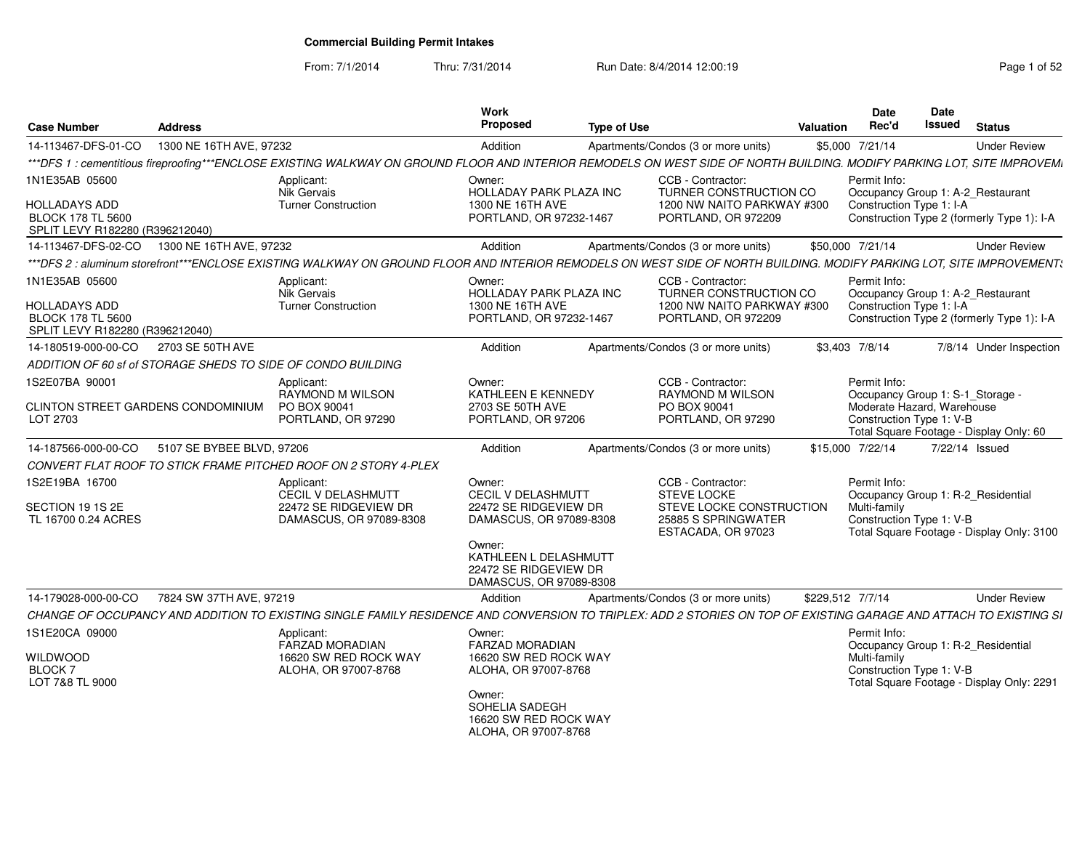From: 7/1/2014

Thru: 7/31/2014 Run Date: 8/4/2014 12:00:19 Rege 1 of 52

| <b>Case Number</b>                                                                             | <b>Address</b>            |                                                                                                                                                                         | Work<br>Proposed                                                                                                                                                               | <b>Type of Use</b> |                                                                                                           | Valuation | Date<br>Rec'd                                                          | <b>Date</b><br>Issued | <b>Status</b>                                                                   |
|------------------------------------------------------------------------------------------------|---------------------------|-------------------------------------------------------------------------------------------------------------------------------------------------------------------------|--------------------------------------------------------------------------------------------------------------------------------------------------------------------------------|--------------------|-----------------------------------------------------------------------------------------------------------|-----------|------------------------------------------------------------------------|-----------------------|---------------------------------------------------------------------------------|
| 14-113467-DFS-01-CO                                                                            | 1300 NE 16TH AVE, 97232   |                                                                                                                                                                         | Addition                                                                                                                                                                       |                    | Apartments/Condos (3 or more units)                                                                       |           | \$5,000 7/21/14                                                        |                       | <b>Under Review</b>                                                             |
|                                                                                                |                           | ***DFS 1 : cementitious fireproofing***ENCLOSE EXISTING WALKWAY ON GROUND FLOOR AND INTERIOR REMODELS ON WEST SIDE OF NORTH BUILDING. MODIFY PARKING LOT, SITE IMPROVEM |                                                                                                                                                                                |                    |                                                                                                           |           |                                                                        |                       |                                                                                 |
| 1N1E35AB 05600<br>HOLLADAYS ADD<br><b>BLOCK 178 TL 5600</b><br>SPLIT LEVY R182280 (R396212040) |                           | Applicant:<br>Nik Gervais<br><b>Turner Construction</b>                                                                                                                 | Owner:<br>HOLLADAY PARK PLAZA INC<br>1300 NE 16TH AVE<br>PORTLAND, OR 97232-1467                                                                                               |                    | CCB - Contractor<br>TURNER CONSTRUCTION CO<br>1200 NW NAITO PARKWAY #300<br>PORTLAND, OR 972209           |           | Permit Info:<br>Construction Type 1: I-A                               |                       | Occupancy Group 1: A-2_Restaurant<br>Construction Type 2 (formerly Type 1): I-A |
| 14-113467-DFS-02-CO                                                                            | 1300 NE 16TH AVE, 97232   |                                                                                                                                                                         | Addition                                                                                                                                                                       |                    | Apartments/Condos (3 or more units)                                                                       |           | \$50,000 7/21/14                                                       |                       | <b>Under Review</b>                                                             |
|                                                                                                |                           | ***DFS 2 : aluminum storefront***ENCLOSE EXISTING WALKWAY ON GROUND FLOOR AND INTERIOR REMODELS ON WEST SIDE OF NORTH BUILDING. MODIFY PARKING LOT. SITE IMPROVEMENT:   |                                                                                                                                                                                |                    |                                                                                                           |           |                                                                        |                       |                                                                                 |
| 1N1E35AB 05600<br>HOLLADAYS ADD<br><b>BLOCK 178 TL 5600</b><br>SPLIT LEVY R182280 (R396212040) |                           | Applicant:<br><b>Nik Gervais</b><br>Turner Construction                                                                                                                 | Owner:<br>HOLLADAY PARK PLAZA INC<br>1300 NE 16TH AVE<br>PORTLAND, OR 97232-1467                                                                                               |                    | CCB - Contractor:<br><b>TURNER CONSTRUCTION CO</b><br>1200 NW NAITO PARKWAY #300<br>PORTLAND, OR 972209   |           | Permit Info:<br>Construction Type 1: I-A                               |                       | Occupancy Group 1: A-2_Restaurant<br>Construction Type 2 (formerly Type 1): I-A |
| 14-180519-000-00-CO                                                                            | 2703 SE 50TH AVE          |                                                                                                                                                                         | Addition                                                                                                                                                                       |                    | Apartments/Condos (3 or more units)                                                                       |           | \$3,403 7/8/14                                                         |                       | 7/8/14 Under Inspection                                                         |
|                                                                                                |                           | ADDITION OF 60 sf of STORAGE SHEDS TO SIDE OF CONDO BUILDING                                                                                                            |                                                                                                                                                                                |                    |                                                                                                           |           |                                                                        |                       |                                                                                 |
| 1S2E07BA 90001<br>CLINTON STREET GARDENS CONDOMINIUM<br>LOT 2703                               |                           | Applicant:<br><b>RAYMOND M WILSON</b><br>PO BOX 90041<br>PORTLAND, OR 97290                                                                                             | Owner:<br>KATHLEEN E KENNEDY<br>2703 SE 50TH AVE<br>PORTLAND, OR 97206                                                                                                         |                    | CCB - Contractor:<br><b>RAYMOND M WILSON</b><br>PO BOX 90041<br>PORTLAND, OR 97290                        |           | Permit Info:<br>Moderate Hazard, Warehouse<br>Construction Type 1: V-B |                       | Occupancy Group 1: S-1_Storage -<br>Total Square Footage - Display Only: 60     |
| 14-187566-000-00-CO                                                                            | 5107 SE BYBEE BLVD, 97206 |                                                                                                                                                                         | Addition                                                                                                                                                                       |                    | Apartments/Condos (3 or more units)                                                                       |           | \$15,000 7/22/14                                                       |                       | 7/22/14 Issued                                                                  |
|                                                                                                |                           | CONVERT FLAT ROOF TO STICK FRAME PITCHED ROOF ON 2 STORY 4-PLEX                                                                                                         |                                                                                                                                                                                |                    |                                                                                                           |           |                                                                        |                       |                                                                                 |
| 1S2E19BA 16700<br>SECTION 19 1S 2E<br>TL 16700 0.24 ACRES                                      |                           | Applicant:<br>CECIL V DELASHMUTT<br>22472 SE RIDGEVIEW DR<br>DAMASCUS, OR 97089-8308                                                                                    | Owner:<br><b>CECIL V DELASHMUTT</b><br>22472 SE RIDGEVIEW DR<br>DAMASCUS, OR 97089-8308<br>Owner:<br>KATHLEEN L DELASHMUTT<br>22472 SE RIDGEVIEW DR<br>DAMASCUS, OR 97089-8308 |                    | CCB - Contractor:<br>STEVE LOCKE<br>STEVE LOCKE CONSTRUCTION<br>25885 S SPRINGWATER<br>ESTACADA, OR 97023 |           | Permit Info:<br>Multi-family<br>Construction Type 1: V-B               |                       | Occupancy Group 1: R-2_Residential<br>Total Square Footage - Display Only: 3100 |
| 14-179028-000-00-CO                                                                            | 7824 SW 37TH AVE, 97219   |                                                                                                                                                                         | Addition                                                                                                                                                                       |                    | Apartments/Condos (3 or more units)                                                                       |           | \$229,512 7/7/14                                                       |                       | <b>Under Review</b>                                                             |
|                                                                                                |                           | CHANGE OF OCCUPANCY AND ADDITION TO EXISTING SINGLE FAMILY RESIDENCE AND CONVERSION TO TRIPLEX: ADD 2 STORIES ON TOP OF EXISTING GARAGE AND ATTACH TO EXISTING SI       |                                                                                                                                                                                |                    |                                                                                                           |           |                                                                        |                       |                                                                                 |
| 1S1E20CA 09000<br>WILDWOOD<br><b>BLOCK7</b><br>LOT 7&8 TL 9000                                 |                           | Applicant:<br><b>FARZAD MORADIAN</b><br>16620 SW RED ROCK WAY<br>ALOHA, OR 97007-8768                                                                                   | Owner:<br><b>FARZAD MORADIAN</b><br>16620 SW RED ROCK WAY<br>ALOHA, OR 97007-8768<br>Owner:<br>SOHELIA SADEGH<br>16620 SW RED ROCK WAY<br>ALOHA, OR 97007-8768                 |                    |                                                                                                           |           | Permit Info:<br>Multi-family<br>Construction Type 1: V-B               |                       | Occupancy Group 1: R-2_Residential<br>Total Square Footage - Display Only: 2291 |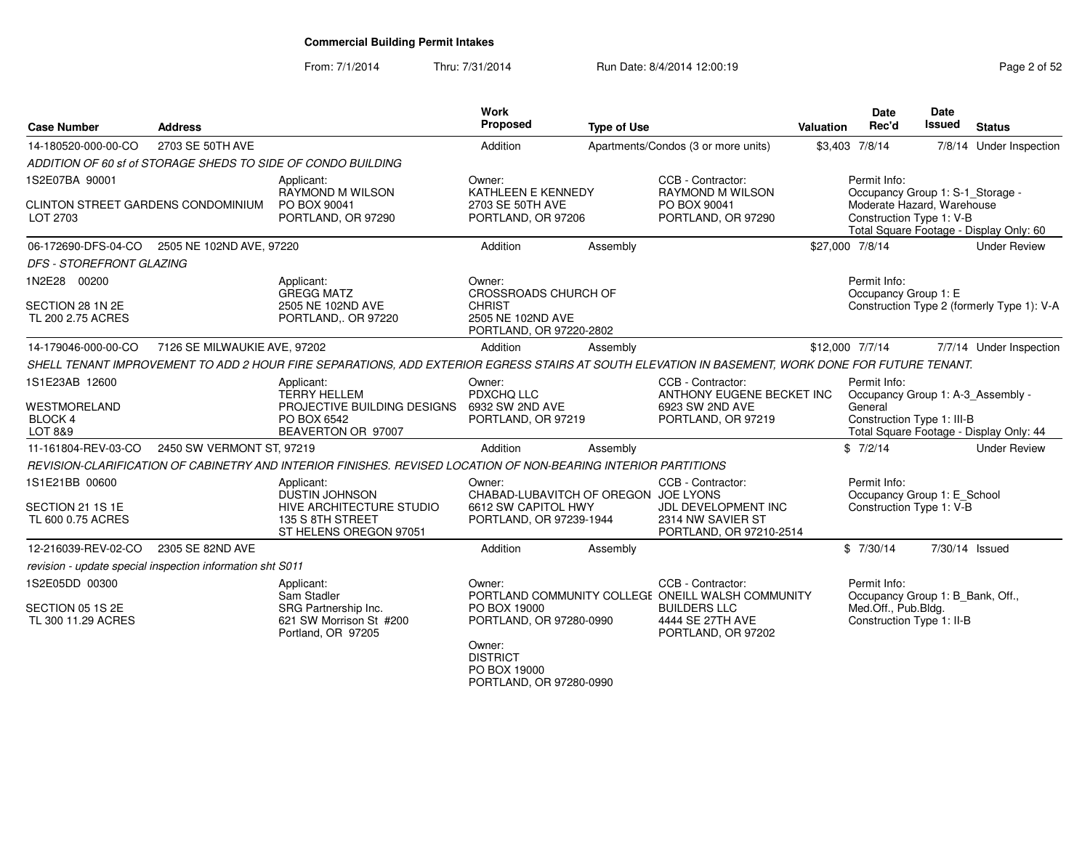### From: 7/1/2014Thru: 7/31/2014 Run Date: 8/4/2014 12:00:19

| Page 2 of 52 |  |  |
|--------------|--|--|
|--------------|--|--|

| <b>Case Number</b>                                        | <b>Address</b>               |                                                                                                                                                  | <b>Work</b><br><b>Proposed</b>                                                                  | <b>Type of Use</b>                   |                                                                                                                                         | Valuation       | Date<br>Rec'd                                                                                        | Date<br>Issued | <b>Status</b>                              |
|-----------------------------------------------------------|------------------------------|--------------------------------------------------------------------------------------------------------------------------------------------------|-------------------------------------------------------------------------------------------------|--------------------------------------|-----------------------------------------------------------------------------------------------------------------------------------------|-----------------|------------------------------------------------------------------------------------------------------|----------------|--------------------------------------------|
| 14-180520-000-00-CO                                       | 2703 SE 50TH AVE             |                                                                                                                                                  | Addition                                                                                        |                                      | Apartments/Condos (3 or more units)                                                                                                     |                 | \$3,403 7/8/14                                                                                       |                | 7/8/14 Under Inspection                    |
|                                                           |                              | ADDITION OF 60 sf of STORAGE SHEDS TO SIDE OF CONDO BUILDING                                                                                     |                                                                                                 |                                      |                                                                                                                                         |                 |                                                                                                      |                |                                            |
| 1S2E07BA 90001                                            |                              | Applicant:<br>RAYMOND M WILSON                                                                                                                   | Owner:<br><b>KATHLEEN E KENNEDY</b>                                                             |                                      | CCB - Contractor:<br>RAYMOND M WILSON                                                                                                   |                 | Permit Info:<br>Occupancy Group 1: S-1_Storage -                                                     |                |                                            |
| CLINTON STREET GARDENS CONDOMINIUM<br>LOT 2703            |                              | PO BOX 90041<br>PORTLAND, OR 97290                                                                                                               | 2703 SE 50TH AVE<br>PORTLAND, OR 97206                                                          |                                      | PO BOX 90041<br>PORTLAND, OR 97290                                                                                                      |                 | Moderate Hazard, Warehouse<br>Construction Type 1: V-B                                               |                | Total Square Footage - Display Only: 60    |
| 06-172690-DFS-04-CO                                       | 2505 NE 102ND AVE, 97220     |                                                                                                                                                  | Addition                                                                                        | Assembly                             |                                                                                                                                         | \$27,000 7/8/14 |                                                                                                      |                | <b>Under Review</b>                        |
| DFS - STOREFRONT GLAZING                                  |                              |                                                                                                                                                  |                                                                                                 |                                      |                                                                                                                                         |                 |                                                                                                      |                |                                            |
| 1N2E28 00200<br>SECTION 28 1N 2E<br>TL 200 2.75 ACRES     |                              | Applicant:<br><b>GREGG MATZ</b><br>2505 NE 102ND AVE<br>PORTLAND,. OR 97220                                                                      | Owner:<br>CROSSROADS CHURCH OF<br><b>CHRIST</b><br>2505 NE 102ND AVE<br>PORTLAND, OR 97220-2802 |                                      |                                                                                                                                         |                 | Permit Info:<br>Occupancy Group 1: E                                                                 |                | Construction Type 2 (formerly Type 1): V-A |
| 14-179046-000-00-CO                                       | 7126 SE MILWAUKIE AVE, 97202 |                                                                                                                                                  | Addition                                                                                        | Assembly                             |                                                                                                                                         | \$12,000 7/7/14 |                                                                                                      |                | 7/7/14 Under Inspection                    |
|                                                           |                              | SHELL TENANT IMPROVEMENT TO ADD 2 HOUR FIRE SEPARATIONS, ADD EXTERIOR EGRESS STAIRS AT SOUTH ELEVATION IN BASEMENT, WORK DONE FOR FUTURE TENANT. |                                                                                                 |                                      |                                                                                                                                         |                 |                                                                                                      |                |                                            |
| 1S1E23AB 12600                                            |                              | Applicant:<br><b>TERRY HELLEM</b>                                                                                                                | Owner:<br>PDXCHQ LLC                                                                            |                                      | CCB - Contractor:<br>ANTHONY EUGENE BECKET INC                                                                                          |                 | Permit Info:<br>Occupancy Group 1: A-3_Assembly -                                                    |                |                                            |
| <b>WESTMORELAND</b><br>BLOCK 4<br>LOT 8&9                 |                              | PROJECTIVE BUILDING DESIGNS<br>PO BOX 6542<br>BEAVERTON OR 97007                                                                                 | 6932 SW 2ND AVE<br>PORTLAND, OR 97219                                                           |                                      | 6923 SW 2ND AVE<br>PORTLAND, OR 97219                                                                                                   |                 | General<br>Construction Type 1: III-B                                                                |                | Total Square Footage - Display Only: 44    |
| 11-161804-REV-03-CO                                       | 2450 SW VERMONT ST, 97219    |                                                                                                                                                  | Addition                                                                                        | Assembly                             |                                                                                                                                         |                 | \$7/2/14                                                                                             |                | <b>Under Review</b>                        |
|                                                           |                              | REVISION-CLARIFICATION OF CABINETRY AND INTERIOR FINISHES. REVISED LOCATION OF NON-BEARING INTERIOR PARTITIONS                                   |                                                                                                 |                                      |                                                                                                                                         |                 |                                                                                                      |                |                                            |
| 1S1E21BB 00600<br>SECTION 21 1S 1E<br>TL 600 0.75 ACRES   |                              | Applicant:<br>DUSTIN JOHNSON<br>HIVE ARCHITECTURE STUDIO<br>135 S 8TH STREET<br>ST HELENS OREGON 97051                                           | Owner:<br>6612 SW CAPITOL HWY<br>PORTLAND, OR 97239-1944                                        | CHABAD-LUBAVITCH OF OREGON JOE LYONS | CCB - Contractor:<br>JDL DEVELOPMENT INC<br>2314 NW SAVIER ST<br>PORTLAND, OR 97210-2514                                                |                 | Permit Info:<br>Occupancy Group 1: E School<br>Construction Type 1: V-B                              |                |                                            |
| 12-216039-REV-02-CO                                       | 2305 SE 82ND AVE             |                                                                                                                                                  | Addition                                                                                        | Assembly                             |                                                                                                                                         |                 | \$7/30/14                                                                                            | 7/30/14 Issued |                                            |
| revision - update special inspection information sht S011 |                              |                                                                                                                                                  |                                                                                                 |                                      |                                                                                                                                         |                 |                                                                                                      |                |                                            |
| 1S2E05DD 00300<br>SECTION 05 1S 2E<br>TL 300 11.29 ACRES  |                              | Applicant:<br>Sam Stadler<br>SRG Partnership Inc.<br>621 SW Morrison St #200<br>Portland, OR 97205                                               | Owner:<br>PO BOX 19000<br>PORTLAND, OR 97280-0990                                               |                                      | CCB - Contractor:<br>PORTLAND COMMUNITY COLLEGE ONEILL WALSH COMMUNITY<br><b>BUILDERS LLC</b><br>4444 SE 27TH AVE<br>PORTLAND, OR 97202 |                 | Permit Info:<br>Occupancy Group 1: B Bank, Off.,<br>Med.Off., Pub.Bldg.<br>Construction Type 1: II-B |                |                                            |
|                                                           |                              |                                                                                                                                                  | Owner:<br><b>DISTRICT</b><br>PO BOX 19000<br>PORTLAND, OR 97280-0990                            |                                      |                                                                                                                                         |                 |                                                                                                      |                |                                            |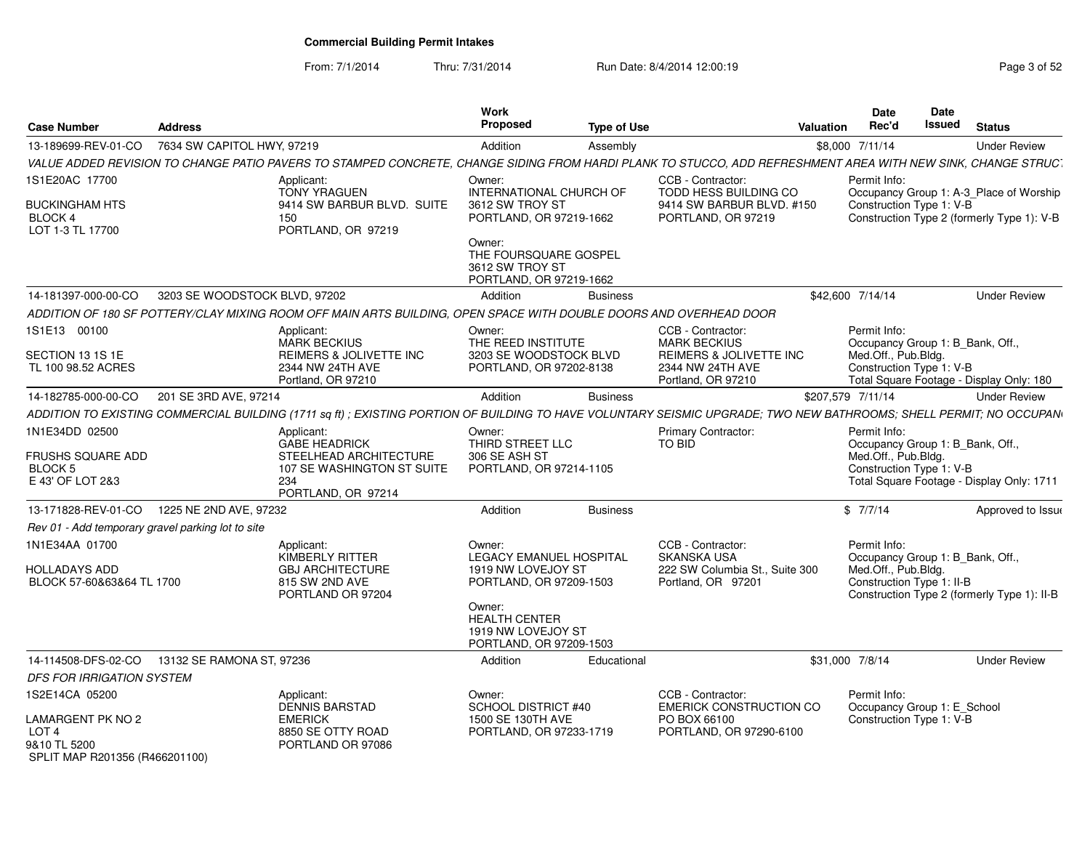From: 7/1/2014Thru: 7/31/2014 Run Date: 8/4/2014 12:00:19 Research 2010 12:00:19

| <b>Case Number</b>                                                                                        | <b>Address</b>                |                                                                                                                                                                     | Work<br><b>Proposed</b>                                                                                                                                               | <b>Type of Use</b> |                                                                                                               | <b>Valuation</b>  | Date<br>Rec'd                                                                                        | Date<br>Issued | <b>Status</b>                                                                         |
|-----------------------------------------------------------------------------------------------------------|-------------------------------|---------------------------------------------------------------------------------------------------------------------------------------------------------------------|-----------------------------------------------------------------------------------------------------------------------------------------------------------------------|--------------------|---------------------------------------------------------------------------------------------------------------|-------------------|------------------------------------------------------------------------------------------------------|----------------|---------------------------------------------------------------------------------------|
| 13-189699-REV-01-CO                                                                                       | 7634 SW CAPITOL HWY, 97219    |                                                                                                                                                                     | Addition                                                                                                                                                              | Assembly           |                                                                                                               |                   | \$8,000 7/11/14                                                                                      |                | <b>Under Review</b>                                                                   |
|                                                                                                           |                               | VALUE ADDED REVISION TO CHANGE PATIO PAVERS TO STAMPED CONCRETE, CHANGE SIDING FROM HARDI PLANK TO STUCCO, ADD REFRESHMENT AREA WITH NEW SINK, CHANGE STRUC.        |                                                                                                                                                                       |                    |                                                                                                               |                   |                                                                                                      |                |                                                                                       |
| 1S1E20AC 17700<br>BUCKINGHAM HTS<br><b>BLOCK 4</b><br>LOT 1-3 TL 17700                                    |                               | Applicant:<br><b>TONY YRAGUEN</b><br>9414 SW BARBUR BLVD. SUITE<br>150<br>PORTLAND, OR 97219                                                                        | Owner:<br>INTERNATIONAL CHURCH OF<br>3612 SW TROY ST<br>PORTLAND, OR 97219-1662<br>Owner:<br>THE FOURSQUARE GOSPEL                                                    |                    | CCB - Contractor:<br>TODD HESS BUILDING CO<br>9414 SW BARBUR BLVD. #150<br>PORTLAND, OR 97219                 |                   | Permit Info:<br>Construction Type 1: V-B                                                             |                | Occupancy Group 1: A-3_Place of Worship<br>Construction Type 2 (formerly Type 1): V-B |
|                                                                                                           |                               |                                                                                                                                                                     | 3612 SW TROY ST<br>PORTLAND, OR 97219-1662                                                                                                                            |                    |                                                                                                               |                   |                                                                                                      |                |                                                                                       |
| 14-181397-000-00-CO                                                                                       | 3203 SE WOODSTOCK BLVD, 97202 |                                                                                                                                                                     | Addition                                                                                                                                                              | <b>Business</b>    |                                                                                                               |                   | \$42,600 7/14/14                                                                                     |                | <b>Under Review</b>                                                                   |
|                                                                                                           |                               | ADDITION OF 180 SF POTTERY/CLAY MIXING ROOM OFF MAIN ARTS BUILDING. OPEN SPACE WITH DOUBLE DOORS AND OVERHEAD DOOR                                                  |                                                                                                                                                                       |                    |                                                                                                               |                   |                                                                                                      |                |                                                                                       |
| 1S1E13 00100<br>SECTION 13 1S 1E<br>TL 100 98.52 ACRES                                                    |                               | Applicant:<br><b>MARK BECKIUS</b><br>REIMERS & JOLIVETTE INC<br>2344 NW 24TH AVE<br>Portland, OR 97210                                                              | Owner:<br>THE REED INSTITUTE<br>3203 SE WOODSTOCK BLVD<br>PORTLAND, OR 97202-8138                                                                                     |                    | CCB - Contractor:<br><b>MARK BECKIUS</b><br>REIMERS & JOLIVETTE INC<br>2344 NW 24TH AVE<br>Portland, OR 97210 |                   | Permit Info:<br>Occupancy Group 1: B Bank, Off.,<br>Med.Off., Pub.Bldg.<br>Construction Type 1: V-B  |                | Total Square Footage - Display Only: 180                                              |
| 14-182785-000-00-CO                                                                                       | 201 SE 3RD AVE, 97214         |                                                                                                                                                                     | Addition                                                                                                                                                              | <b>Business</b>    |                                                                                                               | \$207,579 7/11/14 |                                                                                                      |                | <b>Under Review</b>                                                                   |
|                                                                                                           |                               | ADDITION TO EXISTING COMMERCIAL BUILDING (1711 sq ft) ; EXISTING PORTION OF BUILDING TO HAVE VOLUNTARY SEISMIC UPGRADE; TWO NEW BATHROOMS; SHELL PERMIT; NO OCCUPAN |                                                                                                                                                                       |                    |                                                                                                               |                   |                                                                                                      |                |                                                                                       |
| 1N1E34DD 02500<br>FRUSHS SQUARE ADD<br>BLOCK 5<br>E 43' OF LOT 2&3                                        |                               | Applicant:<br><b>GABE HEADRICK</b><br>STEELHEAD ARCHITECTURE<br>107 SE WASHINGTON ST SUITE<br>234<br>PORTLAND, OR 97214                                             | Owner:<br>THIRD STREET LLC<br>306 SE ASH ST<br>PORTLAND, OR 97214-1105                                                                                                |                    | Primary Contractor:<br><b>TO BID</b>                                                                          |                   | Permit Info:<br>Occupancy Group 1: B_Bank, Off.,<br>Med.Off., Pub.Bldg.<br>Construction Type 1: V-B  |                | Total Square Footage - Display Only: 1711                                             |
| 13-171828-REV-01-CO                                                                                       | 1225 NE 2ND AVE, 97232        |                                                                                                                                                                     | Addition                                                                                                                                                              | <b>Business</b>    |                                                                                                               |                   | \$7/7/14                                                                                             |                | Approved to Issue                                                                     |
| Rev 01 - Add temporary gravel parking lot to site                                                         |                               |                                                                                                                                                                     |                                                                                                                                                                       |                    |                                                                                                               |                   |                                                                                                      |                |                                                                                       |
| 1N1E34AA 01700<br>HOLLADAYS ADD<br>BLOCK 57-60&63&64 TL 1700                                              |                               | Applicant:<br><b>KIMBERLY RITTER</b><br><b>GBJ ARCHITECTURE</b><br>815 SW 2ND AVE<br>PORTLAND OR 97204                                                              | Owner:<br>LEGACY EMANUEL HOSPITAL<br>1919 NW LOVEJOY ST<br>PORTLAND, OR 97209-1503<br>Owner:<br><b>HEALTH CENTER</b><br>1919 NW LOVEJOY ST<br>PORTLAND, OR 97209-1503 |                    | CCB - Contractor:<br><b>SKANSKA USA</b><br>222 SW Columbia St., Suite 300<br>Portland, OR 97201               |                   | Permit Info:<br>Occupancy Group 1: B_Bank, Off.,<br>Med.Off., Pub.Bldg.<br>Construction Type 1: II-B |                | Construction Type 2 (formerly Type 1): II-B                                           |
| 14-114508-DFS-02-CO                                                                                       | 13132 SE RAMONA ST, 97236     |                                                                                                                                                                     | Addition                                                                                                                                                              | Educational        |                                                                                                               |                   | \$31,000 7/8/14                                                                                      |                | <b>Under Review</b>                                                                   |
| DFS FOR IRRIGATION SYSTEM                                                                                 |                               |                                                                                                                                                                     |                                                                                                                                                                       |                    |                                                                                                               |                   |                                                                                                      |                |                                                                                       |
| 1S2E14CA 05200<br>LAMARGENT PK NO 2<br>LOT <sub>4</sub><br>9&10 TL 5200<br>SPLIT MAP R201356 (R466201100) |                               | Applicant:<br><b>DENNIS BARSTAD</b><br><b>EMERICK</b><br>8850 SE OTTY ROAD<br>PORTLAND OR 97086                                                                     | Owner:<br>SCHOOL DISTRICT #40<br>1500 SE 130TH AVE<br>PORTLAND, OR 97233-1719                                                                                         |                    | CCB - Contractor:<br><b>EMERICK CONSTRUCTION CO</b><br>PO BOX 66100<br>PORTLAND, OR 97290-6100                |                   | Permit Info:<br>Occupancy Group 1: E_School<br>Construction Type 1: V-B                              |                |                                                                                       |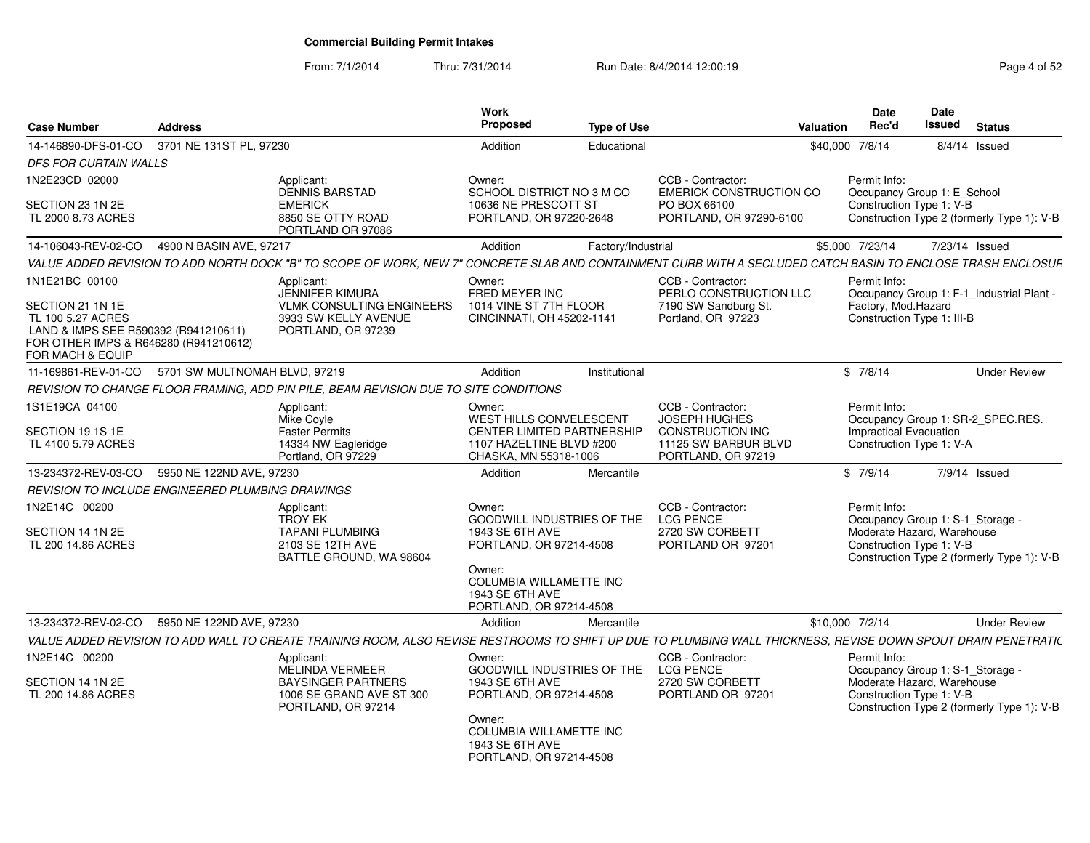From: 7/1/2014Thru: 7/31/2014 Run Date: 8/4/2014 12:00:19 Rege 4 of 52

| <b>Case Number</b>                                                                                                                                           | <b>Address</b>                                   |                                                                                                                                                                | Work<br>Proposed                                                                                                              | <b>Type of Use</b> |                                                                                                                    | <b>Valuation</b> | <b>Date</b><br>Rec'd                                                           | Date<br><b>Issued</b> | <b>Status</b>                              |
|--------------------------------------------------------------------------------------------------------------------------------------------------------------|--------------------------------------------------|----------------------------------------------------------------------------------------------------------------------------------------------------------------|-------------------------------------------------------------------------------------------------------------------------------|--------------------|--------------------------------------------------------------------------------------------------------------------|------------------|--------------------------------------------------------------------------------|-----------------------|--------------------------------------------|
| 14-146890-DFS-01-CO                                                                                                                                          | 3701 NE 131ST PL, 97230                          |                                                                                                                                                                | Addition                                                                                                                      | Educational        |                                                                                                                    | \$40,000 7/8/14  |                                                                                |                       | $8/4/14$ Issued                            |
| DFS FOR CURTAIN WALLS                                                                                                                                        |                                                  |                                                                                                                                                                |                                                                                                                               |                    |                                                                                                                    |                  |                                                                                |                       |                                            |
| 1N2E23CD 02000                                                                                                                                               |                                                  | Applicant:<br><b>DENNIS BARSTAD</b>                                                                                                                            | Owner:<br>SCHOOL DISTRICT NO 3 M CO                                                                                           |                    | CCB - Contractor:<br><b>EMERICK CONSTRUCTION CO</b>                                                                |                  | Permit Info:<br>Occupancy Group 1: E_School                                    |                       |                                            |
| SECTION 23 1N 2E<br>TL 2000 8.73 ACRES                                                                                                                       |                                                  | <b>EMERICK</b><br>8850 SE OTTY ROAD<br>PORTLAND OR 97086                                                                                                       | 10636 NE PRESCOTT ST<br>PORTLAND, OR 97220-2648                                                                               |                    | PO BOX 66100<br>PORTLAND, OR 97290-6100                                                                            |                  | Construction Type 1: V-B                                                       |                       | Construction Type 2 (formerly Type 1): V-B |
| 14-106043-REV-02-CO                                                                                                                                          | 4900 N BASIN AVE, 97217                          |                                                                                                                                                                | Addition                                                                                                                      | Factory/Industrial |                                                                                                                    |                  | \$5,000 7/23/14                                                                |                       | 7/23/14 Issued                             |
|                                                                                                                                                              |                                                  | VALUE ADDED REVISION TO ADD NORTH DOCK "B" TO SCOPE OF WORK, NEW 7" CONCRETE SLAB AND CONTAINMENT CURB WITH A SECLUDED CATCH BASIN TO ENCLOSE TRASH ENCLOSUR   |                                                                                                                               |                    |                                                                                                                    |                  |                                                                                |                       |                                            |
| 1N1E21BC 00100<br>SECTION 21 1N 1E<br>TL 100 5.27 ACRES<br>LAND & IMPS SEE R590392 (R941210611)<br>FOR OTHER IMPS & R646280 (R941210612)<br>FOR MACH & EQUIP |                                                  | Applicant:<br><b>JENNIFER KIMURA</b><br><b>VLMK CONSULTING ENGINEERS</b><br>3933 SW KELLY AVENUE<br>PORTLAND, OR 97239                                         | Owner:<br>FRED MEYER INC<br>1014 VINE ST 7TH FLOOR<br>CINCINNATI, OH 45202-1141                                               |                    | CCB - Contractor:<br>PERLO CONSTRUCTION LLC<br>7190 SW Sandburg St.<br>Portland, OR 97223                          |                  | Permit Info:<br>Factory, Mod.Hazard<br>Construction Type 1: III-B              |                       | Occupancy Group 1: F-1_Industrial Plant -  |
| 11-169861-REV-01-CO                                                                                                                                          | 5701 SW MULTNOMAH BLVD, 97219                    |                                                                                                                                                                | Addition                                                                                                                      | Institutional      |                                                                                                                    |                  | \$7/8/14                                                                       |                       | <b>Under Review</b>                        |
|                                                                                                                                                              |                                                  | REVISION TO CHANGE FLOOR FRAMING, ADD PIN PILE, BEAM REVISION DUE TO SITE CONDITIONS                                                                           |                                                                                                                               |                    |                                                                                                                    |                  |                                                                                |                       |                                            |
| 1S1E19CA 04100<br>SECTION 19 1S 1E<br>TL 4100 5.79 ACRES                                                                                                     |                                                  | Applicant:<br>Mike Coyle<br><b>Faster Permits</b><br>14334 NW Eagleridge<br>Portland, OR 97229                                                                 | Owner:<br>WEST HILLS CONVELESCENT<br>CENTER LIMITED PARTNERSHIP<br>1107 HAZELTINE BLVD #200<br>CHASKA, MN 55318-1006          |                    | CCB - Contractor:<br><b>JOSEPH HUGHES</b><br><b>CONSTRUCTION INC</b><br>11125 SW BARBUR BLVD<br>PORTLAND, OR 97219 |                  | Permit Info:<br>Impractical Evacuation<br>Construction Type 1: V-A             |                       | Occupancy Group 1: SR-2_SPEC.RES.          |
| 13-234372-REV-03-CO                                                                                                                                          | 5950 NE 122ND AVE, 97230                         |                                                                                                                                                                | Addition                                                                                                                      | Mercantile         |                                                                                                                    |                  | \$7/9/14                                                                       |                       | 7/9/14 Issued                              |
|                                                                                                                                                              | REVISION TO INCLUDE ENGINEERED PLUMBING DRAWINGS |                                                                                                                                                                |                                                                                                                               |                    |                                                                                                                    |                  |                                                                                |                       |                                            |
| 1N2E14C 00200                                                                                                                                                |                                                  | Applicant:<br><b>TROY EK</b>                                                                                                                                   | Owner:<br><b>GOODWILL INDUSTRIES OF THE</b>                                                                                   |                    | CCB - Contractor:<br><b>LCG PENCE</b>                                                                              |                  | Permit Info:<br>Occupancy Group 1: S-1_Storage -                               |                       |                                            |
| SECTION 14 1N 2E<br>TL 200 14.86 ACRES                                                                                                                       |                                                  | <b>TAPANI PLUMBING</b><br>2103 SE 12TH AVE<br>BATTLE GROUND, WA 98604                                                                                          | 1943 SE 6TH AVE<br>PORTLAND, OR 97214-4508<br>Owner:<br>COLUMBIA WILLAMETTE INC<br>1943 SE 6TH AVE<br>PORTLAND, OR 97214-4508 |                    | 2720 SW CORBETT<br>PORTLAND OR 97201                                                                               |                  | Moderate Hazard, Warehouse<br>Construction Type 1: V-B                         |                       | Construction Type 2 (formerly Type 1): V-B |
| 13-234372-REV-02-CO                                                                                                                                          | 5950 NE 122ND AVE, 97230                         |                                                                                                                                                                | Addition                                                                                                                      | Mercantile         |                                                                                                                    | \$10,000 7/2/14  |                                                                                |                       | <b>Under Review</b>                        |
|                                                                                                                                                              |                                                  | VALUE ADDED REVISION TO ADD WALL TO CREATE TRAINING ROOM, ALSO REVISE RESTROOMS TO SHIFT UP DUE TO PLUMBING WALL THICKNESS, REVISE DOWN SPOUT DRAIN PENETRATIC |                                                                                                                               |                    |                                                                                                                    |                  |                                                                                |                       |                                            |
| 1N2E14C 00200<br>SECTION 14 1N 2E                                                                                                                            |                                                  | Applicant:<br>MELINDA VERMEER<br><b>BAYSINGER PARTNERS</b>                                                                                                     | Owner:<br>GOODWILL INDUSTRIES OF THE<br>1943 SE 6TH AVE                                                                       |                    | CCB - Contractor:<br><b>LCG PENCE</b><br>2720 SW CORBETT                                                           |                  | Permit Info:<br>Occupancy Group 1: S-1_Storage -<br>Moderate Hazard, Warehouse |                       |                                            |
| TL 200 14.86 ACRES                                                                                                                                           |                                                  | 1006 SE GRAND AVE ST 300<br>PORTLAND, OR 97214                                                                                                                 | PORTLAND, OR 97214-4508<br>Owner:<br>COLUMBIA WILLAMETTE INC<br>1943 SE 6TH AVE<br>PORTLAND, OR 97214-4508                    |                    | PORTLAND OR 97201                                                                                                  |                  | Construction Type 1: V-B                                                       |                       | Construction Type 2 (formerly Type 1): V-B |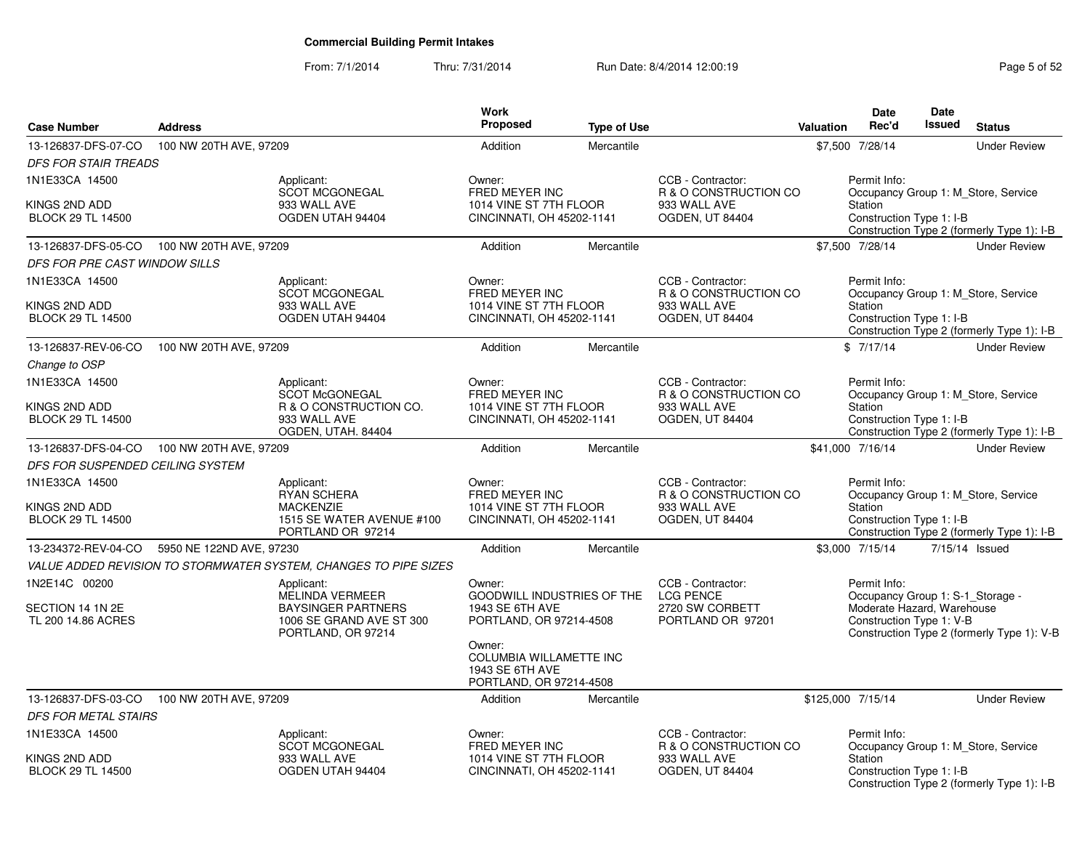### From: 7/1/2014Thru: 7/31/2014 Run Date: 8/4/2014 12:00:19 Rege 5 of 52

|                                                             |                          |                                                                                                              | <b>Work</b>                                                                                                             |                    |                                                                               |                   | <b>Date</b>                                                                                                | Date          |                                                                                   |
|-------------------------------------------------------------|--------------------------|--------------------------------------------------------------------------------------------------------------|-------------------------------------------------------------------------------------------------------------------------|--------------------|-------------------------------------------------------------------------------|-------------------|------------------------------------------------------------------------------------------------------------|---------------|-----------------------------------------------------------------------------------|
| <b>Case Number</b>                                          | <b>Address</b>           |                                                                                                              | <b>Proposed</b>                                                                                                         | <b>Type of Use</b> |                                                                               | <b>Valuation</b>  | Rec'd                                                                                                      | <b>Issued</b> | <b>Status</b>                                                                     |
| 13-126837-DFS-07-CO                                         | 100 NW 20TH AVE, 97209   |                                                                                                              | Addition                                                                                                                | Mercantile         |                                                                               |                   | \$7,500 7/28/14                                                                                            |               | <b>Under Review</b>                                                               |
| <b>DFS FOR STAIR TREADS</b>                                 |                          |                                                                                                              |                                                                                                                         |                    |                                                                               |                   |                                                                                                            |               |                                                                                   |
| 1N1E33CA 14500<br>KINGS 2ND ADD<br><b>BLOCK 29 TL 14500</b> |                          | Applicant:<br><b>SCOT MCGONEGAL</b><br>933 WALL AVE<br>OGDEN UTAH 94404                                      | Owner:<br>FRED MEYER INC<br>1014 VINE ST 7TH FLOOR<br>CINCINNATI, OH 45202-1141                                         |                    | CCB - Contractor:<br>R & O CONSTRUCTION CO<br>933 WALL AVE<br>OGDEN, UT 84404 |                   | Permit Info:<br>Station<br>Construction Type 1: I-B                                                        |               | Occupancy Group 1: M Store, Service<br>Construction Type 2 (formerly Type 1): I-B |
| 13-126837-DFS-05-CO                                         | 100 NW 20TH AVE, 97209   |                                                                                                              | Addition                                                                                                                | Mercantile         |                                                                               |                   | \$7,500 7/28/14                                                                                            |               | <b>Under Review</b>                                                               |
| DFS FOR PRE CAST WINDOW SILLS                               |                          |                                                                                                              |                                                                                                                         |                    |                                                                               |                   |                                                                                                            |               |                                                                                   |
| 1N1E33CA 14500                                              |                          | Applicant:                                                                                                   | Owner:                                                                                                                  |                    | CCB - Contractor:                                                             |                   | Permit Info:                                                                                               |               |                                                                                   |
| KINGS 2ND ADD<br><b>BLOCK 29 TL 14500</b>                   |                          | <b>SCOT MCGONEGAL</b><br>933 WALL AVE<br>OGDEN UTAH 94404                                                    | FRED MEYER INC<br>1014 VINE ST 7TH FLOOR<br>CINCINNATI, OH 45202-1141                                                   |                    | R & O CONSTRUCTION CO<br>933 WALL AVE<br>OGDEN, UT 84404                      |                   | Station<br>Construction Type 1: I-B                                                                        |               | Occupancy Group 1: M_Store, Service<br>Construction Type 2 (formerly Type 1): I-B |
| 13-126837-REV-06-CO                                         | 100 NW 20TH AVE, 97209   |                                                                                                              | Addition                                                                                                                | Mercantile         |                                                                               |                   | \$7/17/14                                                                                                  |               | <b>Under Review</b>                                                               |
| Change to OSP                                               |                          |                                                                                                              |                                                                                                                         |                    |                                                                               |                   |                                                                                                            |               |                                                                                   |
| 1N1E33CA 14500                                              |                          | Applicant:<br><b>SCOT McGONEGAL</b>                                                                          | Owner:<br>FRED MEYER INC                                                                                                |                    | CCB - Contractor:<br>R & O CONSTRUCTION CO                                    |                   | Permit Info:                                                                                               |               | Occupancy Group 1: M_Store, Service                                               |
| KINGS 2ND ADD<br><b>BLOCK 29 TL 14500</b>                   |                          | R & O CONSTRUCTION CO.<br>933 WALL AVE<br>OGDEN, UTAH. 84404                                                 | 1014 VINE ST 7TH FLOOR<br>CINCINNATI, OH 45202-1141                                                                     |                    | 933 WALL AVE<br><b>OGDEN, UT 84404</b>                                        |                   | Station<br>Construction Type 1: I-B                                                                        |               | Construction Type 2 (formerly Type 1): I-B                                        |
| 13-126837-DFS-04-CO                                         | 100 NW 20TH AVE, 97209   |                                                                                                              | Addition                                                                                                                | Mercantile         |                                                                               |                   | \$41,000 7/16/14                                                                                           |               | <b>Under Review</b>                                                               |
| DFS FOR SUSPENDED CEILING SYSTEM                            |                          |                                                                                                              |                                                                                                                         |                    |                                                                               |                   |                                                                                                            |               |                                                                                   |
| 1N1E33CA 14500<br>KINGS 2ND ADD<br><b>BLOCK 29 TL 14500</b> |                          | Applicant:<br><b>RYAN SCHERA</b><br><b>MACKENZIE</b><br>1515 SE WATER AVENUE #100<br>PORTLAND OR 97214       | Owner:<br>FRED MEYER INC<br>1014 VINE ST 7TH FLOOR<br>CINCINNATI, OH 45202-1141                                         |                    | CCB - Contractor:<br>R & O CONSTRUCTION CO<br>933 WALL AVE<br>OGDEN, UT 84404 |                   | Permit Info:<br>Station<br>Construction Type 1: I-B                                                        |               | Occupancy Group 1: M_Store, Service<br>Construction Type 2 (formerly Type 1): I-B |
| 13-234372-REV-04-CO                                         | 5950 NE 122ND AVE, 97230 |                                                                                                              | Addition                                                                                                                | Mercantile         |                                                                               |                   | \$3,000 7/15/14                                                                                            |               | 7/15/14 Issued                                                                    |
|                                                             |                          | VALUE ADDED REVISION TO STORMWATER SYSTEM, CHANGES TO PIPE SIZES                                             |                                                                                                                         |                    |                                                                               |                   |                                                                                                            |               |                                                                                   |
| 1N2E14C 00200<br>SECTION 14 1N 2E<br>TL 200 14.86 ACRES     |                          | Applicant:<br>MELINDA VERMEER<br><b>BAYSINGER PARTNERS</b><br>1006 SE GRAND AVE ST 300<br>PORTLAND, OR 97214 | Owner:<br>GOODWILL INDUSTRIES OF THE<br>1943 SE 6TH AVE<br>PORTLAND, OR 97214-4508<br>Owner:<br>COLUMBIA WILLAMETTE INC |                    | CCB - Contractor:<br><b>LCG PENCE</b><br>2720 SW CORBETT<br>PORTLAND OR 97201 |                   | Permit Info:<br>Occupancy Group 1: S-1_Storage -<br>Moderate Hazard, Warehouse<br>Construction Type 1: V-B |               | Construction Type 2 (formerly Type 1): V-B                                        |
|                                                             |                          |                                                                                                              | 1943 SE 6TH AVE<br>PORTLAND, OR 97214-4508                                                                              |                    |                                                                               |                   |                                                                                                            |               |                                                                                   |
| 13-126837-DFS-03-CO                                         | 100 NW 20TH AVE, 97209   |                                                                                                              | Addition                                                                                                                | Mercantile         |                                                                               | \$125,000 7/15/14 |                                                                                                            |               | <b>Under Review</b>                                                               |
| <b>DFS FOR METAL STAIRS</b>                                 |                          |                                                                                                              |                                                                                                                         |                    |                                                                               |                   |                                                                                                            |               |                                                                                   |
| 1N1E33CA 14500                                              |                          | Applicant:<br><b>SCOT MCGONEGAL</b>                                                                          | Owner:<br>FRED MEYER INC                                                                                                |                    | CCB - Contractor:<br>R & O CONSTRUCTION CO                                    |                   | Permit Info:                                                                                               |               | Occupancy Group 1: M_Store, Service                                               |
| KINGS 2ND ADD<br><b>BLOCK 29 TL 14500</b>                   |                          | 933 WALL AVE<br>OGDEN UTAH 94404                                                                             | 1014 VINE ST 7TH FLOOR<br>CINCINNATI, OH 45202-1141                                                                     |                    | 933 WALL AVE<br><b>OGDEN, UT 84404</b>                                        |                   | Station<br>Construction Type 1: I-B                                                                        |               | Construction Type 2 (formerly Type 1): I-B                                        |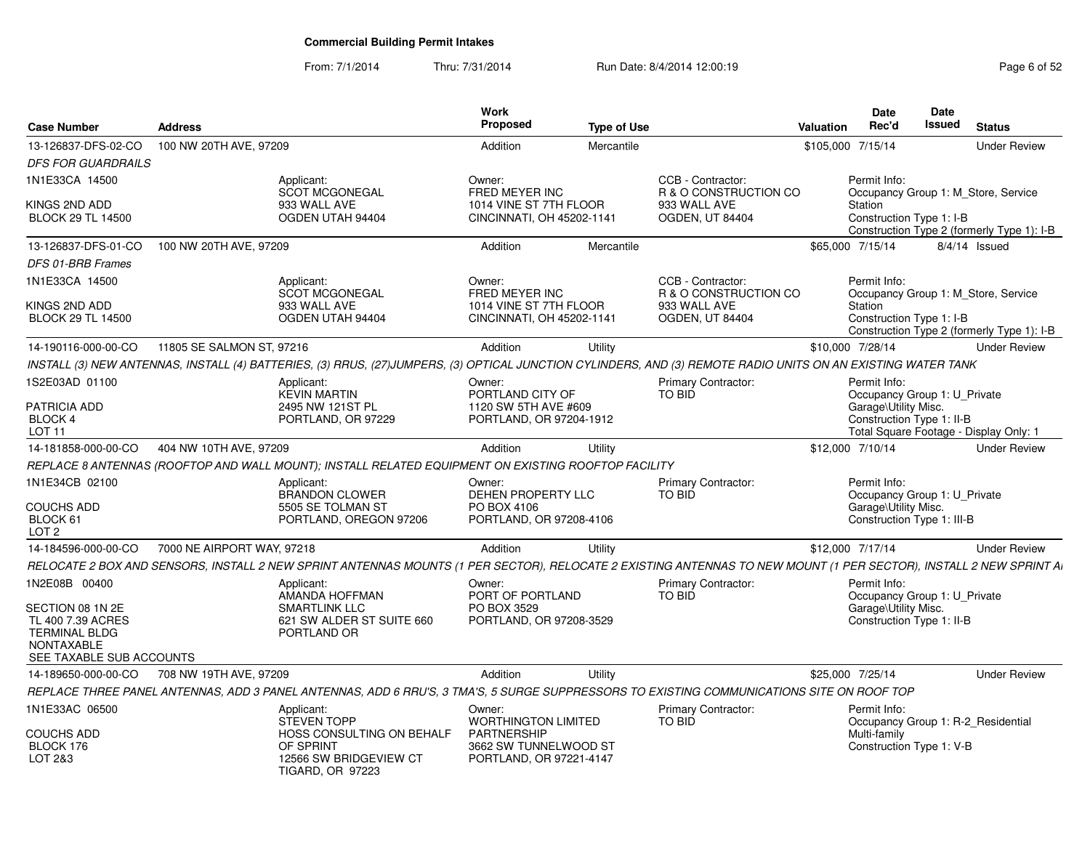### From: 7/1/2014Thru: 7/31/2014 Run Date: 8/4/2014 12:00:19 Research 2010 Page 6 of 52

| <b>Case Number</b>                                                  | <b>Address</b>             |                                                                                                                                                                    | Work<br>Proposed                                                       | <b>Type of Use</b> |                                             | Valuation         | <b>Date</b><br>Rec'd                                                                               | Date<br><b>Issued</b> | <b>Status</b>                              |
|---------------------------------------------------------------------|----------------------------|--------------------------------------------------------------------------------------------------------------------------------------------------------------------|------------------------------------------------------------------------|--------------------|---------------------------------------------|-------------------|----------------------------------------------------------------------------------------------------|-----------------------|--------------------------------------------|
| 13-126837-DFS-02-CO                                                 | 100 NW 20TH AVE, 97209     |                                                                                                                                                                    | Addition                                                               | Mercantile         |                                             | \$105,000 7/15/14 |                                                                                                    |                       | <b>Under Review</b>                        |
| <b>DFS FOR GUARDRAILS</b>                                           |                            |                                                                                                                                                                    |                                                                        |                    |                                             |                   |                                                                                                    |                       |                                            |
| 1N1E33CA 14500                                                      |                            | Applicant:<br><b>SCOT MCGONEGAL</b>                                                                                                                                | Owner:<br>FRED MEYER INC                                               |                    | CCB - Contractor:<br>R & O CONSTRUCTION CO  |                   | Permit Info:                                                                                       |                       | Occupancy Group 1: M Store, Service        |
| KINGS 2ND ADD<br><b>BLOCK 29 TL 14500</b>                           |                            | 933 WALL AVE<br>OGDEN UTAH 94404                                                                                                                                   | 1014 VINE ST 7TH FLOOR<br>CINCINNATI, OH 45202-1141                    |                    | 933 WALL AVE<br>OGDEN, UT 84404             |                   | Station<br>Construction Type 1: I-B                                                                |                       | Construction Type 2 (formerly Type 1): I-B |
| 13-126837-DFS-01-CO                                                 | 100 NW 20TH AVE, 97209     |                                                                                                                                                                    | Addition                                                               | Mercantile         |                                             |                   | \$65,000 7/15/14                                                                                   |                       | 8/4/14 Issued                              |
| DFS 01-BRB Frames                                                   |                            |                                                                                                                                                                    |                                                                        |                    |                                             |                   |                                                                                                    |                       |                                            |
| 1N1E33CA 14500                                                      |                            | Applicant:<br><b>SCOT MCGONEGAL</b>                                                                                                                                | Owner:<br>FRED MEYER INC                                               |                    | CCB - Contractor:<br>R & O CONSTRUCTION CO  |                   | Permit Info:                                                                                       |                       | Occupancy Group 1: M_Store, Service        |
| KINGS 2ND ADD<br><b>BLOCK 29 TL 14500</b>                           |                            | 933 WALL AVE<br>OGDEN UTAH 94404                                                                                                                                   | 1014 VINE ST 7TH FLOOR<br>CINCINNATI, OH 45202-1141                    |                    | 933 WALL AVE<br>OGDEN, UT 84404             |                   | Station<br>Construction Type 1: I-B                                                                |                       | Construction Type 2 (formerly Type 1): I-B |
| 14-190116-000-00-CO                                                 | 11805 SE SALMON ST, 97216  |                                                                                                                                                                    | Addition                                                               | Utility            |                                             |                   | \$10,000 7/28/14                                                                                   |                       | <b>Under Review</b>                        |
|                                                                     |                            | INSTALL (3) NEW ANTENNAS, INSTALL (4) BATTERIES, (3) RRUS, (27)JUMPERS, (3) OPTICAL JUNCTION CYLINDERS, AND (3) REMOTE RADIO UNITS ON AN EXISTING WATER TANK       |                                                                        |                    |                                             |                   |                                                                                                    |                       |                                            |
| 1S2E03AD 01100                                                      |                            | Applicant:<br><b>KEVIN MARTIN</b>                                                                                                                                  | Owner:<br>PORTLAND CITY OF                                             |                    | <b>Primary Contractor:</b><br>TO BID        |                   | Permit Info:<br>Occupancy Group 1: U Private                                                       |                       |                                            |
| PATRICIA ADD<br>BLOCK 4<br><b>LOT 11</b>                            |                            | 2495 NW 121ST PL<br>PORTLAND, OR 97229                                                                                                                             | 1120 SW 5TH AVE #609<br>PORTLAND, OR 97204-1912                        |                    |                                             |                   | Garage\Utility Misc.<br>Construction Type 1: II-B                                                  |                       | Total Square Footage - Display Only: 1     |
| 14-181858-000-00-CO                                                 | 404 NW 10TH AVE, 97209     |                                                                                                                                                                    | Addition                                                               | Utility            |                                             |                   | \$12,000 7/10/14                                                                                   |                       | <b>Under Review</b>                        |
|                                                                     |                            | REPLACE 8 ANTENNAS (ROOFTOP AND WALL MOUNT); INSTALL RELATED EQUIPMENT ON EXISTING ROOFTOP FACILITY                                                                |                                                                        |                    |                                             |                   |                                                                                                    |                       |                                            |
| 1N1E34CB 02100<br><b>COUCHS ADD</b><br>BLOCK 61<br>LOT <sub>2</sub> |                            | Applicant:<br><b>BRANDON CLOWER</b><br>5505 SE TOLMAN ST<br>PORTLAND, OREGON 97206                                                                                 | Owner:<br>DEHEN PROPERTY LLC<br>PO BOX 4106<br>PORTLAND, OR 97208-4106 |                    | <b>Primary Contractor:</b><br><b>TO BID</b> |                   | Permit Info:<br>Occupancy Group 1: U Private<br>Garage\Utility Misc.<br>Construction Type 1: III-B |                       |                                            |
| 14-184596-000-00-CO                                                 | 7000 NE AIRPORT WAY, 97218 |                                                                                                                                                                    | Addition                                                               | Utility            |                                             |                   | \$12,000 7/17/14                                                                                   |                       | <b>Under Review</b>                        |
|                                                                     |                            | RELOCATE 2 BOX AND SENSORS, INSTALL 2 NEW SPRINT ANTENNAS MOUNTS (1 PER SECTOR), RELOCATE 2 EXISTING ANTENNAS TO NEW MOUNT (1 PER SECTOR), INSTALL 2 NEW SPRINT AI |                                                                        |                    |                                             |                   |                                                                                                    |                       |                                            |
| 1N2E08B 00400<br>SECTION 08 1N 2E<br>TL 400 7.39 ACRES              |                            | Applicant:<br>AMANDA HOFFMAN<br><b>SMARTLINK LLC</b><br>621 SW ALDER ST SUITE 660                                                                                  | Owner:<br>PORT OF PORTLAND<br>PO BOX 3529<br>PORTLAND, OR 97208-3529   |                    | <b>Primary Contractor:</b><br><b>TO BID</b> |                   | Permit Info:<br>Occupancy Group 1: U Private<br>Garage\Utility Misc.<br>Construction Type 1: II-B  |                       |                                            |
| <b>TERMINAL BLDG</b><br>NONTAXABLE<br>SEE TAXABLE SUB ACCOUNTS      |                            | PORTLAND OR                                                                                                                                                        |                                                                        |                    |                                             |                   |                                                                                                    |                       |                                            |
| 14-189650-000-00-CO                                                 | 708 NW 19TH AVE, 97209     |                                                                                                                                                                    | Addition                                                               | Utility            |                                             |                   | \$25,000 7/25/14                                                                                   |                       | <b>Under Review</b>                        |
|                                                                     |                            | REPLACE THREE PANEL ANTENNAS, ADD 3 PANEL ANTENNAS, ADD 6 RRU'S, 3 TMA'S, 5 SURGE SUPPRESSORS TO EXISTING COMMUNICATIONS SITE ON ROOF TOP                          |                                                                        |                    |                                             |                   |                                                                                                    |                       |                                            |
| 1N1E33AC 06500                                                      |                            | Applicant:<br>STEVEN TOPP                                                                                                                                          | Owner:<br><b>WORTHINGTON LIMITED</b>                                   |                    | Primary Contractor:<br><b>TO BID</b>        |                   | Permit Info:                                                                                       |                       | Occupancy Group 1: R-2 Residential         |
| <b>COUCHS ADD</b><br>BLOCK 176<br>LOT 2&3                           |                            | HOSS CONSULTING ON BEHALF<br>OF SPRINT<br>12566 SW BRIDGEVIEW CT<br>TIGARD, OR 97223                                                                               | PARTNERSHIP<br>3662 SW TUNNELWOOD ST<br>PORTLAND, OR 97221-4147        |                    |                                             |                   | Multi-family<br>Construction Type 1: V-B                                                           |                       |                                            |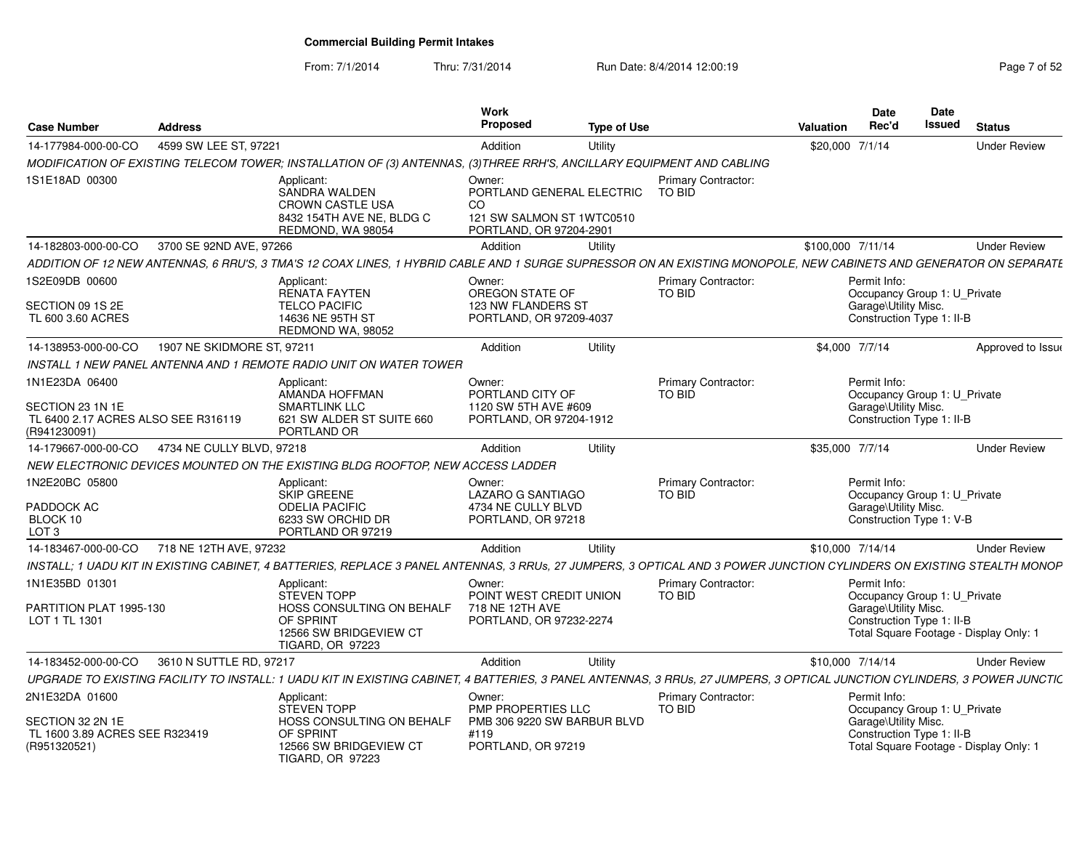From: 7/1/2014Thru: 7/31/2014 Run Date: 8/4/2014 12:00:19 Research 2010 12:00:19

| <b>Case Number</b>                                                                        | <b>Address</b>             |                                                                                                                                                                           | Work<br>Proposed                                                                                  | <b>Type of Use</b> |                                      | <b>Valuation</b>  | Date<br>Rec'd                                                                                     | Date<br><b>Issued</b> | <b>Status</b>                          |
|-------------------------------------------------------------------------------------------|----------------------------|---------------------------------------------------------------------------------------------------------------------------------------------------------------------------|---------------------------------------------------------------------------------------------------|--------------------|--------------------------------------|-------------------|---------------------------------------------------------------------------------------------------|-----------------------|----------------------------------------|
| 14-177984-000-00-CO                                                                       | 4599 SW LEE ST, 97221      |                                                                                                                                                                           | Addition                                                                                          | Utility            |                                      | \$20,000 7/1/14   |                                                                                                   |                       | <b>Under Review</b>                    |
|                                                                                           |                            | MODIFICATION OF EXISTING TELECOM TOWER; INSTALLATION OF (3) ANTENNAS, (3)THREE RRH'S, ANCILLARY EQUIPMENT AND CABLING                                                     |                                                                                                   |                    |                                      |                   |                                                                                                   |                       |                                        |
| 1S1E18AD 00300                                                                            |                            | Applicant:<br>SANDRA WALDEN<br><b>CROWN CASTLE USA</b><br>8432 154TH AVE NE, BLDG C<br>REDMOND, WA 98054                                                                  | Owner:<br>PORTLAND GENERAL ELECTRIC<br>CO<br>121 SW SALMON ST 1WTC0510<br>PORTLAND, OR 97204-2901 |                    | <b>Primary Contractor:</b><br>TO BID |                   |                                                                                                   |                       |                                        |
| 14-182803-000-00-CO                                                                       | 3700 SE 92ND AVE, 97266    |                                                                                                                                                                           | Addition                                                                                          | Utility            |                                      | \$100,000 7/11/14 |                                                                                                   |                       | <b>Under Review</b>                    |
|                                                                                           |                            | ADDITION OF 12 NEW ANTENNAS, 6 RRU'S, 3 TMA'S 12 COAX LINES, 1 HYBRID CABLE AND 1 SURGE SUPRESSOR ON AN EXISTING MONOPOLE, NEW CABINETS AND GENERATOR ON SEPARATE         |                                                                                                   |                    |                                      |                   |                                                                                                   |                       |                                        |
| 1S2E09DB 00600<br>SECTION 09 1S 2E<br>TL 600 3.60 ACRES                                   |                            | Applicant:<br><b>RENATA FAYTEN</b><br><b>TELCO PACIFIC</b><br>14636 NE 95TH ST<br>REDMOND WA, 98052                                                                       | Owner:<br>OREGON STATE OF<br>123 NW FLANDERS ST<br>PORTLAND, OR 97209-4037                        |                    | <b>Primary Contractor:</b><br>TO BID |                   | Permit Info:<br>Occupancy Group 1: U_Private<br>Garage\Utility Misc.<br>Construction Type 1: II-B |                       |                                        |
| 14-138953-000-00-CO                                                                       | 1907 NE SKIDMORE ST, 97211 |                                                                                                                                                                           | Addition                                                                                          | Utility            |                                      | \$4,000 7/7/14    |                                                                                                   |                       | Approved to Issue                      |
|                                                                                           |                            | INSTALL 1 NEW PANEL ANTENNA AND 1 REMOTE RADIO UNIT ON WATER TOWER                                                                                                        |                                                                                                   |                    |                                      |                   |                                                                                                   |                       |                                        |
| 1N1E23DA 06400<br>SECTION 23 1N 1E<br>TL 6400 2.17 ACRES ALSO SEE R316119<br>(R941230091) |                            | Applicant:<br>AMANDA HOFFMAN<br><b>SMARTLINK LLC</b><br>621 SW ALDER ST SUITE 660<br>PORTLAND OR                                                                          | Owner:<br>PORTLAND CITY OF<br>1120 SW 5TH AVE #609<br>PORTLAND, OR 97204-1912                     |                    | <b>Primary Contractor:</b><br>TO BID |                   | Permit Info:<br>Occupancy Group 1: U_Private<br>Garage\Utility Misc.<br>Construction Type 1: II-B |                       |                                        |
| 14-179667-000-00-CO                                                                       | 4734 NE CULLY BLVD, 97218  |                                                                                                                                                                           | Addition                                                                                          | Utility            |                                      | \$35,000 7/7/14   |                                                                                                   |                       | <b>Under Review</b>                    |
|                                                                                           |                            | NEW ELECTRONIC DEVICES MOUNTED ON THE EXISTING BLDG ROOFTOP, NEW ACCESS LADDER                                                                                            |                                                                                                   |                    |                                      |                   |                                                                                                   |                       |                                        |
| 1N2E20BC 05800<br>PADDOCK AC<br>BLOCK 10<br>LOT <sub>3</sub>                              |                            | Applicant:<br><b>SKIP GREENE</b><br><b>ODELIA PACIFIC</b><br>6233 SW ORCHID DR<br>PORTLAND OR 97219                                                                       | Owner:<br>LAZARO G SANTIAGO<br>4734 NE CULLY BLVD<br>PORTLAND, OR 97218                           |                    | Primary Contractor:<br>TO BID        |                   | Permit Info:<br>Occupancy Group 1: U Private<br>Garage\Utility Misc.<br>Construction Type 1: V-B  |                       |                                        |
| 14-183467-000-00-CO                                                                       | 718 NE 12TH AVE, 97232     |                                                                                                                                                                           | Addition                                                                                          | Utility            |                                      | \$10,000 7/14/14  |                                                                                                   |                       | <b>Under Review</b>                    |
|                                                                                           |                            | INSTALL; 1 UADU KIT IN EXISTING CABINET, 4 BATTERIES, REPLACE 3 PANEL ANTENNAS, 3 RRUs, 27 JUMPERS, 3 OPTICAL AND 3 POWER JUNCTION CYLINDERS ON EXISTING STEALTH MONOP    |                                                                                                   |                    |                                      |                   |                                                                                                   |                       |                                        |
| 1N1E35BD 01301<br>PARTITION PLAT 1995-130<br>LOT 1 TL 1301                                |                            | Applicant:<br><b>STEVEN TOPP</b><br>HOSS CONSULTING ON BEHALF<br>OF SPRINT<br>12566 SW BRIDGEVIEW CT<br><b>TIGARD, OR 97223</b>                                           | Owner:<br>POINT WEST CREDIT UNION<br>718 NE 12TH AVE<br>PORTLAND, OR 97232-2274                   |                    | Primary Contractor:<br>TO BID        |                   | Permit Info:<br>Occupancy Group 1: U Private<br>Garage\Utility Misc.<br>Construction Type 1: II-B |                       | Total Square Footage - Display Only: 1 |
| 14-183452-000-00-CO                                                                       | 3610 N SUTTLE RD, 97217    |                                                                                                                                                                           | Addition                                                                                          | Utility            |                                      | \$10,000 7/14/14  |                                                                                                   |                       | <b>Under Review</b>                    |
|                                                                                           |                            | UPGRADE TO EXISTING FACILITY TO INSTALL: 1 UADU KIT IN EXISTING CABINET, 4 BATTERIES, 3 PANEL ANTENNAS, 3 RRUs, 27 JUMPERS, 3 OPTICAL JUNCTION CYLINDERS, 3 POWER JUNCTIC |                                                                                                   |                    |                                      |                   |                                                                                                   |                       |                                        |
| 2N1E32DA 01600<br>SECTION 32 2N 1E<br>TL 1600 3.89 ACRES SEE R323419<br>(R951320521)      |                            | Applicant:<br><b>STEVEN TOPP</b><br>HOSS CONSULTING ON BEHALF<br>OF SPRINT<br>12566 SW BRIDGEVIEW CT<br>TIGARD, OR 97223                                                  | Owner:<br>PMP PROPERTIES LLC<br>PMB 306 9220 SW BARBUR BLVD<br>#119<br>PORTLAND, OR 97219         |                    | <b>Primary Contractor:</b><br>TO BID |                   | Permit Info:<br>Occupancy Group 1: U_Private<br>Garage\Utility Misc.<br>Construction Type 1: II-B |                       | Total Square Footage - Display Only: 1 |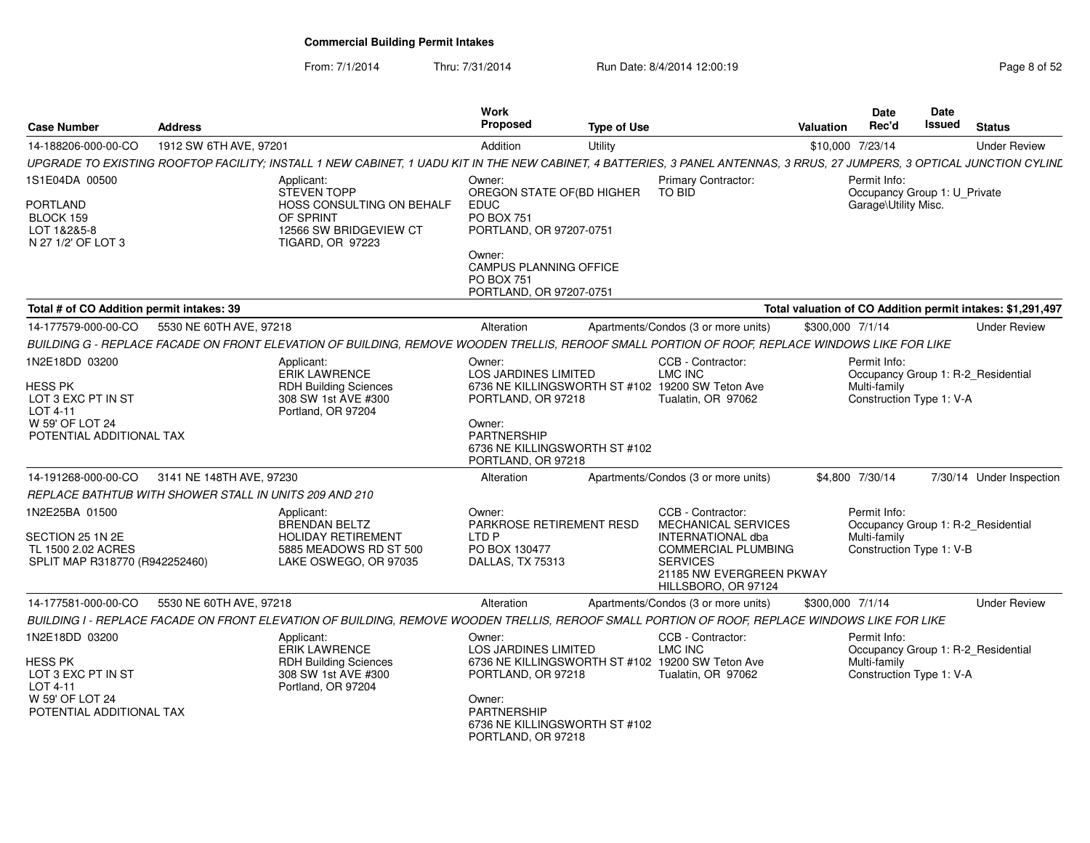From: 7/1/2014Thru: 7/31/2014 Run Date: 8/4/2014 12:00:19 Rege 8 of 52

| <b>Case Number</b>                                                                                                                | <b>Address</b>                                                                                                                                                           | Work<br><b>Proposed</b>                                                                                                                                          | <b>Type of Use</b> |                                                                                                                                                                   | Valuation        | <b>Date</b><br>Rec'd                                                        | Date<br>Issued | <b>Status</b>                                                  |
|-----------------------------------------------------------------------------------------------------------------------------------|--------------------------------------------------------------------------------------------------------------------------------------------------------------------------|------------------------------------------------------------------------------------------------------------------------------------------------------------------|--------------------|-------------------------------------------------------------------------------------------------------------------------------------------------------------------|------------------|-----------------------------------------------------------------------------|----------------|----------------------------------------------------------------|
| 14-188206-000-00-CO                                                                                                               | 1912 SW 6TH AVE, 97201                                                                                                                                                   | Addition                                                                                                                                                         | Utility            |                                                                                                                                                                   |                  | \$10,000 7/23/14                                                            |                | <b>Under Review</b>                                            |
|                                                                                                                                   | UPGRADE TO EXISTING ROOFTOP FACILITY; INSTALL 1 NEW CABINET, 1 UADU KIT IN THE NEW CABINET, 4 BATTERIES, 3 PANEL ANTENNAS, 3 RRUS, 27 JUMPERS, 3 OPTICAL JUNCTION CYLINE |                                                                                                                                                                  |                    |                                                                                                                                                                   |                  |                                                                             |                |                                                                |
| IS1E04DA 00500                                                                                                                    | Applicant:<br><b>STEVEN TOPP</b>                                                                                                                                         | Owner:<br>OREGON STATE OF(BD HIGHER                                                                                                                              |                    | <b>Primary Contractor:</b><br><b>TO BID</b>                                                                                                                       |                  | Permit Info:<br>Occupancy Group 1: U_Private                                |                |                                                                |
| PORTLAND<br>BLOCK 159<br>LOT 1&2&5-8<br>N 27 1/2' OF LOT 3                                                                        | HOSS CONSULTING ON BEHALF<br>OF SPRINT<br>12566 SW BRIDGEVIEW CT<br>TIGARD, OR 97223                                                                                     | <b>EDUC</b><br><b>PO BOX 751</b><br>PORTLAND, OR 97207-0751                                                                                                      |                    |                                                                                                                                                                   |                  | Garage\Utility Misc.                                                        |                |                                                                |
|                                                                                                                                   |                                                                                                                                                                          | Owner:<br><b>CAMPUS PLANNING OFFICE</b><br><b>PO BOX 751</b><br>PORTLAND, OR 97207-0751                                                                          |                    |                                                                                                                                                                   |                  |                                                                             |                |                                                                |
| Total # of CO Addition permit intakes: 39                                                                                         |                                                                                                                                                                          |                                                                                                                                                                  |                    |                                                                                                                                                                   |                  |                                                                             |                | Total valuation of CO Addition permit intakes: \$1,291,497     |
| 14-177579-000-00-CO                                                                                                               | 5530 NE 60TH AVE, 97218                                                                                                                                                  | Alteration                                                                                                                                                       |                    | Apartments/Condos (3 or more units)                                                                                                                               | \$300,000 7/1/14 |                                                                             |                | <b>Under Review</b>                                            |
|                                                                                                                                   | BUILDING G - REPLACE FACADE ON FRONT ELEVATION OF BUILDING, REMOVE WOODEN TRELLIS, REROOF SMALL PORTION OF ROOF, REPLACE WINDOWS LIKE FOR LIKE                           |                                                                                                                                                                  |                    |                                                                                                                                                                   |                  |                                                                             |                |                                                                |
| 1N2E18DD 03200<br>HESS PK<br>LOT 3 EXC PT IN ST<br>LOT 4-11<br>W 59' OF LOT 24<br>POTENTIAL ADDITIONAL TAX<br>14-191268-000-00-CO | Applicant:<br><b>ERIK LAWRENCE</b><br><b>RDH Building Sciences</b><br>308 SW 1st AVE #300<br>Portland, OR 97204<br>3141 NE 148TH AVE, 97230                              | Owner:<br><b>LOS JARDINES LIMITED</b><br>PORTLAND, OR 97218<br>Owner:<br><b>PARTNERSHIP</b><br>6736 NE KILLINGSWORTH ST #102<br>PORTLAND, OR 97218<br>Alteration |                    | CCB - Contractor:<br>LMC INC<br>6736 NE KILLINGSWORTH ST #102 19200 SW Teton Ave<br>Tualatin, OR 97062<br>Apartments/Condos (3 or more units)                     |                  | Permit Info:<br>Multi-family<br>Construction Type 1: V-A<br>\$4,800 7/30/14 |                | Occupancy Group 1: R-2 Residential<br>7/30/14 Under Inspection |
|                                                                                                                                   | REPLACE BATHTUB WITH SHOWER STALL IN UNITS 209 AND 210                                                                                                                   |                                                                                                                                                                  |                    |                                                                                                                                                                   |                  |                                                                             |                |                                                                |
| 1N2E25BA 01500<br>SECTION 25 1N 2E<br>TL 1500 2.02 ACRES<br>SPLIT MAP R318770 (R942252460)                                        | Applicant:<br><b>BRENDAN BELTZ</b><br><b>HOLIDAY RETIREMENT</b><br>5885 MEADOWS RD ST 500<br>LAKE OSWEGO, OR 97035                                                       | Owner:<br>PARKROSE RETIREMENT RESD<br>LTD P<br>PO BOX 130477<br>DALLAS, TX 75313                                                                                 |                    | CCB - Contractor:<br>MECHANICAL SERVICES<br>INTERNATIONAL dba<br><b>COMMERCIAL PLUMBING</b><br><b>SERVICES</b><br>21185 NW EVERGREEN PKWAY<br>HILLSBORO, OR 97124 |                  | Permit Info:<br>Multi-family<br>Construction Type 1: V-B                    |                | Occupancy Group 1: R-2 Residential                             |
| 14-177581-000-00-CO                                                                                                               | 5530 NE 60TH AVE, 97218                                                                                                                                                  | Alteration                                                                                                                                                       |                    | Apartments/Condos (3 or more units)                                                                                                                               | \$300,000 7/1/14 |                                                                             |                | <b>Under Review</b>                                            |
|                                                                                                                                   | BUILDING I - REPLACE FACADE ON FRONT ELEVATION OF BUILDING, REMOVE WOODEN TRELLIS, REROOF SMALL PORTION OF ROOF, REPLACE WINDOWS LIKE FOR LIKE                           |                                                                                                                                                                  |                    |                                                                                                                                                                   |                  |                                                                             |                |                                                                |
| 1N2E18DD 03200<br>HESS PK<br>LOT 3 EXC PT IN ST<br>LOT 4-11<br>W 59' OF LOT 24<br>POTENTIAL ADDITIONAL TAX                        | Applicant:<br><b>ERIK LAWRENCE</b><br><b>RDH Building Sciences</b><br>308 SW 1st AVE #300<br>Portland, OR 97204                                                          | Owner:<br><b>LOS JARDINES LIMITED</b><br>PORTLAND, OR 97218<br>Owner:<br><b>PARTNERSHIP</b><br>6736 NE KILLINGSWORTH ST #102<br>PORTLAND, OR 97218               |                    | CCB - Contractor:<br>LMC INC<br>6736 NE KILLINGSWORTH ST #102 19200 SW Teton Ave<br>Tualatin, OR 97062                                                            |                  | Permit Info:<br>Multi-family<br>Construction Type 1: V-A                    |                | Occupancy Group 1: R-2_Residential                             |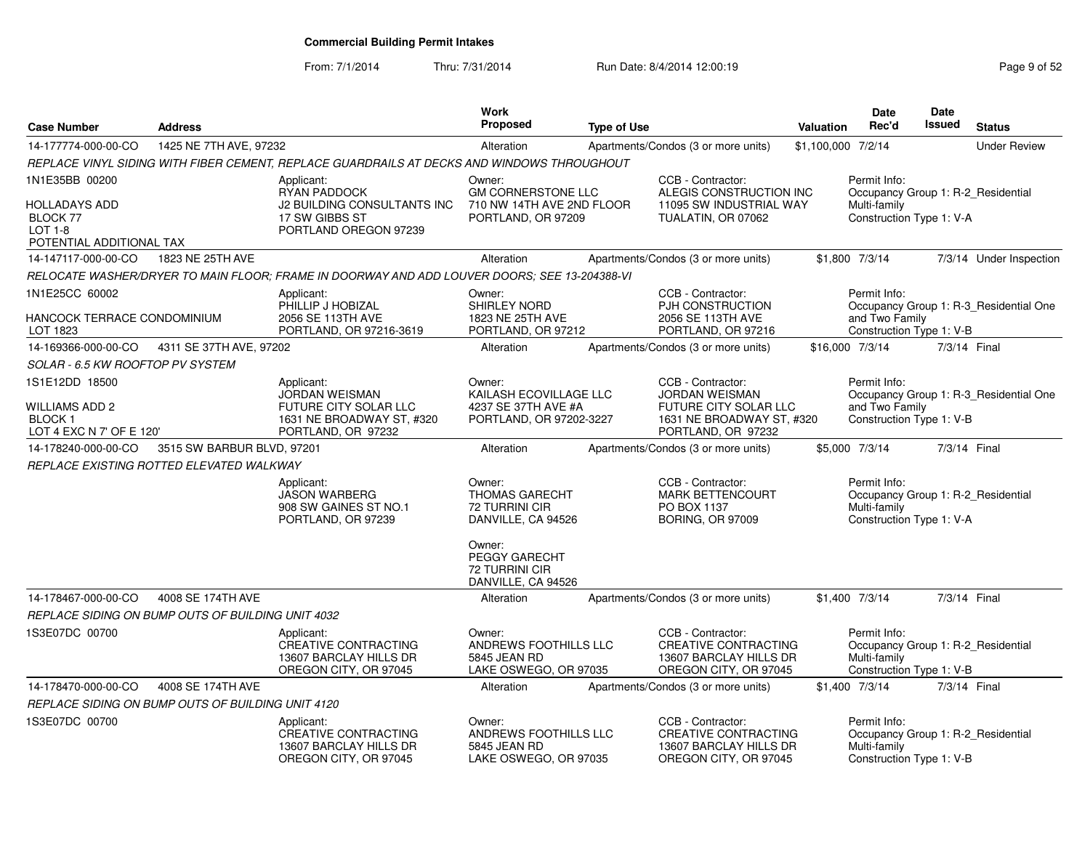From: 7/1/2014Thru: 7/31/2014 Run Date: 8/4/2014 12:00:19 Research 2010 Page 9 of 52

| <b>Case Number</b>                                                                   | <b>Address</b>                                    |                                                                                                                 | Work<br>Proposed                                                                                          | <b>Type of Use</b> |                                                                                                                        | Valuation          | Date<br>Rec'd                                                                                  | Date<br>Issued | <b>Status</b>                          |
|--------------------------------------------------------------------------------------|---------------------------------------------------|-----------------------------------------------------------------------------------------------------------------|-----------------------------------------------------------------------------------------------------------|--------------------|------------------------------------------------------------------------------------------------------------------------|--------------------|------------------------------------------------------------------------------------------------|----------------|----------------------------------------|
| 14-177774-000-00-CO                                                                  | 1425 NE 7TH AVE, 97232                            |                                                                                                                 | Alteration                                                                                                |                    | Apartments/Condos (3 or more units)                                                                                    | \$1,100,000 7/2/14 |                                                                                                |                | <b>Under Review</b>                    |
|                                                                                      |                                                   | REPLACE VINYL SIDING WITH FIBER CEMENT, REPLACE GUARDRAILS AT DECKS AND WINDOWS THROUGHOUT                      |                                                                                                           |                    |                                                                                                                        |                    |                                                                                                |                |                                        |
| 1N1E35BB 00200<br>HOLLADAYS ADD<br>BLOCK 77<br>$LOT 1-8$<br>POTENTIAL ADDITIONAL TAX |                                                   | Applicant:<br><b>RYAN PADDOCK</b><br>J2 BUILDING CONSULTANTS INC<br>17 SW GIBBS ST<br>PORTLAND OREGON 97239     | Owner:<br><b>GM CORNERSTONE LLC</b><br>710 NW 14TH AVE 2ND FLOOR<br>PORTLAND, OR 97209                    |                    | CCB - Contractor:<br>ALEGIS CONSTRUCTION INC<br>11095 SW INDUSTRIAL WAY<br>TUALATIN, OR 07062                          |                    | Permit Info:<br>Occupancy Group 1: R-2_Residential<br>Multi-family<br>Construction Type 1: V-A |                |                                        |
| 14-147117-000-00-CO                                                                  | 1823 NE 25TH AVE                                  |                                                                                                                 | Alteration                                                                                                |                    | Apartments/Condos (3 or more units)                                                                                    |                    | \$1,800 7/3/14                                                                                 |                | 7/3/14 Under Inspection                |
|                                                                                      |                                                   | RELOCATE WASHER/DRYER TO MAIN FLOOR; FRAME IN DOORWAY AND ADD LOUVER DOORS; SEE 13-204388-VI                    |                                                                                                           |                    |                                                                                                                        |                    |                                                                                                |                |                                        |
| 1N1E25CC 60002<br>HANCOCK TERRACE CONDOMINIUM<br>LOT 1823                            |                                                   | Applicant:<br>PHILLIP J HOBIZAL<br>2056 SE 113TH AVE<br>PORTLAND, OR 97216-3619                                 | Owner:<br>SHIRLEY NORD<br>1823 NE 25TH AVE<br>PORTLAND, OR 97212                                          |                    | CCB - Contractor:<br>PJH CONSTRUCTION<br>2056 SE 113TH AVE<br>PORTLAND, OR 97216                                       |                    | Permit Info:<br>and Two Family<br>Construction Type 1: V-B                                     |                | Occupancy Group 1: R-3_Residential One |
| 14-169366-000-00-CO                                                                  | 4311 SE 37TH AVE, 97202                           |                                                                                                                 | Alteration                                                                                                |                    | Apartments/Condos (3 or more units)                                                                                    |                    | \$16,000 7/3/14                                                                                | 7/3/14 Final   |                                        |
| SOLAR - 6.5 KW ROOFTOP PV SYSTEM                                                     |                                                   |                                                                                                                 |                                                                                                           |                    |                                                                                                                        |                    |                                                                                                |                |                                        |
| 1S1E12DD 18500<br>WILLIAMS ADD 2<br><b>BLOCK1</b><br>LOT 4 EXC N 7' OF E 120'        |                                                   | Applicant:<br><b>JORDAN WEISMAN</b><br>FUTURE CITY SOLAR LLC<br>1631 NE BROADWAY ST, #320<br>PORTLAND, OR 97232 | Owner:<br>KAILASH ECOVILLAGE LLC<br>4237 SE 37TH AVE #A<br>PORTLAND, OR 97202-3227                        |                    | CCB - Contractor:<br><b>JORDAN WEISMAN</b><br>FUTURE CITY SOLAR LLC<br>1631 NE BROADWAY ST, #320<br>PORTLAND, OR 97232 |                    | Permit Info:<br>and Two Family<br>Construction Type 1: V-B                                     |                | Occupancy Group 1: R-3_Residential One |
| 14-178240-000-00-CO                                                                  | 3515 SW BARBUR BLVD, 97201                        |                                                                                                                 | Alteration                                                                                                |                    | Apartments/Condos (3 or more units)                                                                                    |                    | \$5,000 7/3/14                                                                                 | 7/3/14 Final   |                                        |
|                                                                                      | REPLACE EXISTING ROTTED ELEVATED WALKWAY          |                                                                                                                 |                                                                                                           |                    |                                                                                                                        |                    |                                                                                                |                |                                        |
|                                                                                      |                                                   | Applicant:<br><b>JASON WARBERG</b><br>908 SW GAINES ST NO.1<br>PORTLAND, OR 97239                               | Owner:<br><b>THOMAS GARECHT</b><br><b>72 TURRINI CIR</b><br>DANVILLE, CA 94526<br>Owner:<br>PEGGY GARECHT |                    | CCB - Contractor:<br><b>MARK BETTENCOURT</b><br>PO BOX 1137<br><b>BORING, OR 97009</b>                                 |                    | Permit Info:<br>Occupancy Group 1: R-2_Residential<br>Multi-family<br>Construction Type 1: V-A |                |                                        |
|                                                                                      |                                                   |                                                                                                                 | <b>72 TURRINI CIR</b><br>DANVILLE, CA 94526                                                               |                    |                                                                                                                        |                    |                                                                                                |                |                                        |
| 14-178467-000-00-CO                                                                  | 4008 SE 174TH AVE                                 |                                                                                                                 | Alteration                                                                                                |                    | Apartments/Condos (3 or more units)                                                                                    |                    | \$1,400 7/3/14                                                                                 | 7/3/14 Final   |                                        |
|                                                                                      | REPLACE SIDING ON BUMP OUTS OF BUILDING UNIT 4032 |                                                                                                                 |                                                                                                           |                    |                                                                                                                        |                    |                                                                                                |                |                                        |
| 1S3E07DC 00700                                                                       |                                                   | Applicant:<br><b>CREATIVE CONTRACTING</b><br>13607 BARCLAY HILLS DR<br>OREGON CITY, OR 97045                    | Owner:<br>ANDREWS FOOTHILLS LLC<br>5845 JEAN RD<br>LAKE OSWEGO, OR 97035                                  |                    | CCB - Contractor:<br><b>CREATIVE CONTRACTING</b><br>13607 BARCLAY HILLS DR<br>OREGON CITY, OR 97045                    |                    | Permit Info:<br>Occupancy Group 1: R-2_Residential<br>Multi-family<br>Construction Type 1: V-B |                |                                        |
| 14-178470-000-00-CO                                                                  | 4008 SE 174TH AVE                                 |                                                                                                                 | Alteration                                                                                                |                    | Apartments/Condos (3 or more units)                                                                                    |                    | \$1,400 7/3/14                                                                                 | 7/3/14 Final   |                                        |
|                                                                                      | REPLACE SIDING ON BUMP OUTS OF BUILDING UNIT 4120 |                                                                                                                 |                                                                                                           |                    |                                                                                                                        |                    |                                                                                                |                |                                        |
| 1S3E07DC 00700                                                                       |                                                   | Applicant:<br>CREATIVE CONTRACTING<br>13607 BARCLAY HILLS DR<br>OREGON CITY, OR 97045                           | Owner:<br>ANDREWS FOOTHILLS LLC<br>5845 JEAN RD<br>LAKE OSWEGO, OR 97035                                  |                    | CCB - Contractor:<br><b>CREATIVE CONTRACTING</b><br>13607 BARCLAY HILLS DR<br>OREGON CITY, OR 97045                    |                    | Permit Info:<br>Occupancy Group 1: R-2_Residential<br>Multi-family<br>Construction Type 1: V-B |                |                                        |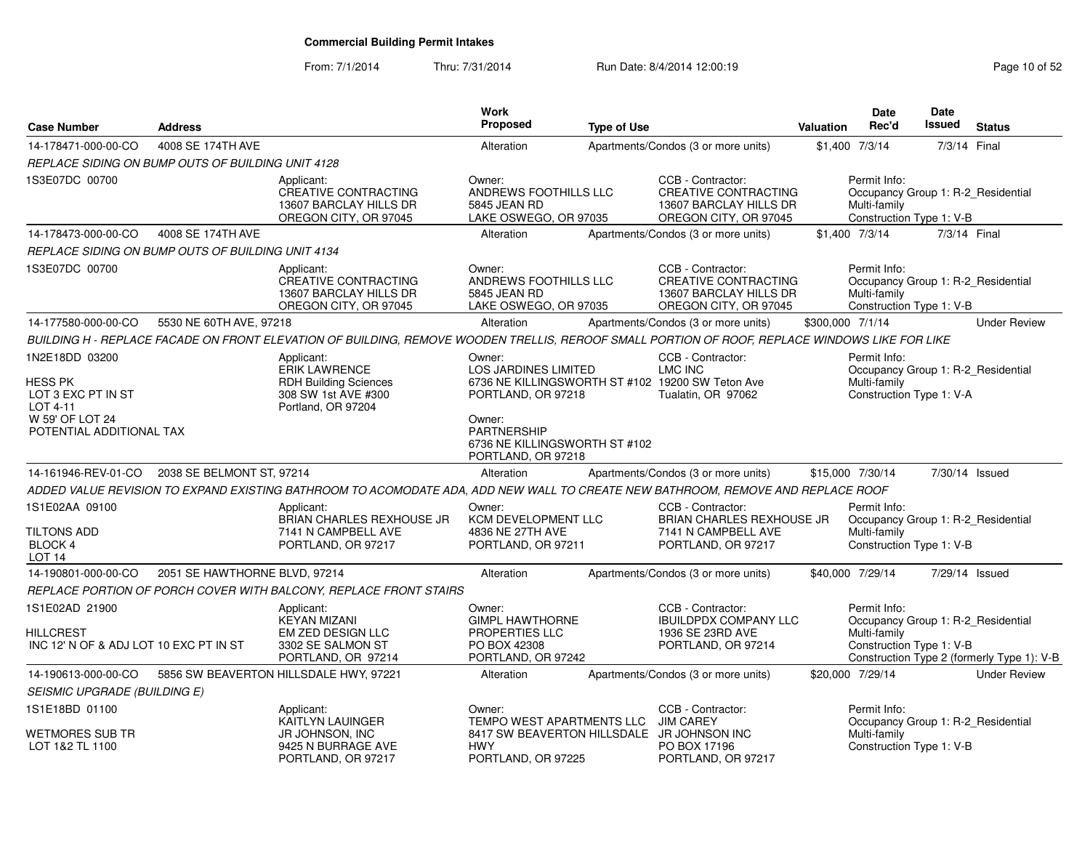From: 7/1/2014Thru: 7/31/2014 Run Date: 8/4/2014 12:00:19 Research 2010 12:00:19

| <b>Case Number</b>                                                    | <b>Address</b>                |                                                                                                                                                | <b>Work</b><br>Proposed                                                                                         | <b>Type of Use</b> |                                                                                                     | <b>Valuation</b> | <b>Date</b><br>Rec'd                                     | <b>Date</b><br>Issued | <b>Status</b>                                                                    |
|-----------------------------------------------------------------------|-------------------------------|------------------------------------------------------------------------------------------------------------------------------------------------|-----------------------------------------------------------------------------------------------------------------|--------------------|-----------------------------------------------------------------------------------------------------|------------------|----------------------------------------------------------|-----------------------|----------------------------------------------------------------------------------|
| 14-178471-000-00-CO                                                   | 4008 SE 174TH AVE             |                                                                                                                                                | Alteration                                                                                                      |                    | Apartments/Condos (3 or more units)                                                                 |                  | \$1,400 7/3/14                                           | 7/3/14 Final          |                                                                                  |
| REPLACE SIDING ON BUMP OUTS OF BUILDING UNIT 4128                     |                               |                                                                                                                                                |                                                                                                                 |                    |                                                                                                     |                  |                                                          |                       |                                                                                  |
| 1S3E07DC 00700                                                        |                               | Applicant:<br><b>CREATIVE CONTRACTING</b><br>13607 BARCLAY HILLS DR<br>OREGON CITY, OR 97045                                                   | Owner:<br>ANDREWS FOOTHILLS LLC<br>5845 JEAN RD<br>LAKE OSWEGO, OR 97035                                        |                    | CCB - Contractor:<br>CREATIVE CONTRACTING<br>13607 BARCLAY HILLS DR<br>OREGON CITY, OR 97045        |                  | Permit Info:<br>Multi-family<br>Construction Type 1: V-B |                       | Occupancy Group 1: R-2_Residential                                               |
| 14-178473-000-00-CO                                                   | 4008 SE 174TH AVE             |                                                                                                                                                | Alteration                                                                                                      |                    | Apartments/Condos (3 or more units)                                                                 |                  | \$1,400 7/3/14                                           |                       | 7/3/14 Final                                                                     |
| REPLACE SIDING ON BUMP OUTS OF BUILDING UNIT 4134                     |                               |                                                                                                                                                |                                                                                                                 |                    |                                                                                                     |                  |                                                          |                       |                                                                                  |
| 1S3E07DC 00700                                                        |                               | Applicant:<br><b>CREATIVE CONTRACTING</b><br>13607 BARCLAY HILLS DR<br>OREGON CITY, OR 97045                                                   | Owner:<br>ANDREWS FOOTHILLS LLC<br>5845 JEAN RD<br>LAKE OSWEGO, OR 97035                                        |                    | CCB - Contractor:<br><b>CREATIVE CONTRACTING</b><br>13607 BARCLAY HILLS DR<br>OREGON CITY, OR 97045 |                  | Permit Info:<br>Multi-family<br>Construction Type 1: V-B |                       | Occupancy Group 1: R-2_Residential                                               |
| 14-177580-000-00-CO                                                   | 5530 NE 60TH AVE, 97218       |                                                                                                                                                | Alteration                                                                                                      |                    | Apartments/Condos (3 or more units)                                                                 | \$300,000 7/1/14 |                                                          |                       | <b>Under Review</b>                                                              |
|                                                                       |                               | BUILDING H - REPLACE FACADE ON FRONT ELEVATION OF BUILDING, REMOVE WOODEN TRELLIS, REROOF SMALL PORTION OF ROOF, REPLACE WINDOWS LIKE FOR LIKE |                                                                                                                 |                    |                                                                                                     |                  |                                                          |                       |                                                                                  |
| 1N2E18DD 03200<br><b>HESS PK</b><br>LOT 3 EXC PT IN ST<br>LOT 4-11    |                               | Applicant:<br><b>ERIK LAWRENCE</b><br><b>RDH Building Sciences</b><br>308 SW 1st AVE #300<br>Portland, OR 97204                                | Owner:<br><b>LOS JARDINES LIMITED</b><br>6736 NE KILLINGSWORTH ST #102 19200 SW Teton Ave<br>PORTLAND, OR 97218 |                    | CCB - Contractor:<br>LMC INC<br>Tualatin, OR 97062                                                  |                  | Permit Info:<br>Multi-family<br>Construction Type 1: V-A |                       | Occupancy Group 1: R-2 Residential                                               |
| W 59' OF LOT 24<br>POTENTIAL ADDITIONAL TAX                           |                               |                                                                                                                                                | Owner:<br><b>PARTNERSHIP</b><br>6736 NE KILLINGSWORTH ST #102<br>PORTLAND, OR 97218                             |                    |                                                                                                     |                  |                                                          |                       |                                                                                  |
| 14-161946-REV-01-CO                                                   | 2038 SE BELMONT ST, 97214     |                                                                                                                                                | Alteration                                                                                                      |                    | Apartments/Condos (3 or more units)                                                                 | \$15,000 7/30/14 |                                                          |                       | 7/30/14 Issued                                                                   |
|                                                                       |                               | ADDED VALUE REVISION TO EXPAND EXISTING BATHROOM TO ACOMODATE ADA, ADD NEW WALL TO CREATE NEW BATHROOM, REMOVE AND REPLACE ROOF                |                                                                                                                 |                    |                                                                                                     |                  |                                                          |                       |                                                                                  |
| 1S1E02AA 09100<br>TILTONS ADD<br><b>BLOCK 4</b><br>LOT <sub>14</sub>  |                               | Applicant:<br>BRIAN CHARLES REXHOUSE JR<br>7141 N CAMPBELL AVE<br>PORTLAND, OR 97217                                                           | Owner:<br>KCM DEVELOPMENT LLC<br>4836 NE 27TH AVE<br>PORTLAND, OR 97211                                         |                    | CCB - Contractor:<br><b>BRIAN CHARLES REXHOUSE JR</b><br>7141 N CAMPBELL AVE<br>PORTLAND, OR 97217  |                  | Permit Info:<br>Multi-family<br>Construction Type 1: V-B |                       | Occupancy Group 1: R-2_Residential                                               |
| 14-190801-000-00-CO                                                   | 2051 SE HAWTHORNE BLVD, 97214 |                                                                                                                                                | Alteration                                                                                                      |                    | Apartments/Condos (3 or more units)                                                                 |                  | \$40,000 7/29/14                                         |                       | 7/29/14 Issued                                                                   |
|                                                                       |                               | REPLACE PORTION OF PORCH COVER WITH BALCONY, REPLACE FRONT STAIRS                                                                              |                                                                                                                 |                    |                                                                                                     |                  |                                                          |                       |                                                                                  |
| 1S1E02AD 21900<br>HILLCREST<br>INC 12' N OF & ADJ LOT 10 EXC PT IN ST |                               | Applicant:<br><b>KEYAN MIZANI</b><br>EM ZED DESIGN LLC<br>3302 SE SALMON ST<br>PORTLAND, OR 97214                                              | Owner:<br><b>GIMPL HAWTHORNE</b><br>PROPERTIES LLC<br>PO BOX 42308<br>PORTLAND, OR 97242                        |                    | CCB - Contractor:<br><b>IBUILDPDX COMPANY LLC</b><br>1936 SE 23RD AVE<br>PORTLAND, OR 97214         |                  | Permit Info:<br>Multi-family<br>Construction Type 1: V-B |                       | Occupancy Group 1: R-2 Residential<br>Construction Type 2 (formerly Type 1): V-B |
| 14-190613-000-00-CO                                                   |                               | 5856 SW BEAVERTON HILLSDALE HWY, 97221                                                                                                         | Alteration                                                                                                      |                    | Apartments/Condos (3 or more units)                                                                 |                  | \$20,000 7/29/14                                         |                       | <b>Under Review</b>                                                              |
| SEISMIC UPGRADE (BUILDING E)                                          |                               |                                                                                                                                                |                                                                                                                 |                    |                                                                                                     |                  |                                                          |                       |                                                                                  |
| 1S1E18BD 01100                                                        |                               | Applicant:<br>KAITLYN LAUINGER                                                                                                                 | Owner:<br>TEMPO WEST APARTMENTS LLC                                                                             |                    | CCB - Contractor:<br><b>JIM CAREY</b>                                                               |                  | Permit Info:                                             |                       | Occupancy Group 1: R-2_Residential                                               |
| <b>WETMORES SUB TR</b><br>LOT 1&2 TL 1100                             |                               | JR JOHNSON, INC<br>9425 N BURRAGE AVE<br>PORTLAND, OR 97217                                                                                    | 8417 SW BEAVERTON HILLSDALE JR JOHNSON INC<br><b>HWY</b><br>PORTLAND, OR 97225                                  |                    | PO BOX 17196<br>PORTLAND, OR 97217                                                                  |                  | Multi-family<br>Construction Type 1: V-B                 |                       |                                                                                  |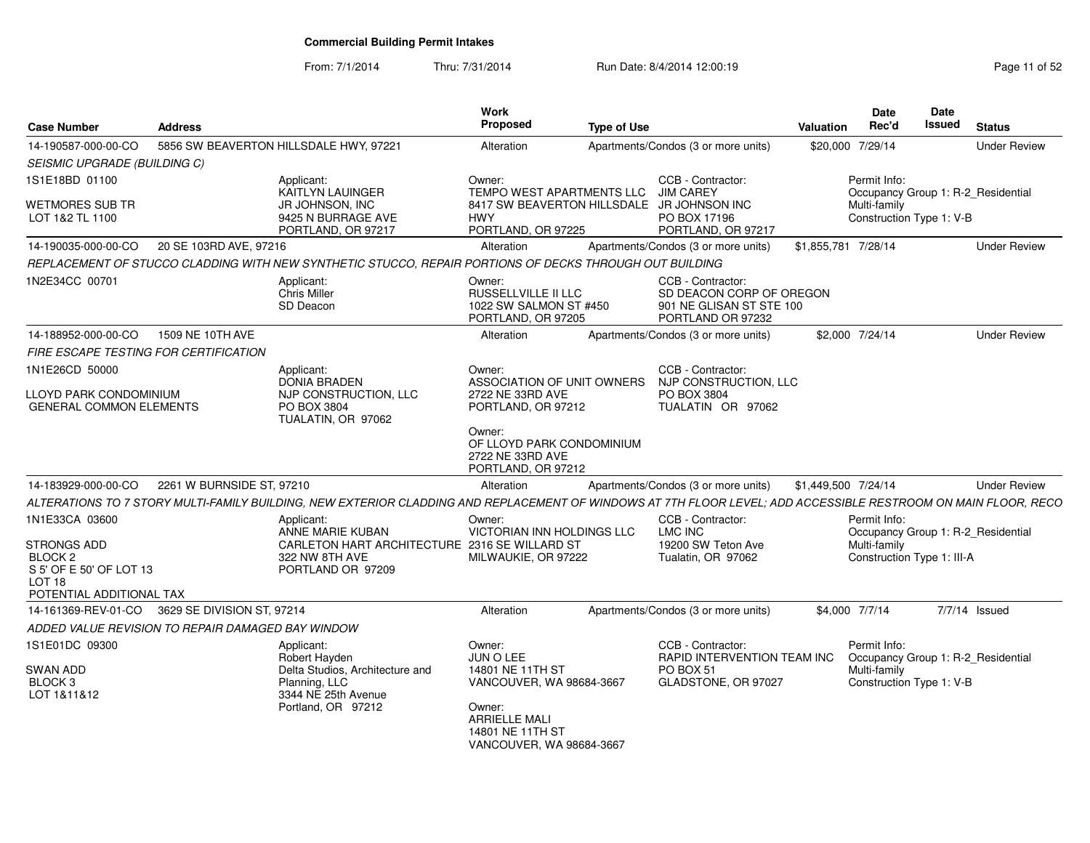From: 7/1/2014Thru: 7/31/2014 Run Date: 8/4/2014 12:00:19 Research 2010 Page 11 of 52

| <b>Case Number</b>                                   | <b>Address</b>             |                                                                                                                                                                | Work<br>Proposed                                                                                    | <b>Type of Use</b> |                                                                                                                    | Valuation           | <b>Date</b><br>Rec'd         | Date<br>Issued                                                 | <b>Status</b>       |
|------------------------------------------------------|----------------------------|----------------------------------------------------------------------------------------------------------------------------------------------------------------|-----------------------------------------------------------------------------------------------------|--------------------|--------------------------------------------------------------------------------------------------------------------|---------------------|------------------------------|----------------------------------------------------------------|---------------------|
| 14-190587-000-00-CO<br>SEISMIC UPGRADE (BUILDING C)  |                            | 5856 SW BEAVERTON HILLSDALE HWY, 97221                                                                                                                         | Alteration                                                                                          |                    | Apartments/Condos (3 or more units)                                                                                | \$20,000 7/29/14    |                              |                                                                | <b>Under Review</b> |
| 1S1E18BD 01100<br>WETMORES SUB TR<br>LOT 1&2 TL 1100 |                            | Applicant:<br><b>KAITLYN LAUINGER</b><br>JR JOHNSON, INC<br>9425 N BURRAGE AVE<br>PORTLAND, OR 97217                                                           | Owner:<br>TEMPO WEST APARTMENTS LLC<br><b>HWY</b><br>PORTLAND, OR 97225                             |                    | CCB - Contractor:<br>JIM CAREY<br>8417 SW BEAVERTON HILLSDALE JR JOHNSON INC<br>PO BOX 17196<br>PORTLAND, OR 97217 |                     | Permit Info:<br>Multi-family | Occupancy Group 1: R-2_Residential<br>Construction Type 1: V-B |                     |
| 14-190035-000-00-CO 20 SE 103RD AVE, 97216           |                            |                                                                                                                                                                | Alteration                                                                                          |                    | Apartments/Condos (3 or more units)                                                                                | \$1,855,781 7/28/14 |                              |                                                                | <b>Under Review</b> |
|                                                      |                            | REPLACEMENT OF STUCCO CLADDING WITH NEW SYNTHETIC STUCCO. REPAIR PORTIONS OF DECKS THROUGH OUT BUILDING                                                        |                                                                                                     |                    |                                                                                                                    |                     |                              |                                                                |                     |
| 1N2E34CC 00701                                       |                            | Applicant:<br>Chris Miller<br>SD Deacon                                                                                                                        | Owner:<br>RUSSELLVILLE II LLC<br>1022 SW SALMON ST #450<br>PORTLAND, OR 97205                       |                    | CCB - Contractor:<br>SD DEACON CORP OF OREGON<br>901 NE GLISAN ST STE 100<br>PORTLAND OR 97232                     |                     |                              |                                                                |                     |
| 14-188952-000-00-CO                                  | 1509 NE 10TH AVE           |                                                                                                                                                                | Alteration                                                                                          |                    | Apartments/Condos (3 or more units)                                                                                | \$2,000 7/24/14     |                              |                                                                | <b>Under Review</b> |
| FIRE ESCAPE TESTING FOR CERTIFICATION                |                            |                                                                                                                                                                |                                                                                                     |                    |                                                                                                                    |                     |                              |                                                                |                     |
| 1N1E26CD 50000<br>LLOYD PARK CONDOMINIUM             |                            | Applicant:<br><b>DONIA BRADEN</b><br>NJP CONSTRUCTION, LLC                                                                                                     | Owner:<br>ASSOCIATION OF UNIT OWNERS<br>2722 NE 33RD AVE                                            |                    | CCB - Contractor:<br>NJP CONSTRUCTION, LLC<br>PO BOX 3804                                                          |                     |                              |                                                                |                     |
| <b>GENERAL COMMON ELEMENTS</b>                       |                            | PO BOX 3804<br>TUALATIN, OR 97062                                                                                                                              | PORTLAND, OR 97212<br>Owner:<br>OF LLOYD PARK CONDOMINIUM<br>2722 NE 33RD AVE<br>PORTLAND, OR 97212 |                    | TUALATIN OR 97062                                                                                                  |                     |                              |                                                                |                     |
| 14-183929-000-00-CO                                  | 2261 W BURNSIDE ST, 97210  |                                                                                                                                                                | Alteration                                                                                          |                    | Apartments/Condos (3 or more units)                                                                                | \$1.449.500 7/24/14 |                              |                                                                | <b>Under Review</b> |
|                                                      |                            | ALTERATIONS TO 7 STORY MULTI-FAMILY BUILDING. NEW EXTERIOR CLADDING AND REPLACEMENT OF WINDOWS AT 7TH FLOOR LEVEL: ADD ACCESSIBLE RESTROOM ON MAIN FLOOR. RECO |                                                                                                     |                    |                                                                                                                    |                     |                              |                                                                |                     |
| 1N1E33CA 03600                                       |                            | Applicant:<br>ANNE MARIE KUBAN                                                                                                                                 | Owner:<br>VICTORIAN INN HOLDINGS LLC                                                                |                    | CCB - Contractor:<br><b>LMC INC</b>                                                                                |                     | Permit Info:                 | Occupancy Group 1: R-2_Residential                             |                     |
| STRONGS ADD                                          |                            | CARLETON HART ARCHITECTURE 2316 SE WILLARD ST                                                                                                                  |                                                                                                     |                    | 19200 SW Teton Ave                                                                                                 |                     | Multi-family                 |                                                                |                     |
| BLOCK <sub>2</sub><br>S 5' OF E 50' OF LOT 13        |                            | 322 NW 8TH AVE<br>PORTLAND OR 97209                                                                                                                            | MILWAUKIE, OR 97222                                                                                 |                    | Tualatin, OR 97062                                                                                                 |                     |                              | Construction Type 1: III-A                                     |                     |
| <b>LOT 18</b>                                        |                            |                                                                                                                                                                |                                                                                                     |                    |                                                                                                                    |                     |                              |                                                                |                     |
| POTENTIAL ADDITIONAL TAX                             |                            |                                                                                                                                                                |                                                                                                     |                    |                                                                                                                    |                     |                              |                                                                |                     |
| 14-161369-REV-01-CO                                  | 3629 SE DIVISION ST, 97214 |                                                                                                                                                                | Alteration                                                                                          |                    | Apartments/Condos (3 or more units)                                                                                | \$4,000 7/7/14      |                              | 7/7/14 Issued                                                  |                     |
| ADDED VALUE REVISION TO REPAIR DAMAGED BAY WINDOW    |                            |                                                                                                                                                                |                                                                                                     |                    |                                                                                                                    |                     |                              |                                                                |                     |
| 1S1E01DC 09300                                       |                            | Applicant:                                                                                                                                                     | Owner:                                                                                              |                    | CCB - Contractor:                                                                                                  |                     | Permit Info:                 |                                                                |                     |
| SWAN ADD                                             |                            | Robert Hayden<br>Delta Studios, Architecture and                                                                                                               | JUN O LEE<br>14801 NE 11TH ST                                                                       |                    | RAPID INTERVENTION TEAM INC<br>PO BOX 51                                                                           |                     | Multi-family                 | Occupancy Group 1: R-2 Residential                             |                     |
| BLOCK 3                                              |                            | Planning, LLC                                                                                                                                                  | VANCOUVER, WA 98684-3667                                                                            |                    | GLADSTONE, OR 97027                                                                                                |                     |                              | Construction Type 1: V-B                                       |                     |
| LOT 1&11&12                                          |                            | 3344 NE 25th Avenue<br>Portland, OR 97212                                                                                                                      | Owner:<br><b>ARRIELLE MALI</b><br>14801 NE 11TH ST<br>VANCOUVER, WA 98684-3667                      |                    |                                                                                                                    |                     |                              |                                                                |                     |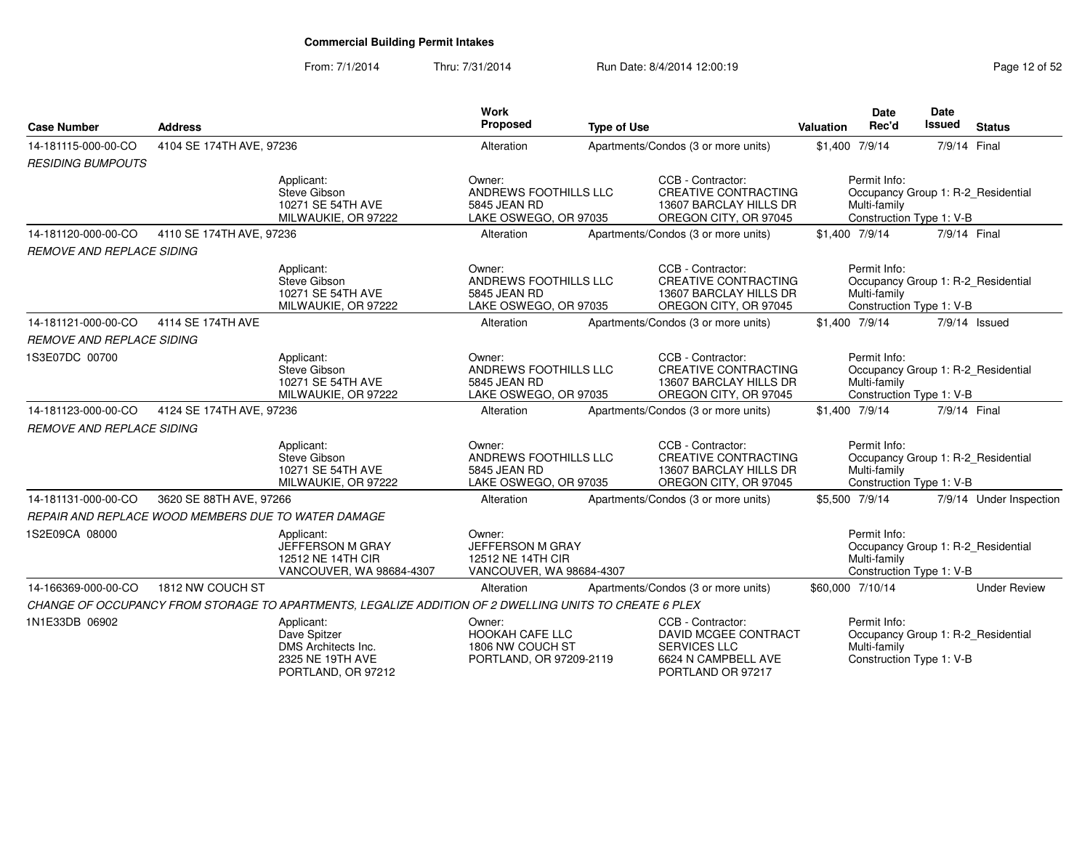### From: 7/1/2014Thru: 7/31/2014 Run Date: 8/4/2014 12:00:19

| <b>Case Number</b>                                  | <b>Address</b>           |                                                                                                        | <b>Work</b><br>Proposed                                                     | <b>Type of Use</b> |                                                                                                              | Valuation        | <b>Date</b><br>Rec'd                                                                           | Date<br><b>Issued</b> | <b>Status</b>                      |
|-----------------------------------------------------|--------------------------|--------------------------------------------------------------------------------------------------------|-----------------------------------------------------------------------------|--------------------|--------------------------------------------------------------------------------------------------------------|------------------|------------------------------------------------------------------------------------------------|-----------------------|------------------------------------|
| 14-181115-000-00-CO                                 | 4104 SE 174TH AVE, 97236 |                                                                                                        | Alteration                                                                  |                    | Apartments/Condos (3 or more units)                                                                          | \$1,400 7/9/14   |                                                                                                | 7/9/14 Final          |                                    |
| <b>RESIDING BUMPOUTS</b>                            |                          |                                                                                                        |                                                                             |                    |                                                                                                              |                  |                                                                                                |                       |                                    |
|                                                     |                          | Applicant:<br>Steve Gibson<br>10271 SE 54TH AVE<br>MILWAUKIE, OR 97222                                 | Owner:<br>ANDREWS FOOTHILLS LLC<br>5845 JEAN RD<br>LAKE OSWEGO, OR 97035    |                    | CCB - Contractor:<br><b>CREATIVE CONTRACTING</b><br>13607 BARCLAY HILLS DR<br>OREGON CITY, OR 97045          |                  | Permit Info:<br>Multi-family<br>Construction Type 1: V-B                                       |                       | Occupancy Group 1: R-2 Residential |
| 14-181120-000-00-CO                                 | 4110 SE 174TH AVE, 97236 |                                                                                                        | Alteration                                                                  |                    | Apartments/Condos (3 or more units)                                                                          | \$1,400 7/9/14   |                                                                                                | 7/9/14 Final          |                                    |
| <b>REMOVE AND REPLACE SIDING</b>                    |                          |                                                                                                        |                                                                             |                    |                                                                                                              |                  |                                                                                                |                       |                                    |
|                                                     |                          | Applicant:<br>Steve Gibson<br>10271 SE 54TH AVE<br>MILWAUKIE, OR 97222                                 | Owner:<br>ANDREWS FOOTHILLS LLC<br>5845 JEAN RD<br>LAKE OSWEGO, OR 97035    |                    | CCB - Contractor:<br><b>CREATIVE CONTRACTING</b><br>13607 BARCLAY HILLS DR<br>OREGON CITY, OR 97045          |                  | Permit Info:<br>Occupancy Group 1: R-2 Residential<br>Multi-family<br>Construction Type 1: V-B |                       |                                    |
| 14-181121-000-00-CO                                 | 4114 SE 174TH AVE        |                                                                                                        | Alteration                                                                  |                    | Apartments/Condos (3 or more units)                                                                          | \$1,400 7/9/14   |                                                                                                |                       | 7/9/14 Issued                      |
| <b>REMOVE AND REPLACE SIDING</b>                    |                          |                                                                                                        |                                                                             |                    |                                                                                                              |                  |                                                                                                |                       |                                    |
| 1S3E07DC 00700                                      |                          | Applicant:<br>Steve Gibson<br>10271 SE 54TH AVE<br>MILWAUKIE, OR 97222                                 | Owner:<br>ANDREWS FOOTHILLS LLC<br>5845 JEAN RD<br>LAKE OSWEGO, OR 97035    |                    | CCB - Contractor:<br><b>CREATIVE CONTRACTING</b><br>13607 BARCLAY HILLS DR<br>OREGON CITY, OR 97045          |                  | Permit Info:<br>Multi-family<br>Construction Type 1: V-B                                       |                       | Occupancy Group 1: R-2_Residential |
| 14-181123-000-00-CO                                 | 4124 SE 174TH AVE, 97236 |                                                                                                        | Alteration                                                                  |                    | Apartments/Condos (3 or more units)                                                                          | \$1,400 7/9/14   |                                                                                                | 7/9/14 Final          |                                    |
| <b>REMOVE AND REPLACE SIDING</b>                    |                          |                                                                                                        |                                                                             |                    |                                                                                                              |                  |                                                                                                |                       |                                    |
|                                                     |                          | Applicant:<br>Steve Gibson<br>10271 SE 54TH AVE<br>MILWAUKIE, OR 97222                                 | Owner:<br>ANDREWS FOOTHILLS LLC<br>5845 JEAN RD<br>LAKE OSWEGO, OR 97035    |                    | CCB - Contractor:<br><b>CREATIVE CONTRACTING</b><br>13607 BARCLAY HILLS DR<br>OREGON CITY, OR 97045          |                  | Permit Info:<br>Multi-family<br>Construction Type 1: V-B                                       |                       | Occupancy Group 1: R-2_Residential |
| 14-181131-000-00-CO                                 | 3620 SE 88TH AVE, 97266  |                                                                                                        | Alteration                                                                  |                    | Apartments/Condos (3 or more units)                                                                          | \$5,500 7/9/14   |                                                                                                |                       | 7/9/14 Under Inspection            |
| REPAIR AND REPLACE WOOD MEMBERS DUE TO WATER DAMAGE |                          |                                                                                                        |                                                                             |                    |                                                                                                              |                  |                                                                                                |                       |                                    |
| 1S2E09CA 08000                                      |                          | Applicant:<br>JEFFERSON M GRAY<br>12512 NE 14TH CIR<br>VANCOUVER, WA 98684-4307                        | Owner:<br>JEFFERSON M GRAY<br>12512 NE 14TH CIR<br>VANCOUVER, WA 98684-4307 |                    |                                                                                                              |                  | Permit Info:<br>Multi-family<br>Construction Type 1: V-B                                       |                       | Occupancy Group 1: R-2_Residential |
| 14-166369-000-00-CO                                 | 1812 NW COUCH ST         |                                                                                                        | Alteration                                                                  |                    | Apartments/Condos (3 or more units)                                                                          | \$60,000 7/10/14 |                                                                                                |                       | <b>Under Review</b>                |
|                                                     |                          | CHANGE OF OCCUPANCY FROM STORAGE TO APARTMENTS, LEGALIZE ADDITION OF 2 DWELLING UNITS TO CREATE 6 PLEX |                                                                             |                    |                                                                                                              |                  |                                                                                                |                       |                                    |
| 1N1E33DB 06902                                      |                          | Applicant:<br>Dave Spitzer<br>DMS Architects Inc.<br>2325 NE 19TH AVE<br>PORTLAND, OR 97212            | Owner:<br>HOOKAH CAFE LLC<br>1806 NW COUCH ST<br>PORTLAND, OR 97209-2119    |                    | CCB - Contractor:<br>DAVID MCGEE CONTRACT<br><b>SERVICES LLC</b><br>6624 N CAMPBELL AVE<br>PORTLAND OR 97217 |                  | Permit Info:<br>Occupancy Group 1: R-2_Residential<br>Multi-family<br>Construction Type 1: V-B |                       |                                    |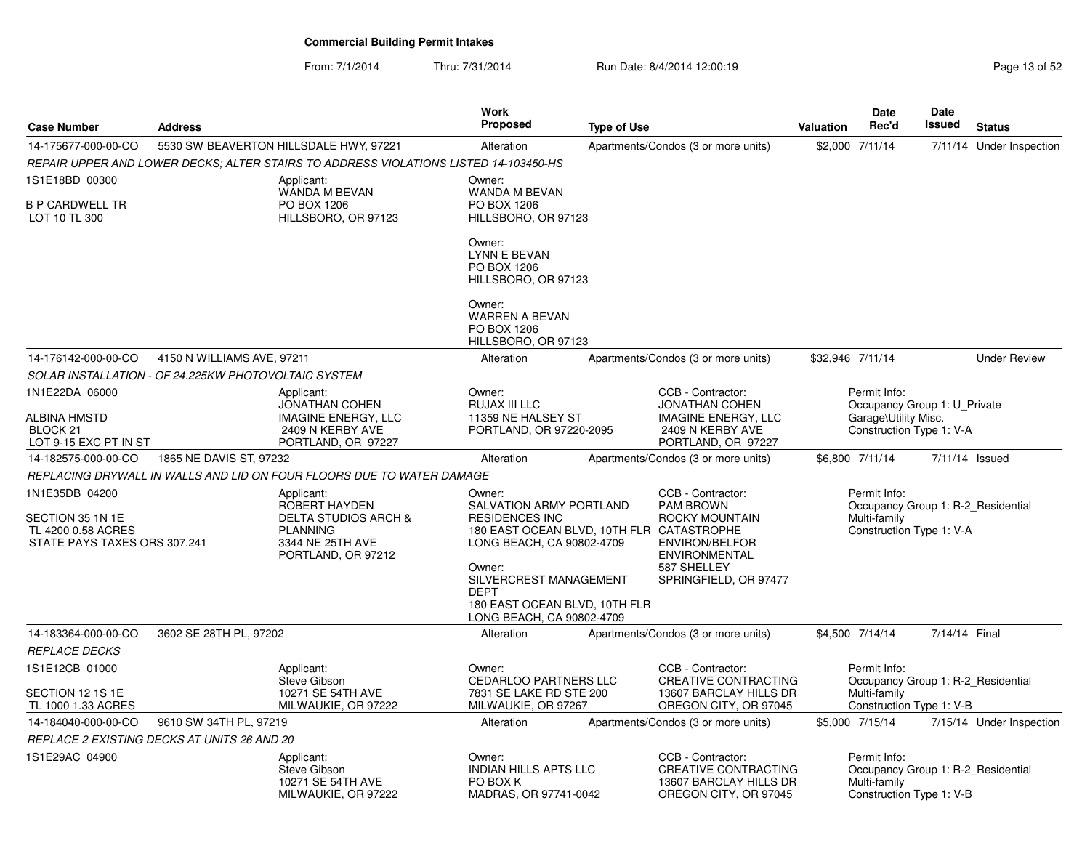From: 7/1/2014Thru: 7/31/2014 Run Date: 8/4/2014 12:00:19 Rege 13 of 52

| <b>Case Number</b>                                                                       | <b>Address</b>                                       |                                                                                                                             | <b>Work</b><br>Proposed                                                                                                                                                                                                                                      | <b>Type of Use</b> |                                                                                                                                                  | Valuation        | Date<br>Rec'd                                            | Date<br>Issued | <b>Status</b>                      |
|------------------------------------------------------------------------------------------|------------------------------------------------------|-----------------------------------------------------------------------------------------------------------------------------|--------------------------------------------------------------------------------------------------------------------------------------------------------------------------------------------------------------------------------------------------------------|--------------------|--------------------------------------------------------------------------------------------------------------------------------------------------|------------------|----------------------------------------------------------|----------------|------------------------------------|
| 14-175677-000-00-CO                                                                      |                                                      | 5530 SW BEAVERTON HILLSDALE HWY, 97221                                                                                      | Alteration                                                                                                                                                                                                                                                   |                    | Apartments/Condos (3 or more units)                                                                                                              |                  | \$2,000 7/11/14                                          |                | 7/11/14 Under Inspection           |
|                                                                                          |                                                      | REPAIR UPPER AND LOWER DECKS: ALTER STAIRS TO ADDRESS VIOLATIONS LISTED 14-103450-HS                                        |                                                                                                                                                                                                                                                              |                    |                                                                                                                                                  |                  |                                                          |                |                                    |
| 1S1E18BD 00300<br><b>B P CARDWELL TR</b><br>LOT 10 TL 300                                |                                                      | Applicant:<br>WANDA M BEVAN<br>PO BOX 1206<br>HILLSBORO, OR 97123                                                           | Owner:<br>WANDA M BEVAN<br>PO BOX 1206<br>HILLSBORO, OR 97123                                                                                                                                                                                                |                    |                                                                                                                                                  |                  |                                                          |                |                                    |
|                                                                                          |                                                      |                                                                                                                             | Owner:<br><b>LYNN E BEVAN</b><br>PO BOX 1206<br>HILLSBORO, OR 97123                                                                                                                                                                                          |                    |                                                                                                                                                  |                  |                                                          |                |                                    |
|                                                                                          |                                                      |                                                                                                                             | Owner:<br><b>WARREN A BEVAN</b><br>PO BOX 1206<br>HILLSBORO, OR 97123                                                                                                                                                                                        |                    |                                                                                                                                                  |                  |                                                          |                |                                    |
| 14-176142-000-00-CO                                                                      | 4150 N WILLIAMS AVE, 97211                           |                                                                                                                             | Alteration                                                                                                                                                                                                                                                   |                    | Apartments/Condos (3 or more units)                                                                                                              | \$32,946 7/11/14 |                                                          |                | <b>Under Review</b>                |
|                                                                                          | SOLAR INSTALLATION - OF 24.225KW PHOTOVOLTAIC SYSTEM |                                                                                                                             |                                                                                                                                                                                                                                                              |                    |                                                                                                                                                  |                  |                                                          |                |                                    |
| 1N1E22DA 06000                                                                           |                                                      | Applicant:<br><b>JONATHAN COHEN</b>                                                                                         | Owner:<br>RUJAX III LLC                                                                                                                                                                                                                                      |                    | CCB - Contractor:<br><b>JONATHAN COHEN</b>                                                                                                       |                  | Permit Info:<br>Occupancy Group 1: U Private             |                |                                    |
| ALBINA HMSTD<br>BLOCK <sub>21</sub><br>LOT 9-15 EXC PT IN ST                             |                                                      | <b>IMAGINE ENERGY, LLC</b><br>2409 N KERBY AVE<br>PORTLAND, OR 97227                                                        | 11359 NE HALSEY ST<br>PORTLAND, OR 97220-2095                                                                                                                                                                                                                |                    | <b>IMAGINE ENERGY, LLC</b><br>2409 N KERBY AVE<br>PORTLAND, OR 97227                                                                             |                  | Garage\Utility Misc.<br>Construction Type 1: V-A         |                |                                    |
| 14-182575-000-00-CO                                                                      | 1865 NE DAVIS ST, 97232                              |                                                                                                                             | Alteration                                                                                                                                                                                                                                                   |                    | Apartments/Condos (3 or more units)                                                                                                              |                  | \$6,800 7/11/14                                          | 7/11/14 Issued |                                    |
|                                                                                          |                                                      | REPLACING DRYWALL IN WALLS AND LID ON FOUR FLOORS DUE TO WATER DAMAGE                                                       |                                                                                                                                                                                                                                                              |                    |                                                                                                                                                  |                  |                                                          |                |                                    |
| 1N1E35DB 04200<br>SECTION 35 1N 1E<br>TL 4200 0.58 ACRES<br>STATE PAYS TAXES ORS 307.241 |                                                      | Applicant:<br>ROBERT HAYDEN<br><b>DELTA STUDIOS ARCH &amp;</b><br><b>PLANNING</b><br>3344 NE 25TH AVE<br>PORTLAND, OR 97212 | Owner:<br><b>SALVATION ARMY PORTLAND</b><br><b>RESIDENCES INC</b><br>180 EAST OCEAN BLVD, 10TH FLR CATASTROPHE<br>LONG BEACH, CA 90802-4709<br>Owner:<br>SILVERCREST MANAGEMENT<br><b>DEPT</b><br>180 EAST OCEAN BLVD, 10TH FLR<br>LONG BEACH, CA 90802-4709 |                    | CCB - Contractor:<br><b>PAM BROWN</b><br>ROCKY MOUNTAIN<br><b>ENVIRON/BELFOR</b><br><b>ENVIRONMENTAL</b><br>587 SHELLEY<br>SPRINGFIELD, OR 97477 |                  | Permit Info:<br>Multi-family<br>Construction Type 1: V-A |                | Occupancy Group 1: R-2 Residential |
| 14-183364-000-00-CO                                                                      | 3602 SE 28TH PL, 97202                               |                                                                                                                             | Alteration                                                                                                                                                                                                                                                   |                    | Apartments/Condos (3 or more units)                                                                                                              |                  | \$4,500 7/14/14                                          | 7/14/14 Final  |                                    |
| <b>REPLACE DECKS</b>                                                                     |                                                      |                                                                                                                             |                                                                                                                                                                                                                                                              |                    |                                                                                                                                                  |                  |                                                          |                |                                    |
| 1S1E12CB 01000<br>SECTION 12 1S 1E<br>TL 1000 1.33 ACRES                                 |                                                      | Applicant:<br>Steve Gibson<br>10271 SE 54TH AVE<br>MILWAUKIE, OR 97222                                                      | Owner:<br><b>CEDARLOO PARTNERS LLC</b><br>7831 SE LAKE RD STE 200<br>MILWAUKIE, OR 97267                                                                                                                                                                     |                    | CCB - Contractor:<br><b>CREATIVE CONTRACTING</b><br>13607 BARCLAY HILLS DR<br>OREGON CITY, OR 97045                                              |                  | Permit Info:<br>Multi-family<br>Construction Type 1: V-B |                | Occupancy Group 1: R-2 Residential |
| 14-184040-000-00-CO                                                                      | 9610 SW 34TH PL, 97219                               |                                                                                                                             | Alteration                                                                                                                                                                                                                                                   |                    | Apartments/Condos (3 or more units)                                                                                                              |                  | \$5,000 7/15/14                                          |                | 7/15/14 Under Inspection           |
|                                                                                          | REPLACE 2 EXISTING DECKS AT UNITS 26 AND 20          |                                                                                                                             |                                                                                                                                                                                                                                                              |                    |                                                                                                                                                  |                  |                                                          |                |                                    |
| 1S1E29AC 04900                                                                           |                                                      | Applicant:<br>Steve Gibson<br>10271 SE 54TH AVE<br>MILWAUKIE, OR 97222                                                      | Owner:<br><b>INDIAN HILLS APTS LLC</b><br>PO BOX K<br>MADRAS, OR 97741-0042                                                                                                                                                                                  |                    | CCB - Contractor:<br><b>CREATIVE CONTRACTING</b><br>13607 BARCLAY HILLS DR<br>OREGON CITY, OR 97045                                              |                  | Permit Info:<br>Multi-family<br>Construction Type 1: V-B |                | Occupancy Group 1: R-2 Residential |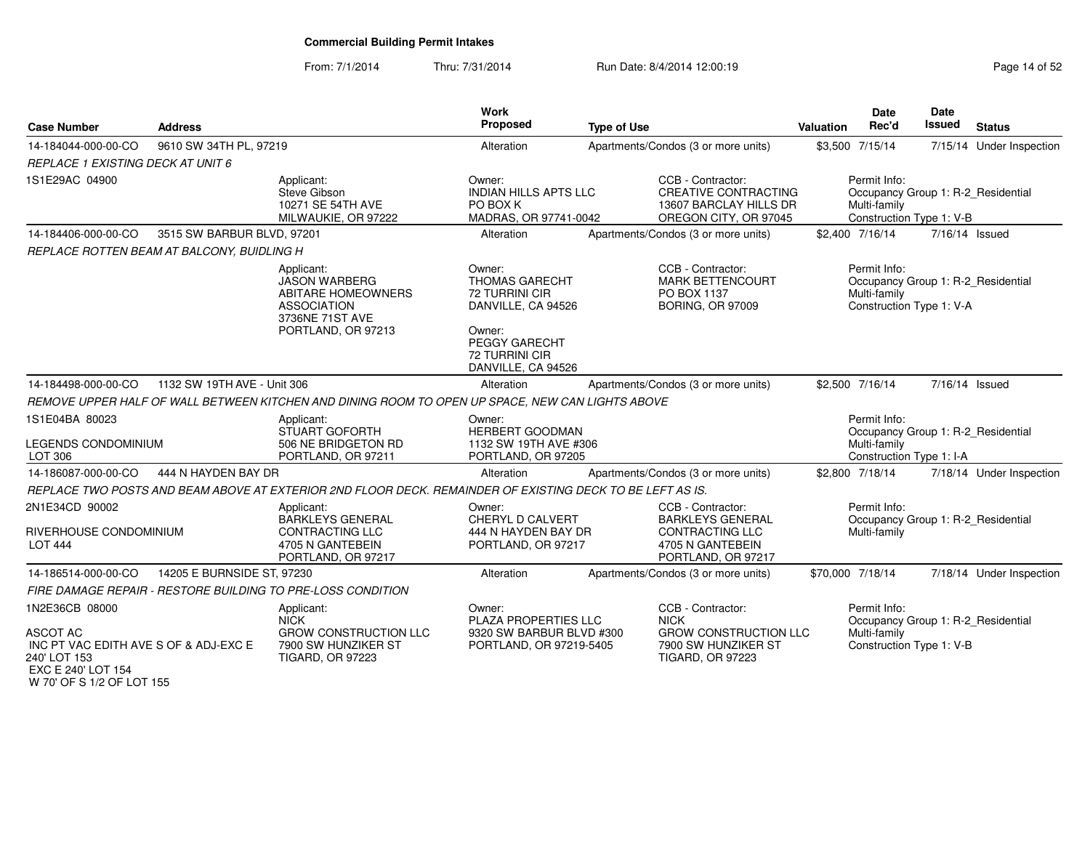From: 7/1/2014Thru: 7/31/2014 Run Date: 8/4/2014 12:00:19 Research 2015 2

| <b>Case Number</b>                                                                                                   | <b>Address</b>              |                                                                                                                                | Work<br>Proposed                                                                                                                           | <b>Type of Use</b>                                                                                                 | Valuation        | <b>Date</b><br>Rec'd                                                                           | <b>Date</b><br>Issued | <b>Status</b>            |
|----------------------------------------------------------------------------------------------------------------------|-----------------------------|--------------------------------------------------------------------------------------------------------------------------------|--------------------------------------------------------------------------------------------------------------------------------------------|--------------------------------------------------------------------------------------------------------------------|------------------|------------------------------------------------------------------------------------------------|-----------------------|--------------------------|
| 14-184044-000-00-CO                                                                                                  | 9610 SW 34TH PL, 97219      |                                                                                                                                | Alteration                                                                                                                                 | Apartments/Condos (3 or more units)                                                                                | \$3,500 7/15/14  |                                                                                                |                       | 7/15/14 Under Inspection |
| <b>REPLACE 1 EXISTING DECK AT UNIT 6</b>                                                                             |                             |                                                                                                                                |                                                                                                                                            |                                                                                                                    |                  |                                                                                                |                       |                          |
| 1S1E29AC 04900                                                                                                       |                             | Applicant:<br>Steve Gibson<br>10271 SE 54TH AVE<br>MILWAUKIE, OR 97222                                                         | Owner:<br><b>INDIAN HILLS APTS LLC</b><br>PO BOX K<br>MADRAS, OR 97741-0042                                                                | CCB - Contractor:<br><b>CREATIVE CONTRACTING</b><br>13607 BARCLAY HILLS DR<br>OREGON CITY, OR 97045                |                  | Permit Info:<br>Occupancy Group 1: R-2_Residential<br>Multi-family<br>Construction Type 1: V-B |                       |                          |
| 14-184406-000-00-CO                                                                                                  | 3515 SW BARBUR BLVD, 97201  |                                                                                                                                | Alteration                                                                                                                                 | Apartments/Condos (3 or more units)                                                                                | \$2.400 7/16/14  |                                                                                                | 7/16/14 Issued        |                          |
| REPLACE ROTTEN BEAM AT BALCONY, BUIDLING H                                                                           |                             |                                                                                                                                |                                                                                                                                            |                                                                                                                    |                  |                                                                                                |                       |                          |
|                                                                                                                      |                             | Applicant:<br><b>JASON WARBERG</b><br><b>ABITARE HOMEOWNERS</b><br><b>ASSOCIATION</b><br>3736NE 71ST AVE<br>PORTLAND, OR 97213 | Owner:<br><b>THOMAS GARECHT</b><br>72 TURRINI CIR<br>DANVILLE, CA 94526<br>Owner:<br>PEGGY GARECHT<br>72 TURRINI CIR<br>DANVILLE, CA 94526 | CCB - Contractor:<br><b>MARK BETTENCOURT</b><br>PO BOX 1137<br><b>BORING, OR 97009</b>                             |                  | Permit Info:<br>Occupancy Group 1: R-2_Residential<br>Multi-family<br>Construction Type 1: V-A |                       |                          |
| 14-184498-000-00-CO                                                                                                  | 1132 SW 19TH AVE - Unit 306 |                                                                                                                                | Alteration                                                                                                                                 | Apartments/Condos (3 or more units)                                                                                | \$2,500 7/16/14  |                                                                                                | 7/16/14 Issued        |                          |
|                                                                                                                      |                             | REMOVE UPPER HALF OF WALL BETWEEN KITCHEN AND DINING ROOM TO OPEN UP SPACE, NEW CAN LIGHTS ABOVE                               |                                                                                                                                            |                                                                                                                    |                  |                                                                                                |                       |                          |
| 1S1E04BA 80023<br>LEGENDS CONDOMINIUM<br>LOT 306                                                                     |                             | Applicant:<br>STUART GOFORTH<br>506 NE BRIDGETON RD<br>PORTLAND, OR 97211                                                      | Owner:<br><b>HERBERT GOODMAN</b><br>1132 SW 19TH AVE #306<br>PORTLAND, OR 97205                                                            |                                                                                                                    |                  | Permit Info:<br>Occupancy Group 1: R-2_Residential<br>Multi-family<br>Construction Type 1: I-A |                       |                          |
| 14-186087-000-00-CO                                                                                                  | 444 N HAYDEN BAY DR         |                                                                                                                                | Alteration                                                                                                                                 | Apartments/Condos (3 or more units)                                                                                | \$2,800 7/18/14  |                                                                                                |                       | 7/18/14 Under Inspection |
|                                                                                                                      |                             | REPLACE TWO POSTS AND BEAM ABOVE AT EXTERIOR 2ND FLOOR DECK. REMAINDER OF EXISTING DECK TO BE LEFT AS IS.                      |                                                                                                                                            |                                                                                                                    |                  |                                                                                                |                       |                          |
| 2N1E34CD 90002<br>RIVERHOUSE CONDOMINIUM<br><b>LOT 444</b>                                                           |                             | Applicant:<br><b>BARKLEYS GENERAL</b><br><b>CONTRACTING LLC</b><br>4705 N GANTEBEIN<br>PORTLAND, OR 97217                      | Owner:<br>CHERYL D CALVERT<br>444 N HAYDEN BAY DR<br>PORTLAND, OR 97217                                                                    | CCB - Contractor:<br><b>BARKLEYS GENERAL</b><br><b>CONTRACTING LLC</b><br>4705 N GANTEBEIN<br>PORTLAND, OR 97217   |                  | Permit Info:<br>Occupancy Group 1: R-2_Residential<br>Multi-family                             |                       |                          |
| 14-186514-000-00-CO                                                                                                  | 14205 E BURNSIDE ST, 97230  |                                                                                                                                | Alteration                                                                                                                                 | Apartments/Condos (3 or more units)                                                                                | \$70,000 7/18/14 |                                                                                                |                       | 7/18/14 Under Inspection |
|                                                                                                                      |                             | FIRE DAMAGE REPAIR - RESTORE BUILDING TO PRE-LOSS CONDITION                                                                    |                                                                                                                                            |                                                                                                                    |                  |                                                                                                |                       |                          |
| 1N2E36CB 08000<br><b>ASCOT AC</b><br>INC PT VAC EDITH AVE S OF & ADJ-EXC E<br>240' LOT 153<br>$\sim$ $ \sim$ $ \sim$ |                             | Applicant:<br><b>NICK</b><br><b>GROW CONSTRUCTION LLC</b><br>7900 SW HUNZIKER ST<br><b>TIGARD, OR 97223</b>                    | Owner:<br>PLAZA PROPERTIES LLC<br>9320 SW BARBUR BLVD #300<br>PORTLAND, OR 97219-5405                                                      | CCB - Contractor:<br><b>NICK</b><br><b>GROW CONSTRUCTION LLC</b><br>7900 SW HUNZIKER ST<br><b>TIGARD, OR 97223</b> |                  | Permit Info:<br>Occupancy Group 1: R-2_Residential<br>Multi-family<br>Construction Type 1: V-B |                       |                          |

 EXC E 240' LOT 154W 70' OF S 1/2 OF LOT 155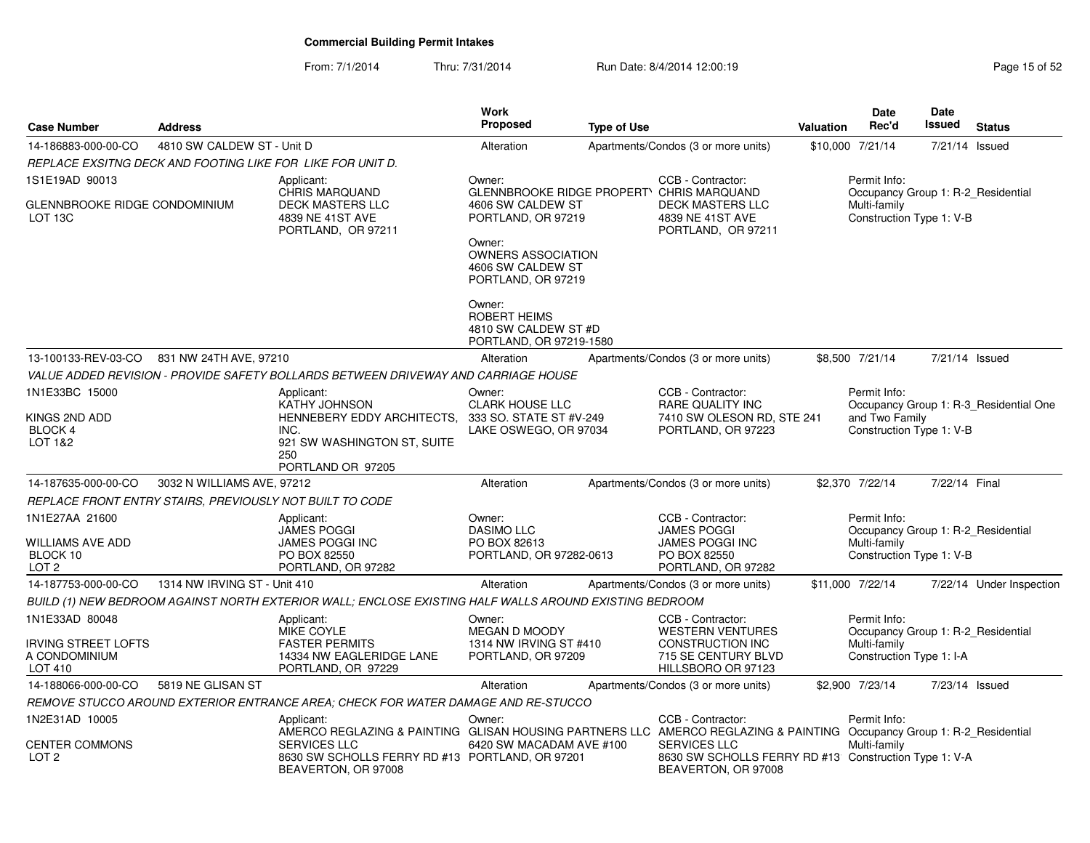From: 7/1/2014Thru: 7/31/2014 Run Date: 8/4/2014 12:00:19 Research 2010 Page 15 of 52

| <b>Case Number</b>                                                 | <b>Address</b>               |                                                                                                                                                                                                                                       | <b>Work</b><br><b>Proposed</b>                                                                      | <b>Type of Use</b> |                                                                                                                          | <b>Valuation</b> | <b>Date</b><br>Rec'd                                                                           | Date<br>Issued | <b>Status</b>                          |
|--------------------------------------------------------------------|------------------------------|---------------------------------------------------------------------------------------------------------------------------------------------------------------------------------------------------------------------------------------|-----------------------------------------------------------------------------------------------------|--------------------|--------------------------------------------------------------------------------------------------------------------------|------------------|------------------------------------------------------------------------------------------------|----------------|----------------------------------------|
| 14-186883-000-00-CO                                                | 4810 SW CALDEW ST - Unit D   |                                                                                                                                                                                                                                       | Alteration                                                                                          |                    | Apartments/Condos (3 or more units)                                                                                      |                  | \$10,000 7/21/14                                                                               | 7/21/14        | Issued                                 |
|                                                                    |                              | REPLACE EXSITNG DECK AND FOOTING LIKE FOR LIKE FOR UNIT D.                                                                                                                                                                            |                                                                                                     |                    |                                                                                                                          |                  |                                                                                                |                |                                        |
| 1S1E19AD 90013                                                     |                              | Applicant:<br><b>CHRIS MARQUAND</b>                                                                                                                                                                                                   | Owner:<br><b>GLENNBROOKE RIDGE PROPERTY</b>                                                         |                    | CCB - Contractor:<br><b>CHRIS MARQUAND</b>                                                                               |                  | Permit Info:<br>Occupancy Group 1: R-2 Residential                                             |                |                                        |
| GLENNBROOKE RIDGE CONDOMINIUM<br>LOT <sub>13C</sub>                |                              | DECK MASTERS LLC<br>4839 NE 41ST AVE<br>PORTLAND, OR 97211                                                                                                                                                                            | 4606 SW CALDEW ST<br>PORTLAND, OR 97219<br>Owner:<br><b>OWNERS ASSOCIATION</b><br>4606 SW CALDEW ST |                    | <b>DECK MASTERS LLC</b><br>4839 NE 41ST AVE<br>PORTLAND, OR 97211                                                        |                  | Multi-family<br>Construction Type 1: V-B                                                       |                |                                        |
|                                                                    |                              |                                                                                                                                                                                                                                       | PORTLAND, OR 97219<br>Owner:<br>ROBERT HEIMS<br>4810 SW CALDEW ST #D<br>PORTLAND, OR 97219-1580     |                    |                                                                                                                          |                  |                                                                                                |                |                                        |
| 13-100133-REV-03-CO                                                | 831 NW 24TH AVE, 97210       |                                                                                                                                                                                                                                       | Alteration                                                                                          |                    | Apartments/Condos (3 or more units)                                                                                      |                  | \$8,500 7/21/14                                                                                | 7/21/14 Issued |                                        |
|                                                                    |                              | VALUE ADDED REVISION - PROVIDE SAFETY BOLLARDS BETWEEN DRIVEWAY AND CARRIAGE HOUSE                                                                                                                                                    |                                                                                                     |                    |                                                                                                                          |                  |                                                                                                |                |                                        |
| 1N1E33BC 15000<br>KINGS 2ND ADD<br><b>BLOCK 4</b><br>LOT 1&2       |                              | Applicant:<br><b>KATHY JOHNSON</b><br>HENNEBERY EDDY ARCHITECTS,<br>INC.<br>921 SW WASHINGTON ST, SUITE<br>250<br>PORTLAND OR 97205                                                                                                   | Owner:<br>CLARK HOUSE LLC<br>333 SO. STATE ST #V-249<br>LAKE OSWEGO, OR 97034                       |                    | CCB - Contractor:<br>RARE QUALITY INC<br>7410 SW OLESON RD, STE 241<br>PORTLAND, OR 97223                                |                  | Permit Info:<br>and Two Family<br>Construction Type 1: V-B                                     |                | Occupancy Group 1: R-3 Residential One |
| 14-187635-000-00-CO                                                | 3032 N WILLIAMS AVE, 97212   |                                                                                                                                                                                                                                       | Alteration                                                                                          |                    | Apartments/Condos (3 or more units)                                                                                      |                  | \$2,370 7/22/14                                                                                | 7/22/14 Final  |                                        |
| REPLACE FRONT ENTRY STAIRS, PREVIOUSLY NOT BUILT TO CODE           |                              |                                                                                                                                                                                                                                       |                                                                                                     |                    |                                                                                                                          |                  |                                                                                                |                |                                        |
| 1N1E27AA 21600<br>WILLIAMS AVE ADD<br>BLOCK 10<br>LOT <sub>2</sub> |                              | Applicant:<br><b>JAMES POGGI</b><br>JAMES POGGI INC<br>PO BOX 82550<br>PORTLAND, OR 97282                                                                                                                                             | Owner:<br><b>DASIMO LLC</b><br>PO BOX 82613<br>PORTLAND, OR 97282-0613                              |                    | CCB - Contractor:<br><b>JAMES POGGI</b><br><b>JAMES POGGI INC</b><br>PO BOX 82550<br>PORTLAND, OR 97282                  |                  | Permit Info:<br>Occupancy Group 1: R-2 Residential<br>Multi-family<br>Construction Type 1: V-B |                |                                        |
| 14-187753-000-00-CO                                                | 1314 NW IRVING ST - Unit 410 |                                                                                                                                                                                                                                       | Alteration                                                                                          |                    | Apartments/Condos (3 or more units)                                                                                      |                  | \$11,000 7/22/14                                                                               |                | 7/22/14 Under Inspection               |
|                                                                    |                              | BUILD (1) NEW BEDROOM AGAINST NORTH EXTERIOR WALL; ENCLOSE EXISTING HALF WALLS AROUND EXISTING BEDROOM                                                                                                                                |                                                                                                     |                    |                                                                                                                          |                  |                                                                                                |                |                                        |
| 1N1E33AD 80048<br>IRVING STREET LOFTS<br>A CONDOMINIUM<br>LOT 410  |                              | Applicant:<br>MIKE COYLE<br><b>FASTER PERMITS</b><br>14334 NW EAGLERIDGE LANE<br>PORTLAND, OR 97229                                                                                                                                   | Owner:<br>MEGAN D MOODY<br>1314 NW IRVING ST #410<br>PORTLAND, OR 97209                             |                    | CCB - Contractor:<br><b>WESTERN VENTURES</b><br>CONSTRUCTION INC<br>715 SE CENTURY BLVD<br>HILLSBORO OR 97123            |                  | Permit Info:<br>Occupancy Group 1: R-2 Residential<br>Multi-family<br>Construction Type 1: I-A |                |                                        |
| 14-188066-000-00-CO                                                | 5819 NE GLISAN ST            |                                                                                                                                                                                                                                       | Alteration                                                                                          |                    | Apartments/Condos (3 or more units)                                                                                      |                  | \$2,900 7/23/14                                                                                | 7/23/14 Issued |                                        |
|                                                                    |                              | REMOVE STUCCO AROUND EXTERIOR ENTRANCE AREA: CHECK FOR WATER DAMAGE AND RE-STUCCO                                                                                                                                                     |                                                                                                     |                    |                                                                                                                          |                  |                                                                                                |                |                                        |
| 1N2E31AD 10005<br><b>CENTER COMMONS</b><br>LOT <sub>2</sub>        |                              | Applicant:<br>AMERCO REGLAZING & PAINTING GLISAN HOUSING PARTNERS LLC AMERCO REGLAZING & PAINTING Occupancy Group 1: R-2_Residential<br><b>SERVICES LLC</b><br>8630 SW SCHOLLS FERRY RD #13 PORTLAND, OR 97201<br>BEAVERTON, OR 97008 | Owner:<br>6420 SW MACADAM AVE #100                                                                  |                    | CCB - Contractor:<br><b>SERVICES LLC</b><br>8630 SW SCHOLLS FERRY RD #13 Construction Type 1: V-A<br>BEAVERTON, OR 97008 |                  | Permit Info:<br>Multi-family                                                                   |                |                                        |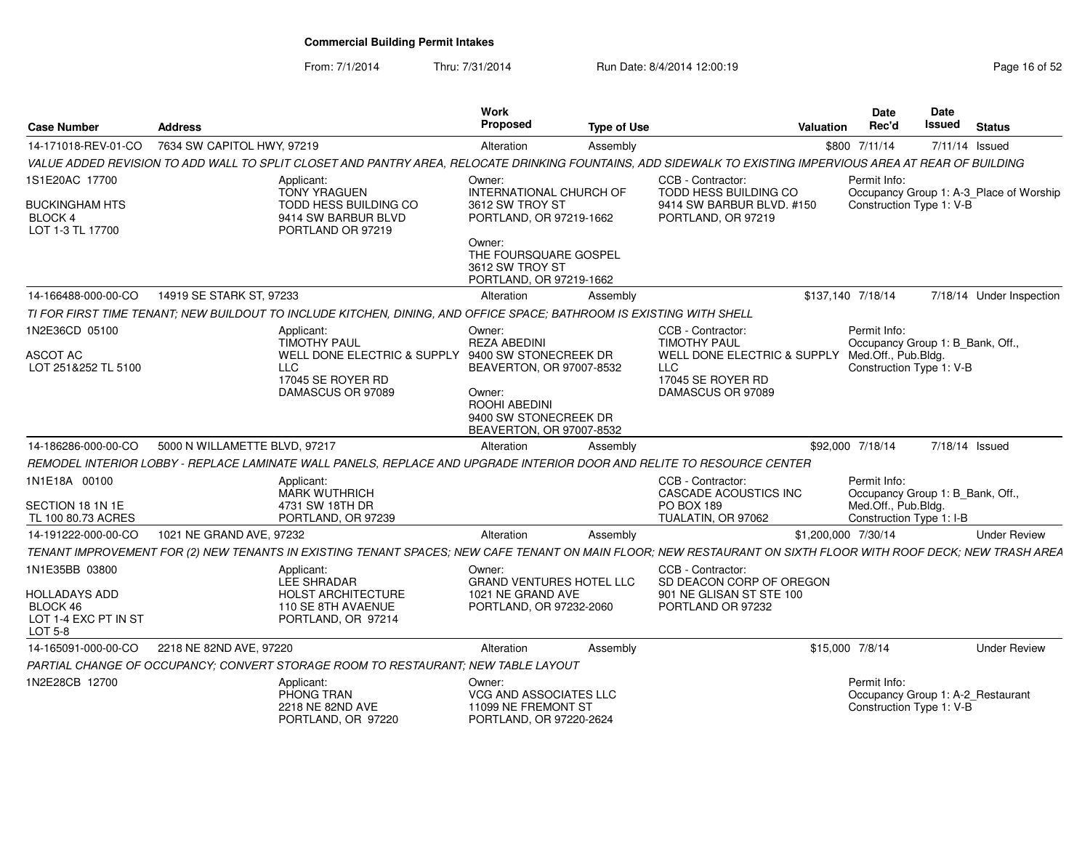From: 7/1/2014

Thru: 7/31/2014 Run Date: 8/4/2014 12:00:19 Research 2010 Page 16 of 52

| <b>Case Number</b>                                                  | Address                       |                                                                                                                                                               | <b>Work</b><br>Proposed                                                                                                           | <b>Type of Use</b> |                                                                                                         | Valuation | Date<br>Rec'd                                                                 | <b>Date</b><br>Issued | <b>Status</b>                           |
|---------------------------------------------------------------------|-------------------------------|---------------------------------------------------------------------------------------------------------------------------------------------------------------|-----------------------------------------------------------------------------------------------------------------------------------|--------------------|---------------------------------------------------------------------------------------------------------|-----------|-------------------------------------------------------------------------------|-----------------------|-----------------------------------------|
| 14-171018-REV-01-CO                                                 | 7634 SW CAPITOL HWY, 97219    |                                                                                                                                                               | Alteration                                                                                                                        | Assembly           |                                                                                                         |           | \$800 7/11/14                                                                 |                       | 7/11/14 Issued                          |
|                                                                     |                               | VALUE ADDED REVISION TO ADD WALL TO SPLIT CLOSET AND PANTRY AREA, RELOCATE DRINKING FOUNTAINS, ADD SIDEWALK TO EXISTING IMPERVIOUS AREA AT REAR OF BUILDING   |                                                                                                                                   |                    |                                                                                                         |           |                                                                               |                       |                                         |
| 1S1E20AC 17700                                                      |                               | Applicant<br>TONY YRAGUEN                                                                                                                                     | Owner:<br>INTERNATIONAL CHURCH OF                                                                                                 |                    | CCB - Contractor:<br>TODD HESS BUILDING CO                                                              |           | Permit Info:                                                                  |                       | Occupancy Group 1: A-3_Place of Worship |
| <b>BUCKINGHAM HTS</b><br><b>BLOCK4</b><br>LOT 1-3 TL 17700          |                               | TODD HESS BUILDING CO<br>9414 SW BARBUR BLVD<br>PORTLAND OR 97219                                                                                             | 3612 SW TROY ST<br>PORTLAND, OR 97219-1662                                                                                        |                    | 9414 SW BARBUR BLVD. #150<br>PORTLAND, OR 97219                                                         |           | Construction Type 1: V-B                                                      |                       |                                         |
|                                                                     |                               |                                                                                                                                                               | Owner:<br>THE FOURSQUARE GOSPEL<br>3612 SW TROY ST<br>PORTLAND, OR 97219-1662                                                     |                    |                                                                                                         |           |                                                                               |                       |                                         |
| 14-166488-000-00-CO                                                 | 14919 SE STARK ST, 97233      |                                                                                                                                                               | Alteration                                                                                                                        | Assembly           |                                                                                                         |           | \$137,140 7/18/14                                                             |                       | 7/18/14 Under Inspection                |
|                                                                     |                               | TI FOR FIRST TIME TENANT; NEW BUILDOUT TO INCLUDE KITCHEN, DINING, AND OFFICE SPACE; BATHROOM IS EXISTING WITH SHELL                                          |                                                                                                                                   |                    |                                                                                                         |           |                                                                               |                       |                                         |
| 1N2E36CD 05100                                                      |                               | Applicant:<br><b>TIMOTHY PAUL</b>                                                                                                                             | Owner:<br><b>REZA ABEDINI</b>                                                                                                     |                    | CCB - Contractor:<br><b>TIMOTHY PAUL</b>                                                                |           | Permit Info:<br>Occupancy Group 1: B Bank, Off                                |                       |                                         |
| <b>ASCOT AC</b><br>LOT 251&252 TL 5100                              |                               | WELL DONE ELECTRIC & SUPPLY<br>LLC<br>17045 SE ROYER RD<br>DAMASCUS OR 97089                                                                                  | 9400 SW STONECREEK DR<br>BEAVERTON, OR 97007-8532<br>Owner:<br>ROOHI ABEDINI<br>9400 SW STONECREEK DR<br>BEAVERTON, OR 97007-8532 |                    | WELL DONE ELECTRIC & SUPPLY Med.Off., Pub.Bldg.<br><b>LLC</b><br>17045 SE ROYER RD<br>DAMASCUS OR 97089 |           | Construction Type 1: V-B                                                      |                       |                                         |
| 14-186286-000-00-CO                                                 | 5000 N WILLAMETTE BLVD, 97217 |                                                                                                                                                               | Alteration                                                                                                                        | Assembly           |                                                                                                         |           | \$92,000 7/18/14                                                              |                       | 7/18/14 Issued                          |
|                                                                     |                               | REMODEL INTERIOR LOBBY - REPLACE LAMINATE WALL PANELS. REPLACE AND UPGRADE INTERIOR DOOR AND RELITE TO RESOURCE CENTER                                        |                                                                                                                                   |                    |                                                                                                         |           |                                                                               |                       |                                         |
| 1N1E18A 00100                                                       |                               | Applicant:                                                                                                                                                    |                                                                                                                                   |                    | CCB - Contractor:                                                                                       |           | Permit Info:                                                                  |                       |                                         |
|                                                                     |                               | <b>MARK WUTHRICH</b>                                                                                                                                          |                                                                                                                                   |                    | <b>CASCADE ACOUSTICS INC</b>                                                                            |           | Occupancy Group 1: B_Bank, Off.,                                              |                       |                                         |
| SECTION 18 1N 1E<br>TL 100 80.73 ACRES                              |                               | 4731 SW 18TH DR<br>PORTLAND, OR 97239                                                                                                                         |                                                                                                                                   |                    | <b>PO BOX 189</b><br>TUALATIN, OR 97062                                                                 |           | Med.Off., Pub.Bldg.<br>Construction Type 1: I-B                               |                       |                                         |
| 14-191222-000-00-CO                                                 | 1021 NE GRAND AVE, 97232      |                                                                                                                                                               | Alteration                                                                                                                        | Assembly           |                                                                                                         |           | \$1,200,000 7/30/14                                                           |                       | <b>Under Review</b>                     |
|                                                                     |                               | TENANT IMPROVEMENT FOR (2) NEW TENANTS IN EXISTING TENANT SPACES; NEW CAFE TENANT ON MAIN FLOOR; NEW RESTAURANT ON SIXTH FLOOR WITH ROOF DECK; NEW TRASH AREA |                                                                                                                                   |                    |                                                                                                         |           |                                                                               |                       |                                         |
| 1N1E35BB 03800                                                      |                               | Applicant:<br>LEE SHRADAR                                                                                                                                     | Owner:<br><b>GRAND VENTURES HOTEL LLC</b>                                                                                         |                    | CCB - Contractor:<br>SD DEACON CORP OF OREGON                                                           |           |                                                                               |                       |                                         |
| <b>HOLLADAYS ADD</b><br>BLOCK 46<br>LOT 1-4 EXC PT IN ST<br>LOT 5-8 |                               | <b>HOLST ARCHITECTURE</b><br>110 SE 8TH AVAENUE<br>PORTLAND, OR 97214                                                                                         | 1021 NE GRAND AVE<br>PORTLAND, OR 97232-2060                                                                                      |                    | 901 NE GLISAN ST STE 100<br>PORTLAND OR 97232                                                           |           |                                                                               |                       |                                         |
| 14-165091-000-00-CO                                                 | 2218 NE 82ND AVE, 97220       |                                                                                                                                                               | Alteration                                                                                                                        | Assembly           |                                                                                                         |           | \$15,000 7/8/14                                                               |                       | <b>Under Review</b>                     |
|                                                                     |                               | PARTIAL CHANGE OF OCCUPANCY; CONVERT STORAGE ROOM TO RESTAURANT; NEW TABLE LAYOUT                                                                             |                                                                                                                                   |                    |                                                                                                         |           |                                                                               |                       |                                         |
| 1N2E28CB 12700                                                      |                               | Applicant:<br>PHONG TRAN<br>2218 NE 82ND AVE<br>PORTLAND, OR 97220                                                                                            | Owner:<br>VCG AND ASSOCIATES LLC<br>11099 NE FREMONT ST<br>PORTLAND, OR 97220-2624                                                |                    |                                                                                                         |           | Permit Info:<br>Occupancy Group 1: A-2_Restaurant<br>Construction Type 1: V-B |                       |                                         |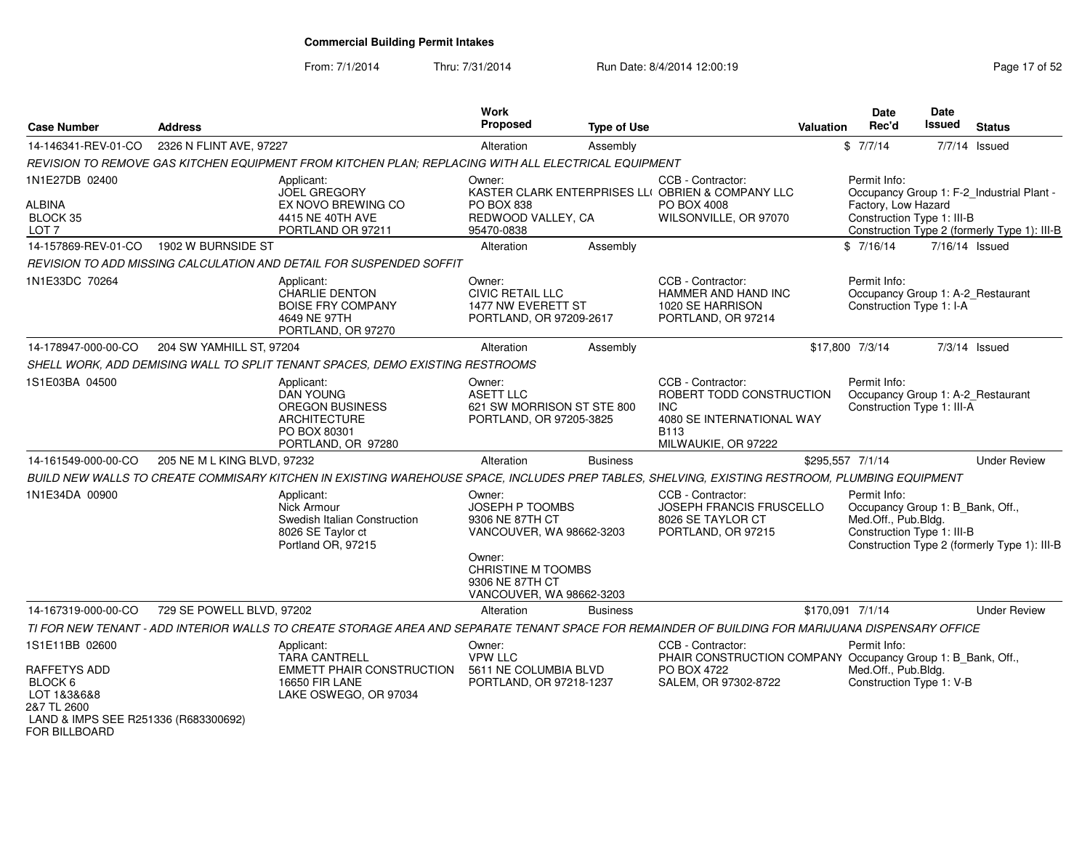From: 7/1/2014

Thru: 7/31/2014 Run Date: 8/4/2014 12:00:19 Rege 17 of 52

| <b>Case Number</b>                                                   | <b>Address</b>              |                                                                                                                                                   | <b>Work</b><br><b>Proposed</b>                                                                                              | <b>Type of Use</b> |                                                                                                                         | Valuation | Date<br>Rec'd                                                                                         | <b>Date</b><br><b>Issued</b> | <b>Status</b>                                                                             |
|----------------------------------------------------------------------|-----------------------------|---------------------------------------------------------------------------------------------------------------------------------------------------|-----------------------------------------------------------------------------------------------------------------------------|--------------------|-------------------------------------------------------------------------------------------------------------------------|-----------|-------------------------------------------------------------------------------------------------------|------------------------------|-------------------------------------------------------------------------------------------|
| 14-146341-REV-01-CO                                                  | 2326 N FLINT AVE, 97227     |                                                                                                                                                   | Alteration                                                                                                                  | Assembly           |                                                                                                                         |           | \$7/7/14                                                                                              |                              | 7/7/14 Issued                                                                             |
|                                                                      |                             | REVISION TO REMOVE GAS KITCHEN EQUIPMENT FROM KITCHEN PLAN; REPLACING WITH ALL ELECTRICAL EQUIPMENT                                               |                                                                                                                             |                    |                                                                                                                         |           |                                                                                                       |                              |                                                                                           |
| 1N1E27DB 02400<br><b>ALBINA</b><br>BLOCK 35<br>LOT <sub>7</sub>      |                             | Applicant:<br><b>JOEL GREGORY</b><br>EX NOVO BREWING CO<br>4415 NE 40TH AVE<br>PORTLAND OR 97211                                                  | Owner:<br>PO BOX 838<br>REDWOOD VALLEY, CA<br>95470-0838                                                                    |                    | CCB - Contractor:<br>KASTER CLARK ENTERPRISES LLI OBRIEN & COMPANY LLC<br>PO BOX 4008<br>WILSONVILLE, OR 97070          |           | Permit Info:<br>Factory, Low Hazard<br>Construction Type 1: III-B                                     |                              | Occupancy Group 1: F-2_Industrial Plant -<br>Construction Type 2 (formerly Type 1): III-B |
| 14-157869-REV-01-CO                                                  | 1902 W BURNSIDE ST          |                                                                                                                                                   | Alteration                                                                                                                  | Assembly           |                                                                                                                         |           | \$7/16/14                                                                                             | 7/16/14 Issued               |                                                                                           |
|                                                                      |                             | REVISION TO ADD MISSING CALCULATION AND DETAIL FOR SUSPENDED SOFFIT                                                                               |                                                                                                                             |                    |                                                                                                                         |           |                                                                                                       |                              |                                                                                           |
| 1N1E33DC 70264                                                       |                             | Applicant:<br><b>CHARLIE DENTON</b><br><b>BOISE FRY COMPANY</b><br>4649 NE 97TH<br>PORTLAND, OR 97270                                             | Owner:<br><b>CIVIC RETAIL LLC</b><br>1477 NW EVERETT ST<br>PORTLAND, OR 97209-2617                                          |                    | CCB - Contractor:<br>HAMMER AND HAND INC<br>1020 SE HARRISON<br>PORTLAND, OR 97214                                      |           | Permit Info:<br>Occupancy Group 1: A-2_Restaurant<br>Construction Type 1: I-A                         |                              |                                                                                           |
| 14-178947-000-00-CO                                                  | 204 SW YAMHILL ST, 97204    |                                                                                                                                                   | Alteration                                                                                                                  | Assembly           |                                                                                                                         |           | \$17,800 7/3/14                                                                                       |                              | $7/3/14$ Issued                                                                           |
|                                                                      |                             | SHELL WORK, ADD DEMISING WALL TO SPLIT TENANT SPACES, DEMO EXISTING RESTROOMS                                                                     |                                                                                                                             |                    |                                                                                                                         |           |                                                                                                       |                              |                                                                                           |
| 1S1E03BA 04500                                                       |                             | Applicant:<br><b>DAN YOUNG</b><br><b>OREGON BUSINESS</b><br><b>ARCHITECTURE</b><br>PO BOX 80301<br>PORTLAND, OR 97280                             | Owner:<br><b>ASETT LLC</b><br>621 SW MORRISON ST STE 800<br>PORTLAND, OR 97205-3825                                         |                    | CCB - Contractor:<br>ROBERT TODD CONSTRUCTION<br><b>INC</b><br>4080 SE INTERNATIONAL WAY<br>B113<br>MILWAUKIE, OR 97222 |           | Permit Info:<br>Occupancy Group 1: A-2_Restaurant<br>Construction Type 1: III-A                       |                              |                                                                                           |
| 14-161549-000-00-CO                                                  | 205 NE M L KING BLVD, 97232 |                                                                                                                                                   | Alteration                                                                                                                  | <b>Business</b>    |                                                                                                                         |           | \$295,557 7/1/14                                                                                      |                              | <b>Under Review</b>                                                                       |
|                                                                      |                             | BUILD NEW WALLS TO CREATE COMMISARY KITCHEN IN EXISTING WAREHOUSE SPACE, INCLUDES PREP TABLES, SHELVING, EXISTING RESTROOM, PLUMBING EQUIPMENT    |                                                                                                                             |                    |                                                                                                                         |           |                                                                                                       |                              |                                                                                           |
| 1N1E34DA 00900                                                       |                             | Applicant:<br>Nick Armour<br>Swedish Italian Construction<br>8026 SE Taylor ct<br>Portland OR, 97215                                              | Owner:<br>JOSEPH P TOOMBS<br>9306 NE 87TH CT<br>VANCOUVER, WA 98662-3203<br>Owner:<br>CHRISTINE M TOOMBS<br>9306 NE 87TH CT |                    | CCB - Contractor:<br>JOSEPH FRANCIS FRUSCELLO<br>8026 SE TAYLOR CT<br>PORTLAND, OR 97215                                |           | Permit Info:<br>Occupancy Group 1: B_Bank, Off.,<br>Med.Off., Pub.Bldg.<br>Construction Type 1: III-B |                              | Construction Type 2 (formerly Type 1): III-B                                              |
|                                                                      | 729 SE POWELL BLVD, 97202   |                                                                                                                                                   | VANCOUVER, WA 98662-3203                                                                                                    |                    |                                                                                                                         |           | \$170,091 7/1/14                                                                                      |                              | <b>Under Review</b>                                                                       |
| 14-167319-000-00-CO                                                  |                             | TI FOR NEW TENANT - ADD INTERIOR WALLS TO CREATE STORAGE AREA AND SEPARATE TENANT SPACE FOR REMAINDER OF BUILDING FOR MARIJUANA DISPENSARY OFFICE | Alteration                                                                                                                  | <b>Business</b>    |                                                                                                                         |           |                                                                                                       |                              |                                                                                           |
| 1S1E11BB 02600<br>RAFFETYS ADD<br>BLOCK 6<br>LOT 1&3&6&8             |                             | Applicant:<br><b>TARA CANTRELL</b><br><b>EMMETT PHAIR CONSTRUCTION</b><br><b>16650 FIR LANE</b><br>LAKE OSWEGO, OR 97034                          | Owner:<br><b>VPW LLC</b><br>5611 NE COLUMBIA BLVD<br>PORTLAND, OR 97218-1237                                                |                    | CCB - Contractor:<br>PHAIR CONSTRUCTION COMPANY Occupancy Group 1: B_Bank, Off.,<br>PO BOX 4722<br>SALEM, OR 97302-8722 |           | Permit Info:<br>Med.Off., Pub.Bldg.<br>Construction Type 1: V-B                                       |                              |                                                                                           |
| 2&7 TL 2600<br>LAND & IMPS SEE R251336 (R683300692)<br>FOR BILLBOARD |                             |                                                                                                                                                   |                                                                                                                             |                    |                                                                                                                         |           |                                                                                                       |                              |                                                                                           |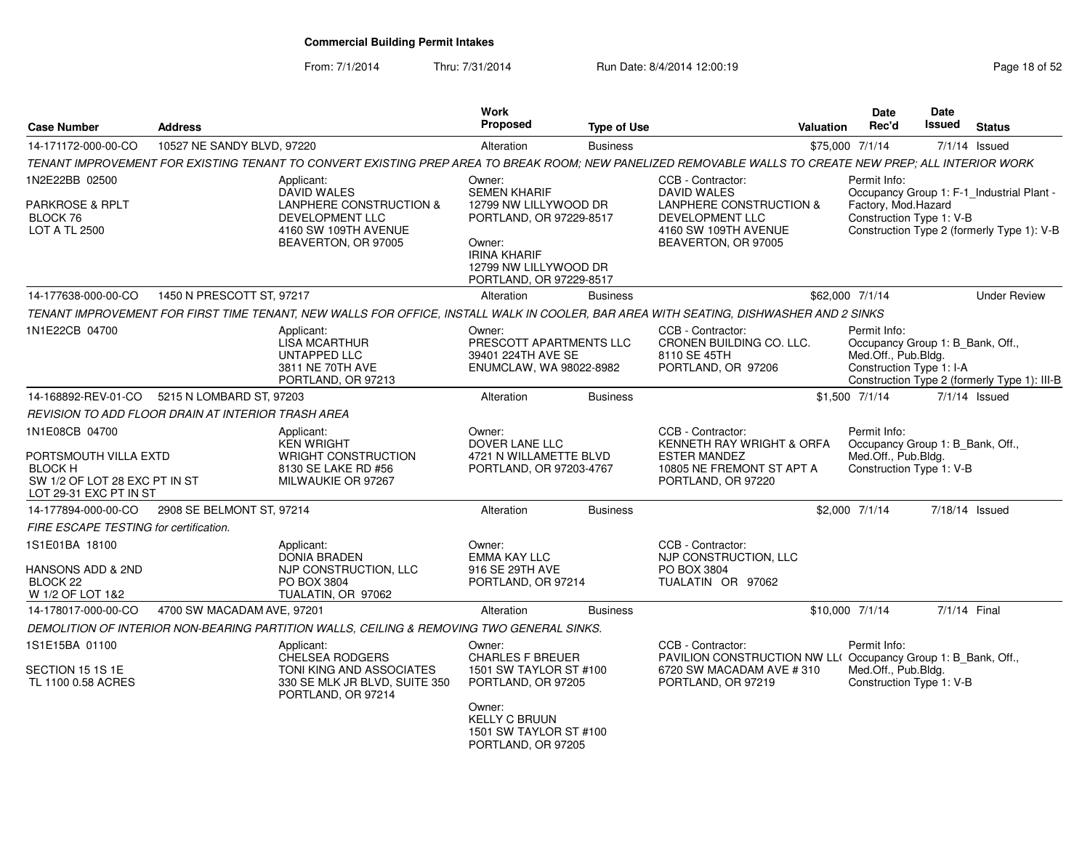From: 7/1/2014Thru: 7/31/2014 Run Date: 8/4/2014 12:00:19 Research 2010 Page 18 of 52

| <b>Case Number</b>                                                                                                   | <b>Address</b>             |                                                                                                                                                         | Work<br>Proposed                                                                                                                      | <b>Type of Use</b> |                                                                                                                                      | <b>Valuation</b> | <b>Date</b><br>Rec'd                                                                                | <b>Date</b><br><b>Issued</b> | <b>Status</b>                                |
|----------------------------------------------------------------------------------------------------------------------|----------------------------|---------------------------------------------------------------------------------------------------------------------------------------------------------|---------------------------------------------------------------------------------------------------------------------------------------|--------------------|--------------------------------------------------------------------------------------------------------------------------------------|------------------|-----------------------------------------------------------------------------------------------------|------------------------------|----------------------------------------------|
| 14-171172-000-00-CO                                                                                                  | 10527 NE SANDY BLVD, 97220 |                                                                                                                                                         | Alteration                                                                                                                            | <b>Business</b>    |                                                                                                                                      |                  | \$75,000 7/1/14                                                                                     |                              | $7/1/14$ Issued                              |
|                                                                                                                      |                            | TENANT IMPROVEMENT FOR EXISTING TENANT TO CONVERT EXISTING PREP AREA TO BREAK ROOM; NEW PANELIZED REMOVABLE WALLS TO CREATE NEW PREP; ALL INTERIOR WORK |                                                                                                                                       |                    |                                                                                                                                      |                  |                                                                                                     |                              |                                              |
| 1N2E22BB 02500                                                                                                       |                            | Applicant:<br><b>DAVID WALES</b>                                                                                                                        | Owner:<br>SEMEN KHARIF                                                                                                                |                    | CCB - Contractor:<br><b>DAVID WALES</b>                                                                                              |                  | Permit Info:                                                                                        |                              | Occupancy Group 1: F-1_Industrial Plant -    |
| PARKROSE & RPLT<br>BLOCK 76<br>LOT A TL 2500                                                                         |                            | LANPHERE CONSTRUCTION &<br>DEVELOPMENT LLC<br>4160 SW 109TH AVENUE<br>BEAVERTON, OR 97005                                                               | 12799 NW LILLYWOOD DR<br>PORTLAND, OR 97229-8517<br>Owner:<br><b>IRINA KHARIF</b><br>12799 NW LILLYWOOD DR<br>PORTLAND, OR 97229-8517 |                    | LANPHERE CONSTRUCTION &<br>DEVELOPMENT LLC<br>4160 SW 109TH AVENUE<br>BEAVERTON, OR 97005                                            |                  | Factory, Mod.Hazard<br>Construction Type 1: V-B                                                     |                              | Construction Type 2 (formerly Type 1): V-B   |
| 14-177638-000-00-CO                                                                                                  | 1450 N PRESCOTT ST, 97217  |                                                                                                                                                         | Alteration                                                                                                                            | <b>Business</b>    |                                                                                                                                      |                  | \$62,000 7/1/14                                                                                     |                              | <b>Under Review</b>                          |
|                                                                                                                      |                            | TENANT IMPROVEMENT FOR FIRST TIME TENANT, NEW WALLS FOR OFFICE, INSTALL WALK IN COOLER, BAR AREA WITH SEATING, DISHWASHER AND 2 SINKS                   |                                                                                                                                       |                    |                                                                                                                                      |                  |                                                                                                     |                              |                                              |
| 1N1E22CB 04700                                                                                                       |                            | Applicant:<br><b>LISA MCARTHUR</b><br>UNTAPPED LLC<br>3811 NE 70TH AVE<br>PORTLAND, OR 97213                                                            | Owner:<br>PRESCOTT APARTMENTS LLC<br>39401 224TH AVE SE<br>ENUMCLAW, WA 98022-8982                                                    |                    | CCB - Contractor:<br>CRONEN BUILDING CO. LLC.<br>8110 SE 45TH<br>PORTLAND, OR 97206                                                  |                  | Permit Info:<br>Occupancy Group 1: B_Bank, Off.,<br>Med.Off., Pub.Bldg.<br>Construction Type 1: I-A |                              | Construction Type 2 (formerly Type 1): III-B |
| 14-168892-REV-01-CO                                                                                                  | 5215 N LOMBARD ST, 97203   |                                                                                                                                                         | Alteration                                                                                                                            | <b>Business</b>    |                                                                                                                                      |                  | \$1,500 7/1/14                                                                                      |                              | $7/1/14$ Issued                              |
| REVISION TO ADD FLOOR DRAIN AT INTERIOR TRASH AREA                                                                   |                            |                                                                                                                                                         |                                                                                                                                       |                    |                                                                                                                                      |                  |                                                                                                     |                              |                                              |
| 1N1E08CB 04700<br>PORTSMOUTH VILLA EXTD<br><b>BLOCK H</b><br>SW 1/2 OF LOT 28 EXC PT IN ST<br>LOT 29-31 EXC PT IN ST |                            | Applicant:<br><b>KEN WRIGHT</b><br><b>WRIGHT CONSTRUCTION</b><br>8130 SE LAKE RD #56<br>MILWAUKIE OR 97267                                              | Owner:<br>DOVER LANE LLC<br>4721 N WILLAMETTE BLVD<br>PORTLAND, OR 97203-4767                                                         |                    | CCB - Contractor:<br>KENNETH RAY WRIGHT & ORFA<br><b>ESTER MANDEZ</b><br>10805 NE FREMONT ST APT A<br>PORTLAND, OR 97220             |                  | Permit Info:<br>Occupancy Group 1: B_Bank, Off.,<br>Med.Off., Pub.Bldg.<br>Construction Type 1: V-B |                              |                                              |
| 14-177894-000-00-CO                                                                                                  | 2908 SE BELMONT ST, 97214  |                                                                                                                                                         | Alteration                                                                                                                            | <b>Business</b>    |                                                                                                                                      |                  | \$2,000 7/1/14                                                                                      |                              | 7/18/14 Issued                               |
| FIRE ESCAPE TESTING for certification.                                                                               |                            |                                                                                                                                                         |                                                                                                                                       |                    |                                                                                                                                      |                  |                                                                                                     |                              |                                              |
| 1S1E01BA 18100<br>HANSONS ADD & 2ND<br>BLOCK <sub>22</sub><br>W 1/2 OF LOT 1&2                                       |                            | Applicant:<br><b>DONIA BRADEN</b><br>NJP CONSTRUCTION, LLC<br>PO BOX 3804<br>TUALATIN, OR 97062                                                         | Owner:<br>EMMA KAY LLC<br>916 SE 29TH AVE<br>PORTLAND, OR 97214                                                                       |                    | CCB - Contractor:<br>NJP CONSTRUCTION, LLC<br>PO BOX 3804<br>TUALATIN OR 97062                                                       |                  |                                                                                                     |                              |                                              |
| 14-178017-000-00-CO                                                                                                  | 4700 SW MACADAM AVE, 97201 |                                                                                                                                                         | Alteration                                                                                                                            | <b>Business</b>    |                                                                                                                                      |                  | \$10,000 7/1/14                                                                                     |                              | 7/1/14 Final                                 |
|                                                                                                                      |                            | DEMOLITION OF INTERIOR NON-BEARING PARTITION WALLS, CEILING & REMOVING TWO GENERAL SINKS.                                                               |                                                                                                                                       |                    |                                                                                                                                      |                  |                                                                                                     |                              |                                              |
| 1S1E15BA 01100<br>SECTION 15 1S 1E<br>TL 1100 0.58 ACRES                                                             |                            | Applicant:<br><b>CHELSEA RODGERS</b><br>TONI KING AND ASSOCIATES<br>330 SE MLK JR BLVD, SUITE 350<br>PORTLAND, OR 97214                                 | Owner:<br><b>CHARLES F BREUER</b><br>1501 SW TAYLOR ST #100<br>PORTLAND, OR 97205<br>Owner:                                           |                    | CCB - Contractor:<br>PAVILION CONSTRUCTION NW LL( Occupancy Group 1: B_Bank, Off.,<br>6720 SW MACADAM AVE #310<br>PORTLAND, OR 97219 |                  | Permit Info:<br>Med.Off., Pub.Bldg.<br>Construction Type 1: V-B                                     |                              |                                              |
|                                                                                                                      |                            |                                                                                                                                                         | <b>KELLY C BRUUN</b><br>1501 SW TAYLOR ST #100<br>PORTLAND, OR 97205                                                                  |                    |                                                                                                                                      |                  |                                                                                                     |                              |                                              |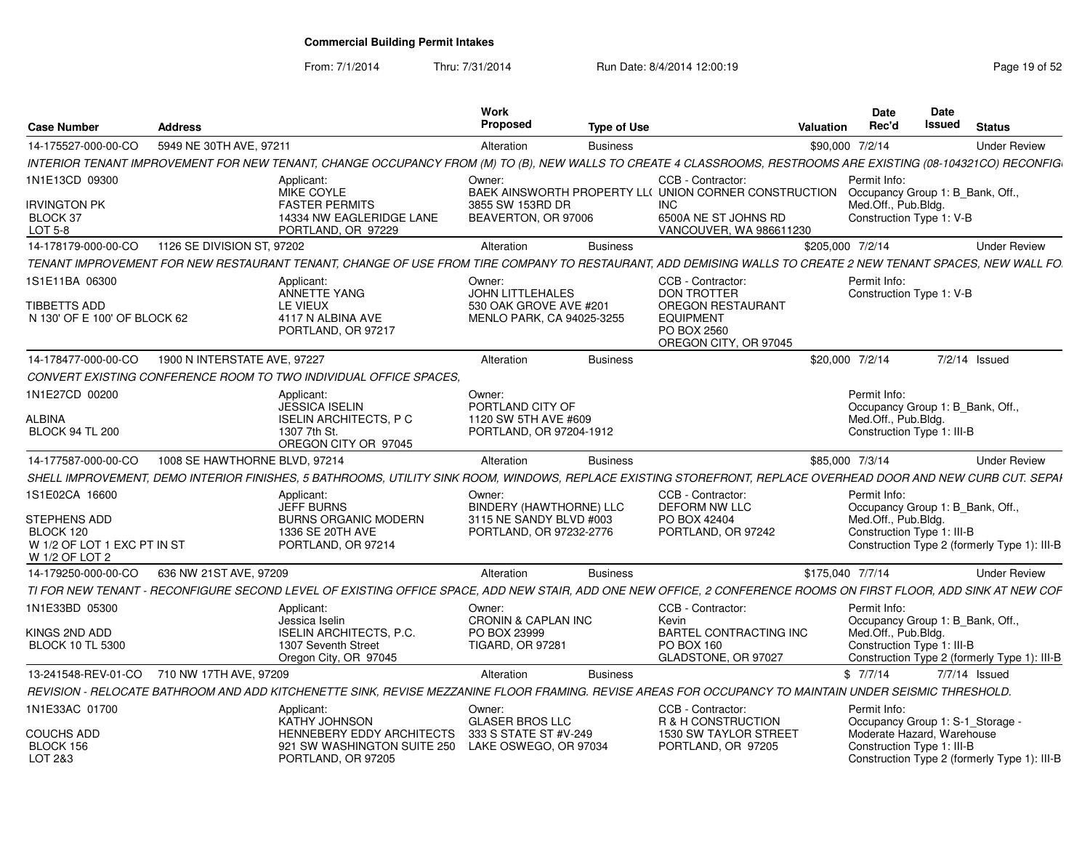From: 7/1/2014

Thru: 7/31/2014 Run Date: 8/4/2014 12:00:19 Research 2010 19:00:19

| <b>Case Number</b>                            | Address                                    |                                                                                                                                                                  | Work<br>Proposed                                          | Type of Use     |                                                                               | Valuation        | Date<br>Rec'd                                            | Date<br>Issued | <b>Status</b> |                                              |
|-----------------------------------------------|--------------------------------------------|------------------------------------------------------------------------------------------------------------------------------------------------------------------|-----------------------------------------------------------|-----------------|-------------------------------------------------------------------------------|------------------|----------------------------------------------------------|----------------|---------------|----------------------------------------------|
| 14-175527-000-00-CO                           | 5949 NE 30TH AVE, 97211                    |                                                                                                                                                                  | Alteration                                                | <b>Business</b> |                                                                               | \$90,000 7/2/14  |                                                          |                |               | <b>Under Review</b>                          |
|                                               |                                            | INTERIOR TENANT IMPROVEMENT FOR NEW TENANT, CHANGE OCCUPANCY FROM (M) TO (B), NEW WALLS TO CREATE 4 CLASSROOMS, RESTROOMS ARE EXISTING (08-104321CO) RECONFIG    |                                                           |                 |                                                                               |                  |                                                          |                |               |                                              |
| 1N1E13CD 09300                                |                                            | Applicant:<br><b>MIKE COYLE</b>                                                                                                                                  | Owner:                                                    |                 | CCB - Contractor:<br>BAEK AINSWORTH PROPERTY LL( UNION CORNER CONSTRUCTION    |                  | Permit Info:<br>Occupancy Group 1: B_Bank, Off.          |                |               |                                              |
| <b>IRVINGTON PK</b><br>BLOCK 37<br>LOT 5-8    |                                            | <b>FASTER PERMITS</b><br>14334 NW EAGLERIDGE LANE<br>PORTLAND, OR 97229                                                                                          | 3855 SW 153RD DR<br>BEAVERTON, OR 97006                   |                 | INC<br>6500A NE ST JOHNS RD<br>VANCOUVER, WA 986611230                        |                  | Med.Off., Pub.Bldg.<br>Construction Type 1: V-B          |                |               |                                              |
| 14-178179-000-00-CO                           | 1126 SE DIVISION ST, 97202                 |                                                                                                                                                                  | Alteration                                                | <b>Business</b> |                                                                               | \$205,000 7/2/14 |                                                          |                |               | <b>Under Review</b>                          |
|                                               |                                            | TENANT IMPROVEMENT FOR NEW RESTAURANT TENANT. CHANGE OF USE FROM TIRE COMPANY TO RESTAURANT. ADD DEMISING WALLS TO CREATE 2 NEW TENANT SPACES. NEW WALL FO.      |                                                           |                 |                                                                               |                  |                                                          |                |               |                                              |
| 1S1E11BA 06300                                |                                            | Applicant:<br>ANNETTE YANG                                                                                                                                       | Owner:<br>JOHN LITTLEHALES                                |                 | CCB - Contractor:<br><b>DON TROTTER</b>                                       |                  | Permit Info:<br>Construction Type 1: V-B                 |                |               |                                              |
| TIBBETTS ADD<br>N 130' OF E 100' OF BLOCK 62  |                                            | LE VIEUX<br>4117 N ALBINA AVE<br>PORTLAND, OR 97217                                                                                                              | 530 OAK GROVE AVE #201<br>MENLO PARK, CA 94025-3255       |                 | OREGON RESTAURANT<br><b>EQUIPMENT</b><br>PO BOX 2560<br>OREGON CITY, OR 97045 |                  |                                                          |                |               |                                              |
| 14-178477-000-00-CO                           | 1900 N INTERSTATE AVE, 97227               |                                                                                                                                                                  | Alteration                                                | <b>Business</b> |                                                                               | \$20,000 7/2/14  |                                                          |                | 7/2/14 Issued |                                              |
|                                               |                                            | CONVERT EXISTING CONFERENCE ROOM TO TWO INDIVIDUAL OFFICE SPACES.                                                                                                |                                                           |                 |                                                                               |                  |                                                          |                |               |                                              |
| 1N1E27CD 00200                                |                                            | Applicant:                                                                                                                                                       | Owner:                                                    |                 |                                                                               |                  | Permit Info:                                             |                |               |                                              |
|                                               |                                            | <b>JESSICA ISELIN</b>                                                                                                                                            | PORTLAND CITY OF                                          |                 |                                                                               |                  | Occupancy Group 1: B_Bank, Off.                          |                |               |                                              |
| ALBINA<br><b>BLOCK 94 TL 200</b>              |                                            | <b>ISELIN ARCHITECTS, P C</b><br>1307 7th St.<br>OREGON CITY OR 97045                                                                                            | 1120 SW 5TH AVE #609<br>PORTLAND, OR 97204-1912           |                 |                                                                               |                  | Med.Off., Pub.Bldg.<br>Construction Type 1: III-B        |                |               |                                              |
| 14-177587-000-00-CO                           | 1008 SE HAWTHORNE BLVD, 97214              |                                                                                                                                                                  | Alteration                                                | <b>Business</b> |                                                                               | \$85,000 7/3/14  |                                                          |                |               | <b>Under Review</b>                          |
|                                               |                                            | SHELL IMPROVEMENT. DEMO INTERIOR FINISHES. 5 BATHROOMS. UTILITY SINK ROOM. WINDOWS. REPLACE EXISTING STOREFRONT. REPLACE OVERHEAD DOOR AND NEW CURB CUT. SEPAI   |                                                           |                 |                                                                               |                  |                                                          |                |               |                                              |
| 1S1E02CA 16600                                |                                            | Applicant:                                                                                                                                                       | Owner:                                                    |                 | CCB - Contractor:                                                             |                  | Permit Info:                                             |                |               |                                              |
| <b>STEPHENS ADD</b>                           |                                            | <b>JEFF BURNS</b><br><b>BURNS ORGANIC MODERN</b>                                                                                                                 | <b>BINDERY (HAWTHORNE) LLC</b><br>3115 NE SANDY BLVD #003 |                 | DEFORM NW LLC<br>PO BOX 42404                                                 |                  | Occupancy Group 1: B_Bank, Off.<br>Med.Off., Pub.Blda.   |                |               |                                              |
| BLOCK 120                                     |                                            | 1336 SE 20TH AVE                                                                                                                                                 | PORTLAND, OR 97232-2776                                   |                 | PORTLAND, OR 97242                                                            |                  | Construction Type 1: III-B                               |                |               |                                              |
| W 1/2 OF LOT 1 EXC PT IN ST<br>W 1/2 OF LOT 2 |                                            | PORTLAND, OR 97214                                                                                                                                               |                                                           |                 |                                                                               |                  |                                                          |                |               | Construction Type 2 (formerly Type 1): III-B |
| 14-179250-000-00-CO                           | 636 NW 21ST AVE, 97209                     |                                                                                                                                                                  | Alteration                                                | <b>Business</b> |                                                                               | \$175.040 7/7/14 |                                                          |                |               | <b>Under Review</b>                          |
|                                               |                                            | TI FOR NEW TENANT - RECONFIGURE SECOND LEVEL OF EXISTING OFFICE SPACE, ADD NEW STAIR, ADD ONE NEW OFFICE, 2 CONFERENCE ROOMS ON FIRST FLOOR, ADD SINK AT NEW COF |                                                           |                 |                                                                               |                  |                                                          |                |               |                                              |
| 1N1E33BD 05300                                |                                            | Applicant:                                                                                                                                                       | Owner:                                                    |                 | CCB - Contractor:                                                             |                  | Permit Info:                                             |                |               |                                              |
|                                               |                                            | Jessica Iselin                                                                                                                                                   | CRONIN & CAPLAN INC                                       |                 | Kevin                                                                         |                  | Occupancy Group 1: B Bank, Off.<br>Med.Off., Pub.Bldg.   |                |               |                                              |
| KINGS 2ND ADD<br><b>BLOCK 10 TL 5300</b>      |                                            | <b>ISELIN ARCHITECTS, P.C.</b><br>1307 Seventh Street                                                                                                            | PO BOX 23999<br><b>TIGARD, OR 97281</b>                   |                 | BARTEL CONTRACTING INC<br>PO BOX 160                                          |                  | Construction Type 1: III-B                               |                |               |                                              |
|                                               |                                            | Oregon City, OR 97045                                                                                                                                            |                                                           |                 | GLADSTONE, OR 97027                                                           |                  |                                                          |                |               | Construction Type 2 (formerly Type 1): III-B |
|                                               | 13-241548-REV-01-CO 710 NW 17TH AVE, 97209 |                                                                                                                                                                  | Alteration                                                | <b>Business</b> |                                                                               |                  | \$7/7/14                                                 |                | 7/7/14 Issued |                                              |
|                                               |                                            | REVISION - RELOCATE BATHROOM AND ADD KITCHENETTE SINK, REVISE MEZZANINE FLOOR FRAMING. REVISE AREAS FOR OCCUPANCY TO MAINTAIN UNDER SEISMIC THRESHOLD.           |                                                           |                 |                                                                               |                  |                                                          |                |               |                                              |
| 1N1E33AC 01700                                |                                            | Applicant:                                                                                                                                                       | Owner:                                                    |                 | CCB - Contractor:                                                             |                  | Permit Info:                                             |                |               |                                              |
|                                               |                                            | <b>KATHY JOHNSON</b>                                                                                                                                             | <b>GLASER BROS LLC</b>                                    |                 | R & H CONSTRUCTION                                                            |                  | Occupancy Group 1: S-1 Storage -                         |                |               |                                              |
| <b>COUCHS ADD</b><br>BLOCK 156                |                                            | <b>HENNEBERY EDDY ARCHITECTS</b><br>921 SW WASHINGTON SUITE 250                                                                                                  | 333 S STATE ST #V-249<br>LAKE OSWEGO, OR 97034            |                 | 1530 SW TAYLOR STREET<br>PORTLAND, OR 97205                                   |                  | Moderate Hazard, Warehouse<br>Construction Type 1: III-B |                |               |                                              |
| LOT 2&3                                       |                                            | PORTLAND, OR 97205                                                                                                                                               |                                                           |                 |                                                                               |                  |                                                          |                |               | Construction Type 2 (formerly Type 1): III-B |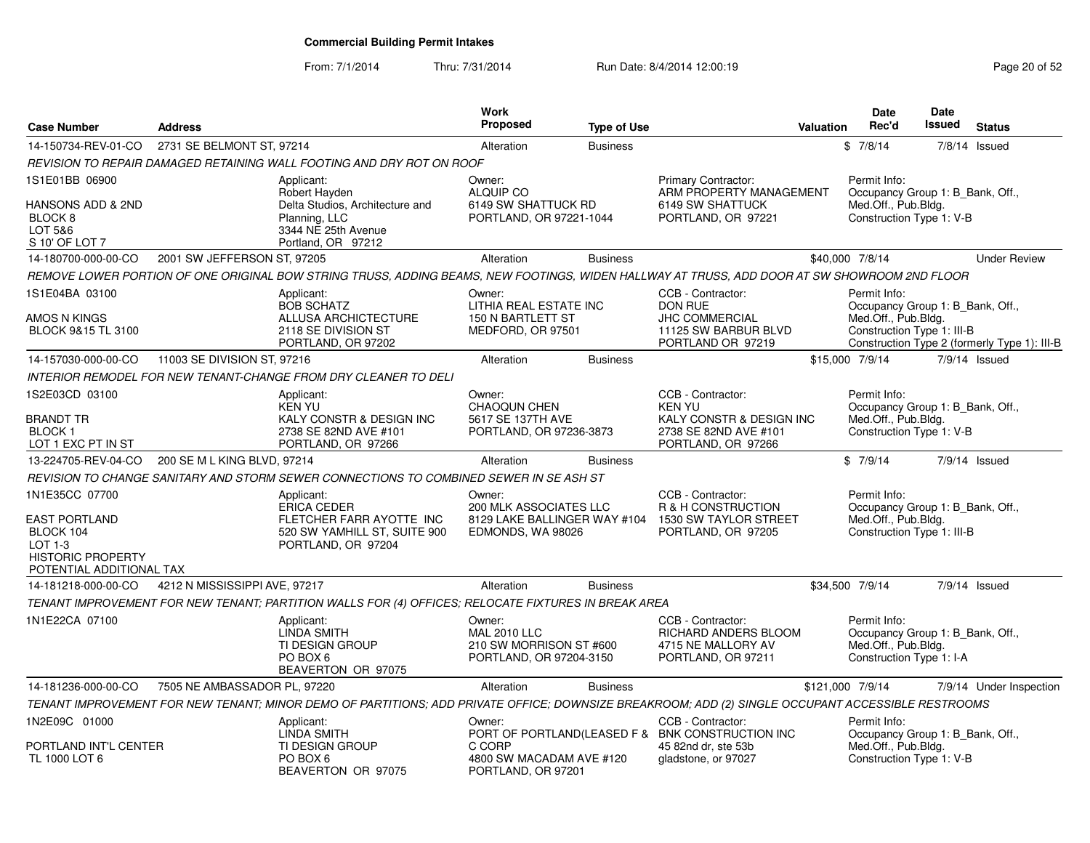From: 7/1/2014Thru: 7/31/2014 Run Date: 8/4/2014 12:00:19 Research 20 of 52

| <b>Case Number</b>                                                                                                | <b>Address</b>                |                                                                                                                                                   | <b>Work</b><br><b>Proposed</b>                                                        | <b>Type of Use</b> |                                                                                                                     | Valuation        | <b>Date</b><br>Rec'd                                                                                  | <b>Date</b><br>Issued | <b>Status</b>                                |
|-------------------------------------------------------------------------------------------------------------------|-------------------------------|---------------------------------------------------------------------------------------------------------------------------------------------------|---------------------------------------------------------------------------------------|--------------------|---------------------------------------------------------------------------------------------------------------------|------------------|-------------------------------------------------------------------------------------------------------|-----------------------|----------------------------------------------|
| 14-150734-REV-01-CO                                                                                               | 2731 SE BELMONT ST, 97214     |                                                                                                                                                   | Alteration                                                                            | <b>Business</b>    |                                                                                                                     |                  | \$7/8/14                                                                                              |                       | 7/8/14 Issued                                |
|                                                                                                                   |                               | REVISION TO REPAIR DAMAGED RETAINING WALL FOOTING AND DRY ROT ON ROOF                                                                             |                                                                                       |                    |                                                                                                                     |                  |                                                                                                       |                       |                                              |
| 1S1E01BB 06900<br>HANSONS ADD & 2ND<br>BLOCK <sub>8</sub><br>LOT 5&6<br>S 10' OF LOT 7                            |                               | Applicant:<br>Robert Hayden<br>Delta Studios, Architecture and<br>Planning, LLC<br>3344 NE 25th Avenue<br>Portland, OR 97212                      | Owner:<br>ALQUIP CO<br>6149 SW SHATTUCK RD<br>PORTLAND, OR 97221-1044                 |                    | Primary Contractor:<br>ARM PROPERTY MANAGEMENT<br>6149 SW SHATTUCK<br>PORTLAND, OR 97221                            |                  | Permit Info:<br>Occupancy Group 1: B_Bank, Off.,<br>Med.Off., Pub.Bldg.<br>Construction Type 1: V-B   |                       |                                              |
| 14-180700-000-00-CO                                                                                               | 2001 SW JEFFERSON ST, 97205   |                                                                                                                                                   | Alteration                                                                            | <b>Business</b>    |                                                                                                                     |                  | \$40,000 7/8/14                                                                                       |                       | <b>Under Review</b>                          |
|                                                                                                                   |                               | REMOVE LOWER PORTION OF ONE ORIGINAL BOW STRING TRUSS, ADDING BEAMS, NEW FOOTINGS, WIDEN HALLWAY AT TRUSS, ADD DOOR AT SW SHOWROOM 2ND FLOOR      |                                                                                       |                    |                                                                                                                     |                  |                                                                                                       |                       |                                              |
| 1S1E04BA 03100<br>AMOS N KINGS<br>BLOCK 9&15 TL 3100                                                              |                               | Applicant:<br><b>BOB SCHATZ</b><br>ALLUSA ARCHICTECTURE<br>2118 SE DIVISION ST<br>PORTLAND, OR 97202                                              | Owner:<br>LITHIA REAL ESTATE INC<br>150 N BARTLETT ST<br>MEDFORD, OR 97501            |                    | CCB - Contractor:<br>DON RUE<br><b>JHC COMMERCIAL</b><br>11125 SW BARBUR BLVD<br>PORTLAND OR 97219                  |                  | Permit Info:<br>Occupancy Group 1: B_Bank, Off.,<br>Med.Off., Pub.Bldg.<br>Construction Type 1: III-B |                       | Construction Type 2 (formerly Type 1): III-B |
| 14-157030-000-00-CO                                                                                               | 11003 SE DIVISION ST, 97216   |                                                                                                                                                   | Alteration                                                                            | <b>Business</b>    |                                                                                                                     |                  | \$15,000 7/9/14                                                                                       |                       | 7/9/14 Issued                                |
|                                                                                                                   |                               | INTERIOR REMODEL FOR NEW TENANT-CHANGE FROM DRY CLEANER TO DELI                                                                                   |                                                                                       |                    |                                                                                                                     |                  |                                                                                                       |                       |                                              |
| 1S2E03CD 03100<br>BRANDT TR<br><b>BLOCK1</b><br>LOT 1 EXC PT IN ST                                                |                               | Applicant:<br><b>KEN YU</b><br>KALY CONSTR & DESIGN INC<br>2738 SE 82ND AVE #101<br>PORTLAND, OR 97266                                            | Owner:<br><b>CHAOQUN CHEN</b><br>5617 SE 137TH AVE<br>PORTLAND, OR 97236-3873         |                    | CCB - Contractor:<br><b>KEN YU</b><br>KALY CONSTR & DESIGN INC<br>2738 SE 82ND AVE #101<br>PORTLAND, OR 97266       |                  | Permit Info:<br>Occupancy Group 1: B_Bank, Off.,<br>Med.Off., Pub.Bldg.<br>Construction Type 1: V-B   |                       |                                              |
| 13-224705-REV-04-CO                                                                                               | 200 SE M L KING BLVD, 97214   |                                                                                                                                                   | Alteration                                                                            | <b>Business</b>    |                                                                                                                     |                  | \$7/9/14                                                                                              |                       | $7/9/14$ Issued                              |
|                                                                                                                   |                               | REVISION TO CHANGE SANITARY AND STORM SEWER CONNECTIONS TO COMBINED SEWER IN SE ASH ST                                                            |                                                                                       |                    |                                                                                                                     |                  |                                                                                                       |                       |                                              |
| 1N1E35CC 07700<br>EAST PORTLAND<br>BLOCK 104<br>$LOT 1-3$<br><b>HISTORIC PROPERTY</b><br>POTENTIAL ADDITIONAL TAX |                               | Applicant:<br><b>ERICA CEDER</b><br>FLETCHER FARR AYOTTE INC<br>520 SW YAMHILL ST, SUITE 900<br>PORTLAND, OR 97204                                | Owner:<br>200 MLK ASSOCIATES LLC<br>8129 LAKE BALLINGER WAY #104<br>EDMONDS, WA 98026 |                    | CCB - Contractor:<br>R & H CONSTRUCTION<br>1530 SW TAYLOR STREET<br>PORTLAND, OR 97205                              |                  | Permit Info:<br>Occupancy Group 1: B Bank, Off.,<br>Med.Off., Pub.Bldg.<br>Construction Type 1: III-B |                       |                                              |
| 14-181218-000-00-CO                                                                                               | 4212 N MISSISSIPPI AVE, 97217 |                                                                                                                                                   | Alteration                                                                            | <b>Business</b>    |                                                                                                                     |                  | \$34,500 7/9/14                                                                                       |                       | $7/9/14$ Issued                              |
|                                                                                                                   |                               | TENANT IMPROVEMENT FOR NEW TENANT; PARTITION WALLS FOR (4) OFFICES; RELOCATE FIXTURES IN BREAK AREA                                               |                                                                                       |                    |                                                                                                                     |                  |                                                                                                       |                       |                                              |
| 1N1E22CA 07100                                                                                                    |                               | Applicant:<br><b>LINDA SMITH</b><br><b>TI DESIGN GROUP</b><br>PO BOX 6<br>BEAVERTON OR 97075                                                      | Owner:<br><b>MAL 2010 LLC</b><br>210 SW MORRISON ST #600<br>PORTLAND, OR 97204-3150   |                    | CCB - Contractor:<br>RICHARD ANDERS BLOOM<br>4715 NE MALLORY AV<br>PORTLAND, OR 97211                               |                  | Permit Info:<br>Occupancy Group 1: B Bank, Off.,<br>Med.Off., Pub.Bldg.<br>Construction Type 1: I-A   |                       |                                              |
| 14-181236-000-00-CO                                                                                               | 7505 NE AMBASSADOR PL, 97220  |                                                                                                                                                   | Alteration                                                                            | <b>Business</b>    |                                                                                                                     | \$121,000 7/9/14 |                                                                                                       |                       | 7/9/14 Under Inspection                      |
|                                                                                                                   |                               | TENANT IMPROVEMENT FOR NEW TENANT; MINOR DEMO OF PARTITIONS; ADD PRIVATE OFFICE; DOWNSIZE BREAKROOM; ADD (2) SINGLE OCCUPANT ACCESSIBLE RESTROOMS |                                                                                       |                    |                                                                                                                     |                  |                                                                                                       |                       |                                              |
| 1N2E09C 01000<br>PORTLAND INT'L CENTER<br>TL 1000 LOT 6                                                           |                               | Applicant:<br><b>LINDA SMITH</b><br><b>TI DESIGN GROUP</b><br>PO BOX 6<br>BEAVERTON OR 97075                                                      | Owner:<br>C CORP<br>4800 SW MACADAM AVE #120<br>PORTLAND, OR 97201                    |                    | CCB - Contractor:<br>PORT OF PORTLAND(LEASED F & BNK CONSTRUCTION INC<br>45 82nd dr. ste 53b<br>gladstone, or 97027 |                  | Permit Info:<br>Occupancy Group 1: B Bank, Off.,<br>Med.Off., Pub.Blda.<br>Construction Type 1: V-B   |                       |                                              |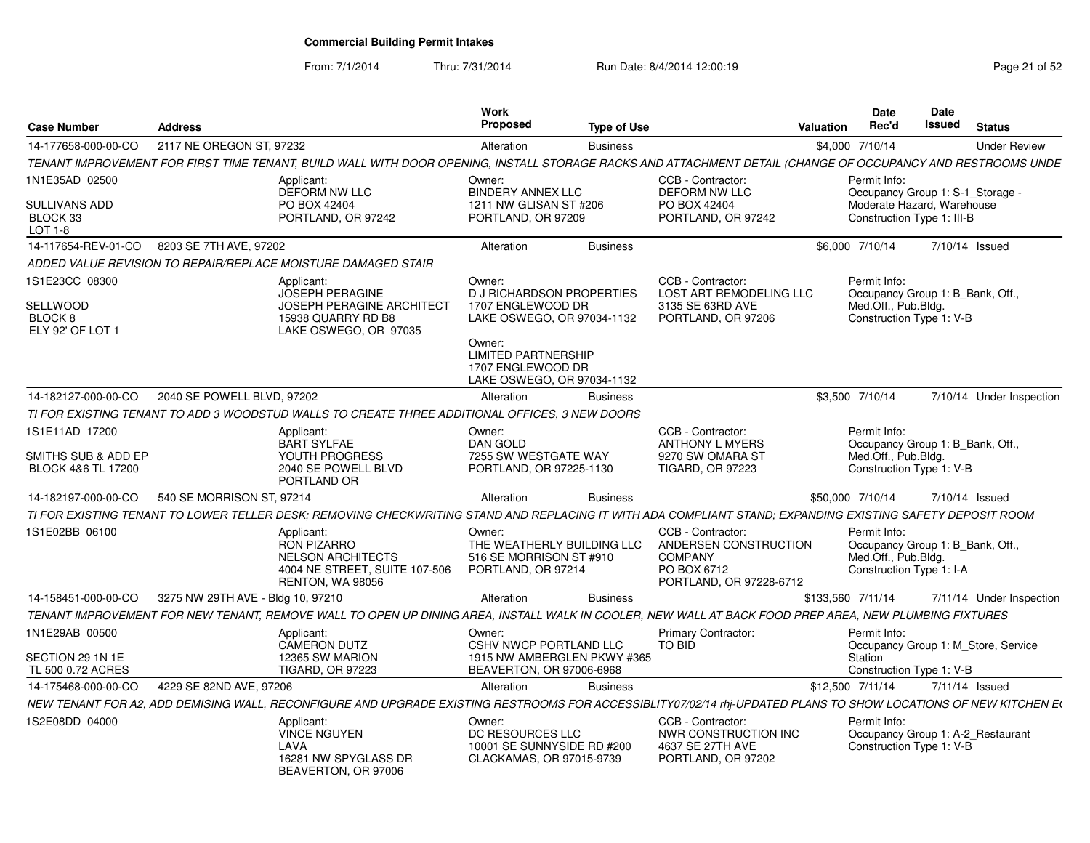From: 7/1/2014

Thru: 7/31/2014 Run Date: 8/4/2014 12:00:19 Research 2010 12:00:19

| <b>Case Number</b>                                          | <b>Address</b>                                                                                                                                                  | <b>Work</b><br>Proposed                                                                       | <b>Type of Use</b> |                                                                                                        | <b>Valuation</b>  | <b>Date</b><br>Rec'd                                                                                | Date<br><b>Issued</b> | <b>Status</b>                       |
|-------------------------------------------------------------|-----------------------------------------------------------------------------------------------------------------------------------------------------------------|-----------------------------------------------------------------------------------------------|--------------------|--------------------------------------------------------------------------------------------------------|-------------------|-----------------------------------------------------------------------------------------------------|-----------------------|-------------------------------------|
| 14-177658-000-00-CO                                         | 2117 NE OREGON ST, 97232                                                                                                                                        | Alteration                                                                                    | <b>Business</b>    |                                                                                                        |                   | \$4,000 7/10/14                                                                                     |                       | <b>Under Review</b>                 |
|                                                             | TENANT IMPROVEMENT FOR FIRST TIME TENANT, BUILD WALL WITH DOOR OPENING, INSTALL STORAGE RACKS AND ATTACHMENT DETAIL (CHANGE OF OCCUPANCY AND RESTROOMS UNDE.    |                                                                                               |                    |                                                                                                        |                   |                                                                                                     |                       |                                     |
| 1N1E35AD 02500                                              | Applicant:<br><b>DEFORM NW LLC</b>                                                                                                                              | Owner:<br><b>BINDERY ANNEX LLC</b>                                                            |                    | CCB - Contractor:<br><b>DEFORM NW LLC</b>                                                              |                   | Permit Info:<br>Occupancy Group 1: S-1_Storage -                                                    |                       |                                     |
| <b>SULLIVANS ADD</b><br>BLOCK 33<br>LOT 1-8                 | PO BOX 42404<br>PORTLAND, OR 97242                                                                                                                              | 1211 NW GLISAN ST #206<br>PORTLAND, OR 97209                                                  |                    | PO BOX 42404<br>PORTLAND, OR 97242                                                                     |                   | Moderate Hazard, Warehouse<br>Construction Type 1: III-B                                            |                       |                                     |
| 14-117654-REV-01-CO                                         | 8203 SE 7TH AVE, 97202                                                                                                                                          | Alteration                                                                                    | <b>Business</b>    |                                                                                                        |                   | \$6,000 7/10/14                                                                                     |                       | 7/10/14 Issued                      |
|                                                             | ADDED VALUE REVISION TO REPAIR/REPLACE MOISTURE DAMAGED STAIR                                                                                                   |                                                                                               |                    |                                                                                                        |                   |                                                                                                     |                       |                                     |
| 1S1E23CC 08300<br><b>SELLWOOD</b><br>BLOCK 8                | Applicant:<br><b>JOSEPH PERAGINE</b><br><b>JOSEPH PERAGINE ARCHITECT</b><br>15938 QUARRY RD B8                                                                  | Owner:<br><b>D J RICHARDSON PROPERTIES</b><br>1707 ENGLEWOOD DR<br>LAKE OSWEGO, OR 97034-1132 |                    | CCB - Contractor:<br>LOST ART REMODELING LLC<br>3135 SE 63RD AVE<br>PORTLAND, OR 97206                 |                   | Permit Info:<br>Occupancy Group 1: B Bank, Off.,<br>Med.Off., Pub.Blda.<br>Construction Type 1: V-B |                       |                                     |
| ELY 92' OF LOT 1                                            | LAKE OSWEGO, OR 97035                                                                                                                                           | Owner:<br><b>LIMITED PARTNERSHIP</b><br>1707 ENGLEWOOD DR<br>LAKE OSWEGO, OR 97034-1132       |                    |                                                                                                        |                   |                                                                                                     |                       |                                     |
| 14-182127-000-00-CO                                         | 2040 SE POWELL BLVD, 97202                                                                                                                                      | Alteration                                                                                    | <b>Business</b>    |                                                                                                        |                   | \$3,500 7/10/14                                                                                     |                       | 7/10/14 Under Inspection            |
|                                                             | TI FOR EXISTING TENANT TO ADD 3 WOODSTUD WALLS TO CREATE THREE ADDITIONAL OFFICES, 3 NEW DOORS                                                                  |                                                                                               |                    |                                                                                                        |                   |                                                                                                     |                       |                                     |
| 1S1E11AD 17200<br>SMITHS SUB & ADD EP<br>BLOCK 4&6 TL 17200 | Applicant:<br><b>BART SYLFAE</b><br>YOUTH PROGRESS<br>2040 SE POWELL BLVD<br>PORTLAND OR                                                                        | Owner:<br><b>DAN GOLD</b><br>7255 SW WESTGATE WAY<br>PORTLAND, OR 97225-1130                  |                    | CCB - Contractor:<br><b>ANTHONY L MYERS</b><br>9270 SW OMARA ST<br><b>TIGARD, OR 97223</b>             |                   | Permit Info:<br>Occupancy Group 1: B Bank, Off.,<br>Med.Off., Pub.Bldg.<br>Construction Type 1: V-B |                       |                                     |
| 14-182197-000-00-CO                                         | 540 SE MORRISON ST, 97214                                                                                                                                       | Alteration                                                                                    | <b>Business</b>    |                                                                                                        | \$50,000 7/10/14  |                                                                                                     |                       | 7/10/14 Issued                      |
|                                                             | TI FOR EXISTING TENANT TO LOWER TELLER DESK; REMOVING CHECKWRITING STAND AND REPLACING IT WITH ADA COMPLIANT STAND; EXPANDING EXISTING SAFETY DEPOSIT ROOM      |                                                                                               |                    |                                                                                                        |                   |                                                                                                     |                       |                                     |
| 1S1E02BB 06100                                              | Applicant:<br><b>RON PIZARRO</b><br><b>NELSON ARCHITECTS</b><br>4004 NE STREET, SUITE 107-506<br>RENTON, WA 98056                                               | Owner:<br>THE WEATHERLY BUILDING LLC<br>516 SE MORRISON ST #910<br>PORTLAND, OR 97214         |                    | CCB - Contractor:<br>ANDERSEN CONSTRUCTION<br><b>COMPANY</b><br>PO BOX 6712<br>PORTLAND, OR 97228-6712 |                   | Permit Info:<br>Occupancy Group 1: B_Bank, Off.,<br>Med.Off., Pub.Bldg.<br>Construction Type 1: I-A |                       |                                     |
| 14-158451-000-00-CO                                         | 3275 NW 29TH AVE - Bldg 10, 97210                                                                                                                               | Alteration                                                                                    | <b>Business</b>    |                                                                                                        | \$133,560 7/11/14 |                                                                                                     |                       | 7/11/14 Under Inspection            |
|                                                             | TENANT IMPROVEMENT FOR NEW TENANT, REMOVE WALL TO OPEN UP DINING AREA, INSTALL WALK IN COOLER, NEW WALL AT BACK FOOD PREP AREA, NEW PLUMBING FIXTURES           |                                                                                               |                    |                                                                                                        |                   |                                                                                                     |                       |                                     |
| 1N1E29AB 00500                                              | Applicant:<br><b>CAMERON DUTZ</b>                                                                                                                               | Owner:<br>CSHV NWCP PORTLAND LLC                                                              |                    | <b>Primary Contractor:</b><br><b>TO BID</b>                                                            |                   | Permit Info:                                                                                        |                       | Occupancy Group 1: M_Store, Service |
| SECTION 29 1N 1E<br>TL 500 0.72 ACRES                       | 12365 SW MARION<br><b>TIGARD, OR 97223</b>                                                                                                                      | 1915 NW AMBERGLEN PKWY #365<br>BEAVERTON, OR 97006-6968                                       |                    |                                                                                                        |                   | Station<br>Construction Type 1: V-B                                                                 |                       |                                     |
| 14-175468-000-00-CO                                         | 4229 SE 82ND AVE, 97206                                                                                                                                         | Alteration                                                                                    | <b>Business</b>    |                                                                                                        | \$12,500 7/11/14  |                                                                                                     |                       | 7/11/14 Issued                      |
|                                                             | NEW TENANT FOR A2, ADD DEMISING WALL, RECONFIGURE AND UPGRADE EXISTING RESTROOMS FOR ACCESSIBLITY07/02/14 rhj-UPDATED PLANS TO SHOW LOCATIONS OF NEW KITCHEN E( |                                                                                               |                    |                                                                                                        |                   |                                                                                                     |                       |                                     |
| 1S2E08DD 04000                                              | Applicant:<br><b>VINCE NGUYEN</b><br>LAVA<br>16281 NW SPYGLASS DR<br>BEAVERTON, OR 97006                                                                        | Owner:<br>DC RESOURCES LLC<br>10001 SE SUNNYSIDE RD #200<br>CLACKAMAS, OR 97015-9739          |                    | CCB - Contractor:<br>NWR CONSTRUCTION INC<br>4637 SE 27TH AVE<br>PORTLAND, OR 97202                    |                   | Permit Info:<br>Construction Type 1: V-B                                                            |                       | Occupancy Group 1: A-2_Restaurant   |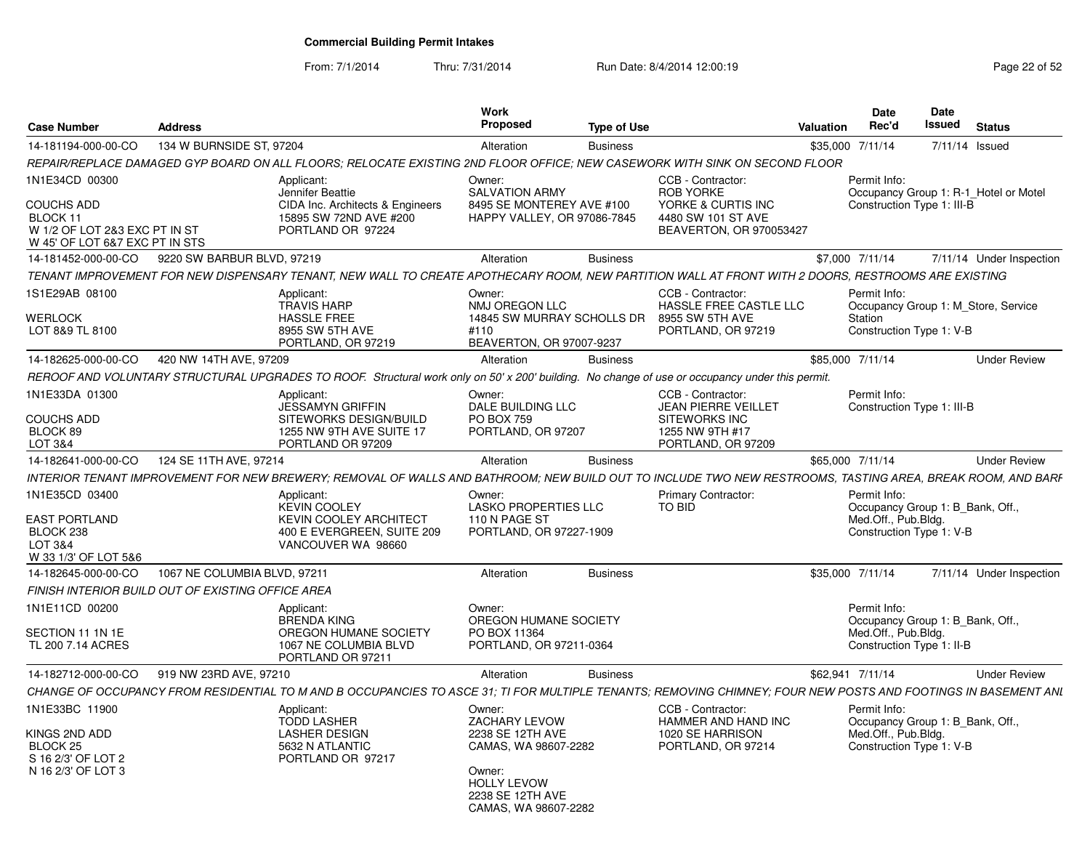From: 7/1/2014

Thru: 7/31/2014 Run Date: 8/4/2014 12:00:19 Rege 22 of 52

| <b>Case Number</b>                                                                                                 | <b>Address</b>               |                                                                                                                                                                | Work<br>Proposed                                                                                           | <b>Type of Use</b> |                                                                                                              | Valuation        | <b>Date</b><br>Rec'd                                                                                 | Date<br>Issued | <b>Status</b>                         |
|--------------------------------------------------------------------------------------------------------------------|------------------------------|----------------------------------------------------------------------------------------------------------------------------------------------------------------|------------------------------------------------------------------------------------------------------------|--------------------|--------------------------------------------------------------------------------------------------------------|------------------|------------------------------------------------------------------------------------------------------|----------------|---------------------------------------|
| 14-181194-000-00-CO                                                                                                | 134 W BURNSIDE ST, 97204     |                                                                                                                                                                | Alteration                                                                                                 | <b>Business</b>    |                                                                                                              | \$35,000 7/11/14 |                                                                                                      | 7/11/14 Issued |                                       |
|                                                                                                                    |                              | REPAIR/REPLACE DAMAGED GYP BOARD ON ALL FLOORS; RELOCATE EXISTING 2ND FLOOR OFFICE; NEW CASEWORK WITH SINK ON SECOND FLOOR                                     |                                                                                                            |                    |                                                                                                              |                  |                                                                                                      |                |                                       |
| 1N1E34CD 00300<br><b>COUCHS ADD</b><br>BLOCK 11<br>W 1/2 OF LOT 2&3 EXC PT IN ST<br>W 45' OF LOT 6&7 EXC PT IN STS |                              | Applicant:<br>Jennifer Beattie<br>CIDA Inc. Architects & Engineers<br>15895 SW 72ND AVE #200<br>PORTLAND OR 97224                                              | Owner:<br><b>SALVATION ARMY</b><br>8495 SE MONTEREY AVE #100<br>HAPPY VALLEY, OR 97086-7845                |                    | CCB - Contractor:<br><b>ROB YORKE</b><br>YORKE & CURTIS INC<br>4480 SW 101 ST AVE<br>BEAVERTON, OR 970053427 |                  | Permit Info:<br>Construction Type 1: III-B                                                           |                | Occupancy Group 1: R-1 Hotel or Motel |
| 14-181452-000-00-CO                                                                                                | 9220 SW BARBUR BLVD, 97219   |                                                                                                                                                                | Alteration                                                                                                 | <b>Business</b>    |                                                                                                              |                  | \$7.000 7/11/14                                                                                      |                | 7/11/14 Under Inspection              |
|                                                                                                                    |                              | TENANT IMPROVEMENT FOR NEW DISPENSARY TENANT. NEW WALL TO CREATE APOTHECARY ROOM. NEW PARTITION WALL AT FRONT WITH 2 DOORS. RESTROOMS ARE EXISTING             |                                                                                                            |                    |                                                                                                              |                  |                                                                                                      |                |                                       |
| 1S1E29AB 08100<br>WERLOCK<br>LOT 8&9 TL 8100                                                                       |                              | Applicant:<br><b>TRAVIS HARP</b><br><b>HASSLE FREE</b><br>8955 SW 5TH AVE<br>PORTLAND, OR 97219                                                                | Owner:<br>NMJ OREGON LLC<br>14845 SW MURRAY SCHOLLS DR<br>#110<br>BEAVERTON, OR 97007-9237                 |                    | CCB - Contractor:<br>HASSLE FREE CASTLE LLC<br>8955 SW 5TH AVE<br>PORTLAND, OR 97219                         |                  | Permit Info:<br>Station<br>Construction Type 1: V-B                                                  |                | Occupancy Group 1: M Store, Service   |
| 14-182625-000-00-CO                                                                                                | 420 NW 14TH AVE, 97209       |                                                                                                                                                                | Alteration                                                                                                 | <b>Business</b>    |                                                                                                              | \$85,000 7/11/14 |                                                                                                      |                | <b>Under Review</b>                   |
|                                                                                                                    |                              | REROOF AND VOLUNTARY STRUCTURAL UPGRADES TO ROOF. Structural work only on 50' x 200' building. No change of use or occupancy under this permit                 |                                                                                                            |                    |                                                                                                              |                  |                                                                                                      |                |                                       |
| 1N1E33DA 01300                                                                                                     |                              | Applicant:                                                                                                                                                     | Owner:                                                                                                     |                    | CCB - Contractor:                                                                                            |                  | Permit Info:                                                                                         |                |                                       |
| COUCHS ADD<br>BLOCK 89<br>LOT 3&4                                                                                  |                              | <b>JESSAMYN GRIFFIN</b><br>SITEWORKS DESIGN/BUILD<br>1255 NW 9TH AVE SUITE 17<br>PORTLAND OR 97209                                                             | DALE BUILDING LLC<br>PO BOX 759<br>PORTLAND, OR 97207                                                      |                    | <b>JEAN PIERRE VEILLET</b><br><b>SITEWORKS INC</b><br>1255 NW 9TH #17<br>PORTLAND, OR 97209                  |                  | Construction Type 1: III-B                                                                           |                |                                       |
| 14-182641-000-00-CO                                                                                                | 124 SE 11TH AVE, 97214       |                                                                                                                                                                | Alteration                                                                                                 | <b>Business</b>    |                                                                                                              | \$65,000 7/11/14 |                                                                                                      |                | <b>Under Review</b>                   |
|                                                                                                                    |                              | INTERIOR TENANT IMPROVEMENT FOR NEW BREWERY; REMOVAL OF WALLS AND BATHROOM; NEW BUILD OUT TO INCLUDE TWO NEW RESTROOMS, TASTING AREA, BREAK ROOM, AND BARF     |                                                                                                            |                    |                                                                                                              |                  |                                                                                                      |                |                                       |
| 1N1E35CD 03400<br><b>EAST PORTLAND</b><br>BLOCK 238<br>LOT 3&4<br>W 33 1/3' OF LOT 5&6                             |                              | Applicant:<br><b>KEVIN COOLEY</b><br><b>KEVIN COOLEY ARCHITECT</b><br>400 E EVERGREEN, SUITE 209<br>VANCOUVER WA 98660                                         | Owner:<br><b>LASKO PROPERTIES LLC</b><br>110 N PAGE ST<br>PORTLAND, OR 97227-1909                          |                    | <b>Primary Contractor:</b><br>TO BID                                                                         |                  | Permit Info:<br>Occupancy Group 1: B Bank, Off.,<br>Med.Off., Pub.Bldg.<br>Construction Type 1: V-B  |                |                                       |
| 14-182645-000-00-CO                                                                                                | 1067 NE COLUMBIA BLVD, 97211 |                                                                                                                                                                | Alteration                                                                                                 | <b>Business</b>    |                                                                                                              | \$35,000 7/11/14 |                                                                                                      |                | 7/11/14 Under Inspection              |
| FINISH INTERIOR BUILD OUT OF EXISTING OFFICE AREA                                                                  |                              |                                                                                                                                                                |                                                                                                            |                    |                                                                                                              |                  |                                                                                                      |                |                                       |
| 1N1E11CD 00200<br>SECTION 11 1N 1E<br>TL 200 7.14 ACRES                                                            |                              | Applicant:<br><b>BRENDA KING</b><br>OREGON HUMANE SOCIETY<br>1067 NE COLUMBIA BLVD<br>PORTLAND OR 97211                                                        | Owner:<br>OREGON HUMANE SOCIETY<br>PO BOX 11364<br>PORTLAND, OR 97211-0364                                 |                    |                                                                                                              |                  | Permit Info:<br>Occupancy Group 1: B Bank, Off.,<br>Med.Off., Pub.Bldg.<br>Construction Type 1: II-B |                |                                       |
| 14-182712-000-00-CO                                                                                                | 919 NW 23RD AVE, 97210       |                                                                                                                                                                | Alteration                                                                                                 | <b>Business</b>    |                                                                                                              | \$62,941 7/11/14 |                                                                                                      |                | <b>Under Review</b>                   |
|                                                                                                                    |                              | CHANGE OF OCCUPANCY FROM RESIDENTIAL TO M AND B OCCUPANCIES TO ASCE 31; TI FOR MULTIPLE TENANTS; REMOVING CHIMNEY; FOUR NEW POSTS AND FOOTINGS IN BASEMENT ANL |                                                                                                            |                    |                                                                                                              |                  |                                                                                                      |                |                                       |
| 1N1E33BC 11900<br>KINGS 2ND ADD<br>BLOCK <sub>25</sub><br>S 16 2/3' OF LOT 2<br>N 16 2/3' OF LOT 3                 |                              | Applicant:<br><b>TODD LASHER</b><br><b>LASHER DESIGN</b><br>5632 N ATLANTIC<br>PORTLAND OR 97217                                                               | Owner:<br><b>ZACHARY LEVOW</b><br>2238 SE 12TH AVE<br>CAMAS, WA 98607-2282<br>Owner:<br><b>HOLLY LEVOW</b> |                    | CCB - Contractor:<br>HAMMER AND HAND INC<br>1020 SE HARRISON<br>PORTLAND, OR 97214                           |                  | Permit Info:<br>Occupancy Group 1: B Bank, Off.,<br>Med.Off., Pub.Bldg.<br>Construction Type 1: V-B  |                |                                       |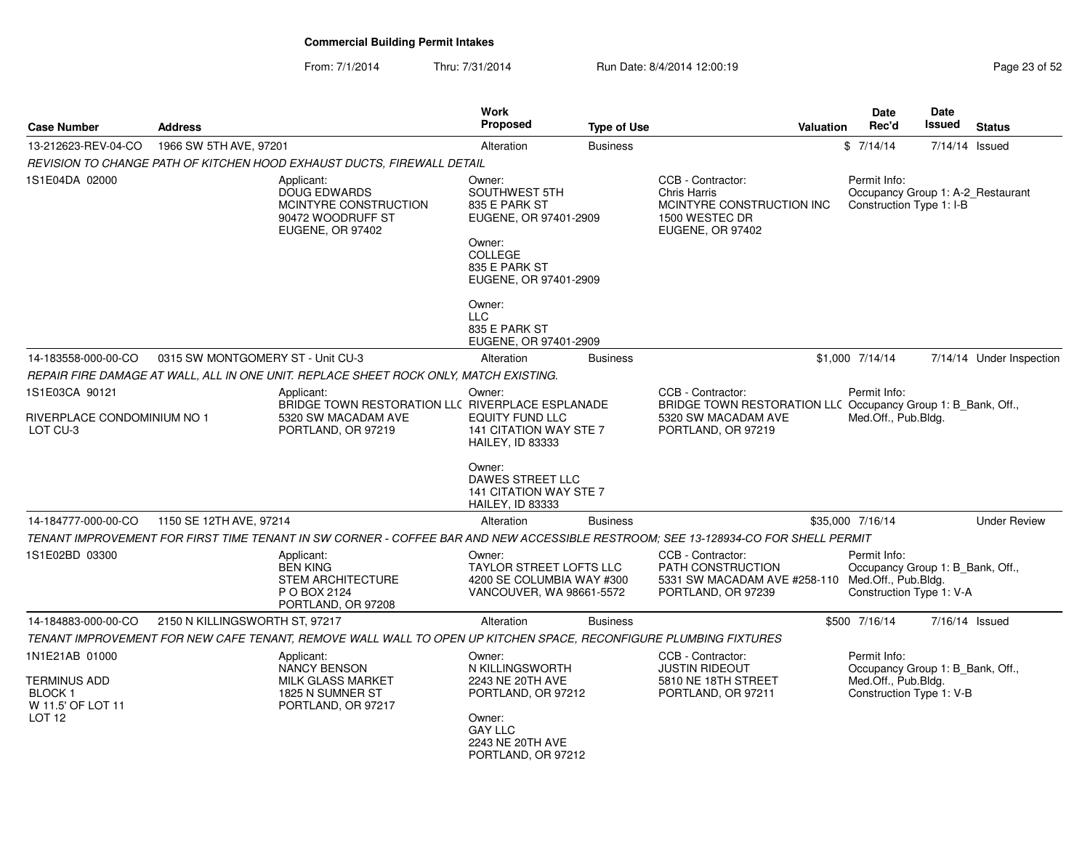### From: 7/1/2014Thru: 7/31/2014 Run Date: 8/4/2014 12:00:19

|  | Page 23 of 52 |  |  |  |
|--|---------------|--|--|--|
|--|---------------|--|--|--|

| <b>Case Number</b>                                                                         | <b>Address</b>                    |                                                                                                                                   | Work<br><b>Proposed</b>                                                                                                                   | <b>Type of Use</b> | <b>Valuation</b>                                                                                            | Date<br>Rec'd                                                                                       | Date<br>Issued | <b>Status</b>            |
|--------------------------------------------------------------------------------------------|-----------------------------------|-----------------------------------------------------------------------------------------------------------------------------------|-------------------------------------------------------------------------------------------------------------------------------------------|--------------------|-------------------------------------------------------------------------------------------------------------|-----------------------------------------------------------------------------------------------------|----------------|--------------------------|
| 13-212623-REV-04-CO                                                                        | 1966 SW 5TH AVE, 97201            |                                                                                                                                   | Alteration                                                                                                                                | <b>Business</b>    |                                                                                                             | \$7/14/14                                                                                           | 7/14/14 Issued |                          |
|                                                                                            |                                   | REVISION TO CHANGE PATH OF KITCHEN HOOD EXHAUST DUCTS, FIREWALL DETAIL                                                            |                                                                                                                                           |                    |                                                                                                             |                                                                                                     |                |                          |
| 1S1E04DA 02000                                                                             |                                   | Applicant:<br><b>DOUG EDWARDS</b><br>MCINTYRE CONSTRUCTION<br>90472 WOODRUFF ST<br>EUGENE, OR 97402                               | Owner:<br><b>SOUTHWEST 5TH</b><br>835 E PARK ST<br>EUGENE, OR 97401-2909<br>Owner:<br><b>COLLEGE</b><br>835 E PARK ST                     |                    | CCB - Contractor:<br><b>Chris Harris</b><br>MCINTYRE CONSTRUCTION INC<br>1500 WESTEC DR<br>EUGENE, OR 97402 | Permit Info:<br>Occupancy Group 1: A-2_Restaurant<br>Construction Type 1: I-B                       |                |                          |
|                                                                                            |                                   |                                                                                                                                   | EUGENE, OR 97401-2909                                                                                                                     |                    |                                                                                                             |                                                                                                     |                |                          |
|                                                                                            |                                   |                                                                                                                                   | Owner:<br><b>LLC</b><br>835 E PARK ST<br>EUGENE, OR 97401-2909                                                                            |                    |                                                                                                             |                                                                                                     |                |                          |
| 14-183558-000-00-CO                                                                        | 0315 SW MONTGOMERY ST - Unit CU-3 |                                                                                                                                   | Alteration                                                                                                                                | <b>Business</b>    |                                                                                                             | \$1,000 7/14/14                                                                                     |                | 7/14/14 Under Inspection |
|                                                                                            |                                   | REPAIR FIRE DAMAGE AT WALL, ALL IN ONE UNIT. REPLACE SHEET ROCK ONLY, MATCH EXISTING.                                             |                                                                                                                                           |                    |                                                                                                             |                                                                                                     |                |                          |
| 1S1E03CA 90121                                                                             |                                   | Applicant:                                                                                                                        | Owner:                                                                                                                                    |                    | CCB - Contractor:                                                                                           | Permit Info:                                                                                        |                |                          |
| RIVERPLACE CONDOMINIUM NO 1<br>LOT CU-3                                                    |                                   | BRIDGE TOWN RESTORATION LLC RIVERPLACE ESPLANADE<br>5320 SW MACADAM AVE<br>PORTLAND, OR 97219                                     | <b>EQUITY FUND LLC</b><br>141 CITATION WAY STE 7<br>HAILEY, ID 83333                                                                      |                    | BRIDGE TOWN RESTORATION LLC Occupancy Group 1: B_Bank, Off.,<br>5320 SW MACADAM AVE<br>PORTLAND, OR 97219   | Med.Off., Pub.Bldg.                                                                                 |                |                          |
|                                                                                            |                                   |                                                                                                                                   | Owner:<br><b>DAWES STREET LLC</b><br>141 CITATION WAY STE 7<br><b>HAILEY, ID 83333</b>                                                    |                    |                                                                                                             |                                                                                                     |                |                          |
| 14-184777-000-00-CO                                                                        | 1150 SE 12TH AVE, 97214           |                                                                                                                                   | Alteration                                                                                                                                | <b>Business</b>    |                                                                                                             | \$35,000 7/16/14                                                                                    |                | <b>Under Review</b>      |
|                                                                                            |                                   | TENANT IMPROVEMENT FOR FIRST TIME TENANT IN SW CORNER - COFFEE BAR AND NEW ACCESSIBLE RESTROOM: SEE 13-128934-CO FOR SHELL PERMIT |                                                                                                                                           |                    |                                                                                                             |                                                                                                     |                |                          |
| 1S1E02BD 03300                                                                             |                                   | Applicant:<br><b>BEN KING</b><br><b>STEM ARCHITECTURE</b><br>P O BOX 2124<br>PORTLAND, OR 97208                                   | Owner:<br><b>TAYLOR STREET LOFTS LLC</b><br>4200 SE COLUMBIA WAY #300<br>VANCOUVER, WA 98661-5572                                         |                    | CCB - Contractor:<br>PATH CONSTRUCTION<br>5331 SW MACADAM AVE #258-110<br>PORTLAND, OR 97239                | Permit Info:<br>Occupancy Group 1: B_Bank, Off.,<br>Med.Off., Pub.Bldg.<br>Construction Type 1: V-A |                |                          |
| 14-184883-000-00-CO                                                                        | 2150 N KILLINGSWORTH ST, 97217    |                                                                                                                                   | Alteration                                                                                                                                | <b>Business</b>    |                                                                                                             | \$500 7/16/14                                                                                       | 7/16/14 Issued |                          |
|                                                                                            |                                   | TENANT IMPROVEMENT FOR NEW CAFE TENANT. REMOVE WALL WALL TO OPEN UP KITCHEN SPACE. RECONFIGURE PLUMBING FIXTURES                  |                                                                                                                                           |                    |                                                                                                             |                                                                                                     |                |                          |
| 1N1E21AB 01000<br><b>TERMINUS ADD</b><br>BLOCK 1<br>W 11.5' OF LOT 11<br>LOT <sub>12</sub> |                                   | Applicant:<br><b>NANCY BENSON</b><br><b>MILK GLASS MARKET</b><br>1825 N SUMNER ST<br>PORTLAND, OR 97217                           | Owner:<br>N KILLINGSWORTH<br>2243 NE 20TH AVE<br>PORTLAND, OR 97212<br>Owner:<br><b>GAY LLC</b><br>2243 NE 20TH AVE<br>PORTLAND, OR 97212 |                    | CCB - Contractor:<br><b>JUSTIN RIDEOUT</b><br>5810 NE 18TH STREET<br>PORTLAND, OR 97211                     | Permit Info:<br>Occupancy Group 1: B_Bank, Off.,<br>Med.Off., Pub.Bldg.<br>Construction Type 1: V-B |                |                          |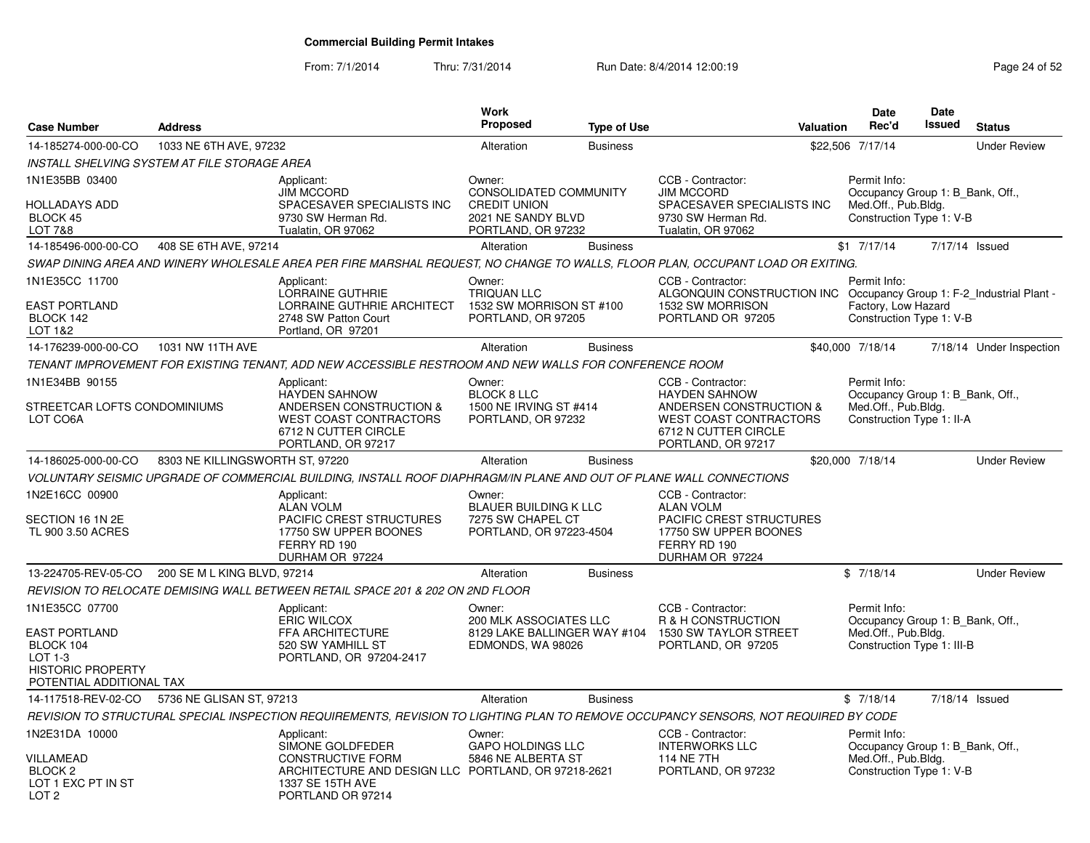From: 7/1/2014Thru: 7/31/2014 Run Date: 8/4/2014 12:00:19 Rege 24 of 52

| <b>Case Number</b>                                                                                                     | <b>Address</b>                  |                                                                                                                                                            | Work<br><b>Proposed</b>                                                                                    | <b>Type of Use</b> | Valuation                                                                                                                                           | <b>Date</b><br>Rec'd                                                                                  | Date<br><b>Issued</b> | <b>Status</b>            |
|------------------------------------------------------------------------------------------------------------------------|---------------------------------|------------------------------------------------------------------------------------------------------------------------------------------------------------|------------------------------------------------------------------------------------------------------------|--------------------|-----------------------------------------------------------------------------------------------------------------------------------------------------|-------------------------------------------------------------------------------------------------------|-----------------------|--------------------------|
| 14-185274-000-00-CO                                                                                                    | 1033 NE 6TH AVE, 97232          |                                                                                                                                                            | Alteration                                                                                                 | <b>Business</b>    |                                                                                                                                                     | \$22,506 7/17/14                                                                                      |                       | <b>Under Review</b>      |
| INSTALL SHELVING SYSTEM AT FILE STORAGE AREA                                                                           |                                 |                                                                                                                                                            |                                                                                                            |                    |                                                                                                                                                     |                                                                                                       |                       |                          |
| 1N1E35BB 03400<br>HOLLADAYS ADD<br>BLOCK 45<br>LOT 7&8                                                                 |                                 | Applicant:<br><b>JIM MCCORD</b><br>SPACESAVER SPECIALISTS INC<br>9730 SW Herman Rd.<br>Tualatin, OR 97062                                                  | Owner:<br><b>CONSOLIDATED COMMUNITY</b><br><b>CREDIT UNION</b><br>2021 NE SANDY BLVD<br>PORTLAND, OR 97232 |                    | CCB - Contractor:<br><b>JIM MCCORD</b><br>SPACESAVER SPECIALISTS INC<br>9730 SW Herman Rd.<br>Tualatin, OR 97062                                    | Permit Info:<br>Occupancy Group 1: B Bank, Off.,<br>Med.Off., Pub.Bldg.<br>Construction Type 1: V-B   |                       |                          |
| 14-185496-000-00-CO                                                                                                    | 408 SE 6TH AVE, 97214           |                                                                                                                                                            | Alteration                                                                                                 | <b>Business</b>    |                                                                                                                                                     | $$1$ $7/17/14$                                                                                        |                       | 7/17/14 Issued           |
|                                                                                                                        |                                 | SWAP DINING AREA AND WINERY WHOLESALE AREA PER FIRE MARSHAL REQUEST, NO CHANGE TO WALLS, FLOOR PLAN, OCCUPANT LOAD OR EXITING.                             |                                                                                                            |                    |                                                                                                                                                     |                                                                                                       |                       |                          |
| 1N1E35CC 11700<br><b>EAST PORTLAND</b><br>BLOCK 142                                                                    |                                 | Applicant:<br><b>LORRAINE GUTHRIE</b><br>LORRAINE GUTHRIE ARCHITECT<br>2748 SW Patton Court                                                                | Owner:<br><b>TRIQUAN LLC</b><br>1532 SW MORRISON ST #100<br>PORTLAND, OR 97205                             |                    | CCB - Contractor:<br>ALGONQUIN CONSTRUCTION INC Occupancy Group 1: F-2_Industrial Plant -<br>1532 SW MORRISON<br>PORTLAND OR 97205                  | Permit Info:<br>Factory, Low Hazard<br>Construction Type 1: V-B                                       |                       |                          |
| LOT 1&2                                                                                                                |                                 | Portland, OR 97201                                                                                                                                         |                                                                                                            |                    |                                                                                                                                                     |                                                                                                       |                       |                          |
| 14-176239-000-00-CO                                                                                                    | 1031 NW 11TH AVE                |                                                                                                                                                            | Alteration                                                                                                 | <b>Business</b>    |                                                                                                                                                     | \$40,000 7/18/14                                                                                      |                       | 7/18/14 Under Inspection |
|                                                                                                                        |                                 | TENANT IMPROVEMENT FOR EXISTING TENANT, ADD NEW ACCESSIBLE RESTROOM AND NEW WALLS FOR CONFERENCE ROOM                                                      |                                                                                                            |                    |                                                                                                                                                     |                                                                                                       |                       |                          |
| 1N1E34BB 90155<br>STREETCAR LOFTS CONDOMINIUMS<br>LOT CO6A                                                             |                                 | Applicant:<br><b>HAYDEN SAHNOW</b><br>ANDERSEN CONSTRUCTION &<br><b>WEST COAST CONTRACTORS</b><br>6712 N CUTTER CIRCLE<br>PORTLAND, OR 97217               | Owner:<br><b>BLOCK 8 LLC</b><br>1500 NE IRVING ST #414<br>PORTLAND, OR 97232                               |                    | CCB - Contractor:<br><b>HAYDEN SAHNOW</b><br>ANDERSEN CONSTRUCTION &<br><b>WEST COAST CONTRACTORS</b><br>6712 N CUTTER CIRCLE<br>PORTLAND, OR 97217 | Permit Info:<br>Occupancy Group 1: B Bank, Off.,<br>Med.Off., Pub.Bldg.<br>Construction Type 1: II-A  |                       |                          |
| 14-186025-000-00-CO                                                                                                    | 8303 NE KILLINGSWORTH ST, 97220 |                                                                                                                                                            | Alteration                                                                                                 | <b>Business</b>    |                                                                                                                                                     | \$20,000 7/18/14                                                                                      |                       | <b>Under Review</b>      |
|                                                                                                                        |                                 | VOLUNTARY SEISMIC UPGRADE OF COMMERCIAL BUILDING, INSTALL ROOF DIAPHRAGM/IN PLANE AND OUT OF PLANE WALL CONNECTIONS                                        |                                                                                                            |                    |                                                                                                                                                     |                                                                                                       |                       |                          |
| 1N2E16CC 00900<br>SECTION 16 1N 2E<br>TL 900 3.50 ACRES                                                                |                                 | Applicant:<br><b>ALAN VOLM</b><br>PACIFIC CREST STRUCTURES<br>17750 SW UPPER BOONES<br>FERRY RD 190<br>DURHAM OR 97224                                     | Owner:<br>BLAUER BUILDING K LLC<br>7275 SW CHAPEL CT<br>PORTLAND, OR 97223-4504                            |                    | CCB - Contractor:<br><b>ALAN VOLM</b><br>PACIFIC CREST STRUCTURES<br>17750 SW UPPER BOONES<br>FERRY RD 190<br>DURHAM OR 97224                       |                                                                                                       |                       |                          |
| 13-224705-REV-05-CO                                                                                                    | 200 SE M L KING BLVD, 97214     |                                                                                                                                                            | Alteration                                                                                                 | <b>Business</b>    |                                                                                                                                                     | \$7/18/14                                                                                             |                       | <b>Under Review</b>      |
|                                                                                                                        |                                 | REVISION TO RELOCATE DEMISING WALL BETWEEN RETAIL SPACE 201 & 202 ON 2ND FLOOR                                                                             |                                                                                                            |                    |                                                                                                                                                     |                                                                                                       |                       |                          |
| 1N1E35CC 07700<br><b>EAST PORTLAND</b><br>BLOCK 104<br>LOT 1-3<br><b>HISTORIC PROPERTY</b><br>POTENTIAL ADDITIONAL TAX |                                 | Applicant:<br><b>ERIC WILCOX</b><br>FFA ARCHITECTURE<br>520 SW YAMHILL ST<br>PORTLAND, OR 97204-2417                                                       | Owner:<br><b>200 MLK ASSOCIATES LLC</b><br>8129 LAKE BALLINGER WAY #104<br>EDMONDS, WA 98026               |                    | CCB - Contractor:<br><b>R &amp; H CONSTRUCTION</b><br>1530 SW TAYLOR STREET<br>PORTLAND, OR 97205                                                   | Permit Info:<br>Occupancy Group 1: B_Bank, Off.,<br>Med.Off., Pub.Bldg.<br>Construction Type 1: III-B |                       |                          |
| 14-117518-REV-02-CO                                                                                                    | 5736 NE GLISAN ST, 97213        |                                                                                                                                                            | Alteration                                                                                                 | <b>Business</b>    |                                                                                                                                                     | \$7/18/14                                                                                             |                       | 7/18/14 Issued           |
|                                                                                                                        |                                 | REVISION TO STRUCTURAL SPECIAL INSPECTION REQUIREMENTS. REVISION TO LIGHTING PLAN TO REMOVE OCCUPANCY SENSORS. NOT REQUIRED BY CODE                        |                                                                                                            |                    |                                                                                                                                                     |                                                                                                       |                       |                          |
| 1N2E31DA 10000<br>VILLAMEAD<br>BLOCK <sub>2</sub><br>LOT 1 EXC PT IN ST<br>LOT <sub>2</sub>                            |                                 | Applicant:<br>SIMONE GOLDFEDER<br><b>CONSTRUCTIVE FORM</b><br>ARCHITECTURE AND DESIGN LLC PORTLAND, OR 97218-2621<br>1337 SE 15TH AVE<br>PORTLAND OR 97214 | Owner:<br><b>GAPO HOLDINGS LLC</b><br>5846 NE ALBERTA ST                                                   |                    | CCB - Contractor:<br><b>INTERWORKS LLC</b><br>114 NE 7TH<br>PORTLAND, OR 97232                                                                      | Permit Info:<br>Occupancy Group 1: B Bank, Off.,<br>Med.Off., Pub.Bldg.<br>Construction Type 1: V-B   |                       |                          |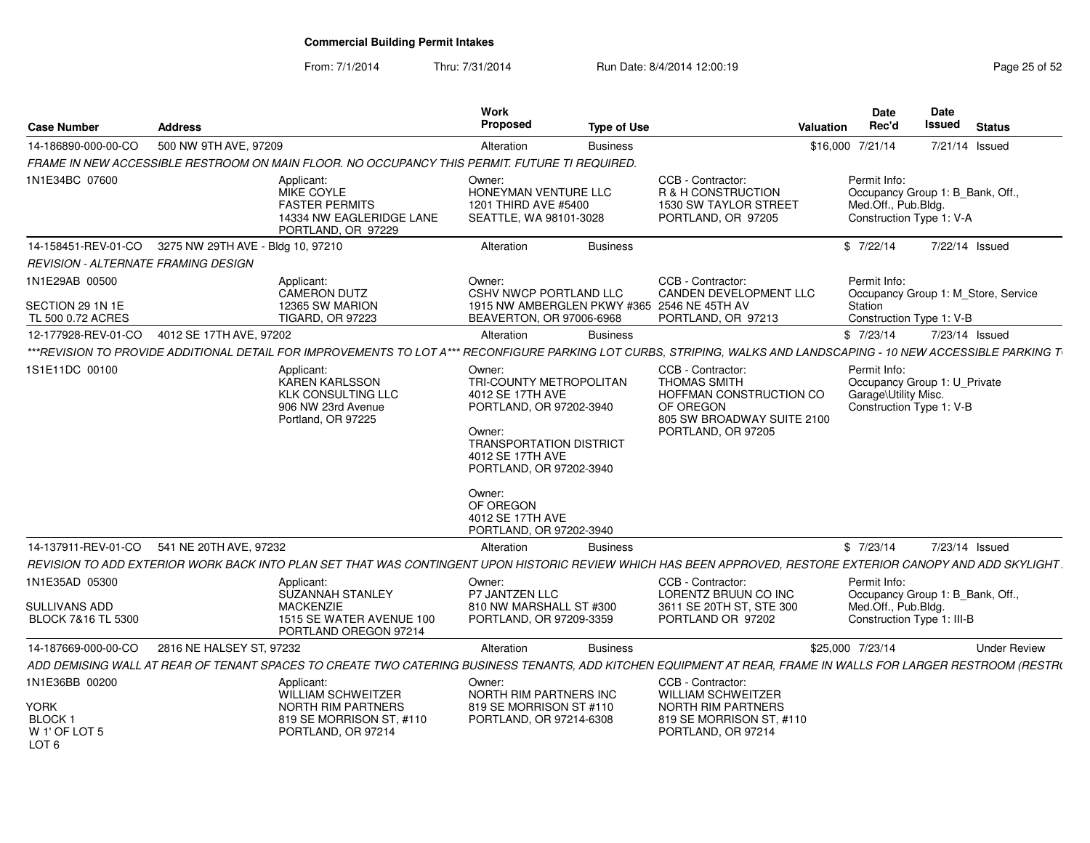From: 7/1/2014Thru: 7/31/2014 Run Date: 8/4/2014 12:00:19 Research 2010 12:00:19

| <b>Case Number</b>                                                            | <b>Address</b>                                        |                                                                                                                                                                    | Work<br>Proposed                                                                                                                                                                                                                                  | Type of Use     |                                                                                                                                      | Date<br>Rec'd<br>Valuation                                        | Date<br>Issued<br><b>Status</b>                                 |
|-------------------------------------------------------------------------------|-------------------------------------------------------|--------------------------------------------------------------------------------------------------------------------------------------------------------------------|---------------------------------------------------------------------------------------------------------------------------------------------------------------------------------------------------------------------------------------------------|-----------------|--------------------------------------------------------------------------------------------------------------------------------------|-------------------------------------------------------------------|-----------------------------------------------------------------|
| 14-186890-000-00-CO                                                           | 500 NW 9TH AVE, 97209                                 |                                                                                                                                                                    | Alteration                                                                                                                                                                                                                                        | Business        |                                                                                                                                      | \$16,000 7/21/14                                                  | 7/21/14 Issued                                                  |
|                                                                               |                                                       | FRAME IN NEW ACCESSIBLE RESTROOM ON MAIN FLOOR. NO OCCUPANCY THIS PERMIT. FUTURE TI REQUIRED.                                                                      |                                                                                                                                                                                                                                                   |                 |                                                                                                                                      |                                                                   |                                                                 |
| 1N1E34BC 07600                                                                |                                                       | Applicant:<br>MIKE COYLE<br><b>FASTER PERMITS</b><br>14334 NW EAGLERIDGE LANE<br>PORTLAND, OR 97229                                                                | Owner:<br>HONEYMAN VENTURE LLC<br>1201 THIRD AVE #5400<br>SEATTLE, WA 98101-3028                                                                                                                                                                  |                 | CCB - Contractor:<br>R & H CONSTRUCTION<br><b>1530 SW TAYLOR STREET</b><br>PORTLAND, OR 97205                                        | Permit Info:<br>Med.Off., Pub.Bldg.<br>Construction Type 1: V-A   | Occupancy Group 1: B_Bank, Off.,                                |
|                                                                               | 14-158451-REV-01-CO 3275 NW 29TH AVE - Bldg 10, 97210 |                                                                                                                                                                    | Alteration                                                                                                                                                                                                                                        | <b>Business</b> |                                                                                                                                      | \$7/22/14                                                         | 7/22/14 Issued                                                  |
| REVISION - ALTERNATE FRAMING DESIGN                                           |                                                       |                                                                                                                                                                    |                                                                                                                                                                                                                                                   |                 |                                                                                                                                      |                                                                   |                                                                 |
| 1N1E29AB 00500<br>SECTION 29 1N 1E<br>TL 500 0.72 ACRES                       |                                                       | Applicant:<br><b>CAMERON DUTZ</b><br>12365 SW MARION<br><b>TIGARD, OR 97223</b>                                                                                    | Owner:<br><b>CSHV NWCP PORTLAND LLC</b><br>1915 NW AMBERGLEN PKWY #365 2546 NE 45TH AV<br>BEAVERTON, OR 97006-6968                                                                                                                                |                 | CCB - Contractor:<br>CANDEN DEVELOPMENT LLC<br>PORTLAND, OR 97213                                                                    | Permit Info:<br>Station                                           | Occupancy Group 1: M_Store, Service<br>Construction Type 1: V-B |
|                                                                               | 12-177928-REV-01-CO 4012 SE 17TH AVE, 97202           |                                                                                                                                                                    | Alteration                                                                                                                                                                                                                                        | Business        |                                                                                                                                      | \$7/23/14                                                         | 7/23/14 Issued                                                  |
|                                                                               |                                                       | ***REVISION TO PROVIDE ADDITIONAL DETAIL FOR IMPROVEMENTS TO LOT A*** RECONFIGURE PARKING LOT CURBS, STRIPING, WALKS AND LANDSCAPING - 10 NEW ACCESSIBLE PARKING T |                                                                                                                                                                                                                                                   |                 |                                                                                                                                      |                                                                   |                                                                 |
| 1S1E11DC 00100                                                                |                                                       | Applicant:<br>KAREN KARLSSON<br><b>KLK CONSULTING LLC</b><br>906 NW 23rd Avenue<br>Portland, OR 97225                                                              | Owner:<br>TRI-COUNTY METROPOLITAN<br>4012 SE 17TH AVE<br>PORTLAND, OR 97202-3940<br>Owner:<br><b>TRANSPORTATION DISTRICT</b><br>4012 SE 17TH AVE<br>PORTLAND, OR 97202-3940<br>Owner:<br>OF OREGON<br>4012 SE 17TH AVE<br>PORTLAND, OR 97202-3940 |                 | CCB - Contractor:<br><b>THOMAS SMITH</b><br>HOFFMAN CONSTRUCTION CO<br>OF OREGON<br>805 SW BROADWAY SUITE 2100<br>PORTLAND, OR 97205 | Permit Info:<br>Garage\Utility Misc.<br>Construction Type 1: V-B  | Occupancy Group 1: U_Private                                    |
|                                                                               | 14-137911-REV-01-CO 541 NE 20TH AVE, 97232            |                                                                                                                                                                    | Alteration                                                                                                                                                                                                                                        | Business        |                                                                                                                                      | \$7/23/14                                                         | 7/23/14 Issued                                                  |
|                                                                               |                                                       | REVISION TO ADD EXTERIOR WORK BACK INTO PLAN SET THAT WAS CONTINGENT UPON HISTORIC REVIEW WHICH HAS BEEN APPROVED, RESTORE EXTERIOR CANOPY AND ADD SKYLIGHT        |                                                                                                                                                                                                                                                   |                 |                                                                                                                                      |                                                                   |                                                                 |
| 1N1E35AD 05300<br>SULLIVANS ADD<br>BLOCK 7&16 TL 5300                         |                                                       | Applicant:<br>SUZANNAH STANLEY<br><b>MACKENZIE</b><br>1515 SE WATER AVENUE 100<br>PORTLAND OREGON 97214                                                            | Owner:<br>P7 JANTZEN LLC<br>810 NW MARSHALL ST #300<br>PORTLAND, OR 97209-3359                                                                                                                                                                    |                 | CCB - Contractor:<br>LORENTZ BRUUN CO INC<br>3611 SE 20TH ST, STE 300<br>PORTLAND OR 97202                                           | Permit Info:<br>Med.Off., Pub.Bldg.<br>Construction Type 1: III-B | Occupancy Group 1: B_Bank, Off.,                                |
| 14-187669-000-00-CO                                                           | 2816 NE HALSEY ST, 97232                              |                                                                                                                                                                    | Alteration                                                                                                                                                                                                                                        | <b>Business</b> |                                                                                                                                      | \$25,000 7/23/14                                                  | <b>Under Review</b>                                             |
|                                                                               |                                                       | ADD DEMISING WALL AT REAR OF TENANT SPACES TO CREATE TWO CATERING BUSINESS TENANTS, ADD KITCHEN EQUIPMENT AT REAR, FRAME IN WALLS FOR LARGER RESTROOM (RESTRO      |                                                                                                                                                                                                                                                   |                 |                                                                                                                                      |                                                                   |                                                                 |
| 1N1E36BB 00200<br><b>YORK</b><br>BLOCK ·<br>W 1' OF LOT 5<br>LOT <sub>6</sub> |                                                       | Applicant:<br>WILLIAM SCHWEITZER<br><b>NORTH RIM PARTNERS</b><br>819 SE MORRISON ST, #110<br>PORTLAND, OR 97214                                                    | Owner:<br><b>NORTH RIM PARTNERS INC</b><br>819 SE MORRISON ST #110<br>PORTLAND, OR 97214-6308                                                                                                                                                     |                 | CCB - Contractor:<br><b>WILLIAM SCHWEITZER</b><br><b>NORTH RIM PARTNERS</b><br>819 SE MORRISON ST, #110<br>PORTLAND, OR 97214        |                                                                   |                                                                 |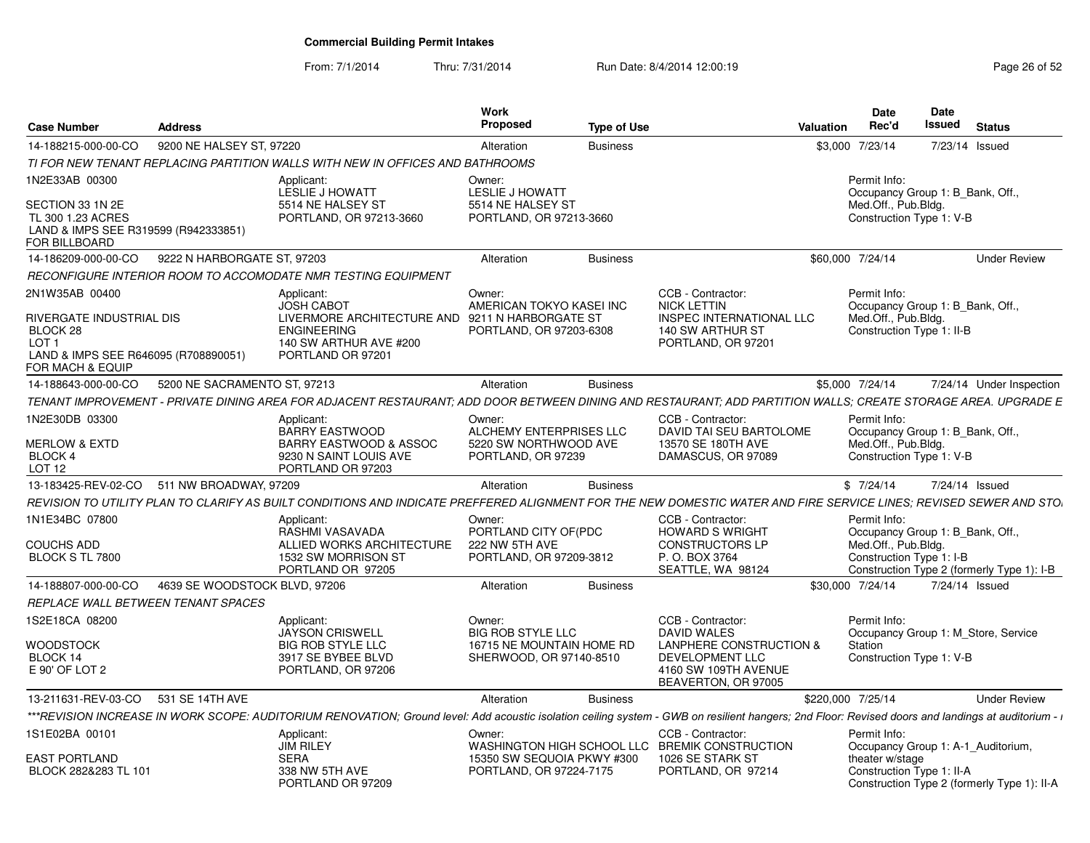From: 7/1/2014Thru: 7/31/2014 Run Date: 8/4/2014 12:00:19 Research 2010 Page 26 of 52

| <b>Case Number</b><br><b>Address</b>                                                                                                                                                               |                                                                                                                                                         | Work<br><b>Proposed</b>                                                   | <b>Type of Use</b> |                                                                                                               | Valuation         | <b>Date</b><br>Rec'd                                                                               | <b>Date</b><br>Issued | <b>Status</b>                               |
|----------------------------------------------------------------------------------------------------------------------------------------------------------------------------------------------------|---------------------------------------------------------------------------------------------------------------------------------------------------------|---------------------------------------------------------------------------|--------------------|---------------------------------------------------------------------------------------------------------------|-------------------|----------------------------------------------------------------------------------------------------|-----------------------|---------------------------------------------|
| 9200 NE HALSEY ST. 97220<br>14-188215-000-00-CO                                                                                                                                                    |                                                                                                                                                         | Alteration                                                                | <b>Business</b>    |                                                                                                               |                   | \$3,000 7/23/14                                                                                    |                       | 7/23/14 Issued                              |
| TI FOR NEW TENANT REPLACING PARTITION WALLS WITH NEW IN OFFICES AND BATHROOMS                                                                                                                      |                                                                                                                                                         |                                                                           |                    |                                                                                                               |                   |                                                                                                    |                       |                                             |
| 1N2E33AB 00300<br>SECTION 33 1N 2E<br>TL 300 1.23 ACRES                                                                                                                                            | Applicant:<br><b>LESLIE J HOWATT</b><br>5514 NE HALSEY ST<br>PORTLAND, OR 97213-3660                                                                    | Owner:<br>LESLIE J HOWATT<br>5514 NE HALSEY ST<br>PORTLAND, OR 97213-3660 |                    |                                                                                                               |                   | Permit Info:<br>Occupancy Group 1: B Bank, Off<br>Med.Off., Pub.Bldg.<br>Construction Type 1: V-B  |                       |                                             |
| LAND & IMPS SEE R319599 (R942333851)<br>FOR BILLBOARD                                                                                                                                              |                                                                                                                                                         |                                                                           |                    |                                                                                                               |                   |                                                                                                    |                       |                                             |
| 9222 N HARBORGATE ST, 97203<br>14-186209-000-00-CO                                                                                                                                                 |                                                                                                                                                         | Alteration                                                                | <b>Business</b>    |                                                                                                               | \$60,000 7/24/14  |                                                                                                    |                       | <b>Under Review</b>                         |
| RECONFIGURE INTERIOR ROOM TO ACCOMODATE NMR TESTING EQUIPMENT                                                                                                                                      |                                                                                                                                                         |                                                                           |                    |                                                                                                               |                   |                                                                                                    |                       |                                             |
| 2N1W35AB 00400<br><b>RIVERGATE INDUSTRIAL DIS</b><br>BLOCK 28<br>LOT <sub>1</sub><br>LAND & IMPS SEE R646095 (R708890051)                                                                          | Applicant:<br><b>JOSH CABOT</b><br>LIVERMORE ARCHITECTURE AND 9211 N HARBORGATE ST<br><b>ENGINEERING</b><br>140 SW ARTHUR AVE #200<br>PORTLAND OR 97201 | Owner:<br>AMERICAN TOKYO KASELINC<br>PORTLAND, OR 97203-6308              |                    | CCB - Contractor:<br><b>NICK LETTIN</b><br>INSPEC INTERNATIONAL LLC<br>140 SW ARTHUR ST<br>PORTLAND, OR 97201 |                   | Permit Info:<br>Occupancy Group 1: B Bank, Off<br>Med.Off., Pub.Bldg.<br>Construction Type 1: II-B |                       |                                             |
| FOR MACH & EQUIP                                                                                                                                                                                   |                                                                                                                                                         |                                                                           |                    |                                                                                                               |                   |                                                                                                    |                       |                                             |
| 5200 NE SACRAMENTO ST. 97213<br>14-188643-000-00-CO                                                                                                                                                |                                                                                                                                                         | Alteration                                                                | <b>Business</b>    |                                                                                                               |                   | \$5,000 7/24/14                                                                                    |                       | 7/24/14 Under Inspection                    |
| TENANT IMPROVEMENT - PRIVATE DINING AREA FOR ADJACENT RESTAURANT: ADD DOOR BETWEEN DINING AND RESTAURANT: ADD PARTITION WALLS: CREATE STORAGE AREA, UPGRADE E                                      |                                                                                                                                                         |                                                                           |                    |                                                                                                               |                   |                                                                                                    |                       |                                             |
| 1N2E30DB 03300                                                                                                                                                                                     | Applicant:<br>BARRY EASTWOOD                                                                                                                            | Owner:<br>ALCHEMY ENTERPRISES LLC                                         |                    | CCB - Contractor:<br>DAVID TAI SEU BARTOLOME                                                                  |                   | Permit Info:<br>Occupancy Group 1: B Bank, Off                                                     |                       |                                             |
| <b>MERLOW &amp; EXTD</b><br>BLOCK 4<br><b>LOT 12</b>                                                                                                                                               | BARRY EASTWOOD & ASSOC<br>9230 N SAINT LOUIS AVE<br>PORTLAND OR 97203                                                                                   | 5220 SW NORTHWOOD AVE<br>PORTLAND, OR 97239                               |                    | 13570 SE 180TH AVE<br>DAMASCUS, OR 97089                                                                      |                   | Med.Off., Pub.Bldg.<br>Construction Type 1: V-B                                                    |                       |                                             |
| 13-183425-REV-02-CO 511 NW BROADWAY, 97209                                                                                                                                                         |                                                                                                                                                         | Alteration                                                                | <b>Business</b>    |                                                                                                               |                   | \$7/24/14                                                                                          |                       | 7/24/14 Issued                              |
| REVISION TO UTILITY PLAN TO CLARIFY AS BUILT CONDITIONS AND INDICATE PREFFERED ALIGNMENT FOR THE NEW DOMESTIC WATER AND FIRE SERVICE LINES; REVISED SEWER AND STO.                                 |                                                                                                                                                         |                                                                           |                    |                                                                                                               |                   |                                                                                                    |                       |                                             |
| 1N1E34BC 07800                                                                                                                                                                                     | Applicant:<br>RASHMI VASAVADA                                                                                                                           | Owner:<br>PORTLAND CITY OF(PDC                                            |                    | CCB - Contractor:<br><b>HOWARD S WRIGHT</b>                                                                   |                   | Permit Info:<br>Occupancy Group 1: B_Bank, Off.,                                                   |                       |                                             |
| <b>COUCHS ADD</b><br>BLOCK S TL 7800                                                                                                                                                               | ALLIED WORKS ARCHITECTURE<br>1532 SW MORRISON ST<br>PORTLAND OR 97205                                                                                   | 222 NW 5TH AVE<br>PORTLAND, OR 97209-3812                                 |                    | <b>CONSTRUCTORS LP</b><br>P. O. BOX 3764<br>SEATTLE, WA 98124                                                 |                   | Med.Off., Pub.Bldg.<br>Construction Type 1: I-B                                                    |                       | Construction Type 2 (formerly Type 1): I-B  |
| 4639 SE WOODSTOCK BLVD, 97206<br>14-188807-000-00-CO                                                                                                                                               |                                                                                                                                                         | Alteration                                                                | <b>Business</b>    |                                                                                                               |                   | \$30,000 7/24/14                                                                                   |                       | 7/24/14 Issued                              |
| <b>REPLACE WALL BETWEEN TENANT SPACES</b>                                                                                                                                                          |                                                                                                                                                         |                                                                           |                    |                                                                                                               |                   |                                                                                                    |                       |                                             |
| 1S2E18CA 08200                                                                                                                                                                                     | Applicant:<br><b>JAYSON CRISWELL</b>                                                                                                                    | Owner:<br><b>BIG ROB STYLE LLC</b>                                        |                    | CCB - Contractor:<br><b>DAVID WALES</b>                                                                       |                   | Permit Info:                                                                                       |                       | Occupancy Group 1: M Store, Service         |
| <b>WOODSTOCK</b>                                                                                                                                                                                   | <b>BIG ROB STYLE LLC</b>                                                                                                                                | 16715 NE MOUNTAIN HOME RD                                                 |                    | <b>LANPHERE CONSTRUCTION &amp;</b>                                                                            |                   | Station                                                                                            |                       |                                             |
| BLOCK 14<br>E 90' OF LOT 2                                                                                                                                                                         | 3917 SE BYBEE BLVD<br>PORTLAND, OR 97206                                                                                                                | SHERWOOD, OR 97140-8510                                                   |                    | <b>DEVELOPMENT LLC</b><br>4160 SW 109TH AVENUE<br>BEAVERTON, OR 97005                                         |                   | Construction Type 1: V-B                                                                           |                       |                                             |
| 13-211631-REV-03-CO 531 SE 14TH AVE                                                                                                                                                                |                                                                                                                                                         | Alteration                                                                | <b>Business</b>    |                                                                                                               | \$220,000 7/25/14 |                                                                                                    |                       | <b>Under Review</b>                         |
| ***REVISION INCREASE IN WORK SCOPE: AUDITORIUM RENOVATION; Ground level: Add acoustic isolation ceiling system - GWB on resilient hangers; 2nd Floor: Revised doors and landings at auditorium - i |                                                                                                                                                         |                                                                           |                    |                                                                                                               |                   |                                                                                                    |                       |                                             |
| 1S1E02BA 00101                                                                                                                                                                                     | Applicant:<br><b>JIM RILEY</b>                                                                                                                          | Owner:                                                                    |                    | CCB - Contractor:<br>WASHINGTON HIGH SCHOOL LLC BREMIK CONSTRUCTION                                           |                   | Permit Info:                                                                                       |                       | Occupancy Group 1: A-1 Auditorium,          |
| <b>EAST PORTLAND</b><br>BLOCK 282&283 TL 101                                                                                                                                                       | <b>SERA</b><br>338 NW 5TH AVE<br>PORTLAND OR 97209                                                                                                      | 15350 SW SEQUOIA PKWY #300<br>PORTLAND, OR 97224-7175                     |                    | 1026 SE STARK ST<br>PORTLAND, OR 97214                                                                        |                   | theater w/stage<br>Construction Type 1: II-A                                                       |                       | Construction Type 2 (formerly Type 1): II-A |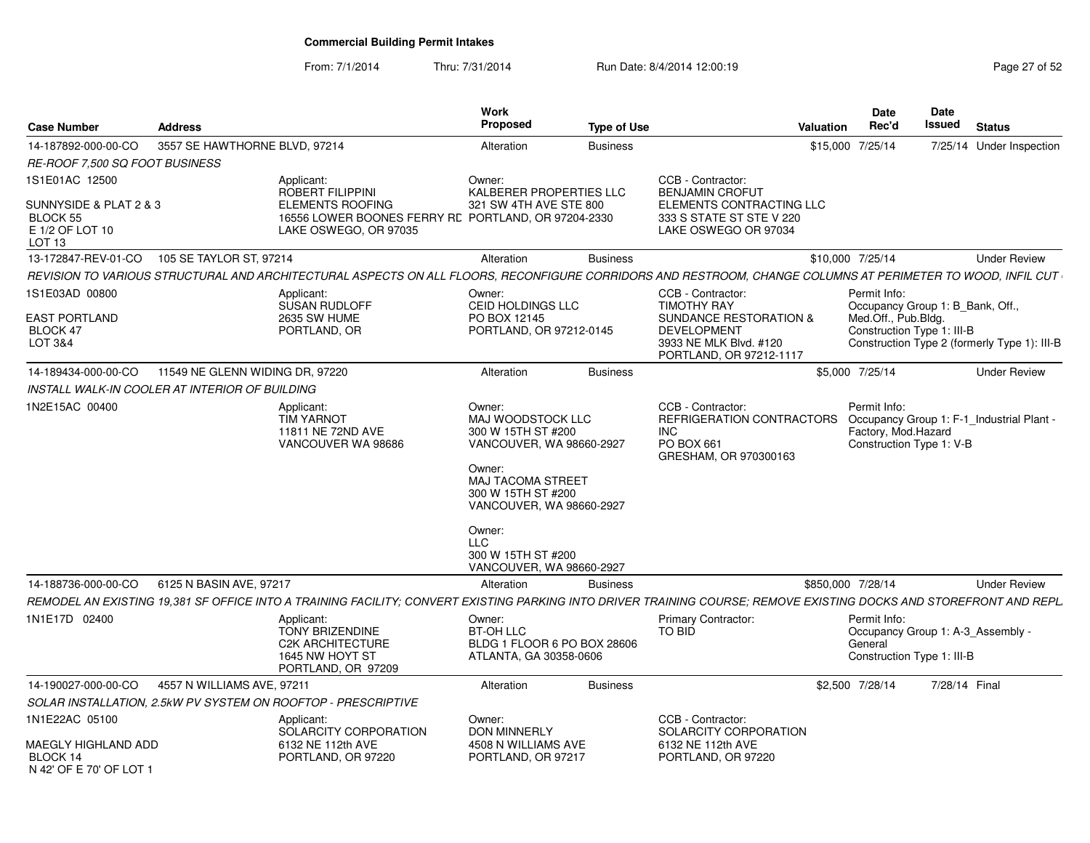From: 7/1/2014Thru: 7/31/2014 Run Date: 8/4/2014 12:00:19 Research 2010 Page 27 of 52

| <b>Case Number</b>                                                                | <b>Address</b>                                 |                                                                                                                                                                     | Work<br><b>Proposed</b>                                                                                                                                               | <b>Type of Use</b> |                                                                                                                              | <b>Valuation</b> | <b>Date</b><br>Rec'd                                                                                  | <b>Date</b><br>Issued | <b>Status</b>                                |
|-----------------------------------------------------------------------------------|------------------------------------------------|---------------------------------------------------------------------------------------------------------------------------------------------------------------------|-----------------------------------------------------------------------------------------------------------------------------------------------------------------------|--------------------|------------------------------------------------------------------------------------------------------------------------------|------------------|-------------------------------------------------------------------------------------------------------|-----------------------|----------------------------------------------|
| 14-187892-000-00-CO                                                               | 3557 SE HAWTHORNE BLVD, 97214                  |                                                                                                                                                                     | Alteration                                                                                                                                                            | <b>Business</b>    |                                                                                                                              |                  | \$15,000 7/25/14                                                                                      |                       | 7/25/14 Under Inspection                     |
| <i>RE-ROOF 7.500 SQ FOOT BUSINESS</i>                                             |                                                |                                                                                                                                                                     |                                                                                                                                                                       |                    |                                                                                                                              |                  |                                                                                                       |                       |                                              |
| 1S1E01AC 12500                                                                    |                                                | Applicant:                                                                                                                                                          | Owner:                                                                                                                                                                |                    | CCB - Contractor:                                                                                                            |                  |                                                                                                       |                       |                                              |
| SUNNYSIDE & PLAT 2 & 3<br><b>BLOCK 55</b><br>E 1/2 OF LOT 10<br>LOT <sub>13</sub> |                                                | <b>ROBERT FILIPPINI</b><br><b>ELEMENTS ROOFING</b><br>16556 LOWER BOONES FERRY RE PORTLAND, OR 97204-2330<br>LAKE OSWEGO, OR 97035                                  | KALBERER PROPERTIES LLC<br>321 SW 4TH AVE STE 800                                                                                                                     |                    | <b>BENJAMIN CROFUT</b><br>ELEMENTS CONTRACTING LLC<br>333 S STATE ST STE V 220<br>LAKE OSWEGO OR 97034                       |                  |                                                                                                       |                       |                                              |
| 13-172847-REV-01-CO                                                               | 105 SE TAYLOR ST, 97214                        |                                                                                                                                                                     | Alteration                                                                                                                                                            | <b>Business</b>    |                                                                                                                              |                  | \$10,000 7/25/14                                                                                      |                       | <b>Under Review</b>                          |
|                                                                                   |                                                | REVISION TO VARIOUS STRUCTURAL AND ARCHITECTURAL ASPECTS ON ALL FLOORS. RECONFIGURE CORRIDORS AND RESTROOM. CHANGE COLUMNS AT PERIMETER TO WOOD. INFIL CUT          |                                                                                                                                                                       |                    |                                                                                                                              |                  |                                                                                                       |                       |                                              |
| 1S1E03AD 00800<br>EAST PORTLAND<br>BLOCK 47<br>LOT 3&4                            |                                                | Applicant:<br><b>SUSAN RUDLOFF</b><br><b>2635 SW HUME</b><br>PORTLAND, OR                                                                                           | Owner:<br>CEID HOLDINGS LLC<br>PO BOX 12145<br>PORTLAND, OR 97212-0145                                                                                                |                    | CCB - Contractor:<br><b>TIMOTHY RAY</b><br><b>SUNDANCE RESTORATION &amp;</b><br><b>DEVELOPMENT</b><br>3933 NE MLK Blvd. #120 |                  | Permit Info:<br>Occupancy Group 1: B Bank, Off.,<br>Med.Off., Pub.Bldg.<br>Construction Type 1: III-B |                       | Construction Type 2 (formerly Type 1): III-B |
|                                                                                   |                                                |                                                                                                                                                                     |                                                                                                                                                                       |                    | PORTLAND, OR 97212-1117                                                                                                      |                  |                                                                                                       |                       |                                              |
| 14-189434-000-00-CO                                                               | 11549 NE GLENN WIDING DR, 97220                |                                                                                                                                                                     | Alteration                                                                                                                                                            | <b>Business</b>    |                                                                                                                              |                  | \$5,000 7/25/14                                                                                       |                       | <b>Under Review</b>                          |
|                                                                                   | INSTALL WALK-IN COOLER AT INTERIOR OF BUILDING |                                                                                                                                                                     |                                                                                                                                                                       |                    |                                                                                                                              |                  |                                                                                                       |                       |                                              |
| 1N2E15AC 00400                                                                    |                                                | Applicant:<br><b>TIM YARNOT</b><br>11811 NE 72ND AVE<br>VANCOUVER WA 98686                                                                                          | Owner:<br>MAJ WOODSTOCK LLC<br>300 W 15TH ST #200<br>VANCOUVER, WA 98660-2927<br>Owner:<br><b>MAJ TACOMA STREET</b><br>300 W 15TH ST #200<br>VANCOUVER, WA 98660-2927 |                    | CCB - Contractor:<br>REFRIGERATION CONTRACTORS<br>INC.<br><b>PO BOX 661</b><br>GRESHAM, OR 970300163                         |                  | Permit Info:<br>Factory, Mod.Hazard<br>Construction Type 1: V-B                                       |                       | Occupancy Group 1: F-1_Industrial Plant -    |
|                                                                                   |                                                |                                                                                                                                                                     | Owner:<br><b>LLC</b><br>300 W 15TH ST #200<br>VANCOUVER, WA 98660-2927                                                                                                |                    |                                                                                                                              |                  |                                                                                                       |                       |                                              |
| 14-188736-000-00-CO                                                               | 6125 N BASIN AVE, 97217                        |                                                                                                                                                                     | Alteration                                                                                                                                                            | <b>Business</b>    |                                                                                                                              |                  | \$850,000 7/28/14                                                                                     |                       | <b>Under Review</b>                          |
|                                                                                   |                                                | REMODEL AN EXISTING 19,381 SF OFFICE INTO A TRAINING FACILITY; CONVERT EXISTING PARKING INTO DRIVER TRAINING COURSE; REMOVE EXISTING DOCKS AND STOREFRONT AND REPL. |                                                                                                                                                                       |                    |                                                                                                                              |                  |                                                                                                       |                       |                                              |
| 1N1E17D 02400                                                                     |                                                | Applicant:<br><b>TONY BRIZENDINE</b><br><b>C2K ARCHITECTURE</b><br>1645 NW HOYT ST<br>PORTLAND, OR 97209                                                            | Owner:<br><b>BT-OH LLC</b><br>BLDG 1 FLOOR 6 PO BOX 28606<br>ATLANTA, GA 30358-0606                                                                                   |                    | <b>Primary Contractor:</b><br>TO BID                                                                                         |                  | Permit Info:<br>Occupancy Group 1: A-3_Assembly -<br>General<br>Construction Type 1: III-B            |                       |                                              |
| 14-190027-000-00-CO                                                               | 4557 N WILLIAMS AVE, 97211                     |                                                                                                                                                                     | Alteration                                                                                                                                                            | <b>Business</b>    |                                                                                                                              |                  | \$2,500 7/28/14                                                                                       | 7/28/14 Final         |                                              |
|                                                                                   |                                                | SOLAR INSTALLATION, 2.5kW PV SYSTEM ON ROOFTOP - PRESCRIPTIVE                                                                                                       |                                                                                                                                                                       |                    |                                                                                                                              |                  |                                                                                                       |                       |                                              |
| 1N1E22AC 05100<br>MAEGLY HIGHLAND ADD                                             |                                                | Applicant:<br>SOLARCITY CORPORATION<br>6132 NE 112th AVE                                                                                                            | Owner:<br><b>DON MINNERLY</b><br>4508 N WILLIAMS AVE                                                                                                                  |                    | CCB - Contractor:<br>SOLARCITY CORPORATION<br>6132 NE 112th AVE                                                              |                  |                                                                                                       |                       |                                              |
| BLOCK 14<br>N 42' OF E 70' OF LOT 1                                               |                                                | PORTLAND, OR 97220                                                                                                                                                  | PORTLAND, OR 97217                                                                                                                                                    |                    | PORTLAND, OR 97220                                                                                                           |                  |                                                                                                       |                       |                                              |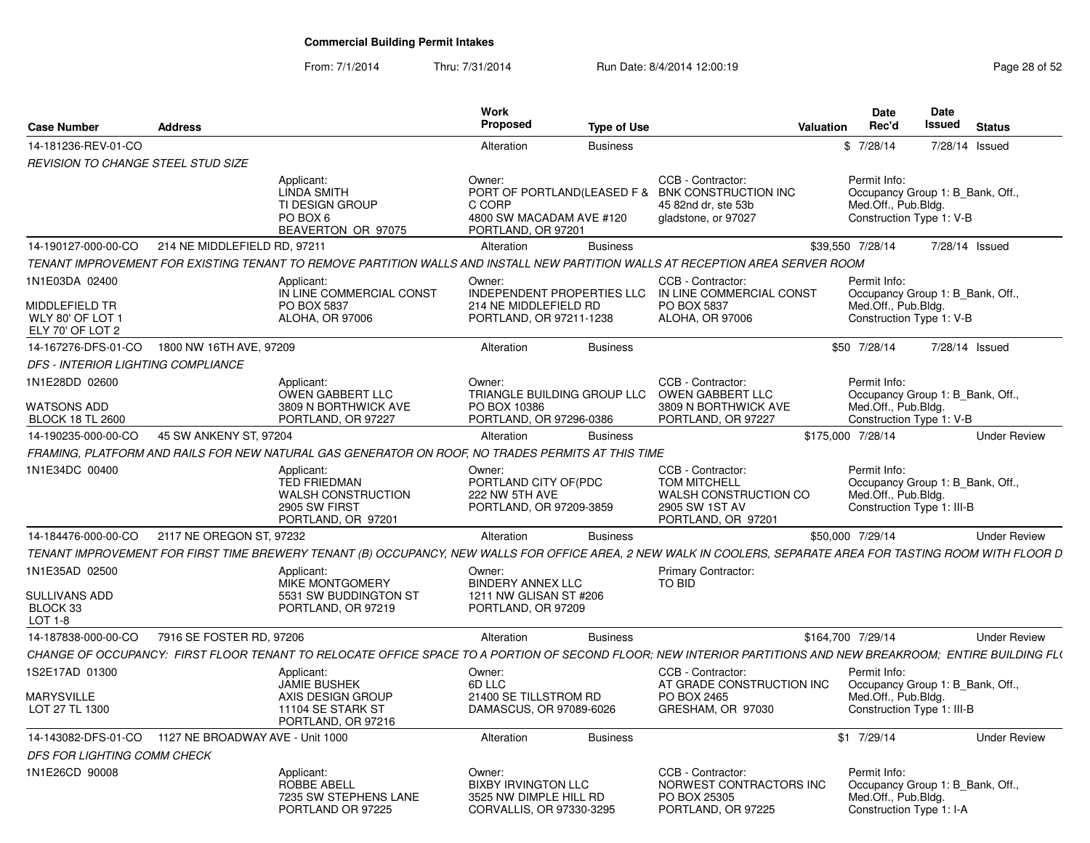From: 7/1/2014Thru: 7/31/2014 Run Date: 8/4/2014 12:00:19 Research 2010 Page 28 of 52

| <b>Case Number</b>                                      | <b>Address</b>               |                                                                                                                                                               | Work<br><b>Proposed</b>                                                                    | <b>Type of Use</b> |                                                                                                                     | <b>Date</b><br>Rec'd<br>Valuation                                 | Date<br>Issued<br><b>Status</b>  |                     |
|---------------------------------------------------------|------------------------------|---------------------------------------------------------------------------------------------------------------------------------------------------------------|--------------------------------------------------------------------------------------------|--------------------|---------------------------------------------------------------------------------------------------------------------|-------------------------------------------------------------------|----------------------------------|---------------------|
| 14-181236-REV-01-CO                                     |                              |                                                                                                                                                               | Alteration                                                                                 | <b>Business</b>    |                                                                                                                     | \$7/28/14                                                         | 7/28/14 Issued                   |                     |
| <b>REVISION TO CHANGE STEEL STUD SIZE</b>               |                              |                                                                                                                                                               |                                                                                            |                    |                                                                                                                     |                                                                   |                                  |                     |
|                                                         |                              | Applicant:<br><b>LINDA SMITH</b><br>TI DESIGN GROUP<br>PO BOX 6<br>BEAVERTON OR 97075                                                                         | Owner:<br>C CORP<br>4800 SW MACADAM AVE #120<br>PORTLAND, OR 97201                         |                    | CCB - Contractor:<br>PORT OF PORTLAND(LEASED F & BNK CONSTRUCTION INC<br>45 82nd dr. ste 53b<br>gladstone, or 97027 | Permit Info:<br>Med.Off., Pub.Bldg.<br>Construction Type 1: V-B   | Occupancy Group 1: B_Bank, Off., |                     |
| 14-190127-000-00-CO                                     | 214 NE MIDDLEFIELD RD, 97211 |                                                                                                                                                               | Alteration                                                                                 | <b>Business</b>    |                                                                                                                     | \$39,550 7/28/14                                                  | 7/28/14 Issued                   |                     |
|                                                         |                              | TENANT IMPROVEMENT FOR EXISTING TENANT TO REMOVE PARTITION WALLS AND INSTALL NEW PARTITION WALLS AT RECEPTION AREA SERVER ROOM                                |                                                                                            |                    |                                                                                                                     |                                                                   |                                  |                     |
| 1N1E03DA 02400                                          |                              | Applicant:<br>IN LINE COMMERCIAL CONST                                                                                                                        | Owner:<br>INDEPENDENT PROPERTIES LLC                                                       |                    | CCB - Contractor:<br>IN LINE COMMERCIAL CONST                                                                       | Permit Info:                                                      | Occupancy Group 1: B_Bank, Off., |                     |
| MIDDLEFIELD TR<br>WLY 80' OF LOT 1<br>ELY 70' OF LOT 2  |                              | PO BOX 5837<br><b>ALOHA, OR 97006</b>                                                                                                                         | 214 NE MIDDLEFIELD RD<br>PORTLAND, OR 97211-1238                                           |                    | PO BOX 5837<br>ALOHA, OR 97006                                                                                      | Med.Off., Pub.Bldg.<br>Construction Type 1: V-B                   |                                  |                     |
| 14-167276-DFS-01-CO 1800 NW 16TH AVE, 97209             |                              |                                                                                                                                                               | Alteration                                                                                 | <b>Business</b>    |                                                                                                                     | \$50 7/28/14                                                      | 7/28/14 Issued                   |                     |
| <b>DFS - INTERIOR LIGHTING COMPLIANCE</b>               |                              |                                                                                                                                                               |                                                                                            |                    |                                                                                                                     |                                                                   |                                  |                     |
| 1N1E28DD 02600                                          |                              | Applicant:<br>OWEN GABBERT LLC                                                                                                                                | Owner:<br>TRIANGLE BUILDING GROUP LLC                                                      |                    | CCB - Contractor:<br>OWEN GABBERT LLC                                                                               | Permit Info:                                                      | Occupancy Group 1: B_Bank, Off., |                     |
| WATSONS ADD<br><b>BLOCK 18 TL 2600</b>                  |                              | 3809 N BORTHWICK AVE<br>PORTLAND, OR 97227                                                                                                                    | PO BOX 10386<br>PORTLAND, OR 97296-0386                                                    |                    | 3809 N BORTHWICK AVE<br>PORTLAND, OR 97227                                                                          | Med.Off., Pub.Bldg.<br>Construction Type 1: V-B                   |                                  |                     |
| 14-190235-000-00-CO                                     | 45 SW ANKENY ST, 97204       |                                                                                                                                                               | Alteration                                                                                 | <b>Business</b>    |                                                                                                                     | \$175,000 7/28/14                                                 |                                  | <b>Under Review</b> |
|                                                         |                              | FRAMING, PLATFORM AND RAILS FOR NEW NATURAL GAS GENERATOR ON ROOF, NO TRADES PERMITS AT THIS TIME                                                             |                                                                                            |                    |                                                                                                                     |                                                                   |                                  |                     |
| 1N1E34DC 00400                                          |                              | Applicant:<br><b>TED FRIEDMAN</b><br><b>WALSH CONSTRUCTION</b><br>2905 SW FIRST<br>PORTLAND, OR 97201                                                         | Owner:<br>PORTLAND CITY OF (PDC<br>222 NW 5TH AVE<br>PORTLAND, OR 97209-3859               |                    | CCB - Contractor:<br><b>TOM MITCHELL</b><br>WALSH CONSTRUCTION CO<br>2905 SW 1ST AV<br>PORTLAND, OR 97201           | Permit Info:<br>Med.Off., Pub.Bldg.<br>Construction Type 1: III-B | Occupancy Group 1: B_Bank, Off., |                     |
| 14-184476-000-00-CO                                     | 2117 NE OREGON ST, 97232     |                                                                                                                                                               | Alteration                                                                                 | <b>Business</b>    |                                                                                                                     | \$50,000 7/29/14                                                  |                                  | <b>Under Review</b> |
|                                                         |                              | TENANT IMPROVEMENT FOR FIRST TIME BREWERY TENANT (B) OCCUPANCY, NEW WALLS FOR OFFICE AREA, 2 NEW WALK IN COOLERS, SEPARATE AREA FOR TASTING ROOM WITH FLOOR D |                                                                                            |                    |                                                                                                                     |                                                                   |                                  |                     |
| 1N1E35AD 02500                                          |                              | Applicant:<br>MIKE MONTGOMERY                                                                                                                                 | Owner:<br><b>BINDERY ANNEX LLC</b>                                                         |                    | <b>Primary Contractor:</b><br>TO BID                                                                                |                                                                   |                                  |                     |
| SULLIVANS ADD<br>BLOCK 33<br>$LOT 1-8$                  |                              | 5531 SW BUDDINGTON ST<br>PORTLAND, OR 97219                                                                                                                   | 1211 NW GLISAN ST #206<br>PORTLAND, OR 97209                                               |                    |                                                                                                                     |                                                                   |                                  |                     |
| 14-187838-000-00-CO                                     | 7916 SE FOSTER RD, 97206     |                                                                                                                                                               | Alteration                                                                                 | <b>Business</b>    |                                                                                                                     | \$164,700 7/29/14                                                 |                                  | <b>Under Review</b> |
|                                                         |                              | CHANGE OF OCCUPANCY: FIRST FLOOR TENANT TO RELOCATE OFFICE SPACE TO A PORTION OF SECOND FLOOR: NEW INTERIOR PARTITIONS AND NEW BREAKROOM: ENTIRE BUILDING FL( |                                                                                            |                    |                                                                                                                     |                                                                   |                                  |                     |
| 1S2E17AD 01300                                          |                              | Applicant:<br><b>JAMIE BUSHEK</b>                                                                                                                             | Owner:<br>6D LLC                                                                           |                    | CCB - Contractor:<br>AT GRADE CONSTRUCTION INC                                                                      | Permit Info:                                                      | Occupancy Group 1: B Bank, Off., |                     |
| <b>MARYSVILLE</b><br>LOT 27 TL 1300                     |                              | AXIS DESIGN GROUP<br>11104 SE STARK ST<br>PORTLAND, OR 97216                                                                                                  | 21400 SE TILLSTROM RD<br>DAMASCUS, OR 97089-6026                                           |                    | PO BOX 2465<br>GRESHAM, OR 97030                                                                                    | Med.Off., Pub.Bldg.<br>Construction Type 1: III-B                 |                                  |                     |
| 14-143082-DFS-01-CO    1127 NE BROADWAY AVE - Unit 1000 |                              |                                                                                                                                                               | Alteration                                                                                 | <b>Business</b>    |                                                                                                                     | $$1$ 7/29/14                                                      |                                  | <b>Under Review</b> |
| DFS FOR LIGHTING COMM CHECK                             |                              |                                                                                                                                                               |                                                                                            |                    |                                                                                                                     |                                                                   |                                  |                     |
| 1N1E26CD 90008                                          |                              | Applicant:<br>ROBBE ABELL<br>7235 SW STEPHENS LANE<br>PORTLAND OR 97225                                                                                       | Owner:<br><b>BIXBY IRVINGTON LLC</b><br>3525 NW DIMPLE HILL RD<br>CORVALLIS, OR 97330-3295 |                    | CCB - Contractor:<br>NORWEST CONTRACTORS INC<br>PO BOX 25305<br>PORTLAND, OR 97225                                  | Permit Info:<br>Med.Off., Pub.Bldg.<br>Construction Type 1: I-A   | Occupancy Group 1: B_Bank, Off., |                     |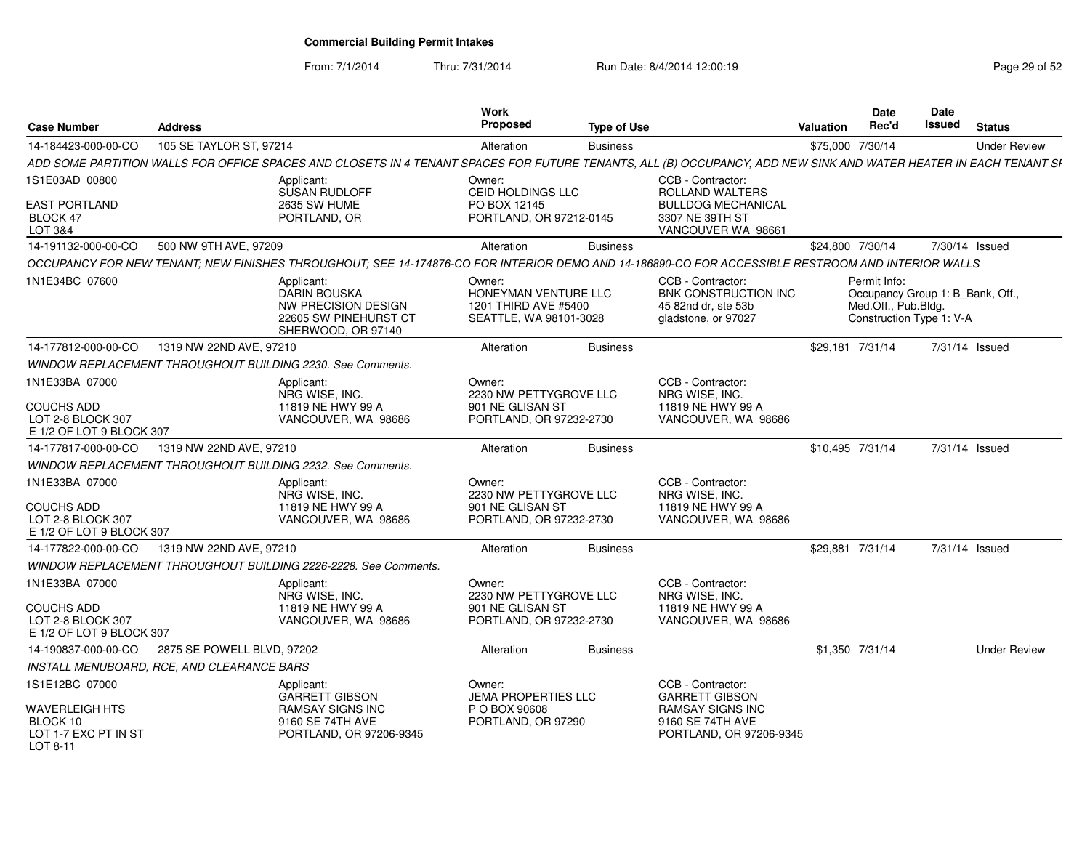From: 7/1/2014

Thru: 7/31/2014 Run Date: 8/4/2014 12:00:19 Research 2010 Page 29 of 52

| <b>Case Number</b>                                                 | <b>Address</b>                             |                                                                                                                                                                  | <b>Work</b><br><b>Proposed</b>                                                   | <b>Type of Use</b> |                                                                                                | Valuation        | <b>Date</b><br>Rec'd                                                                                | <b>Date</b><br>Issued | <b>Status</b>       |
|--------------------------------------------------------------------|--------------------------------------------|------------------------------------------------------------------------------------------------------------------------------------------------------------------|----------------------------------------------------------------------------------|--------------------|------------------------------------------------------------------------------------------------|------------------|-----------------------------------------------------------------------------------------------------|-----------------------|---------------------|
| 14-184423-000-00-CO                                                | 105 SE TAYLOR ST, 97214                    |                                                                                                                                                                  | Alteration                                                                       | <b>Business</b>    |                                                                                                | \$75,000 7/30/14 |                                                                                                     |                       | <b>Under Review</b> |
|                                                                    |                                            | ADD SOME PARTITION WALLS FOR OFFICE SPACES AND CLOSETS IN 4 TENANT SPACES FOR FUTURE TENANTS, ALL (B) OCCUPANCY, ADD NEW SINK AND WATER HEATER IN EACH TENANT SI |                                                                                  |                    |                                                                                                |                  |                                                                                                     |                       |                     |
| 1S1E03AD 00800                                                     |                                            | Applicant:<br><b>SUSAN RUDLOFF</b>                                                                                                                               | Owner:<br>CEID HOLDINGS LLC                                                      |                    | CCB - Contractor:<br>ROLLAND WALTERS                                                           |                  |                                                                                                     |                       |                     |
| <b>EAST PORTLAND</b><br>BLOCK 47                                   |                                            | <b>2635 SW HUME</b><br>PORTLAND, OR                                                                                                                              | PO BOX 12145<br>PORTLAND, OR 97212-0145                                          |                    | <b>BULLDOG MECHANICAL</b><br>3307 NE 39TH ST                                                   |                  |                                                                                                     |                       |                     |
| LOT 3&4                                                            |                                            |                                                                                                                                                                  |                                                                                  |                    | VANCOUVER WA 98661                                                                             |                  |                                                                                                     |                       |                     |
| 14-191132-000-00-CO                                                | 500 NW 9TH AVE, 97209                      |                                                                                                                                                                  | Alteration                                                                       | <b>Business</b>    |                                                                                                | \$24,800 7/30/14 |                                                                                                     |                       | 7/30/14 Issued      |
|                                                                    |                                            | OCCUPANCY FOR NEW TENANT; NEW FINISHES THROUGHOUT; SEE 14-174876-CO FOR INTERIOR DEMO AND 14-186890-CO FOR ACCESSIBLE RESTROOM AND INTERIOR WALLS                |                                                                                  |                    |                                                                                                |                  |                                                                                                     |                       |                     |
| 1N1E34BC 07600                                                     |                                            | Applicant:<br><b>DARIN BOUSKA</b><br>NW PRECISION DESIGN<br>22605 SW PINEHURST CT<br>SHERWOOD, OR 97140                                                          | Owner:<br>HONEYMAN VENTURE LLC<br>1201 THIRD AVE #5400<br>SEATTLE, WA 98101-3028 |                    | CCB - Contractor:<br><b>BNK CONSTRUCTION INC</b><br>45 82nd dr. ste 53b<br>gladstone, or 97027 |                  | Permit Info:<br>Occupancy Group 1: B_Bank, Off.,<br>Med.Off., Pub.Bldg.<br>Construction Type 1: V-A |                       |                     |
| 14-177812-000-00-CO                                                | 1319 NW 22ND AVE, 97210                    |                                                                                                                                                                  | Alteration                                                                       | <b>Business</b>    |                                                                                                | \$29,181 7/31/14 |                                                                                                     |                       | 7/31/14 Issued      |
|                                                                    |                                            | WINDOW REPLACEMENT THROUGHOUT BUILDING 2230. See Comments.                                                                                                       |                                                                                  |                    |                                                                                                |                  |                                                                                                     |                       |                     |
| 1N1E33BA 07000                                                     |                                            | Applicant:<br>NRG WISE, INC.                                                                                                                                     | Owner:<br>2230 NW PETTYGROVE LLC                                                 |                    | CCB - Contractor:<br>NRG WISE, INC.                                                            |                  |                                                                                                     |                       |                     |
| <b>COUCHS ADD</b><br>LOT 2-8 BLOCK 307<br>E 1/2 OF LOT 9 BLOCK 307 |                                            | 11819 NE HWY 99 A<br>VANCOUVER, WA 98686                                                                                                                         | 901 NE GLISAN ST<br>PORTLAND, OR 97232-2730                                      |                    | 11819 NE HWY 99 A<br>VANCOUVER, WA 98686                                                       |                  |                                                                                                     |                       |                     |
| 14-177817-000-00-CO                                                | 1319 NW 22ND AVE, 97210                    |                                                                                                                                                                  | Alteration                                                                       | <b>Business</b>    |                                                                                                | \$10,495 7/31/14 |                                                                                                     |                       | 7/31/14 Issued      |
|                                                                    |                                            | <b>WINDOW REPLACEMENT THROUGHOUT BUILDING 2232. See Comments.</b>                                                                                                |                                                                                  |                    |                                                                                                |                  |                                                                                                     |                       |                     |
| 1N1E33BA 07000                                                     |                                            | Applicant:<br>NRG WISE, INC.                                                                                                                                     | Owner:<br>2230 NW PETTYGROVE LLC                                                 |                    | CCB - Contractor:<br>NRG WISE, INC.                                                            |                  |                                                                                                     |                       |                     |
| <b>COUCHS ADD</b><br>LOT 2-8 BLOCK 307<br>E 1/2 OF LOT 9 BLOCK 307 |                                            | 11819 NE HWY 99 A<br>VANCOUVER, WA 98686                                                                                                                         | 901 NE GLISAN ST<br>PORTLAND, OR 97232-2730                                      |                    | 11819 NE HWY 99 A<br>VANCOUVER, WA 98686                                                       |                  |                                                                                                     |                       |                     |
| 14-177822-000-00-CO                                                | 1319 NW 22ND AVE, 97210                    |                                                                                                                                                                  | Alteration                                                                       | <b>Business</b>    |                                                                                                | \$29,881 7/31/14 |                                                                                                     |                       | 7/31/14 Issued      |
|                                                                    |                                            | WINDOW REPLACEMENT THROUGHOUT BUILDING 2226-2228. See Comments.                                                                                                  |                                                                                  |                    |                                                                                                |                  |                                                                                                     |                       |                     |
| 1N1E33BA 07000                                                     |                                            | Applicant:<br>NRG WISE, INC.                                                                                                                                     | Owner:<br>2230 NW PETTYGROVE LLC                                                 |                    | CCB - Contractor:<br>NRG WISE, INC.                                                            |                  |                                                                                                     |                       |                     |
| COUCHS ADD<br>LOT 2-8 BLOCK 307<br>E 1/2 OF LOT 9 BLOCK 307        |                                            | 11819 NE HWY 99 A<br>VANCOUVER, WA 98686                                                                                                                         | 901 NE GLISAN ST<br>PORTLAND, OR 97232-2730                                      |                    | 11819 NE HWY 99 A<br>VANCOUVER, WA 98686                                                       |                  |                                                                                                     |                       |                     |
| 14-190837-000-00-CO                                                | 2875 SE POWELL BLVD, 97202                 |                                                                                                                                                                  | Alteration                                                                       | <b>Business</b>    |                                                                                                |                  | \$1,350 7/31/14                                                                                     |                       | <b>Under Review</b> |
|                                                                    | INSTALL MENUBOARD. RCE. AND CLEARANCE BARS |                                                                                                                                                                  |                                                                                  |                    |                                                                                                |                  |                                                                                                     |                       |                     |
| 1S1E12BC 07000                                                     |                                            | Applicant:<br><b>GARRETT GIBSON</b>                                                                                                                              | Owner:<br><b>JEMA PROPERTIES LLC</b>                                             |                    | CCB - Contractor:<br><b>GARRETT GIBSON</b>                                                     |                  |                                                                                                     |                       |                     |
| WAVERLEIGH HTS<br>BLOCK 10<br>LOT 1-7 EXC PT IN ST<br>LOT 8-11     |                                            | <b>RAMSAY SIGNS INC</b><br>9160 SE 74TH AVE<br>PORTLAND, OR 97206-9345                                                                                           | P O BOX 90608<br>PORTLAND, OR 97290                                              |                    | <b>RAMSAY SIGNS INC</b><br>9160 SE 74TH AVE<br>PORTLAND, OR 97206-9345                         |                  |                                                                                                     |                       |                     |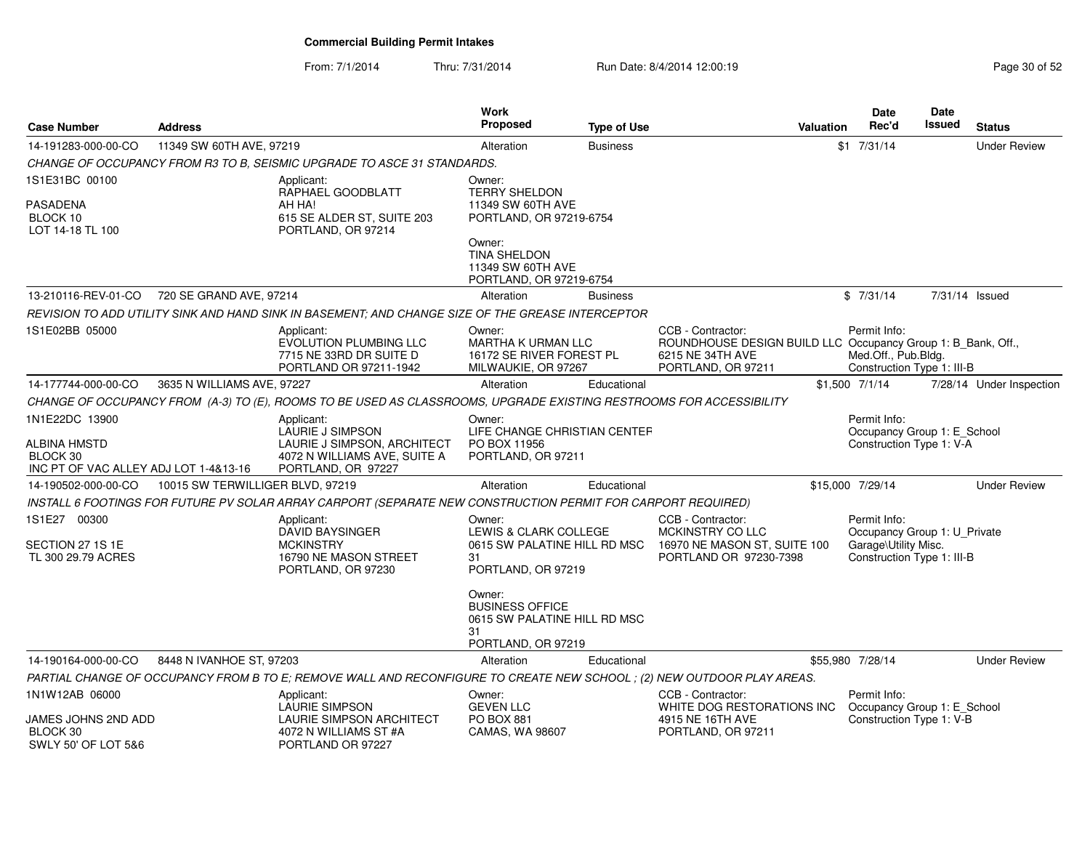From: 7/1/2014Thru: 7/31/2014 Run Date: 8/4/2014 12:00:19 Research 20 and 20 of 52

| <b>Case Number</b>                                                                         | <b>Address</b>                   |                                                                                                                         | Work<br><b>Proposed</b>                                                                      | <b>Type of Use</b> | <b>Valuation</b>                                                                                                            | <b>Date</b><br>Rec'd                 | Date<br>Issued                                             | <b>Status</b>            |
|--------------------------------------------------------------------------------------------|----------------------------------|-------------------------------------------------------------------------------------------------------------------------|----------------------------------------------------------------------------------------------|--------------------|-----------------------------------------------------------------------------------------------------------------------------|--------------------------------------|------------------------------------------------------------|--------------------------|
| 14-191283-000-00-CO                                                                        | 11349 SW 60TH AVE, 97219         |                                                                                                                         | Alteration                                                                                   | <b>Business</b>    |                                                                                                                             | $$1$ 7/31/14                         |                                                            | <b>Under Review</b>      |
|                                                                                            |                                  | CHANGE OF OCCUPANCY FROM R3 TO B, SEISMIC UPGRADE TO ASCE 31 STANDARDS.                                                 |                                                                                              |                    |                                                                                                                             |                                      |                                                            |                          |
| 1S1E31BC 00100                                                                             |                                  | Applicant:<br>RAPHAEL GOODBLATT                                                                                         | Owner:<br><b>TERRY SHELDON</b>                                                               |                    |                                                                                                                             |                                      |                                                            |                          |
| <b>PASADENA</b><br>BLOCK 10<br>LOT 14-18 TL 100                                            |                                  | AH HA!<br>615 SE ALDER ST, SUITE 203<br>PORTLAND, OR 97214                                                              | 11349 SW 60TH AVE<br>PORTLAND, OR 97219-6754                                                 |                    |                                                                                                                             |                                      |                                                            |                          |
|                                                                                            |                                  |                                                                                                                         | Owner:<br>TINA SHELDON<br>11349 SW 60TH AVE<br>PORTLAND, OR 97219-6754                       |                    |                                                                                                                             |                                      |                                                            |                          |
| 13-210116-REV-01-CO                                                                        | 720 SE GRAND AVE, 97214          |                                                                                                                         | Alteration                                                                                   | <b>Business</b>    |                                                                                                                             | \$7/31/14                            |                                                            | 7/31/14 Issued           |
|                                                                                            |                                  | REVISION TO ADD UTILITY SINK AND HAND SINK IN BASEMENT: AND CHANGE SIZE OF THE GREASE INTERCEPTOR                       |                                                                                              |                    |                                                                                                                             |                                      |                                                            |                          |
| 1S1E02BB 05000                                                                             |                                  | Applicant:<br>EVOLUTION PLUMBING LLC<br>7715 NE 33RD DR SUITE D<br>PORTLAND OR 97211-1942                               | Owner:<br><b>MARTHA K URMAN LLC</b><br>16172 SE RIVER FOREST PL<br>MILWAUKIE, OR 97267       |                    | CCB - Contractor:<br>ROUNDHOUSE DESIGN BUILD LLC Occupancy Group 1: B Bank, Off.,<br>6215 NE 34TH AVE<br>PORTLAND, OR 97211 | Permit Info:<br>Med.Off., Pub.Bldg.  | Construction Type 1: III-B                                 |                          |
| 14-177744-000-00-CO                                                                        | 3635 N WILLIAMS AVE, 97227       |                                                                                                                         | Alteration                                                                                   | Educational        |                                                                                                                             | \$1,500 7/1/14                       |                                                            | 7/28/14 Under Inspection |
|                                                                                            |                                  | CHANGE OF OCCUPANCY FROM (A-3) TO (E), ROOMS TO BE USED AS CLASSROOMS, UPGRADE EXISTING RESTROOMS FOR ACCESSIBILITY     |                                                                                              |                    |                                                                                                                             |                                      |                                                            |                          |
| 1N1E22DC 13900<br><b>ALBINA HMSTD</b><br>BLOCK 30<br>INC PT OF VAC ALLEY ADJ LOT 1-4&13-16 |                                  | Applicant:<br>LAURIE J SIMPSON<br>LAURIE J SIMPSON, ARCHITECT<br>4072 N WILLIAMS AVE, SUITE A<br>PORTLAND, OR 97227     | Owner:<br>LIFE CHANGE CHRISTIAN CENTEF<br>PO BOX 11956<br>PORTLAND, OR 97211                 |                    |                                                                                                                             | Permit Info:                         | Occupancy Group 1: E_School<br>Construction Type 1: V-A    |                          |
| 14-190502-000-00-CO                                                                        | 10015 SW TERWILLIGER BLVD, 97219 |                                                                                                                         | Alteration                                                                                   | Educational        |                                                                                                                             | \$15,000 7/29/14                     |                                                            | <b>Under Review</b>      |
|                                                                                            |                                  | INSTALL 6 FOOTINGS FOR FUTURE PV SOLAR ARRAY CARPORT (SEPARATE NEW CONSTRUCTION PERMIT FOR CARPORT REQUIRED)            |                                                                                              |                    |                                                                                                                             |                                      |                                                            |                          |
| 1S1E27 00300<br>SECTION 27 1S 1E<br>TL 300 29.79 ACRES                                     |                                  | Applicant:<br><b>DAVID BAYSINGER</b><br><b>MCKINSTRY</b><br>16790 NE MASON STREET<br>PORTLAND, OR 97230                 | Owner:<br>LEWIS & CLARK COLLEGE<br>0615 SW PALATINE HILL RD MSC<br>31<br>PORTLAND, OR 97219  |                    | CCB - Contractor:<br>MCKINSTRY CO LLC<br>16970 NE MASON ST, SUITE 100<br>PORTLAND OR 97230-7398                             | Permit Info:<br>Garage\Utility Misc. | Occupancy Group 1: U_Private<br>Construction Type 1: III-B |                          |
|                                                                                            |                                  |                                                                                                                         | Owner:<br><b>BUSINESS OFFICE</b><br>0615 SW PALATINE HILL RD MSC<br>31<br>PORTLAND, OR 97219 |                    |                                                                                                                             |                                      |                                                            |                          |
| 14-190164-000-00-CO                                                                        | 8448 N IVANHOE ST, 97203         |                                                                                                                         | Alteration                                                                                   | Educational        |                                                                                                                             | \$55,980 7/28/14                     |                                                            | <b>Under Review</b>      |
|                                                                                            |                                  | PARTIAL CHANGE OF OCCUPANCY FROM B TO E; REMOVE WALL AND RECONFIGURE TO CREATE NEW SCHOOL ; (2) NEW OUTDOOR PLAY AREAS. |                                                                                              |                    |                                                                                                                             |                                      |                                                            |                          |
| 1N1W12AB 06000                                                                             |                                  | Applicant:<br>LAURIE SIMPSON                                                                                            | Owner:<br><b>GEVEN LLC</b>                                                                   |                    | CCB - Contractor:<br>WHITE DOG RESTORATIONS INC                                                                             | Permit Info:                         | Occupancy Group 1: E_School                                |                          |
| JAMES JOHNS 2ND ADD<br>BLOCK 30<br>SWLY 50' OF LOT 5&6                                     |                                  | <b>LAURIE SIMPSON ARCHITECT</b><br>4072 N WILLIAMS ST #A<br>PORTLAND OR 97227                                           | PO BOX 881<br>CAMAS, WA 98607                                                                |                    | 4915 NE 16TH AVE<br>PORTLAND, OR 97211                                                                                      |                                      | Construction Type 1: V-B                                   |                          |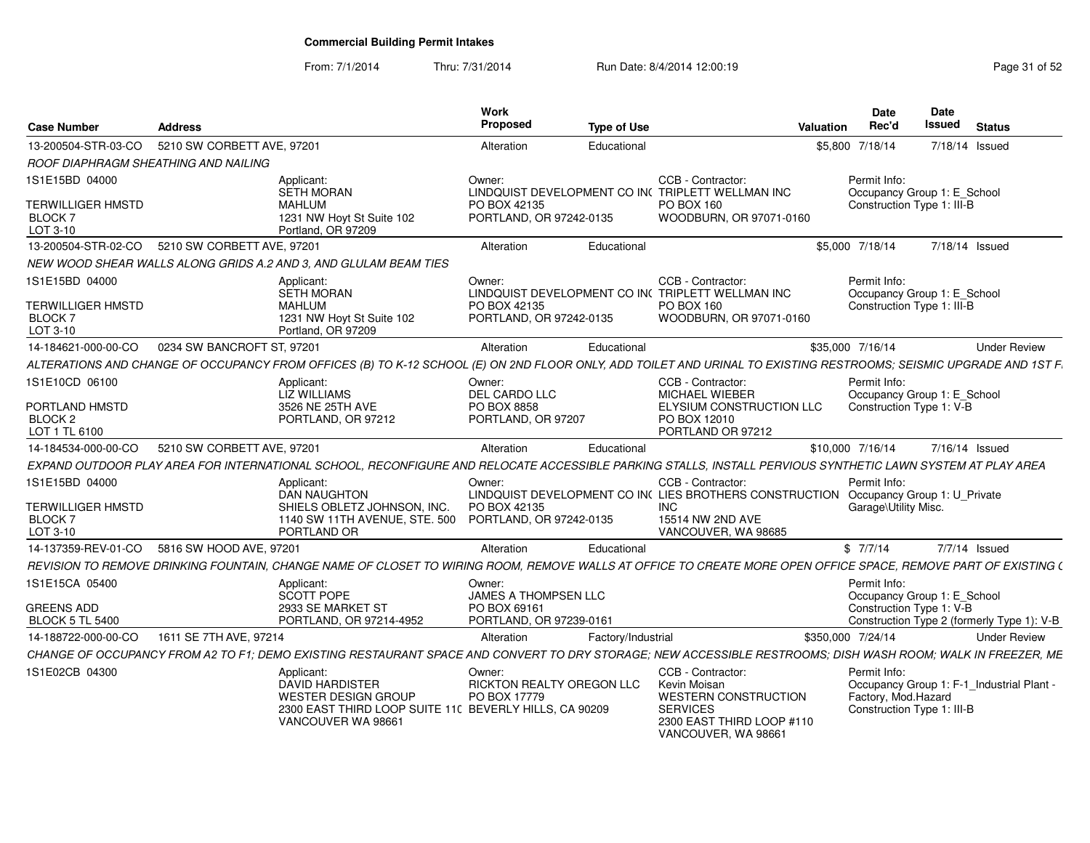From: 7/1/2014Thru: 7/31/2014 Run Date: 8/4/2014 12:00:19 Research 2010 12:00:19

| <b>Case Number</b>                                                      | Address                                      |                                                                                                                                                                   | Work<br><b>Proposed</b>                                      | <b>Type of Use</b> |                                                                                                                                                              | Valuation         | <b>Date</b><br>Rec'd                     | Date<br>Issued                                            | <b>Status</b>                              |
|-------------------------------------------------------------------------|----------------------------------------------|-------------------------------------------------------------------------------------------------------------------------------------------------------------------|--------------------------------------------------------------|--------------------|--------------------------------------------------------------------------------------------------------------------------------------------------------------|-------------------|------------------------------------------|-----------------------------------------------------------|--------------------------------------------|
| 13-200504-STR-03-CO                                                     | 5210 SW CORBETT AVE, 97201                   |                                                                                                                                                                   | Alteration                                                   | Educational        |                                                                                                                                                              | \$5,800 7/18/14   |                                          | 7/18/14 Issued                                            |                                            |
|                                                                         | ROOF DIAPHRAGM SHEATHING AND NAILING         |                                                                                                                                                                   |                                                              |                    |                                                                                                                                                              |                   |                                          |                                                           |                                            |
| 1S1E15BD 04000<br><b>TERWILLIGER HMSTD</b><br><b>BLOCK7</b><br>LOT 3-10 |                                              | Applicant:<br>SETH MORAN<br><b>MAHLUM</b><br>1231 NW Hoyt St Suite 102<br>Portland, OR 97209                                                                      | Owner:<br>PO BOX 42135<br>PORTLAND, OR 97242-0135            |                    | CCB - Contractor:<br>LINDQUIST DEVELOPMENT CO IN( TRIPLETT WELLMAN INC<br>PO BOX 160<br>WOODBURN, OR 97071-0160                                              |                   | Permit Info:                             | Occupancy Group 1: E_School<br>Construction Type 1: III-B |                                            |
| 13-200504-STR-02-CO                                                     | 5210 SW CORBETT AVE, 97201                   |                                                                                                                                                                   | Alteration                                                   | Educational        |                                                                                                                                                              | \$5,000 7/18/14   |                                          | 7/18/14 Issued                                            |                                            |
|                                                                         |                                              | NEW WOOD SHEAR WALLS ALONG GRIDS A.2 AND 3. AND GLULAM BEAM TIES                                                                                                  |                                                              |                    |                                                                                                                                                              |                   |                                          |                                                           |                                            |
| 1S1E15BD 04000<br><b>TERWILLIGER HMSTD</b><br><b>BLOCK7</b><br>LOT 3-10 |                                              | Applicant:<br>SETH MORAN<br><b>MAHLUM</b><br>1231 NW Hoyt St Suite 102<br>Portland, OR 97209                                                                      | Owner:<br>PO BOX 42135<br>PORTLAND, OR 97242-0135            |                    | CCB - Contractor:<br>LINDQUIST DEVELOPMENT CO IN( TRIPLETT WELLMAN INC<br>PO BOX 160<br>WOODBURN, OR 97071-0160                                              |                   | Permit Info:                             | Occupancy Group 1: E_School<br>Construction Type 1: III-B |                                            |
| 14-184621-000-00-CO                                                     | 0234 SW BANCROFT ST, 97201                   |                                                                                                                                                                   | Alteration                                                   | Educational        |                                                                                                                                                              | \$35,000 7/16/14  |                                          |                                                           | <b>Under Review</b>                        |
|                                                                         |                                              | ALTERATIONS AND CHANGE OF OCCUPANCY FROM OFFICES (B) TO K-12 SCHOOL (E) ON 2ND FLOOR ONLY, ADD TOILET AND URINAL TO EXISTING RESTROOMS; SEISMIC UPGRADE AND 1ST F |                                                              |                    |                                                                                                                                                              |                   |                                          |                                                           |                                            |
| 1S1E10CD 06100<br>PORTLAND HMSTD<br>BLOCK <sub>2</sub><br>LOT 1 TL 6100 |                                              | Applicant:<br>LIZ WILLIAMS<br>3526 NE 25TH AVE<br>PORTLAND, OR 97212                                                                                              | Owner:<br>DEL CARDO LLC<br>PO BOX 8858<br>PORTLAND, OR 97207 |                    | CCB - Contractor:<br><b>MICHAEL WIEBER</b><br>ELYSIUM CONSTRUCTION LLC<br>PO BOX 12010<br>PORTLAND OR 97212                                                  |                   | Permit Info:<br>Construction Type 1: V-B | Occupancy Group 1: E School                               |                                            |
| 14-184534-000-00-CO                                                     | 5210 SW CORBETT AVE, 97201                   |                                                                                                                                                                   | Alteration                                                   | Educational        |                                                                                                                                                              | \$10,000 7/16/14  |                                          | 7/16/14 Issued                                            |                                            |
|                                                                         |                                              | EXPAND OUTDOOR PLAY AREA FOR INTERNATIONAL SCHOOL. RECONFIGURE AND RELOCATE ACCESSIBLE PARKING STALLS. INSTALL PERVIOUS SYNTHETIC LAWN SYSTEM AT PLAY AREA        |                                                              |                    |                                                                                                                                                              |                   |                                          |                                                           |                                            |
| 1S1E15BD 04000<br><b>TERWILLIGER HMSTD</b><br><b>BLOCK7</b><br>LOT 3-10 |                                              | Applicant:<br><b>DAN NAUGHTON</b><br>SHIELS OBLETZ JOHNSON, INC.<br>1140 SW 11TH AVENUE, STE. 500<br>PORTLAND OR                                                  | Owner:<br>PO BOX 42135<br>PORTLAND, OR 97242-0135            |                    | CCB - Contractor:<br>LINDQUIST DEVELOPMENT CO IN( LIES BROTHERS CONSTRUCTION Occupancy Group 1: U_Private<br>INC.<br>15514 NW 2ND AVE<br>VANCOUVER, WA 98685 |                   | Permit Info:<br>Garage\Utility Misc.     |                                                           |                                            |
|                                                                         | 14-137359-REV-01-CO 5816 SW HOOD AVE, 97201  |                                                                                                                                                                   | Alteration                                                   | Educational        |                                                                                                                                                              |                   | \$7/7/14                                 | 7/7/14 Issued                                             |                                            |
|                                                                         | <b>REVISION TO REMOVE DRINKING FOUNTAIN.</b> | CHANGE NAME OF CLOSET TO WIRING ROOM. REMOVE WALLS AT OFFICE TO CREATE MORE OPEN OFFICE SPACE. REMOVE PART OF EXISTING (                                          |                                                              |                    |                                                                                                                                                              |                   |                                          |                                                           |                                            |
| 1S1E15CA 05400                                                          |                                              | Applicant:<br>SCOTT POPE                                                                                                                                          | Owner:<br><b>JAMES A THOMPSEN LLC</b>                        |                    |                                                                                                                                                              |                   | Permit Info:                             | Occupancy Group 1: E_School                               |                                            |
| <b>GREENS ADD</b><br><b>BLOCK 5 TL 5400</b>                             |                                              | 2933 SE MARKET ST<br>PORTLAND, OR 97214-4952                                                                                                                      | PO BOX 69161<br>PORTLAND, OR 97239-0161                      |                    |                                                                                                                                                              |                   | Construction Type 1: V-B                 |                                                           | Construction Type 2 (formerly Type 1): V-B |
| 14-188722-000-00-CO                                                     | 1611 SE 7TH AVE, 97214                       |                                                                                                                                                                   | Alteration                                                   | Factory/Industrial |                                                                                                                                                              | \$350,000 7/24/14 |                                          |                                                           | <b>Under Review</b>                        |
|                                                                         |                                              | CHANGE OF OCCUPANCY FROM A2 TO F1: DEMO EXISTING RESTAURANT SPACE AND CONVERT TO DRY STORAGE: NEW ACCESSIBLE RESTROOMS: DISH WASH ROOM: WALK IN FREEZER. ME       |                                                              |                    |                                                                                                                                                              |                   |                                          |                                                           |                                            |
| 1S1E02CB 04300                                                          |                                              | Applicant:<br><b>DAVID HARDISTER</b><br><b>WESTER DESIGN GROUP</b><br>2300 EAST THIRD LOOP SUITE 110 BEVERLY HILLS, CA 90209<br>VANCOUVER WA 98661                | Owner:<br>RICKTON REALTY OREGON LLC<br>PO BOX 17779          |                    | CCB - Contractor:<br>Kevin Moisan<br><b>WESTERN CONSTRUCTION</b><br><b>SERVICES</b><br>2300 EAST THIRD LOOP #110<br>VANCOUVER, WA 98661                      |                   | Permit Info:<br>Factory, Mod.Hazard      | Construction Type 1: III-B                                | Occupancy Group 1: F-1_Industrial Plant -  |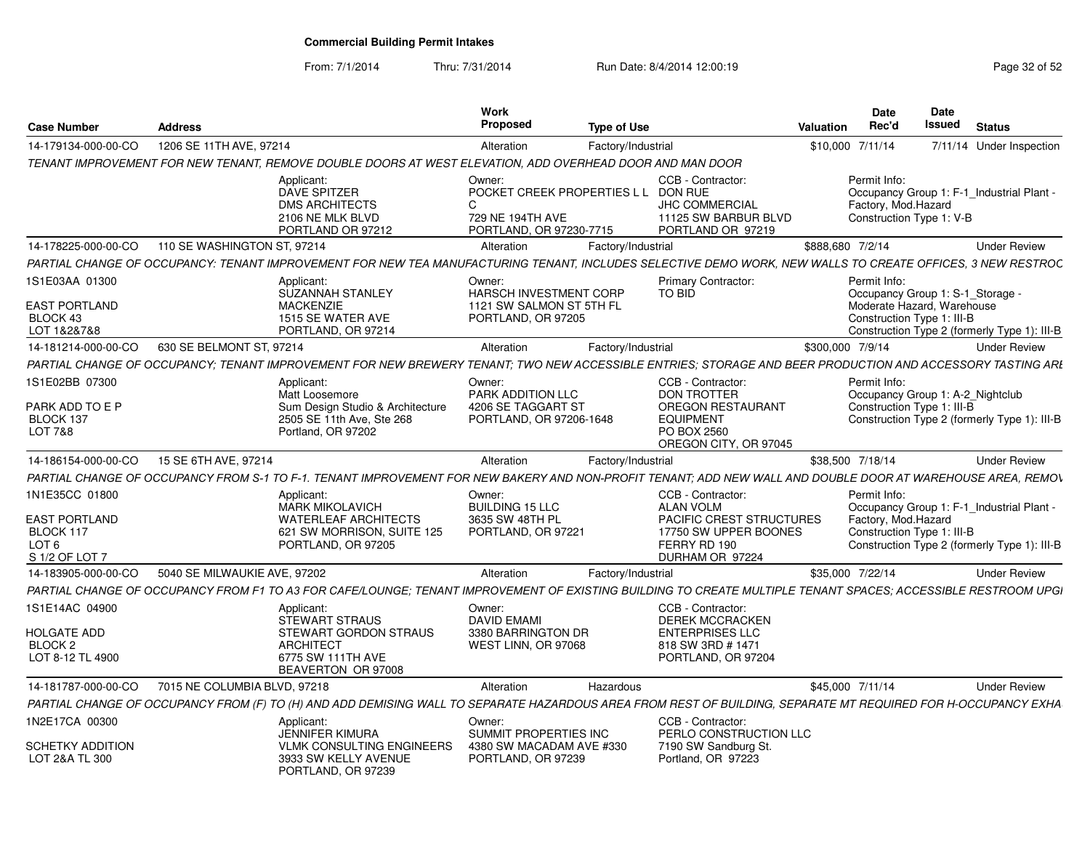From: 7/1/2014Thru: 7/31/2014 Run Date: 8/4/2014 12:00:19 Research 2010 Page 32 of 52

| <b>Case Number</b>                                                      | <b>Address</b>               |                                                                                                                                                               | Work<br>Proposed                                                                     | <b>Type of Use</b> |                                                                                                           | Date<br>Rec'd<br>Valuation                                                                                   | Date<br>Issued | <b>Status</b>                                |
|-------------------------------------------------------------------------|------------------------------|---------------------------------------------------------------------------------------------------------------------------------------------------------------|--------------------------------------------------------------------------------------|--------------------|-----------------------------------------------------------------------------------------------------------|--------------------------------------------------------------------------------------------------------------|----------------|----------------------------------------------|
| 14-179134-000-00-CO                                                     | 1206 SE 11TH AVE, 97214      |                                                                                                                                                               | Alteration                                                                           | Factory/Industrial |                                                                                                           | \$10,000 7/11/14                                                                                             |                | 7/11/14 Under Inspection                     |
|                                                                         |                              | TENANT IMPROVEMENT FOR NEW TENANT, REMOVE DOUBLE DOORS AT WEST ELEVATION, ADD OVERHEAD DOOR AND MAN DOOR                                                      |                                                                                      |                    |                                                                                                           |                                                                                                              |                |                                              |
|                                                                         |                              | Applicant:<br><b>DAVE SPITZER</b><br><b>DMS ARCHITECTS</b><br>2106 NE MLK BLVD<br>PORTLAND OR 97212                                                           | Owner:<br>POCKET CREEK PROPERTIES L L<br>729 NE 194TH AVE<br>PORTLAND, OR 97230-7715 |                    | CCB - Contractor:<br><b>DON RUE</b><br><b>JHC COMMERCIAL</b><br>11125 SW BARBUR BLVD<br>PORTLAND OR 97219 | Permit Info:<br>Occupancy Group 1: F-1_Industrial Plant -<br>Factory, Mod.Hazard<br>Construction Type 1: V-B |                |                                              |
| 14-178225-000-00-CO                                                     | 110 SE WASHINGTON ST, 97214  |                                                                                                                                                               | Alteration                                                                           | Factory/Industrial |                                                                                                           | \$888.680 7/2/14                                                                                             |                | <b>Under Review</b>                          |
|                                                                         |                              | PARTIAL CHANGE OF OCCUPANCY: TENANT IMPROVEMENT FOR NEW TEA MANUFACTURING TENANT, INCLUDES SELECTIVE DEMO WORK, NEW WALLS TO CREATE OFFICES, 3 NEW RESTROC    |                                                                                      |                    |                                                                                                           |                                                                                                              |                |                                              |
| 1S1E03AA 01300                                                          |                              | Applicant:<br><b>SUZANNAH STANLEY</b>                                                                                                                         | Owner:<br><b>HARSCH INVESTMENT CORP</b>                                              |                    | <b>Primary Contractor:</b><br><b>TO BID</b>                                                               | Permit Info:<br>Occupancy Group 1: S-1 Storage                                                               |                |                                              |
| <b>EAST PORTLAND</b><br>BLOCK 43<br>LOT 1&2&7&8                         |                              | <b>MACKENZIE</b><br>1515 SE WATER AVE<br>PORTLAND, OR 97214                                                                                                   | 1121 SW SALMON ST 5TH FL<br>PORTLAND, OR 97205                                       |                    |                                                                                                           | Moderate Hazard, Warehouse<br>Construction Type 1: III-B                                                     |                | Construction Type 2 (formerly Type 1): III-B |
| 14-181214-000-00-CO                                                     | 630 SE BELMONT ST, 97214     |                                                                                                                                                               | Alteration                                                                           | Factory/Industrial |                                                                                                           | \$300,000 7/9/14                                                                                             |                | <b>Under Review</b>                          |
|                                                                         |                              | PARTIAL CHANGE OF OCCUPANCY: TENANT IMPROVEMENT FOR NEW BREWERY TENANT: TWO NEW ACCESSIBLE ENTRIES: STORAGE AND BEER PRODUCTION AND ACCESSORY TASTING ARL     |                                                                                      |                    |                                                                                                           |                                                                                                              |                |                                              |
| 1S1E02BB 07300                                                          |                              | Applicant:<br>Matt Loosemore                                                                                                                                  | Owner:<br>PARK ADDITION LLC                                                          |                    | CCB - Contractor:<br><b>DON TROTTER</b>                                                                   | Permit Info:<br>Occupancy Group 1: A-2_Nightclub                                                             |                |                                              |
| PARK ADD TO E P                                                         |                              | Sum Design Studio & Architecture                                                                                                                              | 4206 SE TAGGART ST                                                                   |                    | <b>OREGON RESTAURANT</b>                                                                                  | Construction Type 1: III-B                                                                                   |                |                                              |
| BLOCK 137<br><b>LOT 7&amp;8</b>                                         |                              | 2505 SE 11th Ave, Ste 268<br>Portland, OR 97202                                                                                                               | PORTLAND, OR 97206-1648                                                              |                    | <b>EQUIPMENT</b><br>PO BOX 2560<br>OREGON CITY, OR 97045                                                  |                                                                                                              |                | Construction Type 2 (formerly Type 1): III-B |
| 14-186154-000-00-CO                                                     | 15 SE 6TH AVE, 97214         |                                                                                                                                                               | Alteration                                                                           | Factory/Industrial |                                                                                                           | \$38,500 7/18/14                                                                                             |                | <b>Under Review</b>                          |
|                                                                         |                              | PARTIAL CHANGE OF OCCUPANCY FROM S-1 TO F-1. TENANT IMPROVEMENT FOR NEW BAKERY AND NON-PROFIT TENANT: ADD NEW WALL AND DOUBLE DOOR AT WAREHOUSE AREA. REMOV   |                                                                                      |                    |                                                                                                           |                                                                                                              |                |                                              |
| 1N1E35CC 01800                                                          |                              | Applicant:<br><b>MARK MIKOLAVICH</b>                                                                                                                          | Owner:<br><b>BUILDING 15 LLC</b>                                                     |                    | CCB - Contractor:<br><b>ALAN VOLM</b>                                                                     | Permit Info:<br>Occupancy Group 1: F-1 Industrial Plant                                                      |                |                                              |
| <b>EAST PORTLAND</b><br>BLOCK 117<br>LOT <sub>6</sub><br>S 1/2 OF LOT 7 |                              | <b>WATERLEAF ARCHITECTS</b><br>621 SW MORRISON, SUITE 125<br>PORTLAND, OR 97205                                                                               | 3635 SW 48TH PL<br>PORTLAND, OR 97221                                                |                    | <b>PACIFIC CREST STRUCTURES</b><br>17750 SW UPPER BOONES<br>FERRY RD 190<br>DURHAM OR 97224               | Factory, Mod. Hazard<br>Construction Type 1: III-B                                                           |                | Construction Type 2 (formerly Type 1): III-B |
| 14-183905-000-00-CO                                                     | 5040 SE MILWAUKIE AVE, 97202 |                                                                                                                                                               | Alteration                                                                           | Factory/Industrial |                                                                                                           | \$35,000 7/22/14                                                                                             |                | <b>Under Review</b>                          |
|                                                                         |                              | PARTIAL CHANGE OF OCCUPANCY FROM F1 TO A3 FOR CAFE/LOUNGE: TENANT IMPROVEMENT OF EXISTING BUILDING TO CREATE MULTIPLE TENANT SPACES: ACCESSIBLE RESTROOM UPGI |                                                                                      |                    |                                                                                                           |                                                                                                              |                |                                              |
| 1S1E14AC 04900                                                          |                              | Applicant:<br><b>STEWART STRAUS</b>                                                                                                                           | Owner:<br><b>DAVID EMAMI</b>                                                         |                    | CCB - Contractor:<br><b>DEREK MCCRACKEN</b>                                                               |                                                                                                              |                |                                              |
| <b>HOLGATE ADD</b>                                                      |                              | <b>STEWART GORDON STRAUS</b>                                                                                                                                  | 3380 BARRINGTON DR                                                                   |                    | <b>ENTERPRISES LLC</b>                                                                                    |                                                                                                              |                |                                              |
| BLOCK <sub>2</sub><br>LOT 8-12 TL 4900                                  |                              | <b>ARCHITECT</b><br>6775 SW 111TH AVE<br>BEAVERTON OR 97008                                                                                                   | WEST LINN, OR 97068                                                                  |                    | 818 SW 3RD #1471<br>PORTLAND, OR 97204                                                                    |                                                                                                              |                |                                              |
| 14-181787-000-00-CO                                                     | 7015 NE COLUMBIA BLVD, 97218 |                                                                                                                                                               | Alteration                                                                           | Hazardous          |                                                                                                           | \$45,000 7/11/14                                                                                             |                | <b>Under Review</b>                          |
|                                                                         |                              | PARTIAL CHANGE OF OCCUPANCY FROM (F) TO (H) AND ADD DEMISING WALL TO SEPARATE HAZARDOUS AREA FROM REST OF BUILDING, SEPARATE MT REQUIRED FOR H-OCCUPANCY EXHA |                                                                                      |                    |                                                                                                           |                                                                                                              |                |                                              |
| 1N2E17CA 00300                                                          |                              | Applicant:<br><b>JENNIFER KIMURA</b>                                                                                                                          | Owner:<br>SUMMIT PROPERTIES INC                                                      |                    | CCB - Contractor:<br>PERLO CONSTRUCTION LLC                                                               |                                                                                                              |                |                                              |
| <b>SCHETKY ADDITION</b><br>LOT 2&A TL 300                               |                              | VLMK CONSULTING ENGINEERS<br>3933 SW KELLY AVENUE<br>PORTLAND, OR 97239                                                                                       | 4380 SW MACADAM AVE #330<br>PORTLAND, OR 97239                                       |                    | 7190 SW Sandburg St.<br>Portland, OR 97223                                                                |                                                                                                              |                |                                              |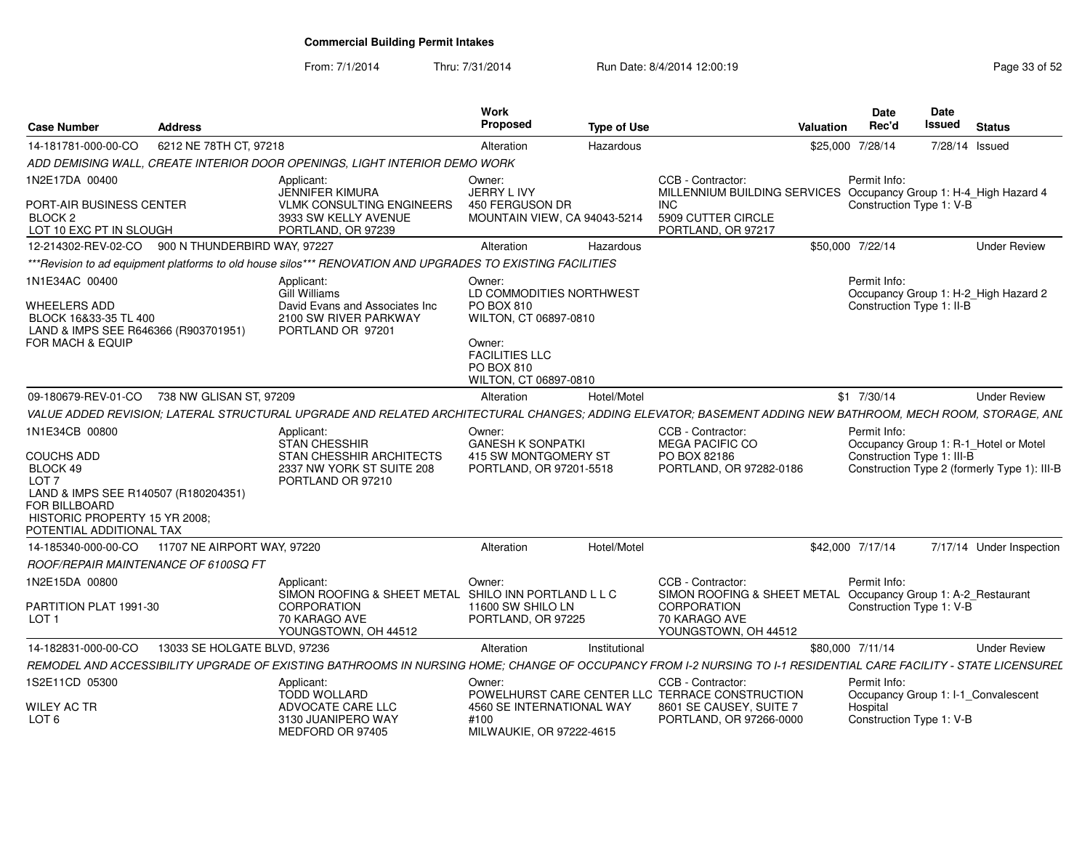From: 7/1/2014Thru: 7/31/2014 Run Date: 8/4/2014 12:00:19 Research 2010 12:00:19

| Case Number                                                                                                 | <b>Address</b>               |                                                                                                                                                                   | Work<br><b>Proposed</b>                                                                                                                   | Type of Use   | Valuation                                                                                                             | <b>Date</b><br>Rec'd                                                                | <b>Date</b><br>Issued |                | <b>Status</b>                                |
|-------------------------------------------------------------------------------------------------------------|------------------------------|-------------------------------------------------------------------------------------------------------------------------------------------------------------------|-------------------------------------------------------------------------------------------------------------------------------------------|---------------|-----------------------------------------------------------------------------------------------------------------------|-------------------------------------------------------------------------------------|-----------------------|----------------|----------------------------------------------|
| 14-181781-000-00-CO                                                                                         | 6212 NE 78TH CT, 97218       |                                                                                                                                                                   | Alteration                                                                                                                                | Hazardous     |                                                                                                                       | \$25,000 7/28/14                                                                    |                       | 7/28/14 Issued |                                              |
|                                                                                                             |                              | ADD DEMISING WALL, CREATE INTERIOR DOOR OPENINGS, LIGHT INTERIOR DEMO WORK                                                                                        |                                                                                                                                           |               |                                                                                                                       |                                                                                     |                       |                |                                              |
| 1N2E17DA 00400                                                                                              |                              | Applicant:<br>JENNIFER KIMURA                                                                                                                                     | Owner:                                                                                                                                    |               | CCB - Contractor:                                                                                                     | Permit Info:                                                                        |                       |                |                                              |
| PORT-AIR BUSINESS CENTER<br>BLOCK <sub>2</sub><br>LOT 10 EXC PT IN SLOUGH                                   |                              | <b>VLMK CONSULTING ENGINEERS</b><br>3933 SW KELLY AVENUE<br>PORTLAND, OR 97239                                                                                    | JERRY L IVY<br>450 FERGUSON DR<br>MOUNTAIN VIEW, CA 94043-5214                                                                            |               | MILLENNIUM BUILDING SERVICES Occupancy Group 1: H-4_High Hazard 4<br>INC.<br>5909 CUTTER CIRCLE<br>PORTLAND, OR 97217 | Construction Type 1: V-B                                                            |                       |                |                                              |
| 12-214302-REV-02-CO 900 N THUNDERBIRD WAY, 97227                                                            |                              |                                                                                                                                                                   | Alteration                                                                                                                                | Hazardous     |                                                                                                                       | \$50,000 7/22/14                                                                    |                       |                | <b>Under Review</b>                          |
|                                                                                                             |                              | *** Revision to ad equipment platforms to old house silos*** RENOVATION AND UPGRADES TO EXISTING FACILITIES                                                       |                                                                                                                                           |               |                                                                                                                       |                                                                                     |                       |                |                                              |
| 1N1E34AC 00400                                                                                              |                              | Applicant:                                                                                                                                                        | Owner:                                                                                                                                    |               |                                                                                                                       | Permit Info:                                                                        |                       |                |                                              |
| WHEELERS ADD<br>BLOCK 16&33-35 TL 400<br>LAND & IMPS SEE R646366 (R903701951)<br>FOR MACH & EQUIP           |                              | <b>Gill Williams</b><br>David Evans and Associates Inc<br>2100 SW RIVER PARKWAY<br>PORTLAND OR 97201                                                              | LD COMMODITIES NORTHWEST<br>PO BOX 810<br>WILTON, CT 06897-0810<br>Owner:<br><b>FACILITIES LLC</b><br>PO BOX 810<br>WILTON, CT 06897-0810 |               |                                                                                                                       | Construction Type 1: II-B                                                           |                       |                | Occupancy Group 1: H-2_High Hazard 2         |
| 09-180679-REV-01-CO 738 NW GLISAN ST. 97209                                                                 |                              |                                                                                                                                                                   | Alteration                                                                                                                                | Hotel/Motel   |                                                                                                                       | $$1$ 7/30/14                                                                        |                       |                | <b>Under Review</b>                          |
|                                                                                                             |                              | VALUE ADDED REVISION: LATERAL STRUCTURAL UPGRADE AND RELATED ARCHITECTURAL CHANGES: ADDING ELEVATOR: BASEMENT ADDING NEW BATHROOM, MECH ROOM, STORAGE, ANL        |                                                                                                                                           |               |                                                                                                                       |                                                                                     |                       |                |                                              |
| 1N1E34CB 00800<br><b>COUCHS ADD</b><br>BLOCK 49<br>LOT <sub>7</sub><br>LAND & IMPS SEE R140507 (R180204351) |                              | Applicant:<br><b>STAN CHESSHIR</b><br>STAN CHESSHIR ARCHITECTS<br>2337 NW YORK ST SUITE 208<br>PORTLAND OR 97210                                                  | Owner:<br><b>GANESH K SONPATKI</b><br>415 SW MONTGOMERY ST<br>PORTLAND, OR 97201-5518                                                     |               | CCB - Contractor:<br><b>MEGA PACIFIC CO</b><br>PO BOX 82186<br>PORTLAND, OR 97282-0186                                | Permit Info:<br>Occupancy Group 1: R-1_Hotel or Motel<br>Construction Type 1: III-B |                       |                | Construction Type 2 (formerly Type 1): III-B |
| FOR BILLBOARD<br>HISTORIC PROPERTY 15 YR 2008;<br>POTENTIAL ADDITIONAL TAX                                  |                              |                                                                                                                                                                   |                                                                                                                                           |               |                                                                                                                       |                                                                                     |                       |                |                                              |
| 14-185340-000-00-CO                                                                                         | 11707 NE AIRPORT WAY, 97220  |                                                                                                                                                                   | Alteration                                                                                                                                | Hotel/Motel   |                                                                                                                       | \$42,000 7/17/14                                                                    |                       |                | 7/17/14 Under Inspection                     |
| ROOF/REPAIR MAINTENANCE OF 6100SQ FT                                                                        |                              |                                                                                                                                                                   |                                                                                                                                           |               |                                                                                                                       |                                                                                     |                       |                |                                              |
| 1N2E15DA 00800                                                                                              |                              | Applicant:<br>SIMON ROOFING & SHEET METAL SHILO INN PORTLAND LLC                                                                                                  | Owner:                                                                                                                                    |               | CCB - Contractor:<br>SIMON ROOFING & SHEET METAL                                                                      | Permit Info:<br>Occupancy Group 1: A-2_Restaurant                                   |                       |                |                                              |
| PARTITION PLAT 1991-30<br>LOT <sub>1</sub>                                                                  |                              | <b>CORPORATION</b><br>70 KARAGO AVE<br>YOUNGSTOWN, OH 44512                                                                                                       | 11600 SW SHILO LN<br>PORTLAND, OR 97225                                                                                                   |               | <b>CORPORATION</b><br>70 KARAGO AVE<br>YOUNGSTOWN, OH 44512                                                           | Construction Type 1: V-B                                                            |                       |                |                                              |
| 14-182831-000-00-CO                                                                                         | 13033 SE HOLGATE BLVD, 97236 |                                                                                                                                                                   | Alteration                                                                                                                                | Institutional |                                                                                                                       | \$80,000 7/11/14                                                                    |                       |                | <b>Under Review</b>                          |
|                                                                                                             |                              | REMODEL AND ACCESSIBILITY UPGRADE OF EXISTING BATHROOMS IN NURSING HOME; CHANGE OF OCCUPANCY FROM I-2 NURSING TO I-1 RESIDENTIAL CARE FACILITY - STATE LICENSUREL |                                                                                                                                           |               |                                                                                                                       |                                                                                     |                       |                |                                              |
| 1S2E11CD 05300                                                                                              |                              | Applicant:                                                                                                                                                        | Owner:                                                                                                                                    |               | CCB - Contractor:                                                                                                     | Permit Info:                                                                        |                       |                |                                              |
| WILEY AC TR                                                                                                 |                              | <b>TODD WOLLARD</b><br>ADVOCATE CARE LLC                                                                                                                          | 4560 SE INTERNATIONAL WAY                                                                                                                 |               | POWELHURST CARE CENTER LLC TERRACE CONSTRUCTION<br>8601 SE CAUSEY, SUITE 7                                            | Occupancy Group 1: I-1_Convalescent<br>Hospital                                     |                       |                |                                              |
| LOT <sub>6</sub>                                                                                            |                              | 3130 JUANIPERO WAY<br>MEDFORD OR 97405                                                                                                                            | #100<br>MILWAUKIE, OR 97222-4615                                                                                                          |               | PORTLAND, OR 97266-0000                                                                                               | Construction Type 1: V-B                                                            |                       |                |                                              |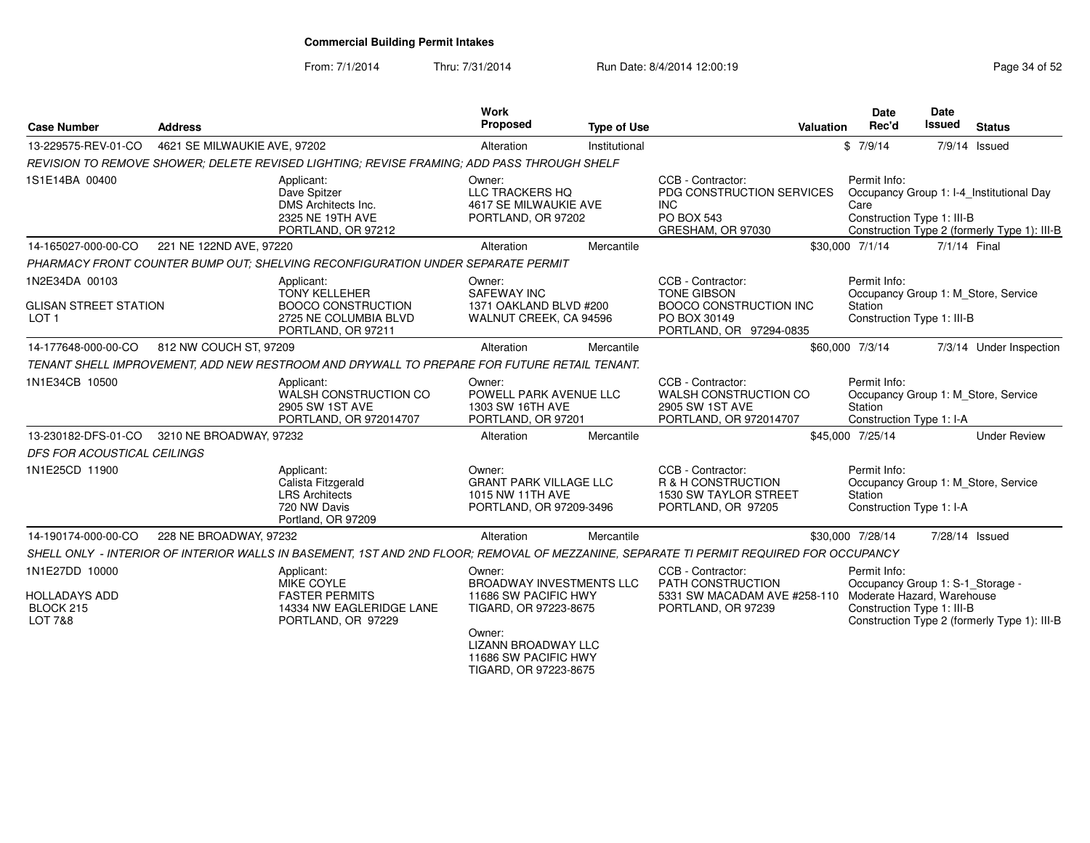From: 7/1/2014

Thru: 7/31/2014 Run Date: 8/4/2014 12:00:19 Rege 34 of 52

| <b>Case Number</b>                                                 | <b>Address</b>               |                                                                                                                | <b>Work</b><br>Proposed                                                                                                                                                      | <b>Type of Use</b> | Valuation                                                                                                                               | Date<br>Rec'd                                                                                | <b>Date</b><br>Issued | <b>Status</b>                                                                            |
|--------------------------------------------------------------------|------------------------------|----------------------------------------------------------------------------------------------------------------|------------------------------------------------------------------------------------------------------------------------------------------------------------------------------|--------------------|-----------------------------------------------------------------------------------------------------------------------------------------|----------------------------------------------------------------------------------------------|-----------------------|------------------------------------------------------------------------------------------|
| 13-229575-REV-01-CO                                                | 4621 SE MILWAUKIE AVE, 97202 |                                                                                                                | Alteration                                                                                                                                                                   | Institutional      |                                                                                                                                         | \$7/9/14                                                                                     |                       | 7/9/14 Issued                                                                            |
|                                                                    |                              | REVISION TO REMOVE SHOWER; DELETE REVISED LIGHTING; REVISE FRAMING; ADD PASS THROUGH SHELF                     |                                                                                                                                                                              |                    |                                                                                                                                         |                                                                                              |                       |                                                                                          |
| 1S1E14BA 00400                                                     |                              | Applicant:<br>Dave Spitzer<br>DMS Architects Inc.<br>2325 NE 19TH AVE<br>PORTLAND, OR 97212                    | Owner:<br>LLC TRACKERS HQ<br>4617 SE MILWAUKIE AVE<br>PORTLAND, OR 97202                                                                                                     |                    | CCB - Contractor:<br>PDG CONSTRUCTION SERVICES<br><b>INC</b><br><b>PO BOX 543</b><br>GRESHAM, OR 97030                                  | Permit Info:<br>Care<br>Construction Type 1: III-B                                           |                       | Occupancy Group 1: I-4 Institutional Day<br>Construction Type 2 (formerly Type 1): III-B |
| 14-165027-000-00-CO                                                | 221 NE 122ND AVE, 97220      |                                                                                                                | Alteration                                                                                                                                                                   | Mercantile         |                                                                                                                                         | \$30,000 7/1/14                                                                              | 7/1/14 Final          |                                                                                          |
|                                                                    |                              | PHARMACY FRONT COUNTER BUMP OUT: SHELVING RECONFIGURATION UNDER SEPARATE PERMIT                                |                                                                                                                                                                              |                    |                                                                                                                                         |                                                                                              |                       |                                                                                          |
| 1N2E34DA 00103<br><b>GLISAN STREET STATION</b><br>LOT <sub>1</sub> |                              | Applicant:<br><b>TONY KELLEHER</b><br><b>BOOCO CONSTRUCTION</b><br>2725 NE COLUMBIA BLVD<br>PORTLAND, OR 97211 | Owner:<br><b>SAFEWAY INC</b><br>1371 OAKLAND BLVD #200<br>WALNUT CREEK, CA 94596                                                                                             |                    | CCB - Contractor:<br><b>TONE GIBSON</b><br><b>BOOCO CONSTRUCTION INC</b><br>PO BOX 30149<br>PORTLAND, OR 97294-0835                     | Permit Info:<br>Occupancy Group 1: M Store, Service<br>Station<br>Construction Type 1: III-B |                       |                                                                                          |
| 14-177648-000-00-CO                                                | 812 NW COUCH ST, 97209       |                                                                                                                | Alteration                                                                                                                                                                   | Mercantile         |                                                                                                                                         | \$60,000 7/3/14                                                                              |                       | 7/3/14 Under Inspection                                                                  |
|                                                                    |                              | TENANT SHELL IMPROVEMENT, ADD NEW RESTROOM AND DRYWALL TO PREPARE FOR FUTURE RETAIL TENANT.                    |                                                                                                                                                                              |                    |                                                                                                                                         |                                                                                              |                       |                                                                                          |
| 1N1E34CB 10500                                                     |                              | Applicant:<br>WALSH CONSTRUCTION CO<br>2905 SW 1ST AVE<br>PORTLAND, OR 972014707                               | Owner:<br>POWELL PARK AVENUE LLC<br>1303 SW 16TH AVE<br>PORTLAND, OR 97201                                                                                                   |                    | CCB - Contractor:<br>WALSH CONSTRUCTION CO<br>2905 SW 1ST AVE<br>PORTLAND, OR 972014707                                                 | Permit Info:<br>Occupancy Group 1: M_Store, Service<br>Station<br>Construction Type 1: I-A   |                       |                                                                                          |
| 13-230182-DFS-01-CO                                                | 3210 NE BROADWAY, 97232      |                                                                                                                | Alteration                                                                                                                                                                   | Mercantile         |                                                                                                                                         | \$45,000 7/25/14                                                                             |                       | <b>Under Review</b>                                                                      |
| <b>DFS FOR ACOUSTICAL CEILINGS</b>                                 |                              |                                                                                                                |                                                                                                                                                                              |                    |                                                                                                                                         |                                                                                              |                       |                                                                                          |
| 1N1E25CD 11900                                                     |                              | Applicant:<br>Calista Fitzgerald<br><b>LRS Architects</b><br>720 NW Davis<br>Portland, OR 97209                | Owner:<br><b>GRANT PARK VILLAGE LLC</b><br>1015 NW 11TH AVE<br>PORTLAND, OR 97209-3496                                                                                       |                    | CCB - Contractor:<br>R & H CONSTRUCTION<br>1530 SW TAYLOR STREET<br>PORTLAND, OR 97205                                                  | Permit Info:<br>Station<br>Construction Type 1: I-A                                          |                       | Occupancy Group 1: M Store, Service                                                      |
| 14-190174-000-00-CO                                                | 228 NE BROADWAY, 97232       |                                                                                                                | Alteration                                                                                                                                                                   | Mercantile         |                                                                                                                                         | \$30,000 7/28/14                                                                             | 7/28/14 Issued        |                                                                                          |
|                                                                    |                              |                                                                                                                |                                                                                                                                                                              |                    | SHELL ONLY - INTERIOR OF INTERIOR WALLS IN BASEMENT, 1ST AND 2ND FLOOR; REMOVAL OF MEZZANINE, SEPARATE TI PERMIT REQUIRED FOR OCCUPANCY |                                                                                              |                       |                                                                                          |
| 1N1E27DD 10000<br><b>HOLLADAYS ADD</b><br>BLOCK 215<br>LOT 7&8     |                              | Applicant:<br>MIKE COYLE<br><b>FASTER PERMITS</b><br>14334 NW EAGLERIDGE LANE<br>PORTLAND, OR 97229            | Owner:<br><b>BROADWAY INVESTMENTS LLC</b><br>11686 SW PACIFIC HWY<br>TIGARD, OR 97223-8675<br>Owner:<br>LIZANN BROADWAY LLC<br>11686 SW PACIFIC HWY<br>TIGARD, OR 97223-8675 |                    | CCB - Contractor:<br>PATH CONSTRUCTION<br>5331 SW MACADAM AVE #258-110 Moderate Hazard, Warehouse<br>PORTLAND, OR 97239                 | Permit Info:<br>Occupancy Group 1: S-1_Storage -<br>Construction Type 1: III-B               |                       | Construction Type 2 (formerly Type 1): III-B                                             |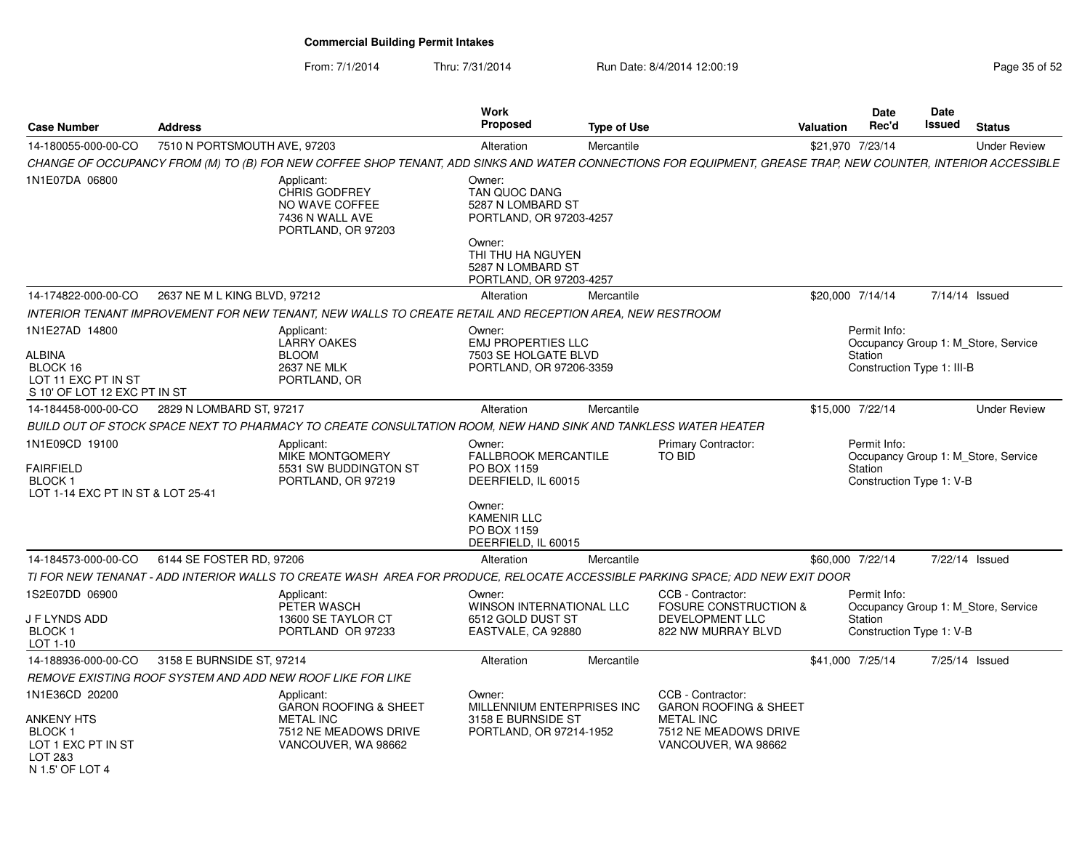From: 7/1/2014

Thru: 7/31/2014 Run Date: 8/4/2014 12:00:19 Research 2010 Page 35 of 52

| <b>Case Number</b>                                                                          | <b>Address</b>                                             |                                                                                                                    | Work<br><b>Proposed</b>                                                                                | <b>Type of Use</b> |                                                                                                                                                              | Valuation        | Date<br>Rec'd                                         | Date<br>Issued | <b>Status</b>                       |
|---------------------------------------------------------------------------------------------|------------------------------------------------------------|--------------------------------------------------------------------------------------------------------------------|--------------------------------------------------------------------------------------------------------|--------------------|--------------------------------------------------------------------------------------------------------------------------------------------------------------|------------------|-------------------------------------------------------|----------------|-------------------------------------|
| 14-180055-000-00-CO                                                                         | 7510 N PORTSMOUTH AVE, 97203                               |                                                                                                                    | Alteration                                                                                             | Mercantile         |                                                                                                                                                              | \$21,970 7/23/14 |                                                       |                | <b>Under Review</b>                 |
|                                                                                             |                                                            |                                                                                                                    |                                                                                                        |                    | CHANGE OF OCCUPANCY FROM (M) TO (B) FOR NEW COFFEE SHOP TENANT, ADD SINKS AND WATER CONNECTIONS FOR EQUIPMENT, GREASE TRAP, NEW COUNTER, INTERIOR ACCESSIBLE |                  |                                                       |                |                                     |
| 1N1E07DA 06800                                                                              |                                                            | Applicant:<br><b>CHRIS GODFREY</b><br>NO WAVE COFFEE<br>7436 N WALL AVE<br>PORTLAND, OR 97203                      | Owner:<br>TAN QUOC DANG<br>5287 N LOMBARD ST<br>PORTLAND, OR 97203-4257<br>Owner:<br>THI THU HA NGUYEN |                    |                                                                                                                                                              |                  |                                                       |                |                                     |
|                                                                                             |                                                            |                                                                                                                    | 5287 N LOMBARD ST<br>PORTLAND, OR 97203-4257                                                           |                    |                                                                                                                                                              |                  |                                                       |                |                                     |
| 14-174822-000-00-CO                                                                         | 2637 NE M L KING BLVD, 97212                               |                                                                                                                    | Alteration                                                                                             | Mercantile         |                                                                                                                                                              | \$20,000 7/14/14 |                                                       |                | 7/14/14 Issued                      |
|                                                                                             |                                                            | INTERIOR TENANT IMPROVEMENT FOR NEW TENANT, NEW WALLS TO CREATE RETAIL AND RECEPTION AREA, NEW RESTROOM            |                                                                                                        |                    |                                                                                                                                                              |                  |                                                       |                |                                     |
| 1N1E27AD 14800<br>ALBINA<br>BLOCK 16<br>LOT 11 EXC PT IN ST<br>S 10' OF LOT 12 EXC PT IN ST |                                                            | Applicant:<br><b>LARRY OAKES</b><br><b>BLOOM</b><br><b>2637 NE MLK</b><br>PORTLAND, OR                             | Owner:<br><b>EMJ PROPERTIES LLC</b><br>7503 SE HOLGATE BLVD<br>PORTLAND, OR 97206-3359                 |                    |                                                                                                                                                              |                  | Permit Info:<br>Station<br>Construction Type 1: III-B |                | Occupancy Group 1: M Store, Service |
| 14-184458-000-00-CO                                                                         | 2829 N LOMBARD ST, 97217                                   |                                                                                                                    | Alteration                                                                                             | Mercantile         |                                                                                                                                                              | \$15,000 7/22/14 |                                                       |                | <b>Under Review</b>                 |
|                                                                                             |                                                            | BUILD OUT OF STOCK SPACE NEXT TO PHARMACY TO CREATE CONSULTATION ROOM, NEW HAND SINK AND TANKLESS WATER HEATER     |                                                                                                        |                    |                                                                                                                                                              |                  |                                                       |                |                                     |
| 1N1E09CD 19100<br>FAIRFIELD<br>BLOCK 1<br>LOT 1-14 EXC PT IN ST & LOT 25-41                 |                                                            | Applicant:<br><b>MIKE MONTGOMERY</b><br>5531 SW BUDDINGTON ST<br>PORTLAND, OR 97219                                | Owner:<br><b>FALLBROOK MERCANTILE</b><br>PO BOX 1159<br>DEERFIELD, IL 60015                            |                    | <b>Primary Contractor:</b><br>TO BID                                                                                                                         |                  | Permit Info:<br>Station<br>Construction Type 1: V-B   |                | Occupancy Group 1: M Store, Service |
|                                                                                             |                                                            |                                                                                                                    | Owner:<br><b>KAMENIR LLC</b><br>PO BOX 1159<br>DEERFIELD, IL 60015                                     |                    |                                                                                                                                                              |                  |                                                       |                |                                     |
| 14-184573-000-00-CO                                                                         | 6144 SE FOSTER RD, 97206                                   |                                                                                                                    | Alteration                                                                                             | Mercantile         |                                                                                                                                                              | \$60,000 7/22/14 |                                                       |                | 7/22/14 Issued                      |
|                                                                                             |                                                            |                                                                                                                    |                                                                                                        |                    | TI FOR NEW TENANAT - ADD INTERIOR WALLS TO CREATE WASH AREA FOR PRODUCE, RELOCATE ACCESSIBLE PARKING SPACE; ADD NEW EXIT DOOR                                |                  |                                                       |                |                                     |
| 1S2E07DD 06900<br>J F LYNDS ADD<br>BLOCK <sub>1</sub><br>LOT 1-10                           |                                                            | Applicant:<br>PETER WASCH<br>13600 SE TAYLOR CT<br>PORTLAND OR 97233                                               | Owner:<br>WINSON INTERNATIONAL LLC<br>6512 GOLD DUST ST<br>EASTVALE, CA 92880                          |                    | CCB - Contractor:<br><b>FOSURE CONSTRUCTION &amp;</b><br>DEVELOPMENT LLC<br>822 NW MURRAY BLVD                                                               |                  | Permit Info:<br>Station<br>Construction Type 1: V-B   |                | Occupancy Group 1: M Store, Service |
| 14-188936-000-00-CO                                                                         | 3158 E BURNSIDE ST, 97214                                  |                                                                                                                    | Alteration                                                                                             | Mercantile         |                                                                                                                                                              | \$41,000 7/25/14 |                                                       |                | 7/25/14 Issued                      |
|                                                                                             | REMOVE EXISTING ROOF SYSTEM AND ADD NEW ROOF LIKE FOR LIKE |                                                                                                                    |                                                                                                        |                    |                                                                                                                                                              |                  |                                                       |                |                                     |
| 1N1E36CD 20200<br>ANKENY HTS<br>BLOCK 1<br>LOT 1 EXC PT IN ST<br>LOT 2&3                    |                                                            | Applicant:<br><b>GARON ROOFING &amp; SHEET</b><br><b>METAL INC</b><br>7512 NE MEADOWS DRIVE<br>VANCOUVER, WA 98662 | Owner:<br>MILLENNIUM ENTERPRISES INC<br>3158 E BURNSIDE ST<br>PORTLAND, OR 97214-1952                  |                    | CCB - Contractor:<br><b>GARON ROOFING &amp; SHEET</b><br><b>METAL INC</b><br>7512 NE MEADOWS DRIVE<br>VANCOUVER, WA 98662                                    |                  |                                                       |                |                                     |
| N 1.5' OF LOT 4                                                                             |                                                            |                                                                                                                    |                                                                                                        |                    |                                                                                                                                                              |                  |                                                       |                |                                     |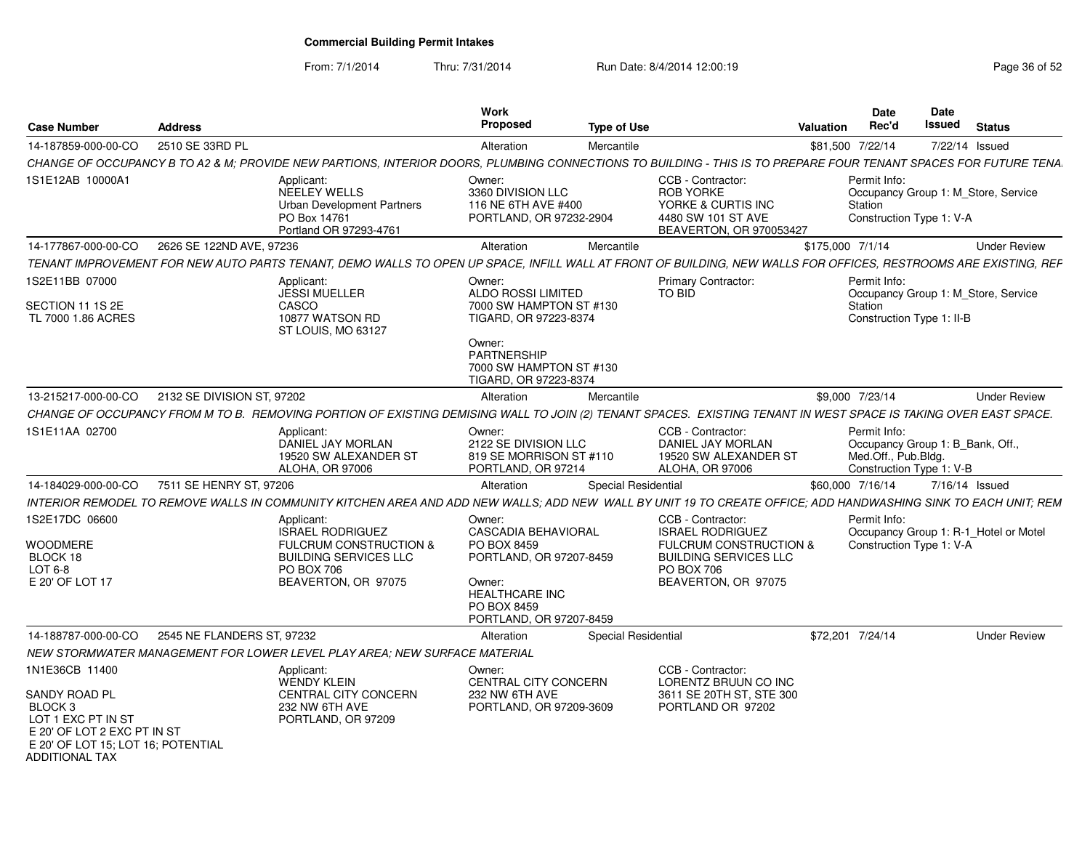From: 7/1/2014Thru: 7/31/2014 Run Date: 8/4/2014 12:00:19 Research 2010 Page 36 of 52

| <b>Case Number</b>                                                                                                                                                        | <b>Address</b>             |                                                                                                                                                                 | Work<br><b>Proposed</b>                                                                                                                              | <b>Type of Use</b>  |                                                                                                                                                               | Valuation        | Date<br>Rec'd                                                                                       | <b>Date</b><br>Issued | <b>Status</b>                         |
|---------------------------------------------------------------------------------------------------------------------------------------------------------------------------|----------------------------|-----------------------------------------------------------------------------------------------------------------------------------------------------------------|------------------------------------------------------------------------------------------------------------------------------------------------------|---------------------|---------------------------------------------------------------------------------------------------------------------------------------------------------------|------------------|-----------------------------------------------------------------------------------------------------|-----------------------|---------------------------------------|
| 14-187859-000-00-CO                                                                                                                                                       | 2510 SE 33RD PL            |                                                                                                                                                                 | Alteration                                                                                                                                           | Mercantile          |                                                                                                                                                               | \$81,500 7/22/14 |                                                                                                     |                       | 7/22/14 Issued                        |
|                                                                                                                                                                           |                            | CHANGE OF OCCUPANCY B TO A2 & M; PROVIDE NEW PARTIONS, INTERIOR DOORS, PLUMBING CONNECTIONS TO BUILDING - THIS IS TO PREPARE FOUR TENANT SPACES FOR FUTURE TENA |                                                                                                                                                      |                     |                                                                                                                                                               |                  |                                                                                                     |                       |                                       |
| 1S1E12AB 10000A1                                                                                                                                                          |                            | Applicant:<br><b>NEELEY WELLS</b><br><b>Urban Development Partners</b><br>PO Box 14761<br>Portland OR 97293-4761                                                | Owner:<br>3360 DIVISION LLC<br>116 NE 6TH AVE #400<br>PORTLAND, OR 97232-2904                                                                        |                     | CCB - Contractor:<br><b>ROB YORKE</b><br>YORKE & CURTIS INC<br>4480 SW 101 ST AVE<br>BEAVERTON, OR 970053427                                                  |                  | Permit Info:<br>Station<br>Construction Type 1: V-A                                                 |                       | Occupancy Group 1: M Store, Service   |
| 14-177867-000-00-CO                                                                                                                                                       | 2626 SE 122ND AVE, 97236   |                                                                                                                                                                 | Alteration                                                                                                                                           | Mercantile          |                                                                                                                                                               | \$175,000 7/1/14 |                                                                                                     |                       | <b>Under Review</b>                   |
|                                                                                                                                                                           |                            | TENANT IMPROVEMENT FOR NEW AUTO PARTS TENANT, DEMO WALLS TO OPEN UP SPACE, INFILL WALL AT FRONT OF BUILDING, NEW WALLS FOR OFFICES, RESTROOMS ARE EXISTING, REF |                                                                                                                                                      |                     |                                                                                                                                                               |                  |                                                                                                     |                       |                                       |
| 1S2E11BB 07000<br>SECTION 11 1S 2E<br>TL 7000 1.86 ACRES                                                                                                                  |                            | Applicant:<br><b>JESSI MUELLER</b><br>CASCO<br>10877 WATSON RD<br>ST LOUIS, MO 63127                                                                            | Owner:<br><b>ALDO ROSSI LIMITED</b><br>7000 SW HAMPTON ST #130<br>TIGARD, OR 97223-8374<br>Owner:<br><b>PARTNERSHIP</b><br>7000 SW HAMPTON ST #130   |                     | <b>Primary Contractor:</b><br><b>TO BID</b>                                                                                                                   |                  | Permit Info:<br>Station<br>Construction Type 1: II-B                                                |                       | Occupancy Group 1: M Store, Service   |
|                                                                                                                                                                           |                            |                                                                                                                                                                 | TIGARD, OR 97223-8374                                                                                                                                |                     |                                                                                                                                                               |                  |                                                                                                     |                       |                                       |
| 13-215217-000-00-CO                                                                                                                                                       | 2132 SE DIVISION ST, 97202 |                                                                                                                                                                 | Alteration                                                                                                                                           | Mercantile          |                                                                                                                                                               |                  | \$9,000 7/23/14                                                                                     |                       | <b>Under Review</b>                   |
|                                                                                                                                                                           |                            | CHANGE OF OCCUPANCY FROM M TO B. REMOVING PORTION OF EXISTING DEMISING WALL TO JOIN (2) TENANT SPACES. EXISTING TENANT IN WEST SPACE IS TAKING OVER EAST SPACE. |                                                                                                                                                      |                     |                                                                                                                                                               |                  |                                                                                                     |                       |                                       |
| 1S1E11AA 02700                                                                                                                                                            |                            | Applicant:<br>DANIEL JAY MORLAN<br>19520 SW ALEXANDER ST<br>ALOHA, OR 97006                                                                                     | Owner:<br>2122 SE DIVISION LLC<br>819 SE MORRISON ST #110<br>PORTLAND, OR 97214                                                                      |                     | CCB - Contractor:<br>DANIEL JAY MORLAN<br>19520 SW ALEXANDER ST<br>ALOHA, OR 97006                                                                            |                  | Permit Info:<br>Occupancy Group 1: B_Bank, Off.,<br>Med.Off., Pub.Bldg.<br>Construction Type 1: V-B |                       |                                       |
| 14-184029-000-00-CO                                                                                                                                                       | 7511 SE HENRY ST, 97206    |                                                                                                                                                                 | Alteration                                                                                                                                           | Special Residential |                                                                                                                                                               |                  | \$60,000 7/16/14                                                                                    |                       | 7/16/14 Issued                        |
|                                                                                                                                                                           |                            | INTERIOR REMODEL TO REMOVE WALLS IN COMMUNITY KITCHEN AREA AND ADD NEW WALLS: ADD NEW WALL BY UNIT 19 TO CREATE OFFICE: ADD HANDWASHING SINK TO EACH UNIT: REM  |                                                                                                                                                      |                     |                                                                                                                                                               |                  |                                                                                                     |                       |                                       |
| 1S2E17DC 06600<br><b>WOODMERE</b><br>BLOCK 18<br>LOT 6-8<br>E 20' OF LOT 17                                                                                               |                            | Applicant:<br><b>ISRAEL RODRIGUEZ</b><br><b>FULCRUM CONSTRUCTION &amp;</b><br><b>BUILDING SERVICES LLC</b><br><b>PO BOX 706</b><br>BEAVERTON, OR 97075          | Owner:<br>CASCADIA BEHAVIORAL<br>PO BOX 8459<br>PORTLAND, OR 97207-8459<br>Owner:<br><b>HEALTHCARE INC</b><br>PO BOX 8459<br>PORTLAND, OR 97207-8459 |                     | CCB - Contractor:<br><b>ISRAEL RODRIGUEZ</b><br><b>FULCRUM CONSTRUCTION &amp;</b><br><b>BUILDING SERVICES LLC</b><br><b>PO BOX 706</b><br>BEAVERTON, OR 97075 |                  | Permit Info:<br>Construction Type 1: V-A                                                            |                       | Occupancy Group 1: R-1_Hotel or Motel |
| 14-188787-000-00-CO                                                                                                                                                       | 2545 NE FLANDERS ST, 97232 |                                                                                                                                                                 | Alteration                                                                                                                                           | Special Residential |                                                                                                                                                               | \$72,201 7/24/14 |                                                                                                     |                       | <b>Under Review</b>                   |
|                                                                                                                                                                           |                            | NEW STORMWATER MANAGEMENT FOR LOWER LEVEL PLAY AREA; NEW SURFACE MATERIAL                                                                                       |                                                                                                                                                      |                     |                                                                                                                                                               |                  |                                                                                                     |                       |                                       |
| 1N1E36CB 11400<br>SANDY ROAD PL<br>BLOCK <sub>3</sub><br>LOT 1 EXC PT IN ST<br>E 20' OF LOT 2 EXC PT IN ST<br>E 20' OF LOT 15; LOT 16; POTENTIAL<br><b>ADDITIONAL TAX</b> |                            | Applicant:<br><b>WENDY KLEIN</b><br>CENTRAL CITY CONCERN<br>232 NW 6TH AVE<br>PORTLAND, OR 97209                                                                | Owner:<br>CENTRAL CITY CONCERN<br>232 NW 6TH AVE<br>PORTLAND, OR 97209-3609                                                                          |                     | CCB - Contractor:<br>LORENTZ BRUUN CO INC<br>3611 SE 20TH ST, STE 300<br>PORTLAND OR 97202                                                                    |                  |                                                                                                     |                       |                                       |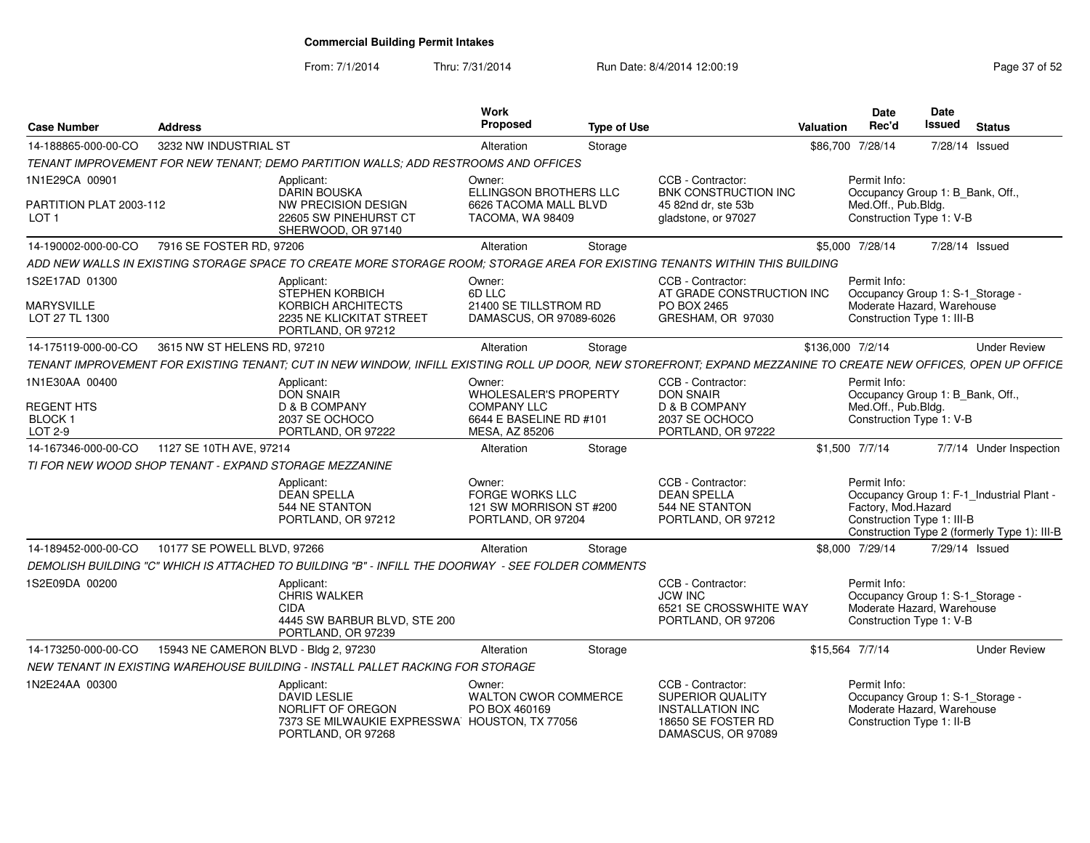From: 7/1/2014Thru: 7/31/2014 Run Date: 8/4/2014 12:00:19 Research 2010 Page 37 of 52

| <b>Case Number</b>                                 | <b>Address</b>                                         |                                                                                                                                                                 | Work<br><b>Proposed</b>                                                    | <b>Type of Use</b> |                                                                                                                     | Valuation        | <b>Date</b><br>Rec'd                                                                                         | Date<br>Issued | <b>Status</b>                                                                             |
|----------------------------------------------------|--------------------------------------------------------|-----------------------------------------------------------------------------------------------------------------------------------------------------------------|----------------------------------------------------------------------------|--------------------|---------------------------------------------------------------------------------------------------------------------|------------------|--------------------------------------------------------------------------------------------------------------|----------------|-------------------------------------------------------------------------------------------|
| 14-188865-000-00-CO                                | 3232 NW INDUSTRIAL ST                                  |                                                                                                                                                                 | Alteration                                                                 | Storage            |                                                                                                                     |                  | \$86,700 7/28/14                                                                                             | 7/28/14 Issued |                                                                                           |
|                                                    |                                                        | TENANT IMPROVEMENT FOR NEW TENANT; DEMO PARTITION WALLS; ADD RESTROOMS AND OFFICES                                                                              |                                                                            |                    |                                                                                                                     |                  |                                                                                                              |                |                                                                                           |
| 1N1E29CA 00901                                     |                                                        | Applicant:<br>DARIN BOUSKA                                                                                                                                      | Owner:<br>ELLINGSON BROTHERS LLC                                           |                    | CCB - Contractor:<br><b>BNK CONSTRUCTION INC</b>                                                                    |                  | Permit Info:<br>Occupancy Group 1: B_Bank, Off.,                                                             |                |                                                                                           |
| PARTITION PLAT 2003-112<br>LOT 1                   |                                                        | NW PRECISION DESIGN<br>22605 SW PINEHURST CT<br>SHERWOOD, OR 97140                                                                                              | 6626 TACOMA MALL BLVD<br>TACOMA, WA 98409                                  |                    | 45 82nd dr, ste 53b<br>gladstone, or 97027                                                                          |                  | Med.Off., Pub.Bldg.<br>Construction Type 1: V-B                                                              |                |                                                                                           |
| 14-190002-000-00-CO                                | 7916 SE FOSTER RD, 97206                               |                                                                                                                                                                 | Alteration                                                                 | Storage            |                                                                                                                     |                  | \$5,000 7/28/14                                                                                              | 7/28/14 Issued |                                                                                           |
|                                                    |                                                        | ADD NEW WALLS IN EXISTING STORAGE SPACE TO CREATE MORE STORAGE ROOM: STORAGE AREA FOR EXISTING TENANTS WITHIN THIS BUILDING                                     |                                                                            |                    |                                                                                                                     |                  |                                                                                                              |                |                                                                                           |
| 1S2E17AD 01300<br>MARYSVILLE<br>LOT 27 TL 1300     |                                                        | Applicant:<br><b>STEPHEN KORBICH</b><br>KORBICH ARCHITECTS<br>2235 NE KLICKITAT STREET<br>PORTLAND, OR 97212                                                    | Owner:<br>6D LLC<br>21400 SE TILLSTROM RD<br>DAMASCUS, OR 97089-6026       |                    | CCB - Contractor:<br>AT GRADE CONSTRUCTION INC<br>PO BOX 2465<br>GRESHAM, OR 97030                                  |                  | Permit Info:<br>Occupancy Group 1: S-1_Storage -<br>Moderate Hazard, Warehouse<br>Construction Type 1: III-B |                |                                                                                           |
| 14-175119-000-00-CO                                | 3615 NW ST HELENS RD, 97210                            |                                                                                                                                                                 | Alteration                                                                 | Storage            |                                                                                                                     | \$136,000 7/2/14 |                                                                                                              |                | <b>Under Review</b>                                                                       |
|                                                    |                                                        | TENANT IMPROVEMENT FOR EXISTING TENANT; CUT IN NEW WINDOW, INFILL EXISTING ROLL UP DOOR, NEW STOREFRONT; EXPAND MEZZANINE TO CREATE NEW OFFICES, OPEN UP OFFICE |                                                                            |                    |                                                                                                                     |                  |                                                                                                              |                |                                                                                           |
| 1N1E30AA 00400                                     |                                                        | Applicant:<br><b>DON SNAIR</b>                                                                                                                                  | Owner:<br>WHOLESALER'S PROPERTY                                            |                    | CCB - Contractor:<br><b>DON SNAIR</b>                                                                               |                  | Permit Info:<br>Occupancy Group 1: B_Bank, Off.,                                                             |                |                                                                                           |
| <b>REGENT HTS</b><br>BLOCK <sub>1</sub><br>LOT 2-9 |                                                        | D & B COMPANY<br>2037 SE OCHOCO<br>PORTLAND, OR 97222                                                                                                           | <b>COMPANY LLC</b><br>6644 E BASELINE RD #101<br>MESA, AZ 85206            |                    | D & B COMPANY<br>2037 SE OCHOCO<br>PORTLAND, OR 97222                                                               |                  | Med.Off., Pub.Bldg.<br>Construction Type 1: V-B                                                              |                |                                                                                           |
| 14-167346-000-00-CO                                | 1127 SE 10TH AVE, 97214                                |                                                                                                                                                                 | Alteration                                                                 | Storage            |                                                                                                                     |                  | \$1,500 7/7/14                                                                                               |                | 7/7/14 Under Inspection                                                                   |
|                                                    | TI FOR NEW WOOD SHOP TENANT - EXPAND STORAGE MEZZANINE |                                                                                                                                                                 |                                                                            |                    |                                                                                                                     |                  |                                                                                                              |                |                                                                                           |
|                                                    |                                                        | Applicant:<br><b>DEAN SPELLA</b><br>544 NE STANTON<br>PORTLAND, OR 97212                                                                                        | Owner:<br>FORGE WORKS LLC<br>121 SW MORRISON ST #200<br>PORTLAND, OR 97204 |                    | CCB - Contractor:<br><b>DEAN SPELLA</b><br>544 NE STANTON<br>PORTLAND, OR 97212                                     |                  | Permit Info:<br>Factory, Mod.Hazard<br>Construction Type 1: III-B                                            |                | Occupancy Group 1: F-1_Industrial Plant -<br>Construction Type 2 (formerly Type 1): III-B |
| 14-189452-000-00-CO                                | 10177 SE POWELL BLVD, 97266                            |                                                                                                                                                                 | Alteration                                                                 | Storage            |                                                                                                                     |                  | \$8,000 7/29/14                                                                                              | 7/29/14 Issued |                                                                                           |
|                                                    |                                                        | DEMOLISH BUILDING "C" WHICH IS ATTACHED TO BUILDING "B" - INFILL THE DOORWAY - SEE FOLDER COMMENTS                                                              |                                                                            |                    |                                                                                                                     |                  |                                                                                                              |                |                                                                                           |
| 1S2E09DA 00200                                     |                                                        | Applicant:<br>CHRIS WALKER<br><b>CIDA</b><br>4445 SW BARBUR BLVD, STE 200<br>PORTLAND, OR 97239                                                                 |                                                                            |                    | CCB - Contractor:<br><b>JCW INC</b><br>6521 SE CROSSWHITE WAY<br>PORTLAND, OR 97206                                 |                  | Permit Info:<br>Occupancy Group 1: S-1_Storage -<br>Moderate Hazard, Warehouse<br>Construction Type 1: V-B   |                |                                                                                           |
| 14-173250-000-00-CO                                | 15943 NE CAMERON BLVD - Bldg 2, 97230                  |                                                                                                                                                                 | Alteration                                                                 | Storage            |                                                                                                                     | \$15,564 7/7/14  |                                                                                                              |                | <b>Under Review</b>                                                                       |
|                                                    |                                                        | NEW TENANT IN EXISTING WAREHOUSE BUILDING - INSTALL PALLET RACKING FOR STORAGE                                                                                  |                                                                            |                    |                                                                                                                     |                  |                                                                                                              |                |                                                                                           |
| 1N2E24AA 00300                                     |                                                        | Applicant:<br><b>DAVID LESLIE</b><br>NORLIFT OF OREGON<br>7373 SE MILWAUKIE EXPRESSWA HOUSTON, TX 77056<br>PORTLAND, OR 97268                                   | Owner:<br>WALTON CWOR COMMERCE<br>PO BOX 460169                            |                    | CCB - Contractor:<br><b>SUPERIOR QUALITY</b><br><b>INSTALLATION INC</b><br>18650 SE FOSTER RD<br>DAMASCUS, OR 97089 |                  | Permit Info:<br>Occupancy Group 1: S-1_Storage -<br>Moderate Hazard, Warehouse<br>Construction Type 1: II-B  |                |                                                                                           |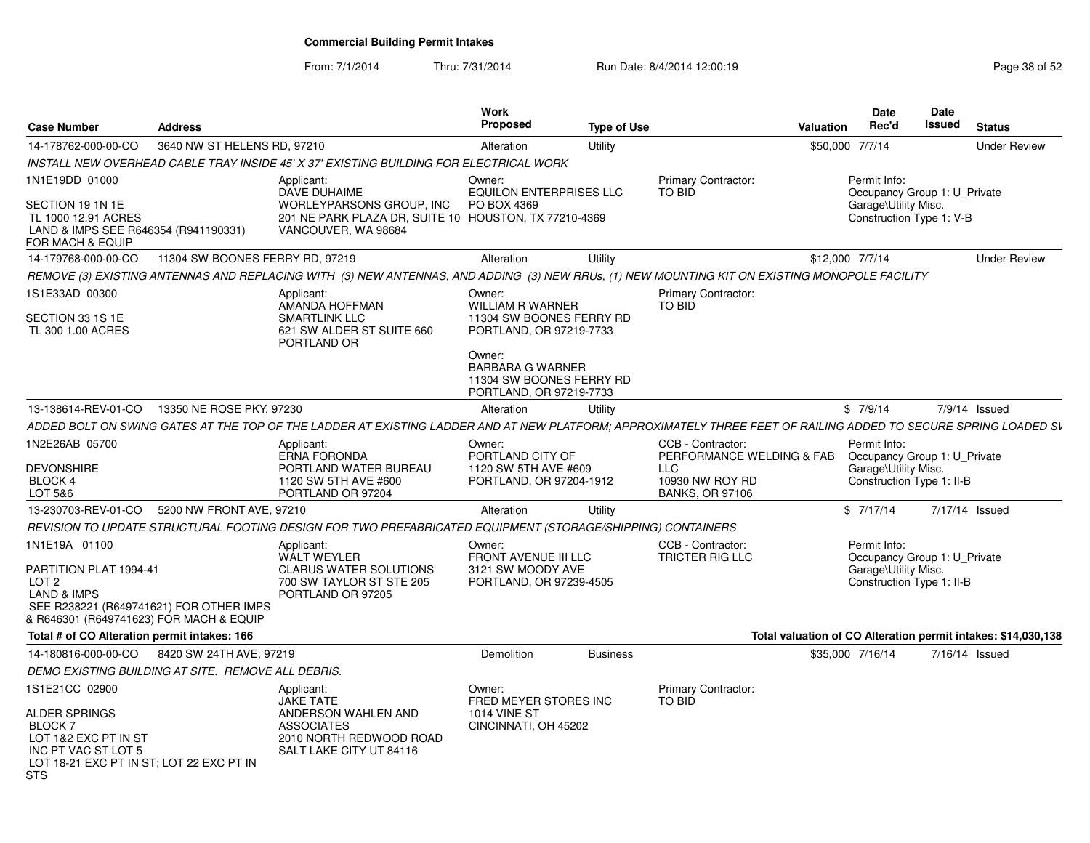From: 7/1/2014Thru: 7/31/2014 Run Date: 8/4/2014 12:00:19 Research 2010 Page 38 of 52

| <b>Case Number</b>                                                                                                                                               | <b>Address</b>                  |                                                                                                                                                                 | <b>Work</b><br>Proposed                                                                  | Type of Use     |                                                                                                    | <b>Valuation</b> | <b>Date</b><br>Rec'd                                                                              | Date<br><b>Issued</b> | <b>Status</b>                                                 |
|------------------------------------------------------------------------------------------------------------------------------------------------------------------|---------------------------------|-----------------------------------------------------------------------------------------------------------------------------------------------------------------|------------------------------------------------------------------------------------------|-----------------|----------------------------------------------------------------------------------------------------|------------------|---------------------------------------------------------------------------------------------------|-----------------------|---------------------------------------------------------------|
| 14-178762-000-00-CO                                                                                                                                              | 3640 NW ST HELENS RD, 97210     |                                                                                                                                                                 | Alteration                                                                               | Utility         |                                                                                                    |                  | \$50,000 7/7/14                                                                                   |                       | <b>Under Review</b>                                           |
|                                                                                                                                                                  |                                 | INSTALL NEW OVERHEAD CABLE TRAY INSIDE 45' X 37' EXISTING BUILDING FOR ELECTRICAL WORK                                                                          |                                                                                          |                 |                                                                                                    |                  |                                                                                                   |                       |                                                               |
| 1N1E19DD 01000                                                                                                                                                   |                                 | Applicant:                                                                                                                                                      | Owner:                                                                                   |                 | <b>Primary Contractor:</b>                                                                         |                  | Permit Info:                                                                                      |                       |                                                               |
| SECTION 19 1N 1E<br>TL 1000 12.91 ACRES<br>LAND & IMPS SEE R646354 (R941190331)<br>FOR MACH & EQUIP                                                              |                                 | DAVE DUHAIME<br>WORLEYPARSONS GROUP, INC<br>201 NE PARK PLAZA DR, SUITE 10 HOUSTON, TX 77210-4369<br>VANCOUVER, WA 98684                                        | <b>EQUILON ENTERPRISES LLC</b><br>PO BOX 4369                                            |                 | TO BID                                                                                             |                  | Occupancy Group 1: U Private<br>Garage\Utility Misc.<br>Construction Type 1: V-B                  |                       |                                                               |
| 14-179768-000-00-CO                                                                                                                                              | 11304 SW BOONES FERRY RD, 97219 |                                                                                                                                                                 | Alteration                                                                               | Utility         |                                                                                                    |                  | \$12,000 7/7/14                                                                                   |                       | <b>Under Review</b>                                           |
|                                                                                                                                                                  |                                 | REMOVE (3) EXISTING ANTENNAS AND REPLACING WITH (3) NEW ANTENNAS, AND ADDING (3) NEW RRUs, (1) NEW MOUNTING KIT ON EXISTING MONOPOLE FACILITY                   |                                                                                          |                 |                                                                                                    |                  |                                                                                                   |                       |                                                               |
| 1S1E33AD 00300<br>SECTION 33 1S 1E<br>TL 300 1.00 ACRES                                                                                                          |                                 | Applicant:<br>AMANDA HOFFMAN<br><b>SMARTLINK LLC</b><br>621 SW ALDER ST SUITE 660<br>PORTLAND OR                                                                | Owner:<br><b>WILLIAM R WARNER</b><br>11304 SW BOONES FERRY RD<br>PORTLAND, OR 97219-7733 |                 | <b>Primary Contractor:</b><br><b>TO BID</b>                                                        |                  |                                                                                                   |                       |                                                               |
|                                                                                                                                                                  |                                 |                                                                                                                                                                 | Owner:<br><b>BARBARA G WARNER</b><br>11304 SW BOONES FERRY RD<br>PORTLAND, OR 97219-7733 |                 |                                                                                                    |                  |                                                                                                   |                       |                                                               |
| 13-138614-REV-01-CO                                                                                                                                              | 13350 NE ROSE PKY, 97230        |                                                                                                                                                                 | Alteration                                                                               | Utility         |                                                                                                    |                  | \$7/9/14                                                                                          |                       | 7/9/14 Issued                                                 |
|                                                                                                                                                                  |                                 | ADDED BOLT ON SWING GATES AT THE TOP OF THE LADDER AT EXISTING LADDER AND AT NEW PLATFORM; APPROXIMATELY THREE FEET OF RAILING ADDED TO SECURE SPRING LOADED SV |                                                                                          |                 |                                                                                                    |                  |                                                                                                   |                       |                                                               |
| 1N2E26AB 05700<br><b>DEVONSHIRE</b><br><b>BLOCK 4</b><br>LOT 5&6                                                                                                 |                                 | Applicant:<br><b>ERNA FORONDA</b><br>PORTLAND WATER BUREAU<br>1120 SW 5TH AVE #600<br>PORTLAND OR 97204                                                         | Owner:<br>PORTLAND CITY OF<br>1120 SW 5TH AVE #609<br>PORTLAND, OR 97204-1912            |                 | CCB - Contractor:<br>PERFORMANCE WELDING & FAB<br>LLC<br>10930 NW ROY RD<br><b>BANKS, OR 97106</b> |                  | Permit Info:<br>Occupancy Group 1: U Private<br>Garage\Utility Misc.<br>Construction Type 1: II-B |                       |                                                               |
| 13-230703-REV-01-CO                                                                                                                                              | 5200 NW FRONT AVE, 97210        |                                                                                                                                                                 | Alteration                                                                               | Utility         |                                                                                                    |                  | \$7/17/14                                                                                         |                       | 7/17/14 Issued                                                |
|                                                                                                                                                                  |                                 | REVISION TO UPDATE STRUCTURAL FOOTING DESIGN FOR TWO PREFABRICATED EQUIPMENT (STORAGE/SHIPPING) CONTAINERS                                                      |                                                                                          |                 |                                                                                                    |                  |                                                                                                   |                       |                                                               |
| 1N1E19A 01100<br>PARTITION PLAT 1994-41<br>LOT 2<br><b>LAND &amp; IMPS</b><br>SEE R238221 (R649741621) FOR OTHER IMPS<br>& R646301 (R649741623) FOR MACH & EQUIP |                                 | Applicant:<br><b>WALT WEYLER</b><br><b>CLARUS WATER SOLUTIONS</b><br>700 SW TAYLOR ST STE 205<br>PORTLAND OR 97205                                              | Owner:<br>FRONT AVENUE III LLC<br>3121 SW MOODY AVE<br>PORTLAND, OR 97239-4505           |                 | CCB - Contractor:<br><b>TRICTER RIG LLC</b>                                                        |                  | Permit Info:<br>Occupancy Group 1: U Private<br>Garage\Utility Misc.<br>Construction Type 1: II-B |                       |                                                               |
| Total # of CO Alteration permit intakes: 166                                                                                                                     |                                 |                                                                                                                                                                 |                                                                                          |                 |                                                                                                    |                  |                                                                                                   |                       | Total valuation of CO Alteration permit intakes: \$14,030,138 |
| 14-180816-000-00-CO                                                                                                                                              | 8420 SW 24TH AVE, 97219         |                                                                                                                                                                 | Demolition                                                                               | <b>Business</b> |                                                                                                    |                  | \$35,000 7/16/14                                                                                  |                       | 7/16/14 Issued                                                |
| DEMO EXISTING BUILDING AT SITE. REMOVE ALL DEBRIS.                                                                                                               |                                 |                                                                                                                                                                 |                                                                                          |                 |                                                                                                    |                  |                                                                                                   |                       |                                                               |
| 1S1E21CC 02900<br>ALDER SPRINGS<br>BLOCK 7<br>LOT 1&2 EXC PT IN ST<br>INC PT VAC ST LOT 5<br>LOT 18-21 EXC PT IN ST; LOT 22 EXC PT IN<br>STS                     |                                 | Applicant:<br><b>JAKE TATE</b><br>ANDERSON WAHLEN AND<br><b>ASSOCIATES</b><br>2010 NORTH REDWOOD ROAD<br>SALT LAKE CITY UT 84116                                | Owner:<br>FRED MEYER STORES INC<br><b>1014 VINE ST</b><br>CINCINNATI, OH 45202           |                 | <b>Primary Contractor:</b><br><b>TO BID</b>                                                        |                  |                                                                                                   |                       |                                                               |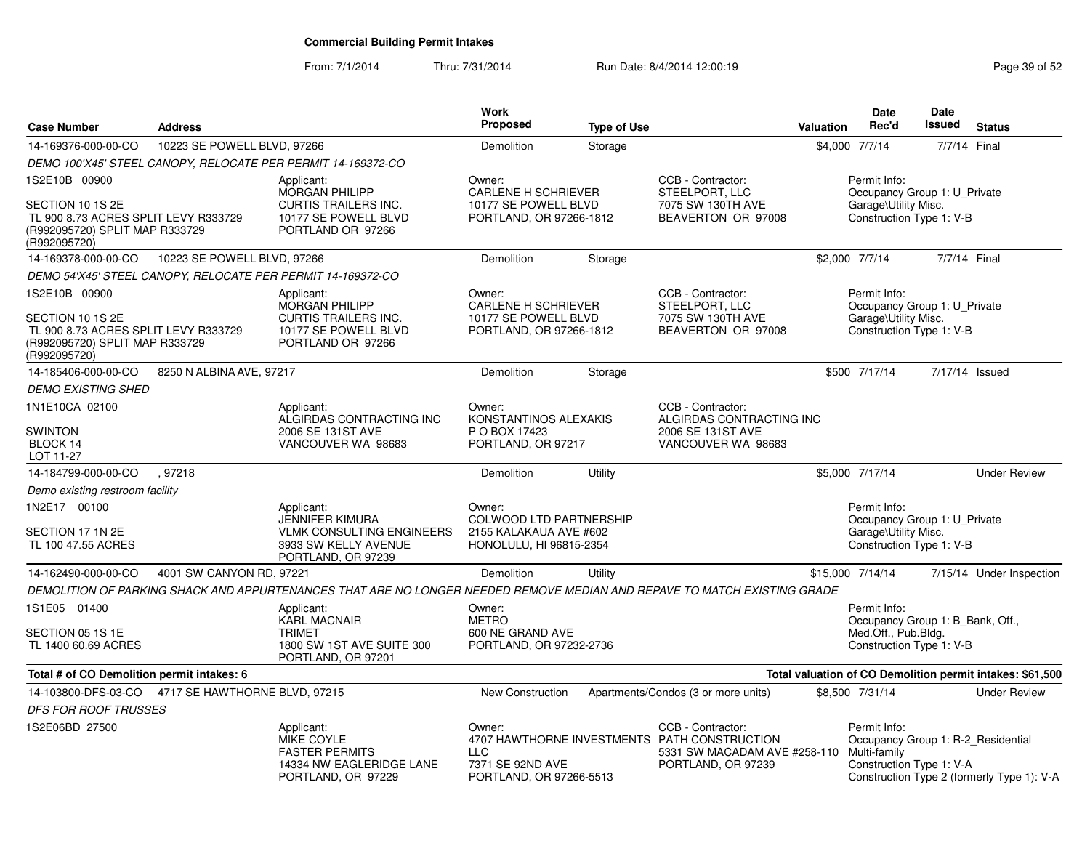From: 7/1/2014

Thru: 7/31/2014 Run Date: 8/4/2014 12:00:19 Research 2010 Page 39 of 52

| <b>Case Number</b>                                                                                                          | <b>Address</b>                |                                                                                                                          | Work<br><b>Proposed</b>                                                                       | <b>Type of Use</b> |                                                                                                                         | Valuation        | <b>Date</b><br>Rec'd                                                                                | Date<br>Issued | <b>Status</b>                                             |
|-----------------------------------------------------------------------------------------------------------------------------|-------------------------------|--------------------------------------------------------------------------------------------------------------------------|-----------------------------------------------------------------------------------------------|--------------------|-------------------------------------------------------------------------------------------------------------------------|------------------|-----------------------------------------------------------------------------------------------------|----------------|-----------------------------------------------------------|
| 14-169376-000-00-CO                                                                                                         | 10223 SE POWELL BLVD, 97266   |                                                                                                                          | Demolition                                                                                    | Storage            |                                                                                                                         | \$4,000 7/7/14   |                                                                                                     | 7/7/14 Final   |                                                           |
|                                                                                                                             |                               | DEMO 100'X45' STEEL CANOPY, RELOCATE PER PERMIT 14-169372-CO                                                             |                                                                                               |                    |                                                                                                                         |                  |                                                                                                     |                |                                                           |
| 1S2E10B 00900<br>SECTION 10 1S 2E<br>TL 900 8.73 ACRES SPLIT LEVY R333729<br>(R992095720) SPLIT MAP R333729<br>(R992095720) |                               | Applicant:<br><b>MORGAN PHILIPP</b><br><b>CURTIS TRAILERS INC.</b><br>10177 SE POWELL BLVD<br>PORTLAND OR 97266          | Owner:<br><b>CARLENE H SCHRIEVER</b><br>10177 SE POWELL BLVD<br>PORTLAND, OR 97266-1812       |                    | CCB - Contractor:<br>STEELPORT, LLC<br>7075 SW 130TH AVE<br>BEAVERTON OR 97008                                          |                  | Permit Info:<br>Occupancy Group 1: U_Private<br>Garage\Utility Misc.<br>Construction Type 1: V-B    |                |                                                           |
| 14-169378-000-00-CO                                                                                                         | 10223 SE POWELL BLVD, 97266   |                                                                                                                          | Demolition                                                                                    | Storage            |                                                                                                                         | \$2,000 7/7/14   |                                                                                                     | 7/7/14 Final   |                                                           |
|                                                                                                                             |                               | DEMO 54'X45' STEEL CANOPY, RELOCATE PER PERMIT 14-169372-CO                                                              |                                                                                               |                    |                                                                                                                         |                  |                                                                                                     |                |                                                           |
| 1S2E10B 00900<br>SECTION 10 1S 2E<br>TL 900 8.73 ACRES SPLIT LEVY R333729<br>(R992095720) SPLIT MAP R333729<br>(R992095720) |                               | Applicant:<br><b>MORGAN PHILIPP</b><br><b>CURTIS TRAILERS INC.</b><br>10177 SE POWELL BLVD<br>PORTLAND OR 97266          | Owner:<br><b>CARLENE H SCHRIEVER</b><br>10177 SE POWELL BLVD<br>PORTLAND, OR 97266-1812       |                    | CCB - Contractor:<br>STEELPORT, LLC<br>7075 SW 130TH AVE<br>BEAVERTON OR 97008                                          |                  | Permit Info:<br>Occupancy Group 1: U Private<br>Garage\Utility Misc.<br>Construction Type 1: V-B    |                |                                                           |
| 14-185406-000-00-CO                                                                                                         | 8250 N ALBINA AVE, 97217      |                                                                                                                          | Demolition                                                                                    | Storage            |                                                                                                                         |                  | \$500 7/17/14                                                                                       | 7/17/14 Issued |                                                           |
| <b>DEMO EXISTING SHED</b>                                                                                                   |                               |                                                                                                                          |                                                                                               |                    |                                                                                                                         |                  |                                                                                                     |                |                                                           |
| 1N1E10CA 02100                                                                                                              |                               | Applicant:<br>ALGIRDAS CONTRACTING INC                                                                                   | Owner:<br>KONSTANTINOS ALEXAKIS                                                               |                    | CCB - Contractor:<br>ALGIRDAS CONTRACTING INC                                                                           |                  |                                                                                                     |                |                                                           |
| <b>SWINTON</b><br>BLOCK 14<br>LOT 11-27                                                                                     |                               | 2006 SE 131ST AVE<br>VANCOUVER WA 98683                                                                                  | P O BOX 17423<br>PORTLAND, OR 97217                                                           |                    | 2006 SE 131ST AVE<br>VANCOUVER WA 98683                                                                                 |                  |                                                                                                     |                |                                                           |
| 14-184799-000-00-CO                                                                                                         | .97218                        |                                                                                                                          | Demolition                                                                                    | Utility            |                                                                                                                         |                  | \$5,000 7/17/14                                                                                     |                | <b>Under Review</b>                                       |
| Demo existing restroom facility                                                                                             |                               |                                                                                                                          |                                                                                               |                    |                                                                                                                         |                  |                                                                                                     |                |                                                           |
| 1N2E17 00100<br>SECTION 17 1N 2E<br>TL 100 47.55 ACRES                                                                      |                               | Applicant:<br>JENNIFER KIMURA<br><b>VLMK CONSULTING ENGINEERS</b><br>3933 SW KELLY AVENUE<br>PORTLAND, OR 97239          | Owner:<br><b>COLWOOD LTD PARTNERSHIP</b><br>2155 KALAKAUA AVE #602<br>HONOLULU, HI 96815-2354 |                    |                                                                                                                         |                  | Permit Info:<br>Occupancy Group 1: U_Private<br>Garage\Utility Misc.<br>Construction Type 1: V-B    |                |                                                           |
| 14-162490-000-00-CO                                                                                                         | 4001 SW CANYON RD, 97221      |                                                                                                                          | Demolition                                                                                    | Utility            |                                                                                                                         | \$15,000 7/14/14 |                                                                                                     |                | 7/15/14 Under Inspection                                  |
|                                                                                                                             |                               | DEMOLITION OF PARKING SHACK AND APPURTENANCES THAT ARE NO LONGER NEEDED REMOVE MEDIAN AND REPAVE TO MATCH EXISTING GRADE |                                                                                               |                    |                                                                                                                         |                  |                                                                                                     |                |                                                           |
| 1S1E05 01400<br>SECTION 05 1S 1E<br>TL 1400 60.69 ACRES                                                                     |                               | Applicant:<br><b>KARL MACNAIR</b><br><b>TRIMET</b><br>1800 SW 1ST AVE SUITE 300<br>PORTLAND, OR 97201                    | Owner:<br><b>METRO</b><br>600 NE GRAND AVE<br>PORTLAND, OR 97232-2736                         |                    |                                                                                                                         |                  | Permit Info:<br>Occupancy Group 1: B_Bank, Off.,<br>Med.Off., Pub.Bldg.<br>Construction Type 1: V-B |                |                                                           |
| Total # of CO Demolition permit intakes: 6                                                                                  |                               |                                                                                                                          |                                                                                               |                    |                                                                                                                         |                  |                                                                                                     |                | Total valuation of CO Demolition permit intakes: \$61,500 |
| 14-103800-DFS-03-CO<br><b>DFS FOR ROOF TRUSSES</b>                                                                          | 4717 SE HAWTHORNE BLVD, 97215 |                                                                                                                          | <b>New Construction</b>                                                                       |                    | Apartments/Condos (3 or more units)                                                                                     |                  | \$8,500 7/31/14                                                                                     |                | <b>Under Review</b>                                       |
| 1S2E06BD 27500                                                                                                              |                               | Applicant:<br><b>MIKE COYLE</b><br><b>FASTER PERMITS</b><br>14334 NW EAGLERIDGE LANE<br>PORTLAND, OR 97229               | Owner:<br><b>LLC</b><br>7371 SE 92ND AVE<br>PORTLAND, OR 97266-5513                           |                    | CCB - Contractor:<br>4707 HAWTHORNE INVESTMENTS PATH CONSTRUCTION<br>5331 SW MACADAM AVE #258-110<br>PORTLAND, OR 97239 |                  | Permit Info:<br>Occupancy Group 1: R-2 Residential<br>Multi-family<br>Construction Type 1: V-A      |                | Construction Type 2 (formerly Type 1): V-A                |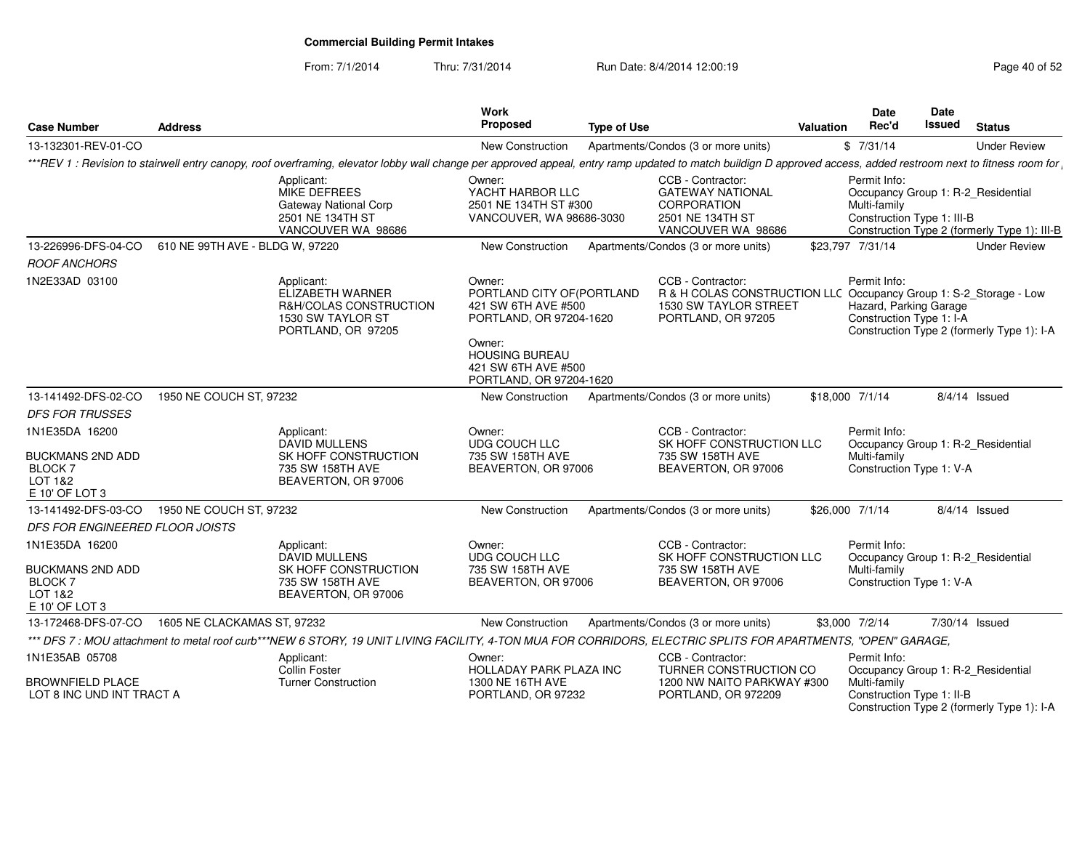From: 7/1/2014Thru: 7/31/2014 Run Date: 8/4/2014 12:00:19 Research 2015 2

| <b>Case Number</b>                                                                       | <b>Address</b>                  |                                                                                                                                                                                                                 | Work<br>Proposed                                                                                                                                                            | <b>Type of Use</b> |                                                                                                                                              | <b>Valuation</b> | <b>Date</b><br>Rec'd                                               | Date<br>Issued | <b>Status</b>                                                                      |
|------------------------------------------------------------------------------------------|---------------------------------|-----------------------------------------------------------------------------------------------------------------------------------------------------------------------------------------------------------------|-----------------------------------------------------------------------------------------------------------------------------------------------------------------------------|--------------------|----------------------------------------------------------------------------------------------------------------------------------------------|------------------|--------------------------------------------------------------------|----------------|------------------------------------------------------------------------------------|
| 13-132301-REV-01-CO                                                                      |                                 |                                                                                                                                                                                                                 | <b>New Construction</b>                                                                                                                                                     |                    | Apartments/Condos (3 or more units)                                                                                                          |                  | \$7/31/14                                                          |                | <b>Under Review</b>                                                                |
|                                                                                          |                                 | ***REV 1: Revision to stairwell entry canopy, roof overframing, elevator lobby wall change per approved appeal, entry ramp updated to match buildign D approved access, added restroom next to fitness room for |                                                                                                                                                                             |                    |                                                                                                                                              |                  |                                                                    |                |                                                                                    |
|                                                                                          |                                 | Applicant:<br>MIKE DEFREES<br>Gateway National Corp<br>2501 NE 134TH ST<br>VANCOUVER WA 98686                                                                                                                   | Owner:<br>YACHT HARBOR LLC<br>2501 NE 134TH ST #300<br>VANCOUVER, WA 98686-3030                                                                                             |                    | CCB - Contractor:<br><b>GATEWAY NATIONAL</b><br><b>CORPORATION</b><br>2501 NE 134TH ST<br>VANCOUVER WA 98686                                 |                  | Permit Info:<br>Multi-family<br>Construction Type 1: III-B         |                | Occupancy Group 1: R-2_Residential<br>Construction Type 2 (formerly Type 1): III-B |
| 13-226996-DFS-04-CO                                                                      | 610 NE 99TH AVE - BLDG W, 97220 |                                                                                                                                                                                                                 | New Construction                                                                                                                                                            |                    | Apartments/Condos (3 or more units)                                                                                                          |                  | \$23,797 7/31/14                                                   |                | <b>Under Review</b>                                                                |
| <b>ROOF ANCHORS</b>                                                                      |                                 |                                                                                                                                                                                                                 |                                                                                                                                                                             |                    |                                                                                                                                              |                  |                                                                    |                |                                                                                    |
| 1N2E33AD 03100                                                                           |                                 | Applicant:<br>ELIZABETH WARNER<br>R&H/COLAS CONSTRUCTION<br>1530 SW TAYLOR ST<br>PORTLAND, OR 97205                                                                                                             | Owner:<br>PORTLAND CITY OF (PORTLAND<br>421 SW 6TH AVE #500<br>PORTLAND, OR 97204-1620<br>Owner:<br><b>HOUSING BUREAU</b><br>421 SW 6TH AVE #500<br>PORTLAND, OR 97204-1620 |                    | CCB - Contractor:<br>R & H COLAS CONSTRUCTION LLC Occupancy Group 1: S-2_Storage - Low<br><b>1530 SW TAYLOR STREET</b><br>PORTLAND, OR 97205 |                  | Permit Info:<br>Hazard, Parking Garage<br>Construction Type 1: I-A |                | Construction Type 2 (formerly Type 1): I-A                                         |
| 13-141492-DFS-02-CO                                                                      | 1950 NE COUCH ST, 97232         |                                                                                                                                                                                                                 | New Construction                                                                                                                                                            |                    | Apartments/Condos (3 or more units)                                                                                                          |                  | \$18,000 7/1/14                                                    |                | $8/4/14$ Issued                                                                    |
| <b>DFS FOR TRUSSES</b>                                                                   |                                 |                                                                                                                                                                                                                 |                                                                                                                                                                             |                    |                                                                                                                                              |                  |                                                                    |                |                                                                                    |
| 1N1E35DA 16200<br><b>BUCKMANS 2ND ADD</b><br><b>BLOCK 7</b><br>LOT 1&2<br>E 10' OF LOT 3 |                                 | Applicant:<br><b>DAVID MULLENS</b><br>SK HOFF CONSTRUCTION<br>735 SW 158TH AVE<br>BEAVERTON, OR 97006                                                                                                           | Owner:<br>UDG COUCH LLC<br>735 SW 158TH AVE<br>BEAVERTON, OR 97006                                                                                                          |                    | CCB - Contractor:<br>SK HOFF CONSTRUCTION LLC<br>735 SW 158TH AVE<br>BEAVERTON, OR 97006                                                     |                  | Permit Info:<br>Multi-family<br>Construction Type 1: V-A           |                | Occupancy Group 1: R-2_Residential                                                 |
| 13-141492-DFS-03-CO                                                                      | 1950 NE COUCH ST, 97232         |                                                                                                                                                                                                                 | New Construction                                                                                                                                                            |                    | Apartments/Condos (3 or more units)                                                                                                          |                  | \$26,000 7/1/14                                                    |                | $8/4/14$ Issued                                                                    |
| <b>DFS FOR ENGINEERED FLOOR JOISTS</b>                                                   |                                 |                                                                                                                                                                                                                 |                                                                                                                                                                             |                    |                                                                                                                                              |                  |                                                                    |                |                                                                                    |
| 1N1E35DA 16200<br><b>BUCKMANS 2ND ADD</b><br><b>BLOCK7</b>                               |                                 | Applicant:<br><b>DAVID MULLENS</b><br>SK HOFF CONSTRUCTION<br>735 SW 158TH AVE                                                                                                                                  | Owner:<br>UDG COUCH LLC<br>735 SW 158TH AVE<br>BEAVERTON, OR 97006                                                                                                          |                    | CCB - Contractor:<br>SK HOFF CONSTRUCTION LLC<br>735 SW 158TH AVE<br>BEAVERTON, OR 97006                                                     |                  | Permit Info:<br>Multi-family<br>Construction Type 1: V-A           |                | Occupancy Group 1: R-2 Residential                                                 |
| LOT 1&2<br>E 10' OF LOT 3                                                                |                                 | BEAVERTON, OR 97006                                                                                                                                                                                             |                                                                                                                                                                             |                    |                                                                                                                                              |                  |                                                                    |                |                                                                                    |
| 13-172468-DFS-07-CO                                                                      | 1605 NE CLACKAMAS ST, 97232     |                                                                                                                                                                                                                 | New Construction                                                                                                                                                            |                    | Apartments/Condos (3 or more units)                                                                                                          |                  | \$3,000 7/2/14                                                     |                | 7/30/14 Issued                                                                     |
|                                                                                          |                                 | *** DFS 7: MOU attachment to metal roof curb***NEW 6 STORY, 19 UNIT LIVING FACILITY, 4-TON MUA FOR CORRIDORS, ELECTRIC SPLITS FOR APARTMENTS, "OPEN" GARAGE,                                                    |                                                                                                                                                                             |                    |                                                                                                                                              |                  |                                                                    |                |                                                                                    |
| 1N1E35AB 05708                                                                           |                                 | Applicant:<br>Collin Foster                                                                                                                                                                                     | Owner:<br><b>HOLLADAY PARK PLAZA INC</b>                                                                                                                                    |                    | CCB - Contractor:<br>TURNER CONSTRUCTION CO                                                                                                  |                  | Permit Info:                                                       |                | Occupancy Group 1: R-2_Residential                                                 |
| <b>BROWNFIELD PLACE</b><br>LOT 8 INC UND INT TRACT A                                     |                                 | <b>Turner Construction</b>                                                                                                                                                                                      | 1300 NE 16TH AVE<br>PORTLAND, OR 97232                                                                                                                                      |                    | 1200 NW NAITO PARKWAY #300<br>PORTLAND, OR 972209                                                                                            |                  | Multi-family<br>Construction Type 1: II-B                          |                | Construction Type 2 (formerly Type 1): I-A                                         |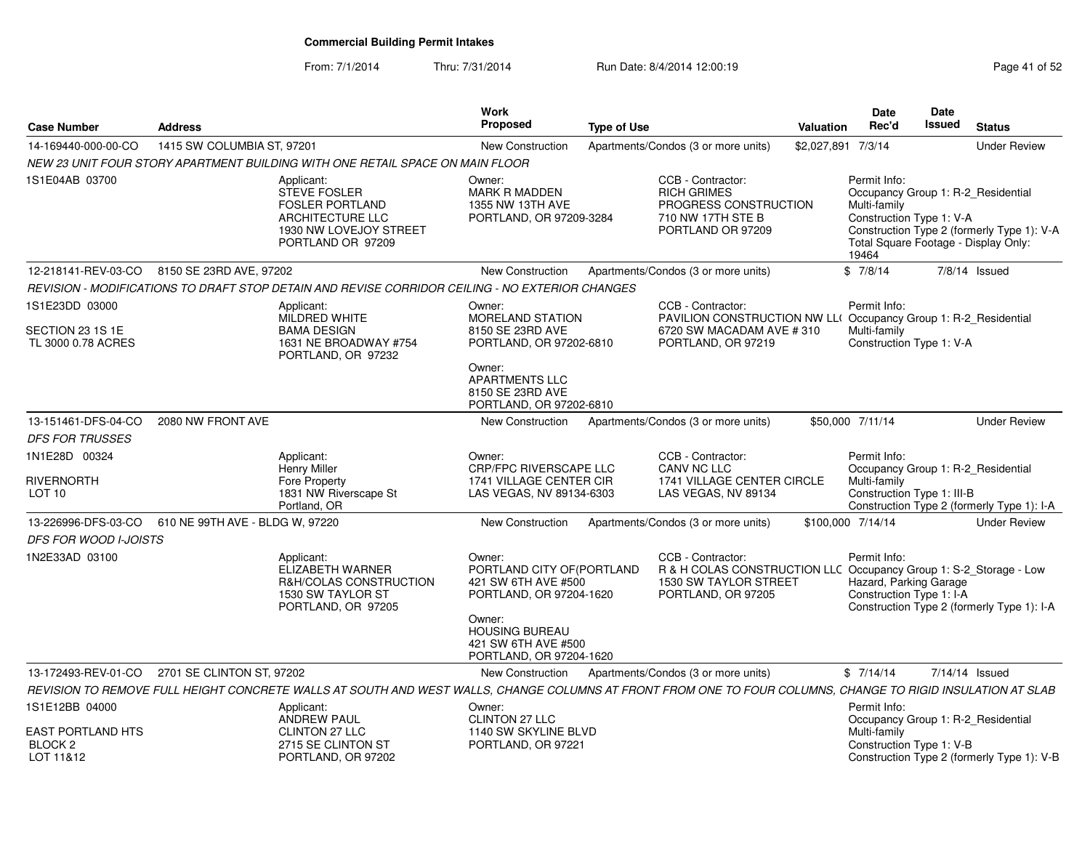From: 7/1/2014Thru: 7/31/2014 Run Date: 8/4/2014 12:00:19 Rege 41 of 52

| <b>Case Number</b>                                                            | <b>Address</b>                  |                                                                                                                                                             | Work<br>Proposed                                                                                | <b>Type of Use</b> |                                                                                                                                        | Valuation          | <b>Date</b><br>Rec'd                                                                                                                            | Date<br>Issued | <b>Status</b>                              |
|-------------------------------------------------------------------------------|---------------------------------|-------------------------------------------------------------------------------------------------------------------------------------------------------------|-------------------------------------------------------------------------------------------------|--------------------|----------------------------------------------------------------------------------------------------------------------------------------|--------------------|-------------------------------------------------------------------------------------------------------------------------------------------------|----------------|--------------------------------------------|
| 14-169440-000-00-CO                                                           | 1415 SW COLUMBIA ST, 97201      |                                                                                                                                                             | New Construction                                                                                |                    | Apartments/Condos (3 or more units)                                                                                                    | \$2,027,891 7/3/14 |                                                                                                                                                 |                | <b>Under Review</b>                        |
|                                                                               |                                 | NEW 23 UNIT FOUR STORY APARTMENT BUILDING WITH ONE RETAIL SPACE ON MAIN FLOOR                                                                               |                                                                                                 |                    |                                                                                                                                        |                    |                                                                                                                                                 |                |                                            |
| 1S1E04AB 03700                                                                |                                 | Applicant:<br><b>STEVE FOSLER</b><br><b>FOSLER PORTLAND</b><br>ARCHITECTURE LLC<br>1930 NW LOVEJOY STREET<br>PORTLAND OR 97209                              | Owner:<br><b>MARK R MADDEN</b><br>1355 NW 13TH AVE<br>PORTLAND, OR 97209-3284                   |                    | CCB - Contractor:<br><b>RICH GRIMES</b><br>PROGRESS CONSTRUCTION<br>710 NW 17TH STE B<br>PORTLAND OR 97209                             |                    | Permit Info:<br>Occupancy Group 1: R-2_Residential<br>Multi-family<br>Construction Type 1: V-A<br>Total Square Footage - Display Only:<br>19464 |                | Construction Type 2 (formerly Type 1): V-A |
| 12-218141-REV-03-CO                                                           | 8150 SE 23RD AVE, 97202         |                                                                                                                                                             | <b>New Construction</b>                                                                         |                    | Apartments/Condos (3 or more units)                                                                                                    |                    | \$7/8/14                                                                                                                                        |                | $7/8/14$ Issued                            |
|                                                                               |                                 | REVISION - MODIFICATIONS TO DRAFT STOP DETAIN AND REVISE CORRIDOR CEILING - NO EXTERIOR CHANGES                                                             |                                                                                                 |                    |                                                                                                                                        |                    |                                                                                                                                                 |                |                                            |
| 1S1E23DD 03000<br>SECTION 23 1S 1E<br>TL 3000 0.78 ACRES                      |                                 | Applicant:<br>MILDRED WHITE<br><b>BAMA DESIGN</b><br>1631 NE BROADWAY #754<br>PORTLAND, OR 97232                                                            | Owner:<br><b>MORELAND STATION</b><br>8150 SE 23RD AVE<br>PORTLAND, OR 97202-6810                |                    | CCB - Contractor:<br>PAVILION CONSTRUCTION NW LL( Occupancy Group 1: R-2_Residential<br>6720 SW MACADAM AVE #310<br>PORTLAND, OR 97219 |                    | Permit Info:<br>Multi-family<br>Construction Type 1: V-A                                                                                        |                |                                            |
|                                                                               |                                 |                                                                                                                                                             | Owner:<br><b>APARTMENTS LLC</b><br>8150 SE 23RD AVE<br>PORTLAND, OR 97202-6810                  |                    |                                                                                                                                        |                    |                                                                                                                                                 |                |                                            |
| 13-151461-DFS-04-CO                                                           | 2080 NW FRONT AVE               |                                                                                                                                                             | New Construction                                                                                |                    | Apartments/Condos (3 or more units)                                                                                                    |                    | \$50,000 7/11/14                                                                                                                                |                | <b>Under Review</b>                        |
| <b>DFS FOR TRUSSES</b>                                                        |                                 |                                                                                                                                                             |                                                                                                 |                    |                                                                                                                                        |                    |                                                                                                                                                 |                |                                            |
| 1N1E28D 00324<br><b>RIVERNORTH</b><br>LOT <sub>10</sub>                       |                                 | Applicant:<br>Henry Miller<br>Fore Property<br>1831 NW Riverscape St<br>Portland, OR                                                                        | Owner:<br>CRP/FPC RIVERSCAPE LLC<br>1741 VILLAGE CENTER CIR<br>LAS VEGAS, NV 89134-6303         |                    | CCB - Contractor:<br>CANV NC LLC<br>1741 VILLAGE CENTER CIRCLE<br>LAS VEGAS, NV 89134                                                  |                    | Permit Info:<br>Occupancy Group 1: R-2_Residential<br>Multi-family<br>Construction Type 1: III-B                                                |                | Construction Type 2 (formerly Type 1): I-A |
| 13-226996-DFS-03-CO                                                           | 610 NE 99TH AVE - BLDG W, 97220 |                                                                                                                                                             | New Construction                                                                                |                    | Apartments/Condos (3 or more units)                                                                                                    |                    | \$100,000 7/14/14                                                                                                                               |                | <b>Under Review</b>                        |
| <b>DFS FOR WOOD I-JOISTS</b>                                                  |                                 |                                                                                                                                                             |                                                                                                 |                    |                                                                                                                                        |                    |                                                                                                                                                 |                |                                            |
| 1N2E33AD 03100                                                                |                                 | Applicant:<br>ELIZABETH WARNER<br>R&H/COLAS CONSTRUCTION<br>1530 SW TAYLOR ST<br>PORTLAND, OR 97205                                                         | Owner:<br>PORTLAND CITY OF(PORTLAND<br>421 SW 6TH AVE #500<br>PORTLAND, OR 97204-1620<br>Owner: |                    | CCB - Contractor:<br>R & H COLAS CONSTRUCTION LLC Occupancy Group 1: S-2_Storage - Low<br>1530 SW TAYLOR STREET<br>PORTLAND, OR 97205  |                    | Permit Info:<br>Hazard, Parking Garage<br>Construction Type 1: I-A                                                                              |                | Construction Type 2 (formerly Type 1): I-A |
|                                                                               |                                 |                                                                                                                                                             | <b>HOUSING BUREAU</b><br>421 SW 6TH AVE #500<br>PORTLAND, OR 97204-1620                         |                    |                                                                                                                                        |                    |                                                                                                                                                 |                |                                            |
| 13-172493-REV-01-CO                                                           | 2701 SE CLINTON ST, 97202       |                                                                                                                                                             | New Construction                                                                                |                    | Apartments/Condos (3 or more units)                                                                                                    |                    | \$7/14/14                                                                                                                                       |                | 7/14/14 Issued                             |
|                                                                               |                                 | REVISION TO REMOVE FULL HEIGHT CONCRETE WALLS AT SOUTH AND WEST WALLS, CHANGE COLUMNS AT FRONT FROM ONE TO FOUR COLUMNS, CHANGE TO RIGID INSULATION AT SLAB |                                                                                                 |                    |                                                                                                                                        |                    |                                                                                                                                                 |                |                                            |
| 1S1E12BB 04000<br><b>EAST PORTLAND HTS</b><br>BLOCK <sub>2</sub><br>LOT 11&12 |                                 | Applicant:<br><b>ANDREW PAUL</b><br><b>CLINTON 27 LLC</b><br>2715 SE CLINTON ST<br>PORTLAND, OR 97202                                                       | Owner:<br>CLINTON 27 LLC<br>1140 SW SKYLINE BLVD<br>PORTLAND, OR 97221                          |                    |                                                                                                                                        |                    | Permit Info:<br>Occupancy Group 1: R-2_Residential<br>Multi-family<br>Construction Type 1: V-B                                                  |                | Construction Type 2 (formerly Type 1): V-B |
|                                                                               |                                 |                                                                                                                                                             |                                                                                                 |                    |                                                                                                                                        |                    |                                                                                                                                                 |                |                                            |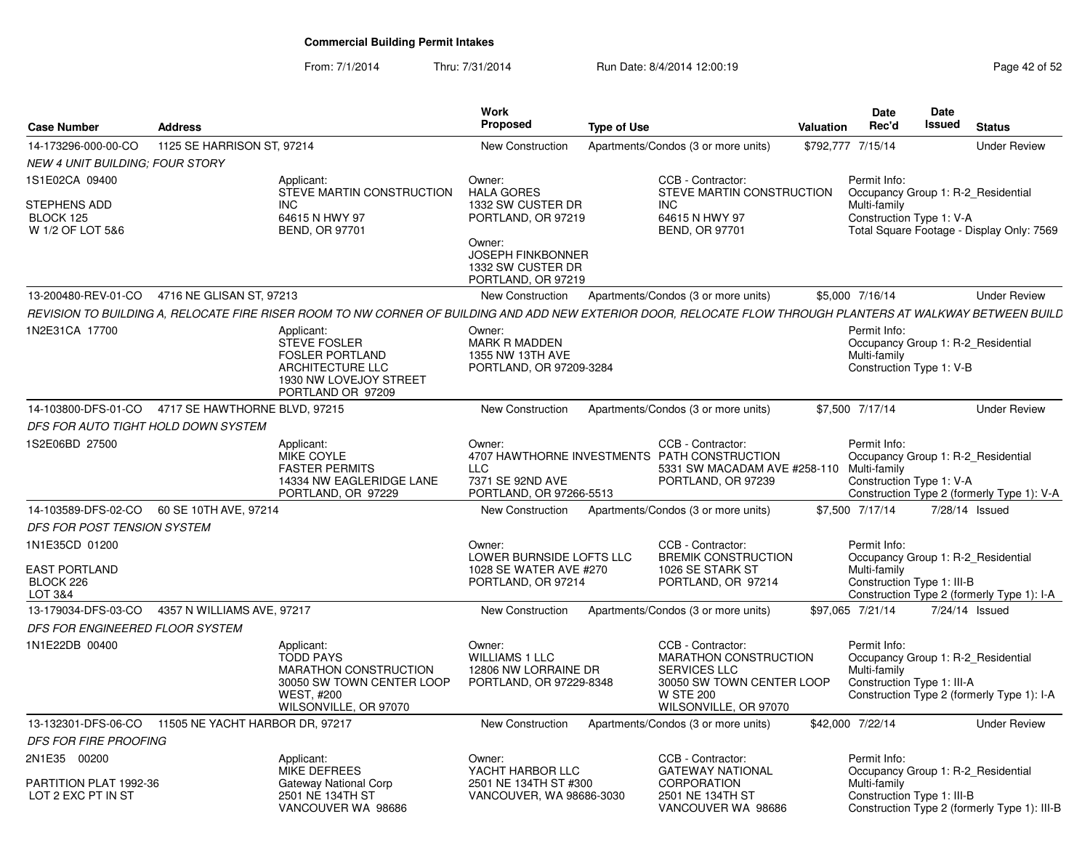From: 7/1/2014Thru: 7/31/2014 Run Date: 8/4/2014 12:00:19 Research 2015 2

| <b>Case Number</b>                                              | <b>Address</b>                  |                                                                                                                                                              | <b>Work</b><br><b>Proposed</b>                                                                                                                          | <b>Type of Use</b> |                                                                                                                                                    | <b>Valuation</b> | <b>Date</b><br>Rec'd                                                                             | <b>Date</b><br><b>Issued</b> | <b>Status</b>                                |
|-----------------------------------------------------------------|---------------------------------|--------------------------------------------------------------------------------------------------------------------------------------------------------------|---------------------------------------------------------------------------------------------------------------------------------------------------------|--------------------|----------------------------------------------------------------------------------------------------------------------------------------------------|------------------|--------------------------------------------------------------------------------------------------|------------------------------|----------------------------------------------|
| 14-173296-000-00-CO                                             | 1125 SE HARRISON ST, 97214      |                                                                                                                                                              | New Construction                                                                                                                                        |                    | Apartments/Condos (3 or more units)                                                                                                                |                  | \$792,777 7/15/14                                                                                |                              | <b>Under Review</b>                          |
| NEW 4 UNIT BUILDING: FOUR STORY                                 |                                 |                                                                                                                                                              |                                                                                                                                                         |                    |                                                                                                                                                    |                  |                                                                                                  |                              |                                              |
| 1S1E02CA 09400<br>STEPHENS ADD<br>BLOCK 125<br>W 1/2 OF LOT 5&6 |                                 | Applicant:<br>STEVE MARTIN CONSTRUCTION<br><b>INC</b><br>64615 N HWY 97<br><b>BEND, OR 97701</b>                                                             | Owner:<br><b>HALA GORES</b><br>1332 SW CUSTER DR<br>PORTLAND, OR 97219<br>Owner:<br><b>JOSEPH FINKBONNER</b><br>1332 SW CUSTER DR<br>PORTLAND, OR 97219 |                    | CCB - Contractor:<br>STEVE MARTIN CONSTRUCTION<br>INC.<br>64615 N HWY 97<br><b>BEND, OR 97701</b>                                                  |                  | Permit Info:<br>Occupancy Group 1: R-2 Residential<br>Multi-family<br>Construction Type 1: V-A   |                              | Total Square Footage - Display Only: 7569    |
| 13-200480-REV-01-CO                                             | 4716 NE GLISAN ST, 97213        |                                                                                                                                                              | <b>New Construction</b>                                                                                                                                 |                    | Apartments/Condos (3 or more units)                                                                                                                |                  | \$5,000 7/16/14                                                                                  |                              | <b>Under Review</b>                          |
|                                                                 |                                 | REVISION TO BUILDING A. RELOCATE FIRE RISER ROOM TO NW CORNER OF BUILDING AND ADD NEW EXTERIOR DOOR. RELOCATE FLOW THROUGH PLANTERS AT WALKWAY BETWEEN BUILD |                                                                                                                                                         |                    |                                                                                                                                                    |                  |                                                                                                  |                              |                                              |
| 1N2E31CA 17700                                                  |                                 | Applicant:<br><b>STEVE FOSLER</b><br><b>FOSLER PORTLAND</b><br>ARCHITECTURE LLC<br>1930 NW LOVEJOY STREET<br>PORTLAND OR 97209                               | Owner:<br><b>MARK R MADDEN</b><br>1355 NW 13TH AVE<br>PORTLAND, OR 97209-3284                                                                           |                    |                                                                                                                                                    |                  | Permit Info:<br>Occupancy Group 1: R-2 Residential<br>Multi-family<br>Construction Type 1: V-B   |                              |                                              |
| 14-103800-DFS-01-CO                                             | 4717 SE HAWTHORNE BLVD, 97215   |                                                                                                                                                              | <b>New Construction</b>                                                                                                                                 |                    | Apartments/Condos (3 or more units)                                                                                                                |                  | \$7,500 7/17/14                                                                                  |                              | <b>Under Review</b>                          |
| DFS FOR AUTO TIGHT HOLD DOWN SYSTEM                             |                                 |                                                                                                                                                              |                                                                                                                                                         |                    |                                                                                                                                                    |                  |                                                                                                  |                              |                                              |
| 1S2E06BD 27500                                                  |                                 | Applicant:<br><b>MIKE COYLE</b><br><b>FASTER PERMITS</b><br>14334 NW EAGLERIDGE LANE<br>PORTLAND, OR 97229                                                   | Owner:<br><b>LLC</b><br>7371 SE 92ND AVE<br>PORTLAND, OR 97266-5513                                                                                     |                    | CCB - Contractor:<br>4707 HAWTHORNE INVESTMENTS PATH CONSTRUCTION<br>5331 SW MACADAM AVE #258-110<br>PORTLAND, OR 97239                            |                  | Permit Info:<br>Occupancy Group 1: R-2 Residential<br>Multi-family<br>Construction Type 1: V-A   |                              | Construction Type 2 (formerly Type 1): V-A   |
| 14-103589-DFS-02-CO                                             | 60 SE 10TH AVE, 97214           |                                                                                                                                                              | New Construction                                                                                                                                        |                    | Apartments/Condos (3 or more units)                                                                                                                |                  | \$7,500 7/17/14                                                                                  | 7/28/14 Issued               |                                              |
| DFS FOR POST TENSION SYSTEM                                     |                                 |                                                                                                                                                              |                                                                                                                                                         |                    |                                                                                                                                                    |                  |                                                                                                  |                              |                                              |
| 1N1E35CD 01200<br><b>EAST PORTLAND</b><br>BLOCK 226<br>LOT 3&4  |                                 |                                                                                                                                                              | Owner:<br>LOWER BURNSIDE LOFTS LLC<br>1028 SE WATER AVE #270<br>PORTLAND, OR 97214                                                                      |                    | CCB - Contractor:<br><b>BREMIK CONSTRUCTION</b><br>1026 SE STARK ST<br>PORTLAND, OR 97214                                                          |                  | Permit Info:<br>Occupancy Group 1: R-2 Residential<br>Multi-family<br>Construction Type 1: III-B |                              | Construction Type 2 (formerly Type 1): I-A   |
| 13-179034-DFS-03-CO                                             | 4357 N WILLIAMS AVE, 97217      |                                                                                                                                                              | <b>New Construction</b>                                                                                                                                 |                    | Apartments/Condos (3 or more units)                                                                                                                |                  | \$97,065 7/21/14                                                                                 | 7/24/14 Issued               |                                              |
| DFS FOR ENGINEERED FLOOR SYSTEM                                 |                                 |                                                                                                                                                              |                                                                                                                                                         |                    |                                                                                                                                                    |                  |                                                                                                  |                              |                                              |
| 1N1E22DB 00400                                                  |                                 | Applicant:<br><b>TODD PAYS</b><br>MARATHON CONSTRUCTION<br>30050 SW TOWN CENTER LOOP<br><b>WEST, #200</b><br>WILSONVILLE, OR 97070                           | Owner:<br><b>WILLIAMS 1 LLC</b><br>12806 NW LORRAINE DR<br>PORTLAND, OR 97229-8348                                                                      |                    | CCB - Contractor:<br><b>MARATHON CONSTRUCTION</b><br><b>SERVICES LLC</b><br>30050 SW TOWN CENTER LOOP<br><b>W STE 200</b><br>WILSONVILLE, OR 97070 |                  | Permit Info:<br>Occupancy Group 1: R-2 Residential<br>Multi-family<br>Construction Type 1: III-A |                              | Construction Type 2 (formerly Type 1): I-A   |
| 13-132301-DFS-06-CO                                             | 11505 NE YACHT HARBOR DR, 97217 |                                                                                                                                                              | <b>New Construction</b>                                                                                                                                 |                    | Apartments/Condos (3 or more units)                                                                                                                |                  | \$42,000 7/22/14                                                                                 |                              | <b>Under Review</b>                          |
| DFS FOR FIRE PROOFING                                           |                                 |                                                                                                                                                              |                                                                                                                                                         |                    |                                                                                                                                                    |                  |                                                                                                  |                              |                                              |
| 2N1E35 00200<br>PARTITION PLAT 1992-36<br>LOT 2 EXC PT IN ST    |                                 | Applicant:<br><b>MIKE DEFREES</b><br>Gateway National Corp<br>2501 NE 134TH ST<br>VANCOUVER WA 98686                                                         | Owner:<br>YACHT HARBOR LLC<br>2501 NE 134TH ST #300<br>VANCOUVER, WA 98686-3030                                                                         |                    | CCB - Contractor:<br><b>GATEWAY NATIONAL</b><br>CORPORATION<br>2501 NE 134TH ST<br>VANCOUVER WA 98686                                              |                  | Permit Info:<br>Occupancy Group 1: R-2_Residential<br>Multi-family<br>Construction Type 1: III-B |                              | Construction Type 2 (formerly Type 1): III-B |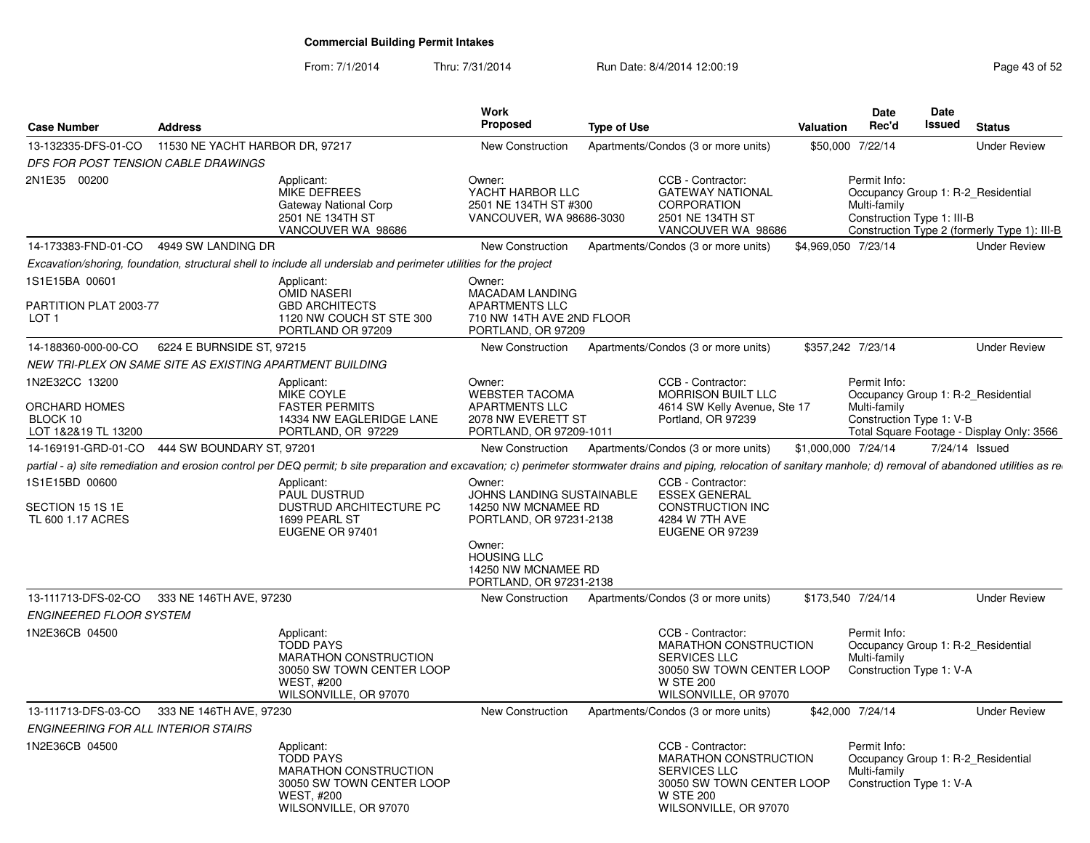From: 7/1/2014Thru: 7/31/2014 Run Date: 8/4/2014 12:00:19 Research 2010 Page 43 of 52

| <b>Case Number</b>                                                 | <b>Address</b>                                                                                                                                                                                                           |                                                                                    | <b>Work</b><br><b>Proposed</b>                                                                                                                                | <b>Type of Use</b> |                                                                                                                                                    | <b>Valuation</b>    | <b>Date</b><br>Rec'd                                       | <b>Date</b><br><b>Issued</b> | <b>Status</b>                                                                      |
|--------------------------------------------------------------------|--------------------------------------------------------------------------------------------------------------------------------------------------------------------------------------------------------------------------|------------------------------------------------------------------------------------|---------------------------------------------------------------------------------------------------------------------------------------------------------------|--------------------|----------------------------------------------------------------------------------------------------------------------------------------------------|---------------------|------------------------------------------------------------|------------------------------|------------------------------------------------------------------------------------|
| 13-132335-DFS-01-CO                                                | 11530 NE YACHT HARBOR DR. 97217                                                                                                                                                                                          |                                                                                    | New Construction                                                                                                                                              |                    | Apartments/Condos (3 or more units)                                                                                                                | \$50,000 7/22/14    |                                                            |                              | <b>Under Review</b>                                                                |
| DFS FOR POST TENSION CABLE DRAWINGS                                |                                                                                                                                                                                                                          |                                                                                    |                                                                                                                                                               |                    |                                                                                                                                                    |                     |                                                            |                              |                                                                                    |
| 2N1E35 00200                                                       | Applicant:<br>MIKE DEFREES<br>2501 NE 134TH ST                                                                                                                                                                           | Gateway National Corp<br>VANCOUVER WA 98686                                        | Owner:<br>YACHT HARBOR LLC<br>2501 NE 134TH ST #300<br>VANCOUVER, WA 98686-3030                                                                               |                    | CCB - Contractor:<br><b>GATEWAY NATIONAL</b><br><b>CORPORATION</b><br>2501 NE 134TH ST<br>VANCOUVER WA 98686                                       |                     | Permit Info:<br>Multi-family<br>Construction Type 1: III-B |                              | Occupancy Group 1: R-2_Residential<br>Construction Type 2 (formerly Type 1): III-B |
|                                                                    | 14-173383-FND-01-CO 4949 SW LANDING DR                                                                                                                                                                                   |                                                                                    | New Construction                                                                                                                                              |                    | Apartments/Condos (3 or more units)                                                                                                                | \$4,969,050 7/23/14 |                                                            |                              | <b>Under Review</b>                                                                |
|                                                                    | Excavation/shoring, foundation, structural shell to include all underslab and perimeter utilities for the project                                                                                                        |                                                                                    |                                                                                                                                                               |                    |                                                                                                                                                    |                     |                                                            |                              |                                                                                    |
| 1S1E15BA 00601<br>PARTITION PLAT 2003-77<br>LOT <sub>1</sub>       | Applicant:<br>OMID NASERI                                                                                                                                                                                                | <b>GBD ARCHITECTS</b><br>1120 NW COUCH ST STE 300<br>PORTLAND OR 97209             | Owner:<br>MACADAM LANDING<br>APARTMENTS LLC<br>710 NW 14TH AVE 2ND FLOOR<br>PORTLAND, OR 97209                                                                |                    |                                                                                                                                                    |                     |                                                            |                              |                                                                                    |
| 14-188360-000-00-CO                                                | 6224 E BURNSIDE ST, 97215                                                                                                                                                                                                |                                                                                    | New Construction Apartments/Condos (3 or more units)                                                                                                          |                    |                                                                                                                                                    | \$357,242 7/23/14   |                                                            |                              | <b>Under Review</b>                                                                |
|                                                                    | NEW TRI-PLEX ON SAME SITE AS EXISTING APARTMENT BUILDING                                                                                                                                                                 |                                                                                    |                                                                                                                                                               |                    |                                                                                                                                                    |                     |                                                            |                              |                                                                                    |
| 1N2E32CC 13200<br>ORCHARD HOMES<br>BLOCK 10<br>LOT 1&2&19 TL 13200 | Applicant:<br>MIKE COYLE<br><b>FASTER PERMITS</b>                                                                                                                                                                        | 14334 NW EAGLERIDGE LANE<br>PORTLAND, OR 97229                                     | Owner:<br><b>WEBSTER TACOMA</b><br><b>APARTMENTS LLC</b><br>2078 NW EVERETT ST<br>PORTLAND, OR 97209-1011                                                     |                    | CCB - Contractor:<br><b>MORRISON BUILT LLC</b><br>4614 SW Kelly Avenue, Ste 17<br>Portland, OR 97239                                               |                     | Permit Info:<br>Multi-family<br>Construction Type 1: V-B   |                              | Occupancy Group 1: R-2_Residential<br>Total Square Footage - Display Only: 3566    |
|                                                                    | 14-169191-GRD-01-CO 444 SW BOUNDARY ST. 97201                                                                                                                                                                            |                                                                                    | <b>New Construction</b>                                                                                                                                       |                    | Apartments/Condos (3 or more units)                                                                                                                | \$1,000,000 7/24/14 |                                                            |                              | 7/24/14 Issued                                                                     |
|                                                                    | partial - a) site remediation and erosion control per DEQ permit; b site preparation and excavation; c) perimeter stormwater drains and piping, relocation of sanitary manhole; d) removal of abandoned utilities as re- |                                                                                    |                                                                                                                                                               |                    |                                                                                                                                                    |                     |                                                            |                              |                                                                                    |
| 1S1E15BD 00600                                                     | Applicant:                                                                                                                                                                                                               |                                                                                    | Owner:                                                                                                                                                        |                    | CCB - Contractor:                                                                                                                                  |                     |                                                            |                              |                                                                                    |
| SECTION 15 1S 1E<br>TL 600 1.17 ACRES                              | PAUL DUSTRUD<br>1699 PEARL ST<br>EUGENE OR 97401                                                                                                                                                                         | <b>DUSTRUD ARCHITECTURE PC</b>                                                     | JOHNS LANDING SUSTAINABLE<br>14250 NW MCNAMEE RD<br>PORTLAND, OR 97231-2138<br>Owner:<br><b>HOUSING LLC</b><br>14250 NW MCNAMEE RD<br>PORTLAND, OR 97231-2138 |                    | <b>ESSEX GENERAL</b><br><b>CONSTRUCTION INC</b><br>4284 W 7TH AVE<br>EUGENE OR 97239                                                               |                     |                                                            |                              |                                                                                    |
|                                                                    | 13-111713-DFS-02-CO 333 NE 146TH AVE, 97230                                                                                                                                                                              |                                                                                    | New Construction                                                                                                                                              |                    | Apartments/Condos (3 or more units)                                                                                                                | \$173,540 7/24/14   |                                                            |                              | <b>Under Review</b>                                                                |
| <b>ENGINEERED FLOOR SYSTEM</b>                                     |                                                                                                                                                                                                                          |                                                                                    |                                                                                                                                                               |                    |                                                                                                                                                    |                     |                                                            |                              |                                                                                    |
| 1N2E36CB 04500                                                     | Applicant:<br><b>TODD PAYS</b><br><b>WEST, #200</b>                                                                                                                                                                      | MARATHON CONSTRUCTION<br>30050 SW TOWN CENTER LOOP<br>WILSONVILLE, OR 97070        |                                                                                                                                                               |                    | CCB - Contractor:<br><b>MARATHON CONSTRUCTION</b><br><b>SERVICES LLC</b><br>30050 SW TOWN CENTER LOOP<br><b>W STE 200</b><br>WILSONVILLE, OR 97070 |                     | Permit Info:<br>Multi-family<br>Construction Type 1: V-A   |                              | Occupancy Group 1: R-2 Residential                                                 |
|                                                                    | 13-111713-DFS-03-CO 333 NE 146TH AVE, 97230                                                                                                                                                                              |                                                                                    | New Construction                                                                                                                                              |                    | Apartments/Condos (3 or more units)                                                                                                                | \$42,000 7/24/14    |                                                            |                              | <b>Under Review</b>                                                                |
| ENGINEERING FOR ALL INTERIOR STAIRS                                |                                                                                                                                                                                                                          |                                                                                    |                                                                                                                                                               |                    |                                                                                                                                                    |                     |                                                            |                              |                                                                                    |
| 1N2E36CB 04500                                                     | Applicant:<br><b>TODD PAYS</b><br><b>WEST, #200</b>                                                                                                                                                                      | <b>MARATHON CONSTRUCTION</b><br>30050 SW TOWN CENTER LOOP<br>WILSONVILLE, OR 97070 |                                                                                                                                                               |                    | CCB - Contractor:<br><b>MARATHON CONSTRUCTION</b><br><b>SERVICES LLC</b><br>30050 SW TOWN CENTER LOOP<br><b>W STE 200</b><br>WILSONVILLE, OR 97070 |                     | Permit Info:<br>Multi-family<br>Construction Type 1: V-A   |                              | Occupancy Group 1: R-2_Residential                                                 |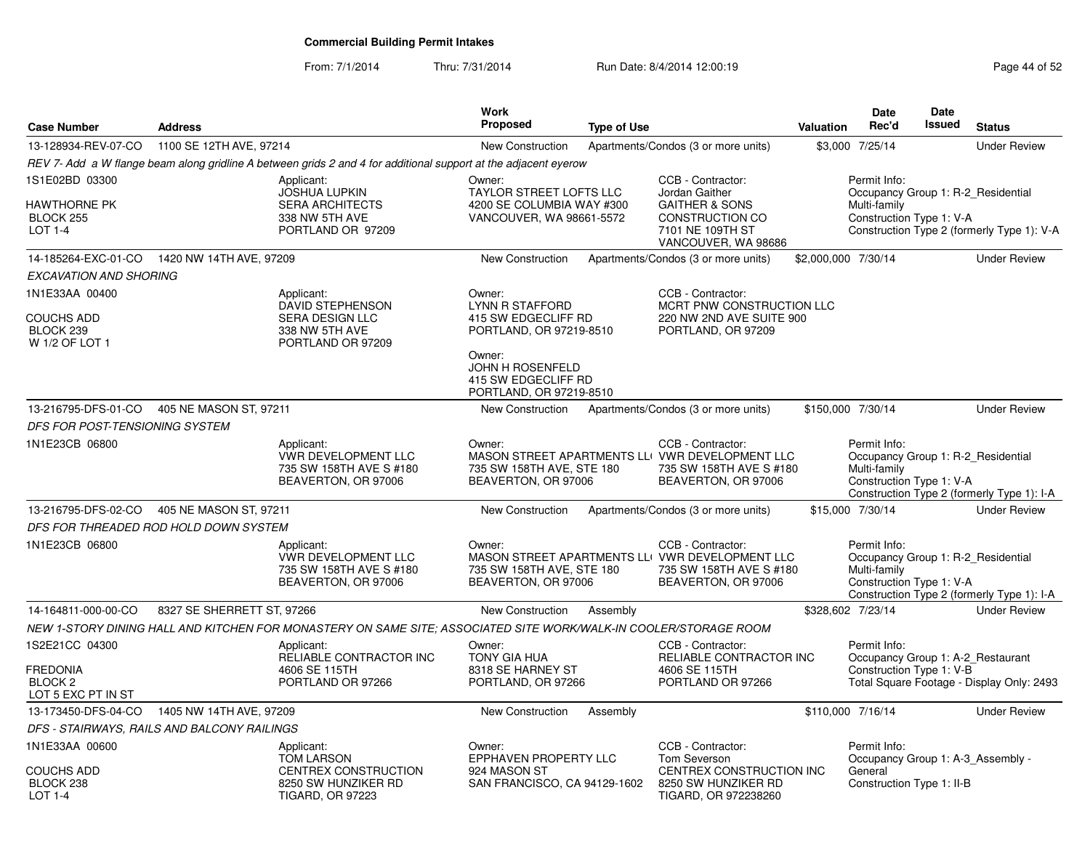From: 7/1/2014

Thru: 7/31/2014 Run Date: 8/4/2014 12:00:19 Research 2015 2

| <b>Case Number</b>                                                            | <b>Address</b>             |                                                                                                                  | <b>Work</b><br><b>Proposed</b>                                                                                                                                     | <b>Type of Use</b> |                                                                                                                                | <b>Valuation</b>    | <b>Date</b><br>Rec'd                                                                           | <b>Date</b><br>Issued | <b>Status</b>                              |
|-------------------------------------------------------------------------------|----------------------------|------------------------------------------------------------------------------------------------------------------|--------------------------------------------------------------------------------------------------------------------------------------------------------------------|--------------------|--------------------------------------------------------------------------------------------------------------------------------|---------------------|------------------------------------------------------------------------------------------------|-----------------------|--------------------------------------------|
| 13-128934-REV-07-CO                                                           | 1100 SE 12TH AVE, 97214    |                                                                                                                  | <b>New Construction</b>                                                                                                                                            |                    | Apartments/Condos (3 or more units)                                                                                            |                     | \$3,000 7/25/14                                                                                |                       | <b>Under Review</b>                        |
|                                                                               |                            | REV 7- Add a W flange beam along gridline A between grids 2 and 4 for additional support at the adjacent eyerow  |                                                                                                                                                                    |                    |                                                                                                                                |                     |                                                                                                |                       |                                            |
| 1S1E02BD 03300<br>HAWTHORNE PK<br>BLOCK 255<br>LOT 1-4                        |                            | Applicant:<br><b>JOSHUA LUPKIN</b><br><b>SERA ARCHITECTS</b><br>338 NW 5TH AVE<br>PORTLAND OR 97209              | Owner:<br><b>TAYLOR STREET LOFTS LLC</b><br>4200 SE COLUMBIA WAY #300<br>VANCOUVER, WA 98661-5572                                                                  |                    | CCB - Contractor:<br>Jordan Gaither<br><b>GAITHER &amp; SONS</b><br>CONSTRUCTION CO<br>7101 NE 109TH ST<br>VANCOUVER, WA 98686 |                     | Permit Info:<br>Occupancy Group 1: R-2 Residential<br>Multi-family<br>Construction Type 1: V-A |                       | Construction Type 2 (formerly Type 1): V-A |
| 14-185264-EXC-01-CO                                                           | 1420 NW 14TH AVE, 97209    |                                                                                                                  | <b>New Construction</b>                                                                                                                                            |                    | Apartments/Condos (3 or more units)                                                                                            | \$2,000,000 7/30/14 |                                                                                                |                       | <b>Under Review</b>                        |
| <b>EXCAVATION AND SHORING</b>                                                 |                            |                                                                                                                  |                                                                                                                                                                    |                    |                                                                                                                                |                     |                                                                                                |                       |                                            |
| 1N1E33AA 00400<br><b>COUCHS ADD</b><br>BLOCK 239<br>W 1/2 OF LOT 1            |                            | Applicant:<br><b>DAVID STEPHENSON</b><br><b>SERA DESIGN LLC</b><br>338 NW 5TH AVE<br>PORTLAND OR 97209           | Owner:<br><b>LYNN R STAFFORD</b><br>415 SW EDGECLIFF RD<br>PORTLAND, OR 97219-8510<br>Owner:<br>JOHN H ROSENFELD<br>415 SW EDGECLIFF RD<br>PORTLAND, OR 97219-8510 |                    | CCB - Contractor:<br>MCRT PNW CONSTRUCTION LLC<br>220 NW 2ND AVE SUITE 900<br>PORTLAND, OR 97209                               |                     |                                                                                                |                       |                                            |
| 13-216795-DFS-01-CO                                                           | 405 NE MASON ST, 97211     |                                                                                                                  | New Construction                                                                                                                                                   |                    | Apartments/Condos (3 or more units)                                                                                            | \$150,000 7/30/14   |                                                                                                |                       | <b>Under Review</b>                        |
| DFS FOR POST-TENSIONING SYSTEM                                                |                            |                                                                                                                  |                                                                                                                                                                    |                    |                                                                                                                                |                     |                                                                                                |                       |                                            |
| 1N1E23CB 06800                                                                |                            | Applicant:<br><b>VWR DEVELOPMENT LLC</b><br>735 SW 158TH AVE S #180<br>BEAVERTON, OR 97006                       | Owner:<br>735 SW 158TH AVE, STE 180<br>BEAVERTON, OR 97006                                                                                                         |                    | CCB - Contractor:<br>MASON STREET APARTMENTS LLI VWR DEVELOPMENT LLC<br>735 SW 158TH AVE S #180<br>BEAVERTON, OR 97006         |                     | Permit Info:<br>Occupancy Group 1: R-2 Residential<br>Multi-family<br>Construction Type 1: V-A |                       | Construction Type 2 (formerly Type 1): I-A |
| 13-216795-DFS-02-CO 405 NE MASON ST, 97211                                    |                            |                                                                                                                  | New Construction                                                                                                                                                   |                    | Apartments/Condos (3 or more units)                                                                                            |                     | \$15,000 7/30/14                                                                               |                       | <b>Under Review</b>                        |
| DFS FOR THREADED ROD HOLD DOWN SYSTEM                                         |                            |                                                                                                                  |                                                                                                                                                                    |                    |                                                                                                                                |                     |                                                                                                |                       |                                            |
| 1N1E23CB 06800                                                                |                            | Applicant:<br><b>VWR DEVELOPMENT LLC</b><br>735 SW 158TH AVE S #180<br>BEAVERTON, OR 97006                       | Owner:<br>735 SW 158TH AVE, STE 180<br>BEAVERTON, OR 97006                                                                                                         |                    | CCB - Contractor:<br>MASON STREET APARTMENTS LLI VWR DEVELOPMENT LLC<br>735 SW 158TH AVE S #180<br>BEAVERTON, OR 97006         |                     | Permit Info:<br>Occupancy Group 1: R-2 Residential<br>Multi-family<br>Construction Type 1: V-A |                       | Construction Type 2 (formerly Type 1): I-A |
| 14-164811-000-00-CO                                                           | 8327 SE SHERRETT ST, 97266 |                                                                                                                  | New Construction                                                                                                                                                   | Assembly           |                                                                                                                                | \$328,602 7/23/14   |                                                                                                |                       | <b>Under Review</b>                        |
|                                                                               |                            | NEW 1-STORY DINING HALL AND KITCHEN FOR MONASTERY ON SAME SITE; ASSOCIATED SITE WORK/WALK-IN COOLER/STORAGE ROOM |                                                                                                                                                                    |                    |                                                                                                                                |                     |                                                                                                |                       |                                            |
| 1S2E21CC 04300<br><b>FREDONIA</b><br>BLOCK <sub>2</sub><br>LOT 5 EXC PT IN ST |                            | Applicant:<br>RELIABLE CONTRACTOR INC<br>4606 SE 115TH<br>PORTLAND OR 97266                                      | Owner:<br><b>TONY GIA HUA</b><br>8318 SE HARNEY ST<br>PORTLAND, OR 97266                                                                                           |                    | CCB - Contractor:<br>RELIABLE CONTRACTOR INC<br>4606 SE 115TH<br>PORTLAND OR 97266                                             |                     | Permit Info:<br>Occupancy Group 1: A-2_Restaurant<br>Construction Type 1: V-B                  |                       | Total Square Footage - Display Only: 2493  |
| 13-173450-DFS-04-CO                                                           | 1405 NW 14TH AVE, 97209    |                                                                                                                  | <b>New Construction</b>                                                                                                                                            | Assembly           |                                                                                                                                | \$110,000 7/16/14   |                                                                                                |                       | <b>Under Review</b>                        |
| DFS - STAIRWAYS, RAILS AND BALCONY RAILINGS                                   |                            |                                                                                                                  |                                                                                                                                                                    |                    |                                                                                                                                |                     |                                                                                                |                       |                                            |
| 1N1E33AA 00600<br>COUCHS ADD<br>BLOCK 238<br>LOT 1-4                          |                            | Applicant:<br><b>TOM LARSON</b><br>CENTREX CONSTRUCTION<br>8250 SW HUNZIKER RD<br><b>TIGARD, OR 97223</b>        | Owner:<br><b>EPPHAVEN PROPERTY LLC</b><br>924 MASON ST<br>SAN FRANCISCO, CA 94129-1602                                                                             |                    | CCB - Contractor:<br><b>Tom Severson</b><br>CENTREX CONSTRUCTION INC<br>8250 SW HUNZIKER RD<br>TIGARD, OR 972238260            |                     | Permit Info:<br>Occupancy Group 1: A-3_Assembly -<br>General<br>Construction Type 1: II-B      |                       |                                            |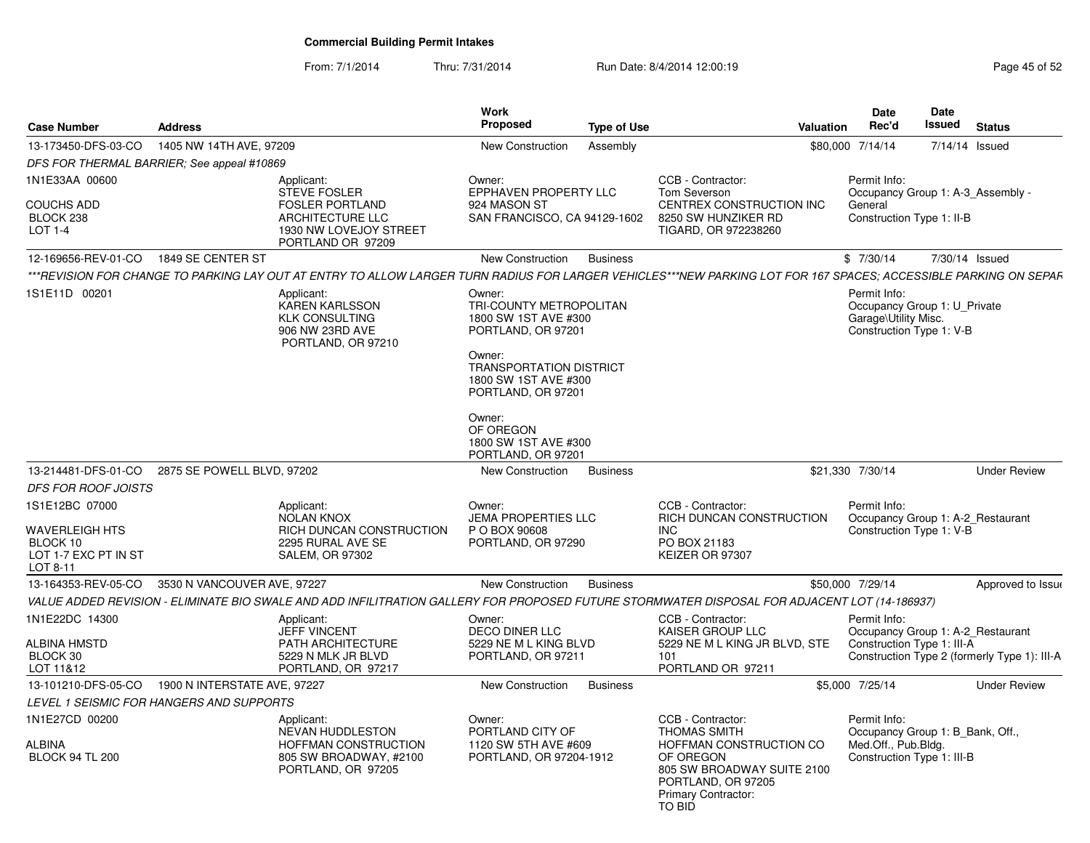From: 7/1/2014

Thru: 7/31/2014 Run Date: 8/4/2014 12:00:19 Research 2010 Page 45 of 52

| <b>Case Number</b>                                                                      | <b>Address</b>                             |                                                                                                                                                                  | <b>Work</b><br>Proposed                                                                | <b>Type of Use</b> |                                                                                                                                                                       | <b>Valuation</b> | <b>Date</b><br>Rec'd                                                                                  | Date<br><b>Issued</b> | <b>Status</b>                                |
|-----------------------------------------------------------------------------------------|--------------------------------------------|------------------------------------------------------------------------------------------------------------------------------------------------------------------|----------------------------------------------------------------------------------------|--------------------|-----------------------------------------------------------------------------------------------------------------------------------------------------------------------|------------------|-------------------------------------------------------------------------------------------------------|-----------------------|----------------------------------------------|
| 13-173450-DFS-03-CO                                                                     | 1405 NW 14TH AVE, 97209                    |                                                                                                                                                                  | New Construction                                                                       | Assembly           |                                                                                                                                                                       |                  | \$80,000 7/14/14                                                                                      | 7/14/14 Issued        |                                              |
|                                                                                         | DFS FOR THERMAL BARRIER: See appeal #10869 |                                                                                                                                                                  |                                                                                        |                    |                                                                                                                                                                       |                  |                                                                                                       |                       |                                              |
| 1N1E33AA 00600<br><b>COUCHS ADD</b><br>BLOCK 238<br>LOT 1-4                             |                                            | Applicant:<br><b>STEVE FOSLER</b><br><b>FOSLER PORTLAND</b><br>ARCHITECTURE LLC<br>1930 NW LOVEJOY STREET<br>PORTLAND OR 97209                                   | Owner:<br>EPPHAVEN PROPERTY LLC<br>924 MASON ST<br>SAN FRANCISCO, CA 94129-1602        |                    | CCB - Contractor:<br>Tom Severson<br>CENTREX CONSTRUCTION INC<br>8250 SW HUNZIKER RD<br>TIGARD, OR 972238260                                                          |                  | Permit Info:<br>General<br>Construction Type 1: II-B                                                  |                       | Occupancy Group 1: A-3 Assembly -            |
| 12-169656-REV-01-CO                                                                     | 1849 SE CENTER ST                          |                                                                                                                                                                  | New Construction                                                                       | <b>Business</b>    |                                                                                                                                                                       |                  | \$7/30/14                                                                                             | 7/30/14 Issued        |                                              |
|                                                                                         |                                            | ***REVISION FOR CHANGE TO PARKING LAY OUT AT ENTRY TO ALLOW LARGER TURN RADIUS FOR LARGER VEHICLES***NEW PARKING LOT FOR 167 SPACES: ACCESSIBLE PARKING ON SEPAF |                                                                                        |                    |                                                                                                                                                                       |                  |                                                                                                       |                       |                                              |
| 1S1E11D 00201                                                                           |                                            | Applicant:<br><b>KAREN KARLSSON</b><br><b>KLK CONSULTING</b><br>906 NW 23RD AVE<br>PORTLAND, OR 97210                                                            | Owner:<br>TRI-COUNTY METROPOLITAN<br>1800 SW 1ST AVE #300<br>PORTLAND, OR 97201        |                    |                                                                                                                                                                       |                  | Permit Info:<br>Occupancy Group 1: U Private<br>Garage\Utility Misc.<br>Construction Type 1: V-B      |                       |                                              |
|                                                                                         |                                            |                                                                                                                                                                  | Owner:<br><b>TRANSPORTATION DISTRICT</b><br>1800 SW 1ST AVE #300<br>PORTLAND, OR 97201 |                    |                                                                                                                                                                       |                  |                                                                                                       |                       |                                              |
|                                                                                         |                                            |                                                                                                                                                                  | Owner:<br>OF OREGON<br>1800 SW 1ST AVE #300<br>PORTLAND, OR 97201                      |                    |                                                                                                                                                                       |                  |                                                                                                       |                       |                                              |
| 13-214481-DFS-01-CO                                                                     | 2875 SE POWELL BLVD, 97202                 |                                                                                                                                                                  | New Construction                                                                       | <b>Business</b>    |                                                                                                                                                                       |                  | \$21,330 7/30/14                                                                                      |                       | <b>Under Review</b>                          |
| <b>DFS FOR ROOF JOISTS</b>                                                              |                                            |                                                                                                                                                                  |                                                                                        |                    |                                                                                                                                                                       |                  |                                                                                                       |                       |                                              |
| 1S1E12BC 07000<br><b>WAVERLEIGH HTS</b><br>BLOCK 10<br>LOT 1-7 EXC PT IN ST<br>LOT 8-11 |                                            | Applicant:<br><b>NOLAN KNOX</b><br>RICH DUNCAN CONSTRUCTION<br>2295 RURAL AVE SE<br>SALEM, OR 97302                                                              | Owner:<br><b>JEMA PROPERTIES LLC</b><br>P O BOX 90608<br>PORTLAND, OR 97290            |                    | CCB - Contractor:<br>RICH DUNCAN CONSTRUCTION<br><b>INC</b><br>PO BOX 21183<br>KEIZER OR 97307                                                                        |                  | Permit Info:<br>Construction Type 1: V-B                                                              |                       | Occupancy Group 1: A-2_Restaurant            |
| 13-164353-REV-05-CO                                                                     | 3530 N VANCOUVER AVE, 97227                |                                                                                                                                                                  | New Construction                                                                       | <b>Business</b>    |                                                                                                                                                                       |                  | \$50,000 7/29/14                                                                                      |                       | Approved to Issue                            |
|                                                                                         |                                            | VALUE ADDED REVISION - ELIMINATE BIO SWALE AND ADD INFILITRATION GALLERY FOR PROPOSED FUTURE STORMWATER DISPOSAL FOR ADJACENT LOT (14-186937)                    |                                                                                        |                    |                                                                                                                                                                       |                  |                                                                                                       |                       |                                              |
| 1N1E22DC 14300                                                                          |                                            | Applicant:<br><b>JEFF VINCENT</b>                                                                                                                                | Owner:<br><b>DECO DINER LLC</b>                                                        |                    | CCB - Contractor:<br><b>KAISER GROUP LLC</b>                                                                                                                          |                  | Permit Info:                                                                                          |                       | Occupancy Group 1: A-2_Restaurant            |
| <b>ALBINA HMSTD</b><br>BLOCK 30<br>LOT 11&12                                            |                                            | <b>PATH ARCHITECTURE</b><br>5229 N MLK JR BLVD<br>PORTLAND, OR 97217                                                                                             | 5229 NE M L KING BLVD<br>PORTLAND, OR 97211                                            |                    | 5229 NE M L KING JR BLVD, STE<br>101<br>PORTLAND OR 97211                                                                                                             |                  | Construction Type 1: III-A                                                                            |                       | Construction Type 2 (formerly Type 1): III-A |
| 13-101210-DFS-05-CO                                                                     | 1900 N INTERSTATE AVE, 97227               |                                                                                                                                                                  | New Construction                                                                       | <b>Business</b>    |                                                                                                                                                                       |                  | \$5,000 7/25/14                                                                                       |                       | <b>Under Review</b>                          |
|                                                                                         | LEVEL 1 SEISMIC FOR HANGERS AND SUPPORTS   |                                                                                                                                                                  |                                                                                        |                    |                                                                                                                                                                       |                  |                                                                                                       |                       |                                              |
| 1N1E27CD 00200<br>ALBINA<br><b>BLOCK 94 TL 200</b>                                      |                                            | Applicant:<br><b>NEVAN HUDDLESTON</b><br>HOFFMAN CONSTRUCTION<br>805 SW BROADWAY, #2100<br>PORTLAND, OR 97205                                                    | Owner:<br>PORTLAND CITY OF<br>1120 SW 5TH AVE #609<br>PORTLAND, OR 97204-1912          |                    | CCB - Contractor:<br><b>THOMAS SMITH</b><br>HOFFMAN CONSTRUCTION CO<br>OF OREGON<br>805 SW BROADWAY SUITE 2100<br>PORTLAND, OR 97205<br>Primary Contractor:<br>TO BID |                  | Permit Info:<br>Occupancy Group 1: B Bank, Off.,<br>Med.Off., Pub.Bldg.<br>Construction Type 1: III-B |                       |                                              |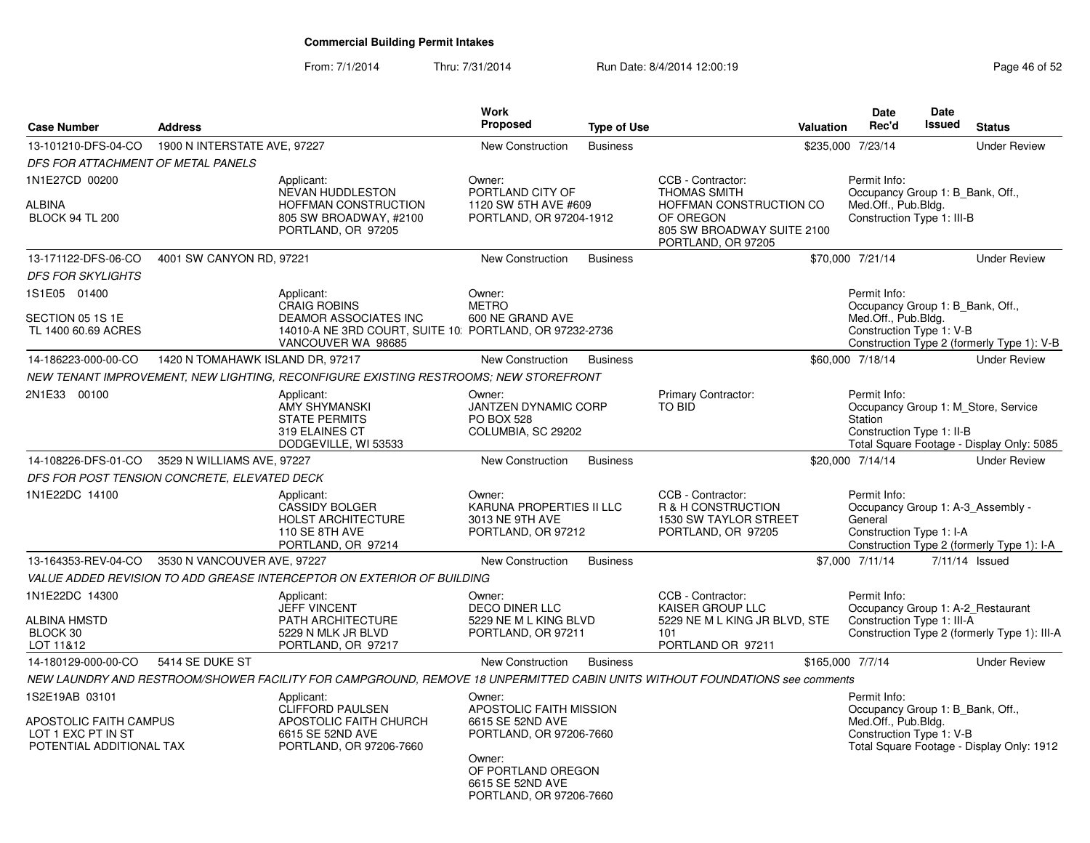### From: 7/1/2014Thru: 7/31/2014 Run Date: 8/4/2014 12:00:19 Research 2015 2

| <b>Case Number</b>                                                                         | <b>Address</b>                   |                                                                                                                             | Work<br>Proposed                                                                                                                                                | <b>Type of Use</b> |                                                                                                                                      | Valuation                                                                                                                                        | <b>Date</b><br>Rec'd                                                                                  | <b>Date</b><br>Issued | <b>Status</b>                                                                    |
|--------------------------------------------------------------------------------------------|----------------------------------|-----------------------------------------------------------------------------------------------------------------------------|-----------------------------------------------------------------------------------------------------------------------------------------------------------------|--------------------|--------------------------------------------------------------------------------------------------------------------------------------|--------------------------------------------------------------------------------------------------------------------------------------------------|-------------------------------------------------------------------------------------------------------|-----------------------|----------------------------------------------------------------------------------|
| 13-101210-DFS-04-CO                                                                        | 1900 N INTERSTATE AVE, 97227     |                                                                                                                             | <b>New Construction</b>                                                                                                                                         | <b>Business</b>    |                                                                                                                                      |                                                                                                                                                  | \$235,000 7/23/14                                                                                     |                       | <b>Under Review</b>                                                              |
| DFS FOR ATTACHMENT OF METAL PANELS                                                         |                                  |                                                                                                                             |                                                                                                                                                                 |                    |                                                                                                                                      |                                                                                                                                                  |                                                                                                       |                       |                                                                                  |
| 1N1E27CD 00200<br><b>ALBINA</b><br><b>BLOCK 94 TL 200</b>                                  |                                  | Applicant:<br>NEVAN HUDDLESTON<br>HOFFMAN CONSTRUCTION<br>805 SW BROADWAY, #2100<br>PORTLAND, OR 97205                      | Owner:<br>PORTLAND CITY OF<br>1120 SW 5TH AVE #609<br>PORTLAND, OR 97204-1912                                                                                   |                    | CCB - Contractor:<br><b>THOMAS SMITH</b><br>HOFFMAN CONSTRUCTION CO<br>OF OREGON<br>805 SW BROADWAY SUITE 2100<br>PORTLAND, OR 97205 |                                                                                                                                                  | Permit Info:<br>Occupancy Group 1: B_Bank, Off.,<br>Med.Off., Pub.Bldg.<br>Construction Type 1: III-B |                       |                                                                                  |
| 13-171122-DFS-06-CO                                                                        | 4001 SW CANYON RD, 97221         |                                                                                                                             | New Construction                                                                                                                                                | <b>Business</b>    |                                                                                                                                      |                                                                                                                                                  | \$70,000 7/21/14                                                                                      |                       | <b>Under Review</b>                                                              |
| <b>DFS FOR SKYLIGHTS</b>                                                                   |                                  |                                                                                                                             |                                                                                                                                                                 |                    |                                                                                                                                      |                                                                                                                                                  |                                                                                                       |                       |                                                                                  |
| 1S1E05 01400<br>SECTION 05 1S 1E                                                           |                                  | Applicant:<br><b>CRAIG ROBINS</b><br>DEAMOR ASSOCIATES INC                                                                  | Owner:<br><b>METRO</b><br>600 NE GRAND AVE                                                                                                                      |                    |                                                                                                                                      |                                                                                                                                                  | Permit Info:<br>Occupancy Group 1: B_Bank, Off.,<br>Med.Off., Pub.Bldg.                               |                       |                                                                                  |
| TL 1400 60.69 ACRES                                                                        |                                  | 14010-A NE 3RD COURT, SUITE 10: PORTLAND, OR 97232-2736<br>VANCOUVER WA 98685                                               |                                                                                                                                                                 |                    |                                                                                                                                      |                                                                                                                                                  | Construction Type 1: V-B<br>Construction Type 2 (formerly Type 1): V-B                                |                       |                                                                                  |
| 14-186223-000-00-CO                                                                        | 1420 N TOMAHAWK ISLAND DR, 97217 |                                                                                                                             | New Construction                                                                                                                                                | <b>Business</b>    |                                                                                                                                      |                                                                                                                                                  | \$60,000 7/18/14                                                                                      |                       | <b>Under Review</b>                                                              |
|                                                                                            |                                  | NEW TENANT IMPROVEMENT, NEW LIGHTING, RECONFIGURE EXISTING RESTROOMS; NEW STOREFRONT                                        |                                                                                                                                                                 |                    |                                                                                                                                      |                                                                                                                                                  |                                                                                                       |                       |                                                                                  |
| 2N1E33 00100                                                                               |                                  | Applicant:<br><b>AMY SHYMANSKI</b><br><b>STATE PERMITS</b><br>319 ELAINES CT<br>DODGEVILLE, WI 53533                        | Owner:<br>JANTZEN DYNAMIC CORP<br><b>PO BOX 528</b><br>COLUMBIA, SC 29202                                                                                       |                    | Primary Contractor:<br><b>TO BID</b>                                                                                                 |                                                                                                                                                  | Permit Info:<br>Station<br>Construction Type 1: II-B                                                  |                       | Occupancy Group 1: M_Store, Service<br>Total Square Footage - Display Only: 5085 |
| 14-108226-DFS-01-CO                                                                        | 3529 N WILLIAMS AVE, 97227       |                                                                                                                             | <b>New Construction</b>                                                                                                                                         | <b>Business</b>    |                                                                                                                                      |                                                                                                                                                  | \$20,000 7/14/14                                                                                      |                       | <b>Under Review</b>                                                              |
| DFS FOR POST TENSION CONCRETE, ELEVATED DECK                                               |                                  |                                                                                                                             |                                                                                                                                                                 |                    |                                                                                                                                      |                                                                                                                                                  |                                                                                                       |                       |                                                                                  |
| 1N1E22DC 14100                                                                             |                                  | Applicant:<br><b>CASSIDY BOLGER</b><br><b>HOLST ARCHITECTURE</b><br>110 SE 8TH AVE<br>PORTLAND, OR 97214                    | Owner:<br>KARUNA PROPERTIES II LLC<br>3013 NE 9TH AVE<br>PORTLAND, OR 97212                                                                                     |                    | CCB - Contractor:<br>R & H CONSTRUCTION<br>1530 SW TAYLOR STREET<br>PORTLAND, OR 97205                                               |                                                                                                                                                  | Permit Info:<br>Occupancy Group 1: A-3_Assembly -<br>General<br>Construction Type 1: I-A              |                       | Construction Type 2 (formerly Type 1): I-A                                       |
| 13-164353-REV-04-CO                                                                        | 3530 N VANCOUVER AVE, 97227      |                                                                                                                             | <b>New Construction</b>                                                                                                                                         | <b>Business</b>    |                                                                                                                                      |                                                                                                                                                  | \$7,000 7/11/14                                                                                       |                       | 7/11/14 Issued                                                                   |
|                                                                                            |                                  | VALUE ADDED REVISION TO ADD GREASE INTERCEPTOR ON EXTERIOR OF BUILDING                                                      |                                                                                                                                                                 |                    |                                                                                                                                      |                                                                                                                                                  |                                                                                                       |                       |                                                                                  |
| 1N1E22DC 14300<br><b>ALBINA HMSTD</b><br>BLOCK 30<br>LOT 11&12                             |                                  | Applicant:<br><b>JEFF VINCENT</b><br>PATH ARCHITECTURE<br>5229 N MLK JR BLVD<br>PORTLAND, OR 97217                          | Owner:<br><b>DECO DINER LLC</b><br>5229 NE M L KING BLVD<br>PORTLAND, OR 97211                                                                                  |                    | CCB - Contractor:<br>KAISER GROUP LLC<br>5229 NE M L KING JR BLVD, STE<br>101<br>PORTLAND OR 97211                                   |                                                                                                                                                  | Permit Info:<br>Occupancy Group 1: A-2_Restaurant<br>Construction Type 1: III-A                       |                       | Construction Type 2 (formerly Type 1): III-A                                     |
| 14-180129-000-00-CO                                                                        | 5414 SE DUKE ST                  |                                                                                                                             | New Construction                                                                                                                                                | <b>Business</b>    |                                                                                                                                      | \$165,000 7/7/14                                                                                                                                 |                                                                                                       |                       | <b>Under Review</b>                                                              |
|                                                                                            |                                  | NEW LAUNDRY AND RESTROOM/SHOWER FACILITY FOR CAMPGROUND, REMOVE 18 UNPERMITTED CABIN UNITS WITHOUT FOUNDATIONS see comments |                                                                                                                                                                 |                    |                                                                                                                                      |                                                                                                                                                  |                                                                                                       |                       |                                                                                  |
| 1S2E19AB 03101<br>APOSTOLIC FAITH CAMPUS<br>LOT 1 EXC PT IN ST<br>POTENTIAL ADDITIONAL TAX |                                  | Applicant:<br>CLIFFORD PAULSEN<br>APOSTOLIC FAITH CHURCH<br>6615 SE 52ND AVE<br>PORTLAND, OR 97206-7660                     | Owner:<br>APOSTOLIC FAITH MISSION<br>6615 SE 52ND AVE<br>PORTLAND, OR 97206-7660<br>Owner:<br>OF PORTLAND OREGON<br>6615 SE 52ND AVE<br>PORTLAND, OR 97206-7660 |                    |                                                                                                                                      | Permit Info:<br>Occupancy Group 1: B_Bank, Off.,<br>Med.Off., Pub.Bldg.<br>Construction Type 1: V-B<br>Total Square Footage - Display Only: 1912 |                                                                                                       |                       |                                                                                  |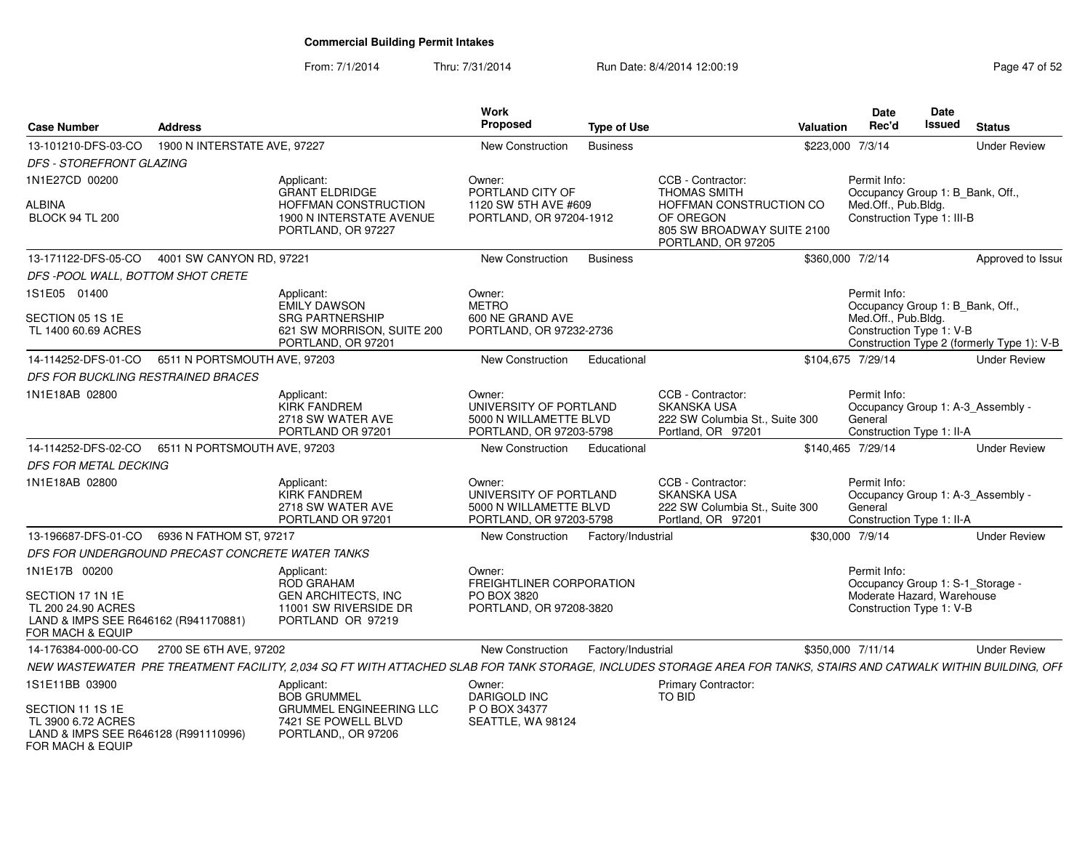### From: 7/1/2014Thru: 7/31/2014 Run Date: 8/4/2014 12:00:19 Rege 47 of 52

| <b>Case Number</b>                                                                                 | <b>Address</b>               |                                                                                                                                                                  | <b>Work</b><br><b>Proposed</b>                                                        | <b>Type of Use</b> |                                                                                                 | Valuation        | <b>Date</b><br>Rec'd                                                           | Date<br><b>Issued</b> | <b>Status</b>                              |
|----------------------------------------------------------------------------------------------------|------------------------------|------------------------------------------------------------------------------------------------------------------------------------------------------------------|---------------------------------------------------------------------------------------|--------------------|-------------------------------------------------------------------------------------------------|------------------|--------------------------------------------------------------------------------|-----------------------|--------------------------------------------|
| 13-101210-DFS-03-CO                                                                                | 1900 N INTERSTATE AVE, 97227 |                                                                                                                                                                  | New Construction                                                                      | <b>Business</b>    |                                                                                                 | \$223,000 7/3/14 |                                                                                |                       | <b>Under Review</b>                        |
| <b>DFS - STOREFRONT GLAZING</b>                                                                    |                              |                                                                                                                                                                  |                                                                                       |                    |                                                                                                 |                  |                                                                                |                       |                                            |
| 1N1E27CD 00200                                                                                     |                              | Applicant:<br><b>GRANT ELDRIDGE</b>                                                                                                                              | Owner:<br>PORTLAND CITY OF                                                            |                    | CCB - Contractor:<br><b>THOMAS SMITH</b>                                                        |                  | Permit Info:<br>Occupancy Group 1: B_Bank, Off.,                               |                       |                                            |
| ALBINA<br><b>BLOCK 94 TL 200</b>                                                                   |                              | HOFFMAN CONSTRUCTION<br>1900 N INTERSTATE AVENUE<br>PORTLAND, OR 97227                                                                                           | 1120 SW 5TH AVE #609<br>PORTLAND, OR 97204-1912                                       |                    | HOFFMAN CONSTRUCTION CO<br>OF OREGON<br>805 SW BROADWAY SUITE 2100<br>PORTLAND, OR 97205        |                  | Med.Off., Pub.Bldg.<br>Construction Type 1: III-B                              |                       |                                            |
| 13-171122-DFS-05-CO                                                                                | 4001 SW CANYON RD, 97221     |                                                                                                                                                                  | New Construction                                                                      | <b>Business</b>    |                                                                                                 | \$360,000 7/2/14 |                                                                                |                       | Approved to Issue                          |
| DFS -POOL WALL, BOTTOM SHOT CRETE                                                                  |                              |                                                                                                                                                                  |                                                                                       |                    |                                                                                                 |                  |                                                                                |                       |                                            |
| 1S1E05 01400                                                                                       |                              | Applicant:<br><b>EMILY DAWSON</b>                                                                                                                                | Owner:<br><b>METRO</b>                                                                |                    |                                                                                                 |                  | Permit Info:<br>Occupancy Group 1: B_Bank, Off.,                               |                       |                                            |
| SECTION 05 1S 1E<br>TL 1400 60.69 ACRES                                                            |                              | <b>SRG PARTNERSHIP</b><br>621 SW MORRISON, SUITE 200<br>PORTLAND, OR 97201                                                                                       | 600 NE GRAND AVE<br>PORTLAND, OR 97232-2736                                           |                    |                                                                                                 |                  | Med.Off., Pub.Bldg.<br>Construction Type 1: V-B                                |                       | Construction Type 2 (formerly Type 1): V-B |
| 14-114252-DFS-01-CO                                                                                | 6511 N PORTSMOUTH AVE, 97203 |                                                                                                                                                                  | New Construction                                                                      | Educational        |                                                                                                 |                  | \$104.675 7/29/14                                                              |                       | <b>Under Review</b>                        |
| DFS FOR BUCKLING RESTRAINED BRACES                                                                 |                              |                                                                                                                                                                  |                                                                                       |                    |                                                                                                 |                  |                                                                                |                       |                                            |
| 1N1E18AB 02800                                                                                     |                              | Applicant:<br><b>KIRK FANDREM</b><br>2718 SW WATER AVE<br>PORTLAND OR 97201                                                                                      | Owner:<br>UNIVERSITY OF PORTLAND<br>5000 N WILLAMETTE BLVD<br>PORTLAND, OR 97203-5798 |                    | CCB - Contractor:<br><b>SKANSKA USA</b><br>222 SW Columbia St., Suite 300<br>Portland, OR 97201 |                  | Permit Info:<br>General<br>Construction Type 1: II-A                           |                       | Occupancy Group 1: A-3_Assembly -          |
| 14-114252-DFS-02-CO                                                                                | 6511 N PORTSMOUTH AVE, 97203 |                                                                                                                                                                  | New Construction                                                                      | Educational        |                                                                                                 |                  | \$140,465 7/29/14                                                              |                       | <b>Under Review</b>                        |
| <b>DFS FOR METAL DECKING</b>                                                                       |                              |                                                                                                                                                                  |                                                                                       |                    |                                                                                                 |                  |                                                                                |                       |                                            |
| 1N1E18AB 02800                                                                                     |                              | Applicant:<br><b>KIRK FANDREM</b><br>2718 SW WATER AVE<br>PORTLAND OR 97201                                                                                      | Owner:<br>UNIVERSITY OF PORTLAND<br>5000 N WILLAMETTE BLVD<br>PORTLAND, OR 97203-5798 |                    | CCB - Contractor:<br>SKANSKA USA<br>222 SW Columbia St., Suite 300<br>Portland, OR 97201        |                  | Permit Info:<br>General<br>Construction Type 1: II-A                           |                       | Occupancy Group 1: A-3_Assembly -          |
| 13-196687-DFS-01-CO                                                                                | 6936 N FATHOM ST, 97217      |                                                                                                                                                                  | New Construction                                                                      | Factory/Industrial |                                                                                                 | \$30,000 7/9/14  |                                                                                |                       | <b>Under Review</b>                        |
| DFS FOR UNDERGROUND PRECAST CONCRETE WATER TANKS                                                   |                              |                                                                                                                                                                  |                                                                                       |                    |                                                                                                 |                  |                                                                                |                       |                                            |
| 1N1E17B 00200<br>SECTION 17 1N 1E                                                                  |                              | Applicant:<br>ROD GRAHAM<br><b>GEN ARCHITECTS, INC</b>                                                                                                           | Owner:<br>FREIGHTLINER CORPORATION<br>PO BOX 3820                                     |                    |                                                                                                 |                  | Permit Info:<br>Occupancy Group 1: S-1_Storage -<br>Moderate Hazard, Warehouse |                       |                                            |
| TL 200 24.90 ACRES<br>LAND & IMPS SEE R646162 (R941170881)<br>FOR MACH & EQUIP                     |                              | 11001 SW RIVERSIDE DR<br>PORTLAND OR 97219                                                                                                                       | PORTLAND, OR 97208-3820                                                               |                    |                                                                                                 |                  | Construction Type 1: V-B                                                       |                       |                                            |
| 14-176384-000-00-CO                                                                                | 2700 SE 6TH AVE, 97202       |                                                                                                                                                                  | New Construction                                                                      | Factory/Industrial |                                                                                                 |                  | \$350,000 7/11/14                                                              |                       | <b>Under Review</b>                        |
|                                                                                                    |                              | NEW WASTEWATER PRE TREATMENT FACILITY, 2,034 SQ FT WITH ATTACHED SLAB FOR TANK STORAGE, INCLUDES STORAGE AREA FOR TANKS, STAIRS AND CATWALK WITHIN BUILDING, OFF |                                                                                       |                    |                                                                                                 |                  |                                                                                |                       |                                            |
| 1S1E11BB 03900                                                                                     |                              | Applicant:<br><b>BOB GRUMMEL</b>                                                                                                                                 | Owner:<br>DARIGOLD INC                                                                |                    | Primary Contractor:<br>TO BID                                                                   |                  |                                                                                |                       |                                            |
| SECTION 11 1S 1E<br>TL 3900 6.72 ACRES<br>LAND & IMPS SEE R646128 (R991110996)<br>FOR MACH & EQUIP |                              | <b>GRUMMEL ENGINEERING LLC</b><br>7421 SE POWELL BLVD<br>PORTLAND,, OR 97206                                                                                     | P O BOX 34377<br>SEATTLE, WA 98124                                                    |                    |                                                                                                 |                  |                                                                                |                       |                                            |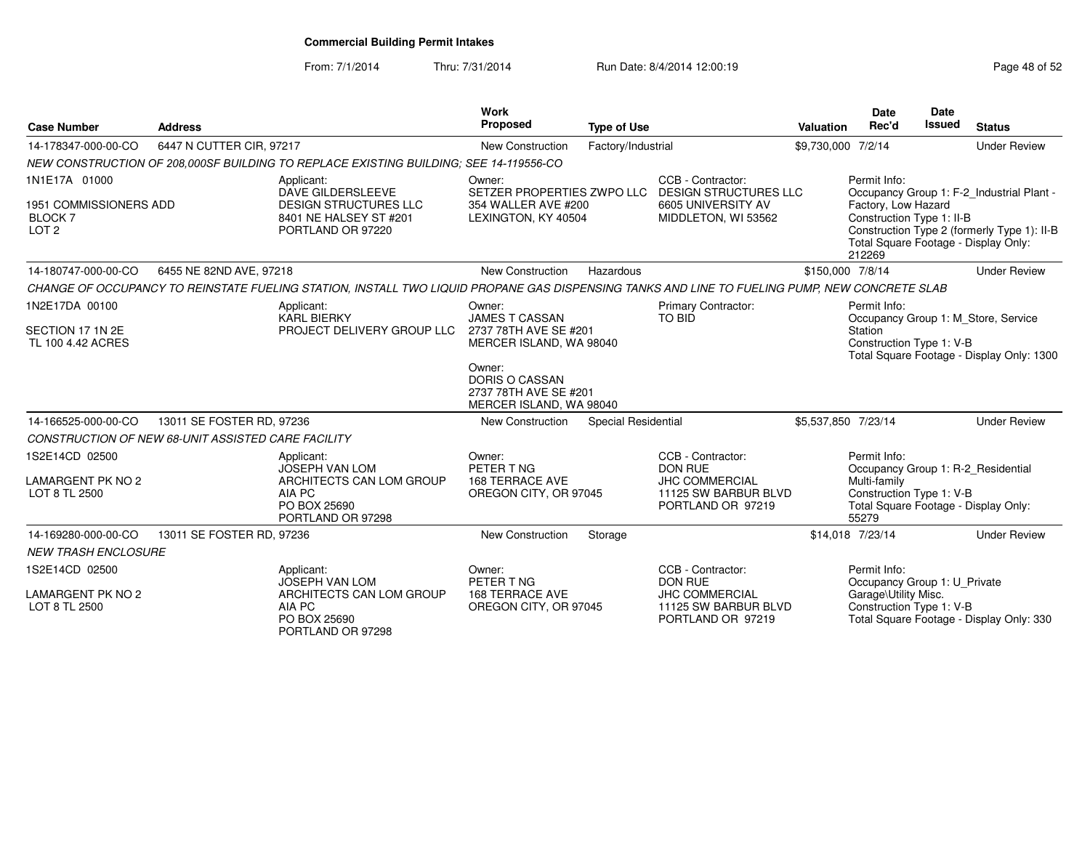From: 7/1/2014Thru: 7/31/2014 Run Date: 8/4/2014 12:00:19 Research 2015 2

| <b>Case Number</b>                                                            | <b>Address</b>            |                                                                                                                                               | <b>Work</b><br>Proposed                                                                                                                  | <b>Type of Use</b>  |                                                                                                           | Valuation           | <b>Date</b><br>Rec'd                                                                                                                            | <b>Date</b><br><b>Issued</b> | <b>Status</b>                                                                            |
|-------------------------------------------------------------------------------|---------------------------|-----------------------------------------------------------------------------------------------------------------------------------------------|------------------------------------------------------------------------------------------------------------------------------------------|---------------------|-----------------------------------------------------------------------------------------------------------|---------------------|-------------------------------------------------------------------------------------------------------------------------------------------------|------------------------------|------------------------------------------------------------------------------------------|
| 14-178347-000-00-CO                                                           | 6447 N CUTTER CIR, 97217  |                                                                                                                                               | New Construction                                                                                                                         | Factory/Industrial  |                                                                                                           | \$9,730,000 7/2/14  |                                                                                                                                                 |                              | <b>Under Review</b>                                                                      |
|                                                                               |                           | NEW CONSTRUCTION OF 208.000SF BUILDING TO REPLACE EXISTING BUILDING: SEE 14-119556-CO                                                         |                                                                                                                                          |                     |                                                                                                           |                     |                                                                                                                                                 |                              |                                                                                          |
| 1N1E17A 01000<br>1951 COMMISSIONERS ADD<br><b>BLOCK 7</b><br>LOT <sub>2</sub> |                           | Applicant:<br>DAVE GILDERSLEEVE<br><b>DESIGN STRUCTURES LLC</b><br>8401 NE HALSEY ST #201<br>PORTLAND OR 97220                                | Owner:<br>SETZER PROPERTIES ZWPO LLC<br>354 WALLER AVE #200<br>LEXINGTON, KY 40504                                                       |                     | CCB - Contractor:<br><b>DESIGN STRUCTURES LLC</b><br>6605 UNIVERSITY AV<br>MIDDLETON, WI 53562            |                     | Permit Info:<br>Factory, Low Hazard<br>Construction Type 1: II-B<br>Total Square Footage - Display Only:<br>212269                              |                              | Occupancy Group 1: F-2_Industrial Plant -<br>Construction Type 2 (formerly Type 1): II-B |
| 14-180747-000-00-CO                                                           | 6455 NE 82ND AVE, 97218   |                                                                                                                                               | New Construction                                                                                                                         | Hazardous           |                                                                                                           | \$150,000 7/8/14    |                                                                                                                                                 |                              | <b>Under Review</b>                                                                      |
|                                                                               |                           | CHANGE OF OCCUPANCY TO REINSTATE FUELING STATION, INSTALL TWO LIQUID PROPANE GAS DISPENSING TANKS AND LINE TO FUELING PUMP, NEW CONCRETE SLAB |                                                                                                                                          |                     |                                                                                                           |                     |                                                                                                                                                 |                              |                                                                                          |
| 1N2E17DA 00100<br>SECTION 17 1N 2E<br>TL 100 4.42 ACRES                       |                           | Applicant:<br><b>KARL BIERKY</b><br>PROJECT DELIVERY GROUP LLC                                                                                | Owner:<br><b>JAMES T CASSAN</b><br>2737 78TH AVE SE #201<br>MERCER ISLAND, WA 98040<br>Owner:<br>DORIS O CASSAN<br>2737 78TH AVE SE #201 |                     | <b>Primary Contractor:</b><br>TO BID                                                                      |                     | Permit Info:<br>Station<br>Construction Type 1: V-B                                                                                             |                              | Occupancy Group 1: M_Store, Service<br>Total Square Footage - Display Only: 1300         |
| 14-166525-000-00-CO                                                           | 13011 SE FOSTER RD, 97236 |                                                                                                                                               | MERCER ISLAND, WA 98040<br><b>New Construction</b>                                                                                       | Special Residential |                                                                                                           | \$5,537,850 7/23/14 |                                                                                                                                                 |                              | <b>Under Review</b>                                                                      |
| CONSTRUCTION OF NEW 68-UNIT ASSISTED CARE FACILITY                            |                           |                                                                                                                                               |                                                                                                                                          |                     |                                                                                                           |                     |                                                                                                                                                 |                              |                                                                                          |
| 1S2E14CD 02500<br><b>LAMARGENT PK NO 2</b><br>LOT 8 TL 2500                   |                           | Applicant:<br><b>JOSEPH VAN LOM</b><br>ARCHITECTS CAN LOM GROUP<br>AIA PC<br>PO BOX 25690<br>PORTLAND OR 97298                                | Owner:<br>PETER T NG<br><b>168 TERRACE AVE</b><br>OREGON CITY, OR 97045                                                                  |                     | CCB - Contractor:<br><b>DON RUE</b><br><b>JHC COMMERCIAL</b><br>11125 SW BARBUR BLVD<br>PORTLAND OR 97219 |                     | Permit Info:<br>Occupancy Group 1: R-2_Residential<br>Multi-family<br>Construction Type 1: V-B<br>Total Square Footage - Display Only:<br>55279 |                              |                                                                                          |
| 14-169280-000-00-CO                                                           | 13011 SE FOSTER RD, 97236 |                                                                                                                                               | <b>New Construction</b>                                                                                                                  | Storage             |                                                                                                           |                     | \$14.018 7/23/14                                                                                                                                |                              | <b>Under Review</b>                                                                      |
| <b>NEW TRASH ENCLOSURE</b>                                                    |                           |                                                                                                                                               |                                                                                                                                          |                     |                                                                                                           |                     |                                                                                                                                                 |                              |                                                                                          |
| 1S2E14CD 02500<br>LAMARGENT PK NO 2<br>LOT 8 TL 2500                          |                           | Applicant:<br><b>JOSEPH VAN LOM</b><br>ARCHITECTS CAN LOM GROUP<br>AIA PC<br>PO BOX 25690<br>PORTLAND OR 97298                                | Owner:<br>PETER T NG<br><b>168 TERRACE AVE</b><br>OREGON CITY, OR 97045                                                                  |                     | CCB - Contractor:<br><b>DON RUE</b><br><b>JHC COMMERCIAL</b><br>11125 SW BARBUR BLVD<br>PORTLAND OR 97219 |                     | Permit Info:<br>Occupancy Group 1: U Private<br>Garage\Utility Misc.<br>Construction Type 1: V-B                                                |                              | Total Square Footage - Display Only: 330                                                 |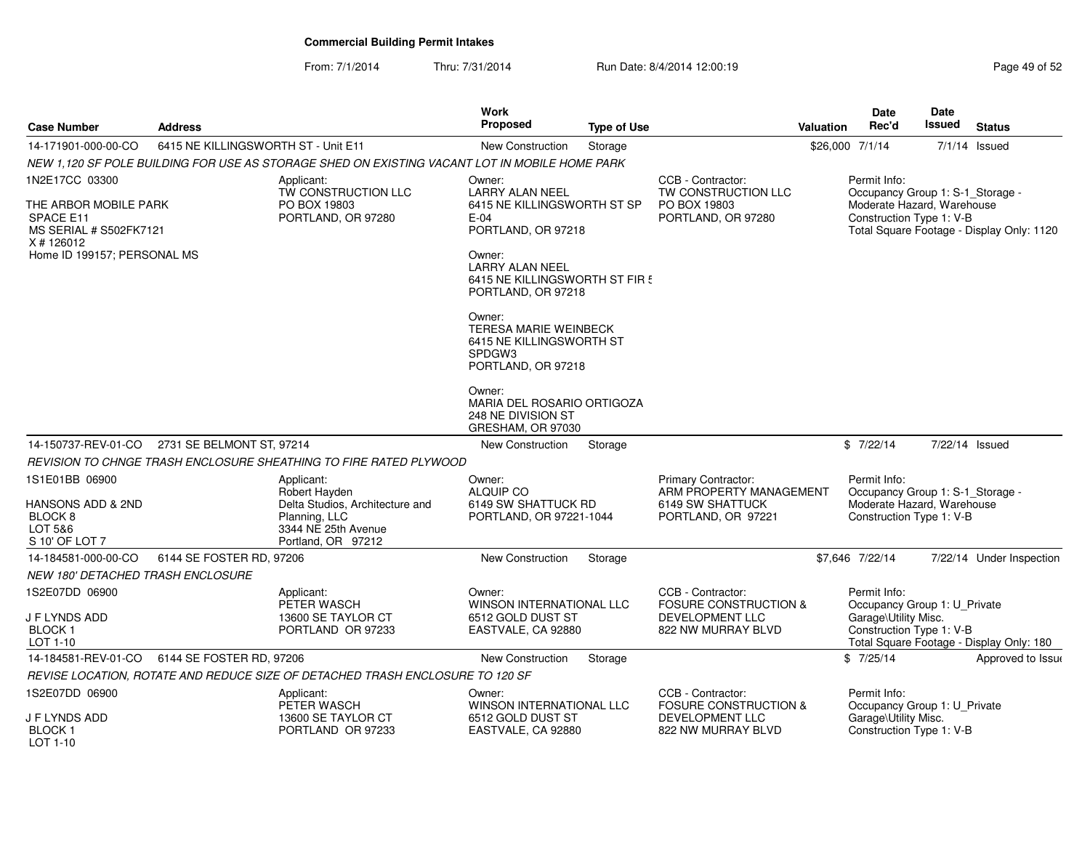From: 7/1/2014Thru: 7/31/2014 Run Date: 8/4/2014 12:00:19 Research 2015 2

| <b>Case Number</b>                                                                     | <b>Address</b>                      |                                                                                                                              | Work<br>Proposed                                                                                   | <b>Type of Use</b> |                                                                                                | Valuation       | Date<br>Rec'd                                                                                              | Date<br>Issued | <b>Status</b>                             |
|----------------------------------------------------------------------------------------|-------------------------------------|------------------------------------------------------------------------------------------------------------------------------|----------------------------------------------------------------------------------------------------|--------------------|------------------------------------------------------------------------------------------------|-----------------|------------------------------------------------------------------------------------------------------------|----------------|-------------------------------------------|
| 14-171901-000-00-CO                                                                    | 6415 NE KILLINGSWORTH ST - Unit E11 |                                                                                                                              | <b>New Construction</b>                                                                            | Storage            |                                                                                                | \$26,000 7/1/14 |                                                                                                            | 7/1/14         | Issued                                    |
|                                                                                        |                                     | NEW 1,120 SF POLE BUILDING FOR USE AS STORAGE SHED ON EXISTING VACANT LOT IN MOBILE HOME PARK                                |                                                                                                    |                    |                                                                                                |                 |                                                                                                            |                |                                           |
| 1N2E17CC 03300<br>THE ARBOR MOBILE PARK<br>SPACE E11<br>MS SERIAL # S502FK7121         |                                     | Applicant:<br>TW CONSTRUCTION LLC<br>PO BOX 19803<br>PORTLAND, OR 97280                                                      | Owner:<br><b>LARRY ALAN NEEL</b><br>6415 NE KILLINGSWORTH ST SP<br>$E-04$<br>PORTLAND, OR 97218    |                    | CCB - Contractor:<br>TW CONSTRUCTION LLC<br>PO BOX 19803<br>PORTLAND, OR 97280                 |                 | Permit Info:<br>Occupancy Group 1: S-1_Storage -<br>Moderate Hazard, Warehouse<br>Construction Type 1: V-B |                | Total Square Footage - Display Only: 1120 |
| X # 126012<br>Home ID 199157; PERSONAL MS                                              |                                     |                                                                                                                              | Owner:<br><b>LARRY ALAN NEEL</b><br>6415 NE KILLINGSWORTH ST FIR!<br>PORTLAND, OR 97218            |                    |                                                                                                |                 |                                                                                                            |                |                                           |
|                                                                                        |                                     |                                                                                                                              | Owner:<br><b>TERESA MARIE WEINBECK</b><br>6415 NE KILLINGSWORTH ST<br>SPDGW3<br>PORTLAND, OR 97218 |                    |                                                                                                |                 |                                                                                                            |                |                                           |
|                                                                                        |                                     |                                                                                                                              | Owner:<br>MARIA DEL ROSARIO ORTIGOZA<br>248 NE DIVISION ST<br>GRESHAM, OR 97030                    |                    |                                                                                                |                 |                                                                                                            |                |                                           |
| 14-150737-REV-01-CO                                                                    | 2731 SE BELMONT ST, 97214           |                                                                                                                              | New Construction                                                                                   | Storage            |                                                                                                |                 | \$7/22/14                                                                                                  | 7/22/14 Issued |                                           |
|                                                                                        |                                     | REVISION TO CHNGE TRASH ENCLOSURE SHEATHING TO FIRE RATED PLYWOOD                                                            |                                                                                                    |                    |                                                                                                |                 |                                                                                                            |                |                                           |
| 1S1E01BB 06900<br>HANSONS ADD & 2ND<br>BLOCK <sub>8</sub><br>LOT 5&6<br>S 10' OF LOT 7 |                                     | Applicant:<br>Robert Hayden<br>Delta Studios, Architecture and<br>Planning, LLC<br>3344 NE 25th Avenue<br>Portland, OR 97212 | Owner:<br><b>ALQUIP CO</b><br>6149 SW SHATTUCK RD<br>PORTLAND, OR 97221-1044                       |                    | Primary Contractor:<br>ARM PROPERTY MANAGEMENT<br>6149 SW SHATTUCK<br>PORTLAND, OR 97221       |                 | Permit Info:<br>Occupancy Group 1: S-1_Storage -<br>Moderate Hazard, Warehouse<br>Construction Type 1: V-B |                |                                           |
| 14-184581-000-00-CO                                                                    | 6144 SE FOSTER RD, 97206            |                                                                                                                              | <b>New Construction</b>                                                                            | Storage            |                                                                                                |                 | \$7,646 7/22/14                                                                                            |                | 7/22/14 Under Inspection                  |
| NEW 180' DETACHED TRASH ENCLOSURE                                                      |                                     |                                                                                                                              |                                                                                                    |                    |                                                                                                |                 |                                                                                                            |                |                                           |
| 1S2E07DD 06900<br>J F LYNDS ADD<br>BLOCK <sub>1</sub>                                  |                                     | Applicant:<br>PETER WASCH<br>13600 SE TAYLOR CT<br>PORTLAND OR 97233                                                         | Owner:<br><b>WINSON INTERNATIONAL LLC</b><br>6512 GOLD DUST ST<br>EASTVALE, CA 92880               |                    | CCB - Contractor:<br><b>FOSURE CONSTRUCTION &amp;</b><br>DEVELOPMENT LLC<br>822 NW MURRAY BLVD |                 | Permit Info:<br>Occupancy Group 1: U_Private<br>Garage\Utility Misc.<br>Construction Type 1: V-B           |                |                                           |
| LOT 1-10                                                                               |                                     |                                                                                                                              |                                                                                                    |                    |                                                                                                |                 |                                                                                                            |                | Total Square Footage - Display Only: 180  |
| 14-184581-REV-01-CO                                                                    | 6144 SE FOSTER RD, 97206            |                                                                                                                              | <b>New Construction</b>                                                                            | Storage            |                                                                                                |                 | \$7/25/14                                                                                                  |                | Approved to Issue                         |
|                                                                                        |                                     | REVISE LOCATION, ROTATE AND REDUCE SIZE OF DETACHED TRASH ENCLOSURE TO 120 SF                                                |                                                                                                    |                    |                                                                                                |                 |                                                                                                            |                |                                           |
| 1S2E07DD 06900<br>J F LYNDS ADD<br><b>BLOCK1</b><br>LOT 1-10                           |                                     | Applicant:<br>PETER WASCH<br>13600 SE TAYLOR CT<br>PORTLAND OR 97233                                                         | Owner:<br>WINSON INTERNATIONAL LLC<br>6512 GOLD DUST ST<br>EASTVALE, CA 92880                      |                    | CCB - Contractor:<br><b>FOSURE CONSTRUCTION &amp;</b><br>DEVELOPMENT LLC<br>822 NW MURRAY BLVD |                 | Permit Info:<br>Occupancy Group 1: U_Private<br>Garage\Utility Misc.<br>Construction Type 1: V-B           |                |                                           |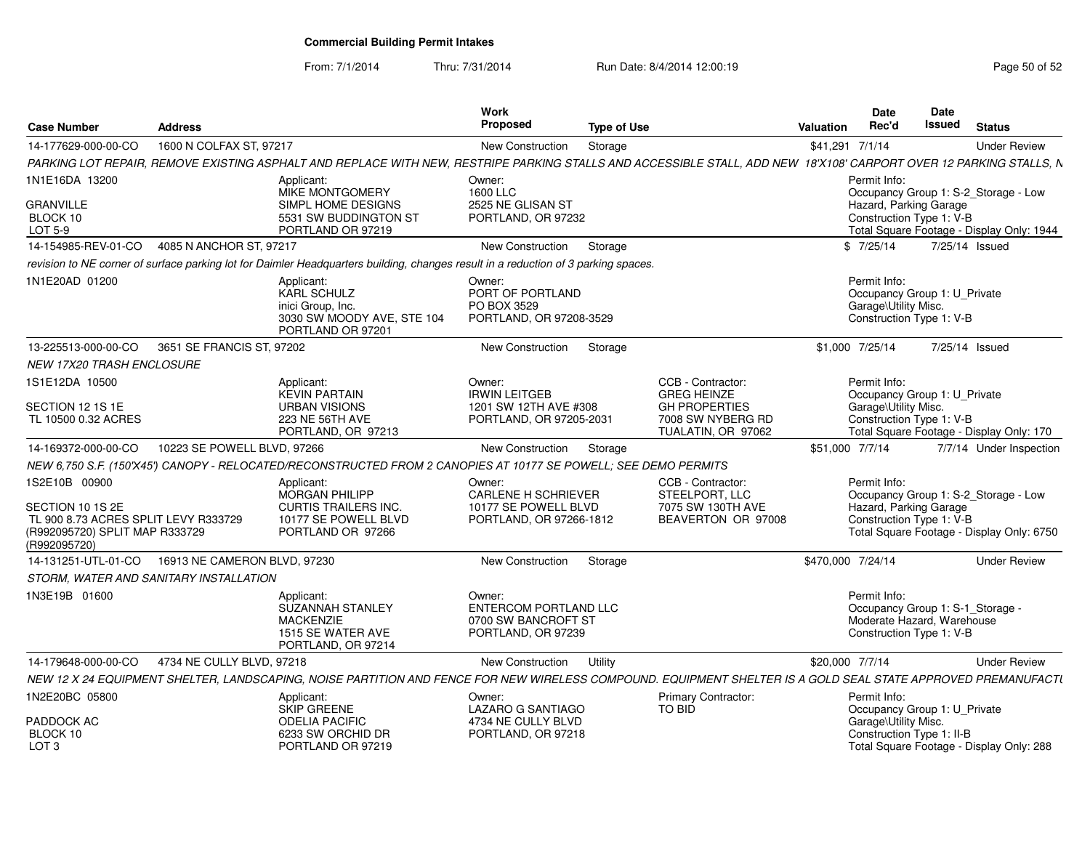From: 7/1/2014

Thru: 7/31/2014 Run Date: 8/4/2014 12:00:19 Rege 50 of 52

| <b>Case Number</b>                                                                                          | <b>Address</b>               |                                                                                                                                                                    | Work<br><b>Proposed</b>                                                                 | <b>Type of Use</b> |                                                                                | Valuation         | Date<br>Rec'd                                                                                              | <b>Date</b><br>Issued | <b>Status</b>                                                                     |
|-------------------------------------------------------------------------------------------------------------|------------------------------|--------------------------------------------------------------------------------------------------------------------------------------------------------------------|-----------------------------------------------------------------------------------------|--------------------|--------------------------------------------------------------------------------|-------------------|------------------------------------------------------------------------------------------------------------|-----------------------|-----------------------------------------------------------------------------------|
| 14-177629-000-00-CO                                                                                         | 1600 N COLFAX ST, 97217      |                                                                                                                                                                    | New Construction                                                                        | Storage            |                                                                                | \$41,291 7/1/14   |                                                                                                            |                       | <b>Under Review</b>                                                               |
|                                                                                                             |                              | PARKING LOT REPAIR, REMOVE EXISTING ASPHALT AND REPLACE WITH NEW, RESTRIPE PARKING STALLS AND ACCESSIBLE STALL, ADD NEW 18'X108' CARPORT OVER 12 PARKING STALLS, N |                                                                                         |                    |                                                                                |                   |                                                                                                            |                       |                                                                                   |
| 1N1E16DA 13200                                                                                              |                              | Applicant:<br>MIKE MONTGOMERY                                                                                                                                      | Owner:<br>1600 LLC                                                                      |                    |                                                                                |                   | Permit Info:                                                                                               |                       | Occupancy Group 1: S-2_Storage - Low                                              |
| <b>GRANVILLE</b><br>BLOCK 10<br>LOT 5-9                                                                     |                              | SIMPL HOME DESIGNS<br>5531 SW BUDDINGTON ST<br>PORTLAND OR 97219                                                                                                   | 2525 NE GLISAN ST<br>PORTLAND, OR 97232                                                 |                    |                                                                                |                   | Hazard, Parking Garage<br>Construction Type 1: V-B                                                         |                       | Total Square Footage - Display Only: 1944                                         |
| 14-154985-REV-01-CO                                                                                         | 4085 N ANCHOR ST, 97217      |                                                                                                                                                                    | New Construction                                                                        | Storage            |                                                                                |                   | \$7/25/14                                                                                                  |                       | 7/25/14 Issued                                                                    |
|                                                                                                             |                              | revision to NE corner of surface parking lot for Daimler Headquarters building, changes result in a reduction of 3 parking spaces.                                 |                                                                                         |                    |                                                                                |                   |                                                                                                            |                       |                                                                                   |
| 1N1E20AD 01200                                                                                              |                              | Applicant:<br><b>KARL SCHULZ</b><br>inici Group, Inc.<br>3030 SW MOODY AVE, STE 104<br>PORTLAND OR 97201                                                           | Owner:<br>PORT OF PORTLAND<br>PO BOX 3529<br>PORTLAND, OR 97208-3529                    |                    |                                                                                |                   | Permit Info:<br>Occupancy Group 1: U_Private<br>Garage\Utility Misc.<br>Construction Type 1: V-B           |                       |                                                                                   |
| 13-225513-000-00-CO                                                                                         | 3651 SE FRANCIS ST, 97202    |                                                                                                                                                                    | New Construction                                                                        | Storage            |                                                                                |                   | \$1,000 7/25/14                                                                                            |                       | 7/25/14 Issued                                                                    |
| <b>NEW 17X20 TRASH ENCLOSURE</b>                                                                            |                              |                                                                                                                                                                    |                                                                                         |                    |                                                                                |                   |                                                                                                            |                       |                                                                                   |
| 1S1E12DA 10500                                                                                              |                              | Applicant:<br><b>KEVIN PARTAIN</b>                                                                                                                                 | Owner:<br><b>IRWIN LEITGEB</b>                                                          |                    | CCB - Contractor:<br><b>GREG HEINZE</b>                                        |                   | Permit Info:<br>Occupancy Group 1: U_Private                                                               |                       |                                                                                   |
| SECTION 12 1S 1E<br>TL 10500 0.32 ACRES                                                                     |                              | <b>URBAN VISIONS</b><br>223 NE 56TH AVE<br>PORTLAND, OR 97213                                                                                                      | 1201 SW 12TH AVE #308<br>PORTLAND, OR 97205-2031                                        |                    | <b>GH PROPERTIES</b><br>7008 SW NYBERG RD<br>TUALATIN, OR 97062                |                   | Garage\Utility Misc.<br>Construction Type 1: V-B                                                           |                       | Total Square Footage - Display Only: 170                                          |
| 14-169372-000-00-CO                                                                                         | 10223 SE POWELL BLVD, 97266  |                                                                                                                                                                    | New Construction                                                                        | Storage            |                                                                                | \$51,000 7/7/14   |                                                                                                            |                       | 7/7/14 Under Inspection                                                           |
|                                                                                                             |                              | NEW 6,750 S.F. (150'X45') CANOPY - RELOCATED/RECONSTRUCTED FROM 2 CANOPIES AT 10177 SE POWELL; SEE DEMO PERMITS                                                    |                                                                                         |                    |                                                                                |                   |                                                                                                            |                       |                                                                                   |
| 1S2E10B 00900<br>SECTION 10 1S 2E<br>TL 900 8.73 ACRES SPLIT LEVY R333729<br>(R992095720) SPLIT MAP R333729 |                              | Applicant:<br><b>MORGAN PHILIPP</b><br><b>CURTIS TRAILERS INC.</b><br>10177 SE POWELL BLVD<br>PORTLAND OR 97266                                                    | Owner:<br><b>CARLENE H SCHRIEVER</b><br>10177 SE POWELL BLVD<br>PORTLAND, OR 97266-1812 |                    | CCB - Contractor:<br>STEELPORT, LLC<br>7075 SW 130TH AVE<br>BEAVERTON OR 97008 |                   | Permit Info:<br>Hazard, Parking Garage<br>Construction Type 1: V-B                                         |                       | Occupancy Group 1: S-2_Storage - Low<br>Total Square Footage - Display Only: 6750 |
| (R992095720)<br>14-131251-UTL-01-CO                                                                         | 16913 NE CAMERON BLVD, 97230 |                                                                                                                                                                    | New Construction                                                                        | Storage            |                                                                                | \$470,000 7/24/14 |                                                                                                            |                       | <b>Under Review</b>                                                               |
| STORM, WATER AND SANITARY INSTALLATION                                                                      |                              |                                                                                                                                                                    |                                                                                         |                    |                                                                                |                   |                                                                                                            |                       |                                                                                   |
| 1N3E19B 01600                                                                                               |                              | Applicant:<br><b>SUZANNAH STANLEY</b><br><b>MACKENZIE</b><br>1515 SE WATER AVE<br>PORTLAND, OR 97214                                                               | Owner:<br><b>ENTERCOM PORTLAND LLC</b><br>0700 SW BANCROFT ST<br>PORTLAND, OR 97239     |                    |                                                                                |                   | Permit Info:<br>Occupancy Group 1: S-1_Storage -<br>Moderate Hazard, Warehouse<br>Construction Type 1: V-B |                       |                                                                                   |
| 14-179648-000-00-CO                                                                                         | 4734 NE CULLY BLVD, 97218    |                                                                                                                                                                    | New Construction                                                                        | Utility            |                                                                                | \$20,000 7/7/14   |                                                                                                            |                       | <b>Under Review</b>                                                               |
|                                                                                                             |                              | NEW 12 X 24 EQUIPMENT SHELTER, LANDSCAPING, NOISE PARTITION AND FENCE FOR NEW WIRELESS COMPOUND. EQUIPMENT SHELTER IS A GOLD SEAL STATE APPROVED PREMANUFACTU      |                                                                                         |                    |                                                                                |                   |                                                                                                            |                       |                                                                                   |
| 1N2E20BC 05800                                                                                              |                              | Applicant:<br>SKIP GREENE                                                                                                                                          | Owner:<br>LAZARO G SANTIAGO                                                             |                    | Primary Contractor:<br>TO BID                                                  |                   | Permit Info:<br>Occupancy Group 1: U_Private                                                               |                       |                                                                                   |
| PADDOCK AC<br>BLOCK 10<br>LOT <sub>3</sub>                                                                  |                              | <b>ODELIA PACIFIC</b><br>6233 SW ORCHID DR<br>PORTLAND OR 97219                                                                                                    | 4734 NE CULLY BLVD<br>PORTLAND, OR 97218                                                |                    |                                                                                |                   | Garage\Utility Misc.<br>Construction Type 1: II-B                                                          |                       | Total Square Footage - Display Only: 288                                          |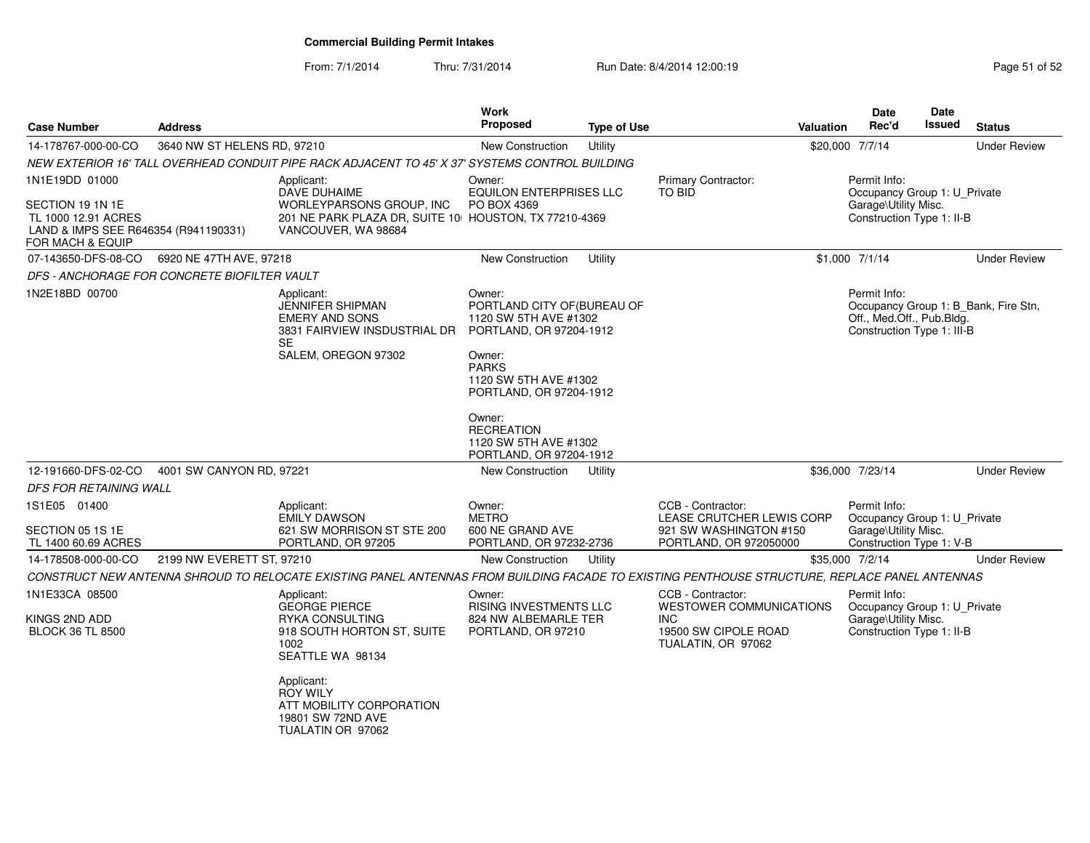From: 7/1/2014

Thru: 7/31/2014 Run Date: 8/4/2014 12:00:19 Rege 51 of 52

| <b>Case Number</b>                                        | <b>Address</b>              |                                                                                                                                               | <b>Work</b><br><b>Proposed</b>                                                            | <b>Type of Use</b> |                                                    | <b>Valuation</b>                                                                                                | Date<br>Rec'd                                     | Date<br>Issued           | <b>Status</b>       |
|-----------------------------------------------------------|-----------------------------|-----------------------------------------------------------------------------------------------------------------------------------------------|-------------------------------------------------------------------------------------------|--------------------|----------------------------------------------------|-----------------------------------------------------------------------------------------------------------------|---------------------------------------------------|--------------------------|---------------------|
| 14-178767-000-00-CO                                       | 3640 NW ST HELENS RD, 97210 |                                                                                                                                               | <b>New Construction</b>                                                                   | Utility            |                                                    |                                                                                                                 | \$20,000 7/7/14                                   |                          | <b>Under Review</b> |
|                                                           |                             | NEW EXTERIOR 16' TALL OVERHEAD CONDUIT PIPE RACK ADJACENT TO 45' X 37' SYSTEMS CONTROL BUILDING                                               |                                                                                           |                    |                                                    |                                                                                                                 |                                                   |                          |                     |
| 1N1E19DD 01000<br>SECTION 19 1N 1E<br>TL 1000 12.91 ACRES |                             | Applicant:<br><b>DAVE DUHAIME</b><br>WORLEYPARSONS GROUP, INC<br>201 NE PARK PLAZA DR, SUITE 10 HOUSTON, TX 77210-4369                        | Owner:<br>EQUILON ENTERPRISES LLC<br>PO BOX 4369                                          |                    | <b>Primary Contractor:</b><br>TO BID               | Permit Info:<br>Garage\Utility Misc.<br>Construction Type 1: II-B                                               | Occupancy Group 1: U Private                      |                          |                     |
| LAND & IMPS SEE R646354 (R941190331)<br>FOR MACH & EQUIP  |                             | VANCOUVER, WA 98684                                                                                                                           |                                                                                           |                    |                                                    |                                                                                                                 |                                                   |                          |                     |
| 07-143650-DFS-08-CO                                       | 6920 NE 47TH AVE, 97218     |                                                                                                                                               | <b>New Construction</b>                                                                   | Utility            |                                                    |                                                                                                                 | \$1,000 7/1/14                                    |                          | <b>Under Review</b> |
| DFS - ANCHORAGE FOR CONCRETE BIOFILTER VAULT              |                             |                                                                                                                                               |                                                                                           |                    |                                                    |                                                                                                                 |                                                   |                          |                     |
| 1N2E18BD 00700                                            |                             | Applicant:<br><b>JENNIFER SHIPMAN</b><br><b>EMERY AND SONS</b><br>3831 FAIRVIEW INSDUSTRIAL DR<br><b>SE</b>                                   | Owner:<br>PORTLAND CITY OF (BUREAU OF<br>1120 SW 5TH AVE #1302<br>PORTLAND, OR 97204-1912 |                    |                                                    | Permit Info:<br>Occupancy Group 1: B_Bank, Fire Stn,<br>Off., Med.Off., Pub.Bldg.<br>Construction Type 1: III-B |                                                   |                          |                     |
|                                                           |                             | SALEM, OREGON 97302                                                                                                                           | Owner:<br><b>PARKS</b><br>1120 SW 5TH AVE #1302<br>PORTLAND, OR 97204-1912                |                    |                                                    |                                                                                                                 |                                                   |                          |                     |
|                                                           |                             |                                                                                                                                               | Owner:<br><b>RECREATION</b><br>1120 SW 5TH AVE #1302<br>PORTLAND, OR 97204-1912           |                    |                                                    |                                                                                                                 |                                                   |                          |                     |
| 12-191660-DFS-02-CO                                       | 4001 SW CANYON RD, 97221    |                                                                                                                                               | New Construction                                                                          | Utility            |                                                    |                                                                                                                 | \$36,000 7/23/14                                  |                          | <b>Under Review</b> |
| DFS FOR RETAINING WALL                                    |                             |                                                                                                                                               |                                                                                           |                    |                                                    |                                                                                                                 |                                                   |                          |                     |
| 1S1E05 01400                                              |                             | Applicant:<br><b>EMILY DAWSON</b>                                                                                                             | Owner:<br><b>METRO</b>                                                                    |                    | CCB - Contractor:<br>LEASE CRUTCHER LEWIS CORP     |                                                                                                                 | Permit Info:<br>Occupancy Group 1: U_Private      |                          |                     |
| SECTION 05 1S 1E<br>TL 1400 60.69 ACRES                   |                             | 621 SW MORRISON ST STE 200<br>PORTLAND, OR 97205                                                                                              | 600 NE GRAND AVE<br>PORTLAND, OR 97232-2736                                               |                    | 921 SW WASHINGTON #150<br>PORTLAND, OR 972050000   |                                                                                                                 | Garage\Utility Misc.                              | Construction Type 1: V-B |                     |
| 14-178508-000-00-CO                                       | 2199 NW EVERETT ST, 97210   |                                                                                                                                               | New Construction                                                                          | Utility            |                                                    |                                                                                                                 | \$35,000 7/2/14                                   |                          | <b>Under Review</b> |
|                                                           |                             | CONSTRUCT NEW ANTENNA SHROUD TO RELOCATE EXISTING PANEL ANTENNAS FROM BUILDING FACADE TO EXISTING PENTHOUSE STRUCTURE, REPLACE PANEL ANTENNAS |                                                                                           |                    |                                                    |                                                                                                                 |                                                   |                          |                     |
| 1N1E33CA 08500                                            |                             | Applicant:<br><b>GEORGE PIERCE</b>                                                                                                            | Owner:<br><b>RISING INVESTMENTS LLC</b>                                                   |                    | CCB - Contractor:<br>WESTOWER COMMUNICATIONS       |                                                                                                                 | Permit Info:<br>Occupancy Group 1: U Private      |                          |                     |
| KINGS 2ND ADD<br><b>BLOCK 36 TL 8500</b>                  |                             | RYKA CONSULTING<br>918 SOUTH HORTON ST, SUITE<br>1002<br>SEATTLE WA 98134                                                                     | 824 NW ALBEMARLE TER<br>PORTLAND, OR 97210                                                |                    | INC.<br>19500 SW CIPOLE ROAD<br>TUALATIN, OR 97062 |                                                                                                                 | Garage\Utility Misc.<br>Construction Type 1: II-B |                          |                     |
|                                                           |                             | Applicant:<br><b>ROY WILY</b><br>ATT MOBILITY CORPORATION<br>19801 SW 72ND AVE<br>TUALATIN OR 97062                                           |                                                                                           |                    |                                                    |                                                                                                                 |                                                   |                          |                     |